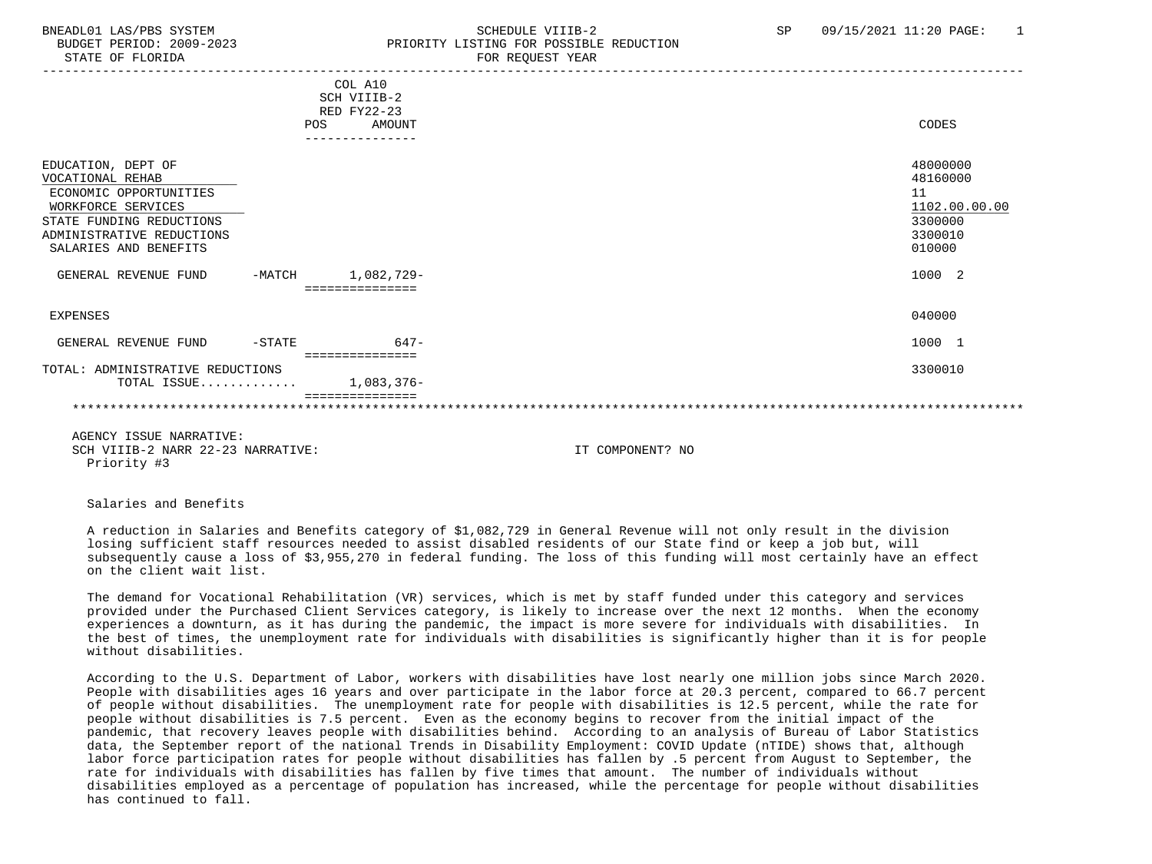## BNEADL01 LAS/PBS SYSTEM SCHEDULE VIIIB-2 SCHEDULE VIIIB-2 SP 09/15/2021 11:20 PAGE: 1 BUDGET PERIOD: 2009-2023 PRIORITY LISTING FOR POSSIBLE REDUCTION STATE OF FLORIDA FOR REQUEST YEAR FOR REQUEST THAT AND THE STATE OF STATE OF STATE OF STATE OF STATE OF STATE O

|                                                                                                                                                                          |          | COL A10<br>SCH VIIIB-2<br>RED FY22-23<br>POS<br>AMOUNT<br>--------------- | CODES                                                                       |
|--------------------------------------------------------------------------------------------------------------------------------------------------------------------------|----------|---------------------------------------------------------------------------|-----------------------------------------------------------------------------|
| EDUCATION, DEPT OF<br>VOCATIONAL REHAB<br>ECONOMIC OPPORTUNITIES<br>WORKFORCE SERVICES<br>STATE FUNDING REDUCTIONS<br>ADMINISTRATIVE REDUCTIONS<br>SALARIES AND BENEFITS |          |                                                                           | 48000000<br>48160000<br>11<br>1102.00.00.00<br>3300000<br>3300010<br>010000 |
| GENERAL REVENUE FUND                                                                                                                                                     | -MATCH   | 1,082,729-                                                                | 1000 2                                                                      |
| EXPENSES                                                                                                                                                                 |          |                                                                           | 040000                                                                      |
| GENERAL REVENUE FUND                                                                                                                                                     | $-STATE$ | $647-$<br>===============                                                 | 1000 1                                                                      |
| TOTAL: ADMINISTRATIVE REDUCTIONS<br>TOTAL ISSUE                                                                                                                          |          | 1,083,376-                                                                | 3300010                                                                     |
|                                                                                                                                                                          |          |                                                                           |                                                                             |

 AGENCY ISSUE NARRATIVE: SCH VIIIB-2 NARR 22-23 NARRATIVE: IT COMPONENT? NO Priority #3

Salaries and Benefits

 A reduction in Salaries and Benefits category of \$1,082,729 in General Revenue will not only result in the division losing sufficient staff resources needed to assist disabled residents of our State find or keep a job but, will subsequently cause a loss of \$3,955,270 in federal funding. The loss of this funding will most certainly have an effect on the client wait list.

 The demand for Vocational Rehabilitation (VR) services, which is met by staff funded under this category and services provided under the Purchased Client Services category, is likely to increase over the next 12 months. When the economy experiences a downturn, as it has during the pandemic, the impact is more severe for individuals with disabilities. In the best of times, the unemployment rate for individuals with disabilities is significantly higher than it is for people without disabilities.

 According to the U.S. Department of Labor, workers with disabilities have lost nearly one million jobs since March 2020. People with disabilities ages 16 years and over participate in the labor force at 20.3 percent, compared to 66.7 percent of people without disabilities. The unemployment rate for people with disabilities is 12.5 percent, while the rate for people without disabilities is 7.5 percent. Even as the economy begins to recover from the initial impact of the pandemic, that recovery leaves people with disabilities behind. According to an analysis of Bureau of Labor Statistics data, the September report of the national Trends in Disability Employment: COVID Update (nTIDE) shows that, although labor force participation rates for people without disabilities has fallen by .5 percent from August to September, the rate for individuals with disabilities has fallen by five times that amount. The number of individuals without disabilities employed as a percentage of population has increased, while the percentage for people without disabilities has continued to fall.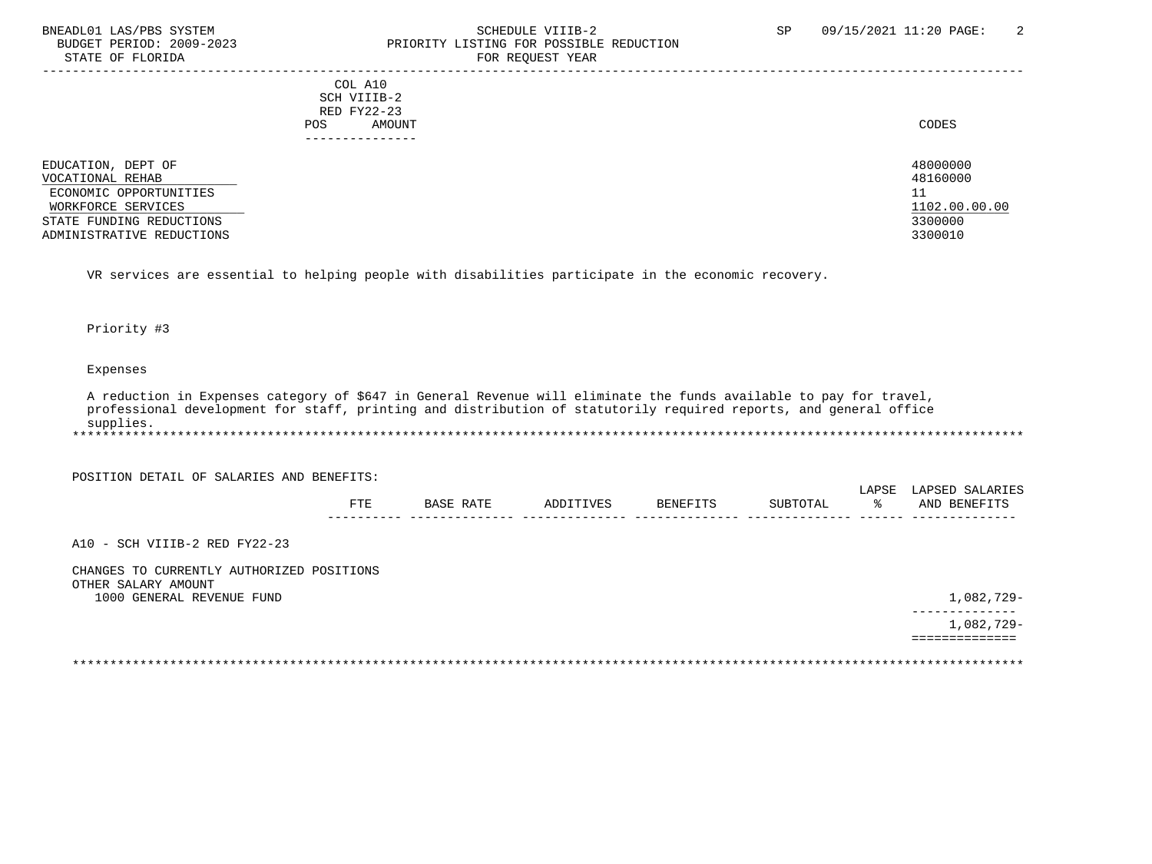# BNEADL01 LAS/PBS SYSTEM SCHEDULE VIIIB-2 SCHEDULE VIIIB-2 SP 09/15/2021 11:20 PAGE: 2<br>BUDGET PERIOD: 2009-2023 PRIORITY LISTING FOR POSSIBLE REDUCTION BUDGET PERIOD: 2009-2023<br>
STATE OF FLORIDA<br>
FOR REOUEST YEAR FOR REQUEST YEAR

|                                                                                                                    | COL A10<br>SCH VIIIB-2<br>RED FY22-23<br>AMOUNT<br><b>POS</b> | CODES                                                        |
|--------------------------------------------------------------------------------------------------------------------|---------------------------------------------------------------|--------------------------------------------------------------|
| EDUCATION, DEPT OF<br>VOCATIONAL REHAB<br>ECONOMIC OPPORTUNITIES<br>WORKFORCE SERVICES<br>STATE FUNDING REDUCTIONS | -------------                                                 | 48000000<br>48160000<br>11<br>ᆂᆂ<br>1102.00.00.00<br>3300000 |
| ADMINISTRATIVE REDUCTIONS                                                                                          |                                                               | 3300010                                                      |

VR services are essential to helping people with disabilities participate in the economic recovery.

#### Priority #3

## Expenses

 A reduction in Expenses category of \$647 in General Revenue will eliminate the funds available to pay for travel, professional development for staff, printing and distribution of statutorily required reports, and general office supplies. \*\*\*\*\*\*\*\*\*\*\*\*\*\*\*\*\*\*\*\*\*\*\*\*\*\*\*\*\*\*\*\*\*\*\*\*\*\*\*\*\*\*\*\*\*\*\*\*\*\*\*\*\*\*\*\*\*\*\*\*\*\*\*\*\*\*\*\*\*\*\*\*\*\*\*\*\*\*\*\*\*\*\*\*\*\*\*\*\*\*\*\*\*\*\*\*\*\*\*\*\*\*\*\*\*\*\*\*\*\*\*\*\*\*\*\*\*\*\*\*\*\*\*\*\*\*\*

POSITION DETAIL OF SALARIES AND BENEFITS:

|              |                               |            |        |                       | LAPSF | … ∆ D S E F<br>. A R |
|--------------|-------------------------------|------------|--------|-----------------------|-------|----------------------|
| ᇢᆍᇢ<br>7 I D | . <del>.</del><br><b>RACE</b> | IVES<br>חת | RENEFT | TIRTOTA.<br><b>AA</b> |       | AN'<br><b>BENEF</b>  |
| $- - -$      |                               |            |        |                       |       | ----                 |

A10 - SCH VIIIB-2 RED FY22-23

| CHANGES TO CURRENTLY AUTHORIZED POSITIONS |           |
|-------------------------------------------|-----------|
| OTHER SALARY AMOUNT                       |           |
| 1000 GENERAL REVENUE FUND                 | ,082,729- |

 -------------- 1,082,729- ==============

\*\*\*\*\*\*\*\*\*\*\*\*\*\*\*\*\*\*\*\*\*\*\*\*\*\*\*\*\*\*\*\*\*\*\*\*\*\*\*\*\*\*\*\*\*\*\*\*\*\*\*\*\*\*\*\*\*\*\*\*\*\*\*\*\*\*\*\*\*\*\*\*\*\*\*\*\*\*\*\*\*\*\*\*\*\*\*\*\*\*\*\*\*\*\*\*\*\*\*\*\*\*\*\*\*\*\*\*\*\*\*\*\*\*\*\*\*\*\*\*\*\*\*\*\*\*\*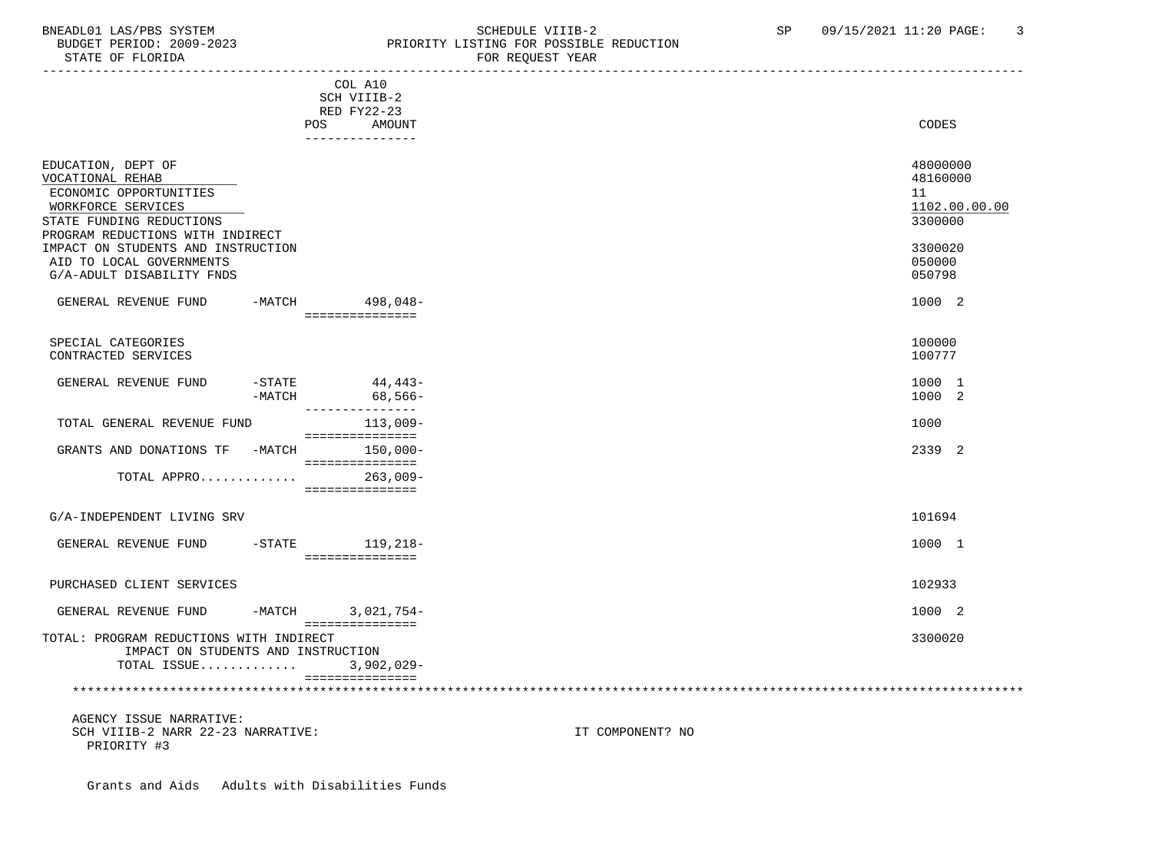# BNEADL01 LAS/PBS SYSTEM SCHEDULE VIIIB-2 SCHEDULE VIIIB-2 SP 09/15/2021 11:20 PAGE: 3 BUDGET PERIOD: 2009-2023 PRIORITY LISTING FOR POSSIBLE REDUCTION STATE OF FLORIDA **FOR REQUEST YEAR**

|                                                                                                                                                                                                                                                       | COL A10<br>SCH VIIIB-2<br>RED FY22-23<br><b>POS</b><br>AMOUNT<br>_______________ | CODES                                                                                 |  |
|-------------------------------------------------------------------------------------------------------------------------------------------------------------------------------------------------------------------------------------------------------|----------------------------------------------------------------------------------|---------------------------------------------------------------------------------------|--|
| EDUCATION, DEPT OF<br>VOCATIONAL REHAB<br>ECONOMIC OPPORTUNITIES<br>WORKFORCE SERVICES<br>STATE FUNDING REDUCTIONS<br>PROGRAM REDUCTIONS WITH INDIRECT<br>IMPACT ON STUDENTS AND INSTRUCTION<br>AID TO LOCAL GOVERNMENTS<br>G/A-ADULT DISABILITY FNDS |                                                                                  | 48000000<br>48160000<br>11<br>1102.00.00.00<br>3300000<br>3300020<br>050000<br>050798 |  |
| GENERAL REVENUE FUND                                                                                                                                                                                                                                  | -MATCH 498,048-<br>================                                              | 1000 2                                                                                |  |
| SPECIAL CATEGORIES<br>CONTRACTED SERVICES                                                                                                                                                                                                             |                                                                                  | 100000<br>100777                                                                      |  |
| GENERAL REVENUE FUND<br>$-MATCH$                                                                                                                                                                                                                      | $-STATE$ 44,443-<br>68,566-<br>________________                                  | 1000 1<br>1000 2                                                                      |  |
| TOTAL GENERAL REVENUE FUND                                                                                                                                                                                                                            | 113,009-<br>===============                                                      | 1000                                                                                  |  |
| GRANTS AND DONATIONS TF -MATCH 150,000-                                                                                                                                                                                                               | ===============                                                                  | 2339 2                                                                                |  |
| TOTAL APPRO                                                                                                                                                                                                                                           | $263,009-$<br>===============                                                    |                                                                                       |  |
| G/A-INDEPENDENT LIVING SRV                                                                                                                                                                                                                            |                                                                                  | 101694                                                                                |  |
| GENERAL REVENUE FUND -STATE 119,218-                                                                                                                                                                                                                  | - ================                                                               | 1000 1                                                                                |  |
| PURCHASED CLIENT SERVICES                                                                                                                                                                                                                             |                                                                                  | 102933                                                                                |  |
| GENERAL REVENUE FUND -MATCH 3,021,754-                                                                                                                                                                                                                | ===============                                                                  | 1000 2                                                                                |  |
| TOTAL: PROGRAM REDUCTIONS WITH INDIRECT<br>IMPACT ON STUDENTS AND INSTRUCTION<br>TOTAL ISSUE                                                                                                                                                          | $3,902,029-$                                                                     | 3300020                                                                               |  |
|                                                                                                                                                                                                                                                       | ===============                                                                  |                                                                                       |  |
| AGENCY ISSUE NARRATIVE:<br>SCH VIIIB-2 NARR 22-23 NARRATIVE:<br>PRIORITY #3                                                                                                                                                                           |                                                                                  | IT COMPONENT? NO                                                                      |  |

Grants and Aids Adults with Disabilities Funds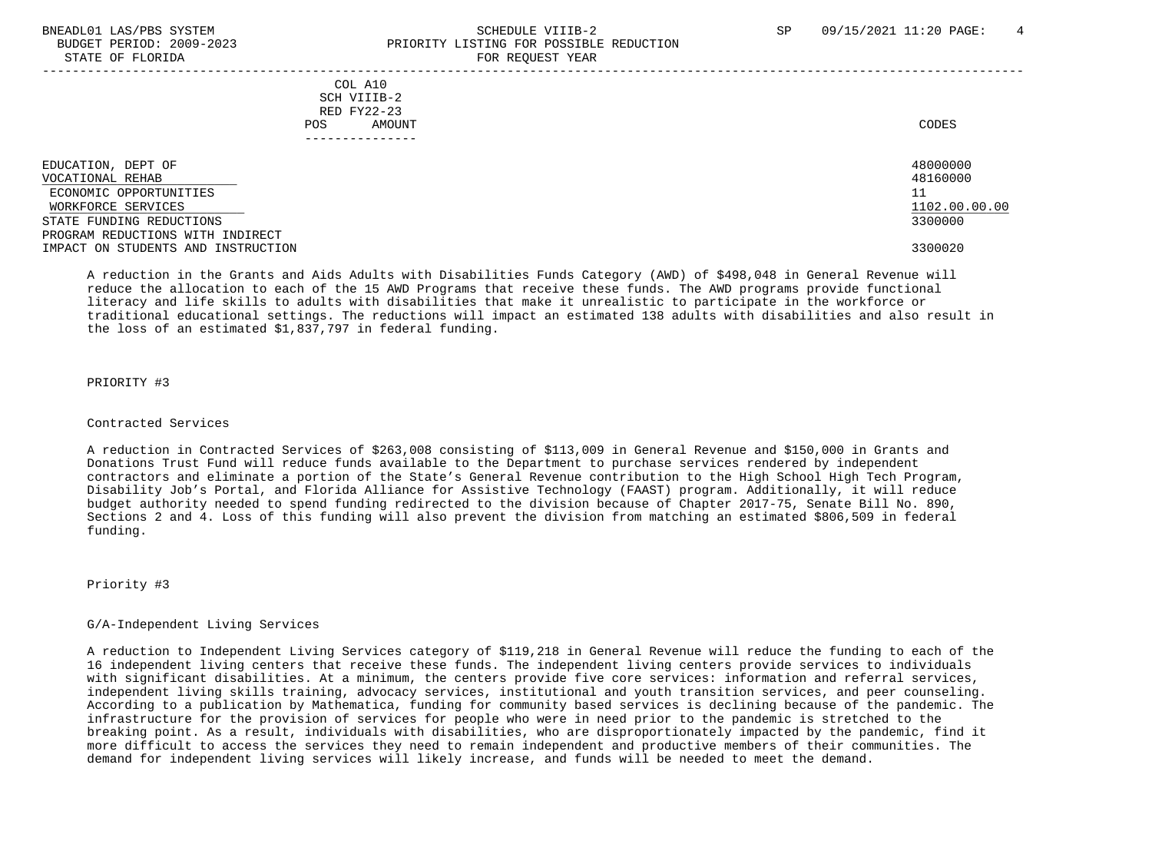# BNEADL01 LAS/PBS SYSTEM SCHEDULE VIIIB-2 SCHEDULE VIIIB-2 SP 09/15/2021 11:20 PAGE: 4 BUDGET PERIOD: 2009-2023 PRIORITY LISTING FOR POSSIBLE REDUCTION STATE OF FLORIDA FOR STATE OF  $\sim$  FOR REQUEST YEAR

|                                                                                                                                                                                              | COL A10<br>SCH VIIIB-2<br>RED FY22-23<br>AMOUNT<br>POS. | CODES                                                             |
|----------------------------------------------------------------------------------------------------------------------------------------------------------------------------------------------|---------------------------------------------------------|-------------------------------------------------------------------|
| EDUCATION, DEPT OF<br>VOCATIONAL REHAB<br>ECONOMIC OPPORTUNITIES<br>WORKFORCE SERVICES<br>STATE FUNDING REDUCTIONS<br>PROGRAM REDUCTIONS WITH INDIRECT<br>IMPACT ON STUDENTS AND INSTRUCTION |                                                         | 48000000<br>48160000<br>11<br>1102.00.00.00<br>3300000<br>3300020 |

 A reduction in the Grants and Aids Adults with Disabilities Funds Category (AWD) of \$498,048 in General Revenue will reduce the allocation to each of the 15 AWD Programs that receive these funds. The AWD programs provide functional literacy and life skills to adults with disabilities that make it unrealistic to participate in the workforce or traditional educational settings. The reductions will impact an estimated 138 adults with disabilities and also result in the loss of an estimated \$1,837,797 in federal funding.

## PRIORITY #3

#### Contracted Services

 A reduction in Contracted Services of \$263,008 consisting of \$113,009 in General Revenue and \$150,000 in Grants and Donations Trust Fund will reduce funds available to the Department to purchase services rendered by independent contractors and eliminate a portion of the State's General Revenue contribution to the High School High Tech Program, Disability Job's Portal, and Florida Alliance for Assistive Technology (FAAST) program. Additionally, it will reduce budget authority needed to spend funding redirected to the division because of Chapter 2017-75, Senate Bill No. 890, Sections 2 and 4. Loss of this funding will also prevent the division from matching an estimated \$806,509 in federal funding.

Priority #3

#### G/A-Independent Living Services

 A reduction to Independent Living Services category of \$119,218 in General Revenue will reduce the funding to each of the 16 independent living centers that receive these funds. The independent living centers provide services to individuals with significant disabilities. At a minimum, the centers provide five core services: information and referral services, independent living skills training, advocacy services, institutional and youth transition services, and peer counseling. According to a publication by Mathematica, funding for community based services is declining because of the pandemic. The infrastructure for the provision of services for people who were in need prior to the pandemic is stretched to the breaking point. As a result, individuals with disabilities, who are disproportionately impacted by the pandemic, find it more difficult to access the services they need to remain independent and productive members of their communities. The demand for independent living services will likely increase, and funds will be needed to meet the demand.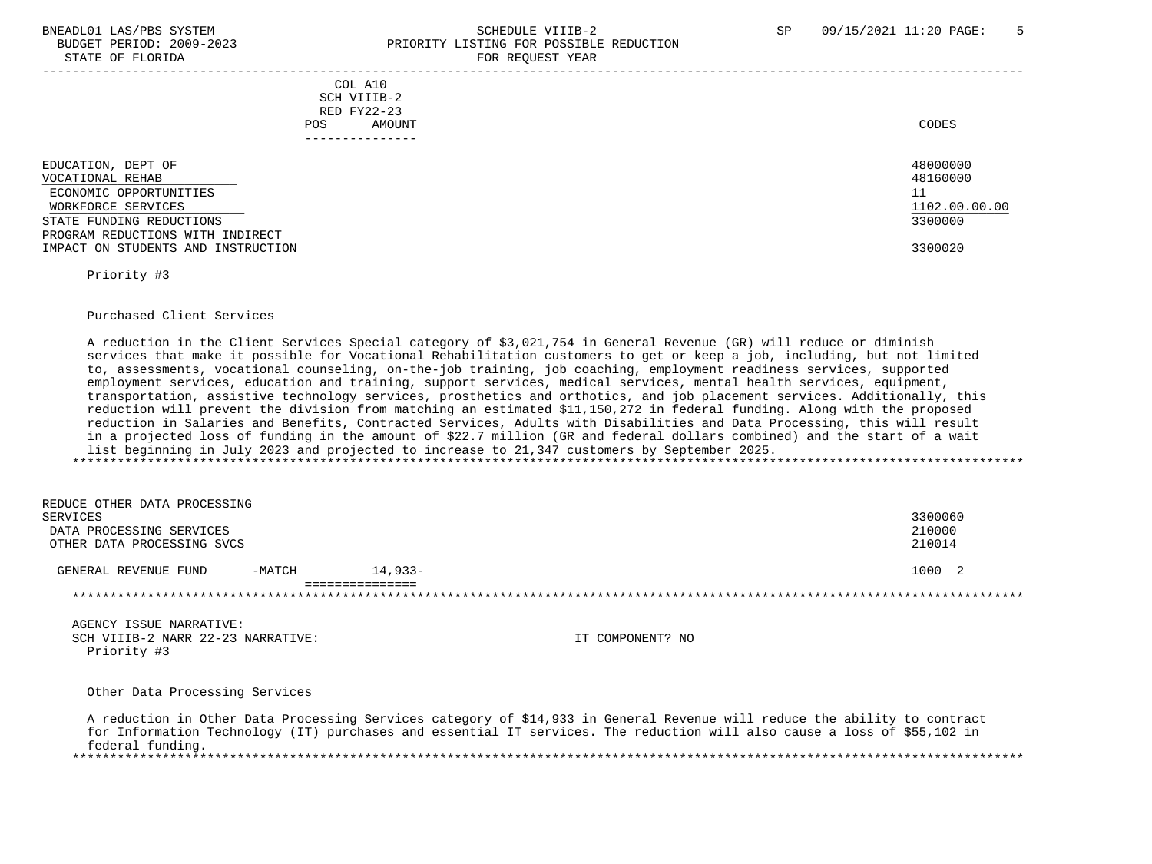# BNEADL01 LAS/PBS SYSTEM SCHEDULE VIIIB-2 SCHEDULE VIIIB-2 SP 09/15/2021 11:20 PAGE: 5 BUDGET PERIOD: 2009-2023 PRIORITY LISTING FOR POSSIBLE REDUCTION STATE OF FLORIDA FOR REQUEST YEAR FOR REQUEST YEAR

|                                                                                                                                                                                              | - --- --- <u>-</u> ---- - -----                               |                                                                   |
|----------------------------------------------------------------------------------------------------------------------------------------------------------------------------------------------|---------------------------------------------------------------|-------------------------------------------------------------------|
|                                                                                                                                                                                              | COL A10<br>SCH VIIIB-2<br>RED FY22-23<br><b>POS</b><br>AMOUNT | CODES                                                             |
| EDUCATION, DEPT OF<br>VOCATIONAL REHAB<br>ECONOMIC OPPORTUNITIES<br>WORKFORCE SERVICES<br>STATE FUNDING REDUCTIONS<br>PROGRAM REDUCTIONS WITH INDIRECT<br>IMPACT ON STUDENTS AND INSTRUCTION |                                                               | 48000000<br>48160000<br>11<br>1102.00.00.00<br>3300000<br>3300020 |

Priority #3

#### Purchased Client Services

 A reduction in the Client Services Special category of \$3,021,754 in General Revenue (GR) will reduce or diminish services that make it possible for Vocational Rehabilitation customers to get or keep a job, including, but not limited to, assessments, vocational counseling, on-the-job training, job coaching, employment readiness services, supported employment services, education and training, support services, medical services, mental health services, equipment, transportation, assistive technology services, prosthetics and orthotics, and job placement services. Additionally, this reduction will prevent the division from matching an estimated \$11,150,272 in federal funding. Along with the proposed reduction in Salaries and Benefits, Contracted Services, Adults with Disabilities and Data Processing, this will result in a projected loss of funding in the amount of \$22.7 million (GR and federal dollars combined) and the start of a wait list beginning in July 2023 and projected to increase to 21,347 customers by September 2025. \*\*\*\*\*\*\*\*\*\*\*\*\*\*\*\*\*\*\*\*\*\*\*\*\*\*\*\*\*\*\*\*\*\*\*\*\*\*\*\*\*\*\*\*\*\*\*\*\*\*\*\*\*\*\*\*\*\*\*\*\*\*\*\*\*\*\*\*\*\*\*\*\*\*\*\*\*\*\*\*\*\*\*\*\*\*\*\*\*\*\*\*\*\*\*\*\*\*\*\*\*\*\*\*\*\*\*\*\*\*\*\*\*\*\*\*\*\*\*\*\*\*\*\*\*\*\*

 REDUCE OTHER DATA PROCESSING SERVICES 3300060 DATA PROCESSING SERVICES 210000 OTHER DATA PROCESSING SVCS 210014 GENERAL REVENUE FUND -MATCH 14,933-<br>
1000 2 =============== \*\*\*\*\*\*\*\*\*\*\*\*\*\*\*\*\*\*\*\*\*\*\*\*\*\*\*\*\*\*\*\*\*\*\*\*\*\*\*\*\*\*\*\*\*\*\*\*\*\*\*\*\*\*\*\*\*\*\*\*\*\*\*\*\*\*\*\*\*\*\*\*\*\*\*\*\*\*\*\*\*\*\*\*\*\*\*\*\*\*\*\*\*\*\*\*\*\*\*\*\*\*\*\*\*\*\*\*\*\*\*\*\*\*\*\*\*\*\*\*\*\*\*\*\*\*\*

 AGENCY ISSUE NARRATIVE: SCH VIIIB-2 NARR 22-23 NARRATIVE: IT COMPONENT? NO Priority #3

Other Data Processing Services

 A reduction in Other Data Processing Services category of \$14,933 in General Revenue will reduce the ability to contract for Information Technology (IT) purchases and essential IT services. The reduction will also cause a loss of \$55,102 in federal funding. \*\*\*\*\*\*\*\*\*\*\*\*\*\*\*\*\*\*\*\*\*\*\*\*\*\*\*\*\*\*\*\*\*\*\*\*\*\*\*\*\*\*\*\*\*\*\*\*\*\*\*\*\*\*\*\*\*\*\*\*\*\*\*\*\*\*\*\*\*\*\*\*\*\*\*\*\*\*\*\*\*\*\*\*\*\*\*\*\*\*\*\*\*\*\*\*\*\*\*\*\*\*\*\*\*\*\*\*\*\*\*\*\*\*\*\*\*\*\*\*\*\*\*\*\*\*\*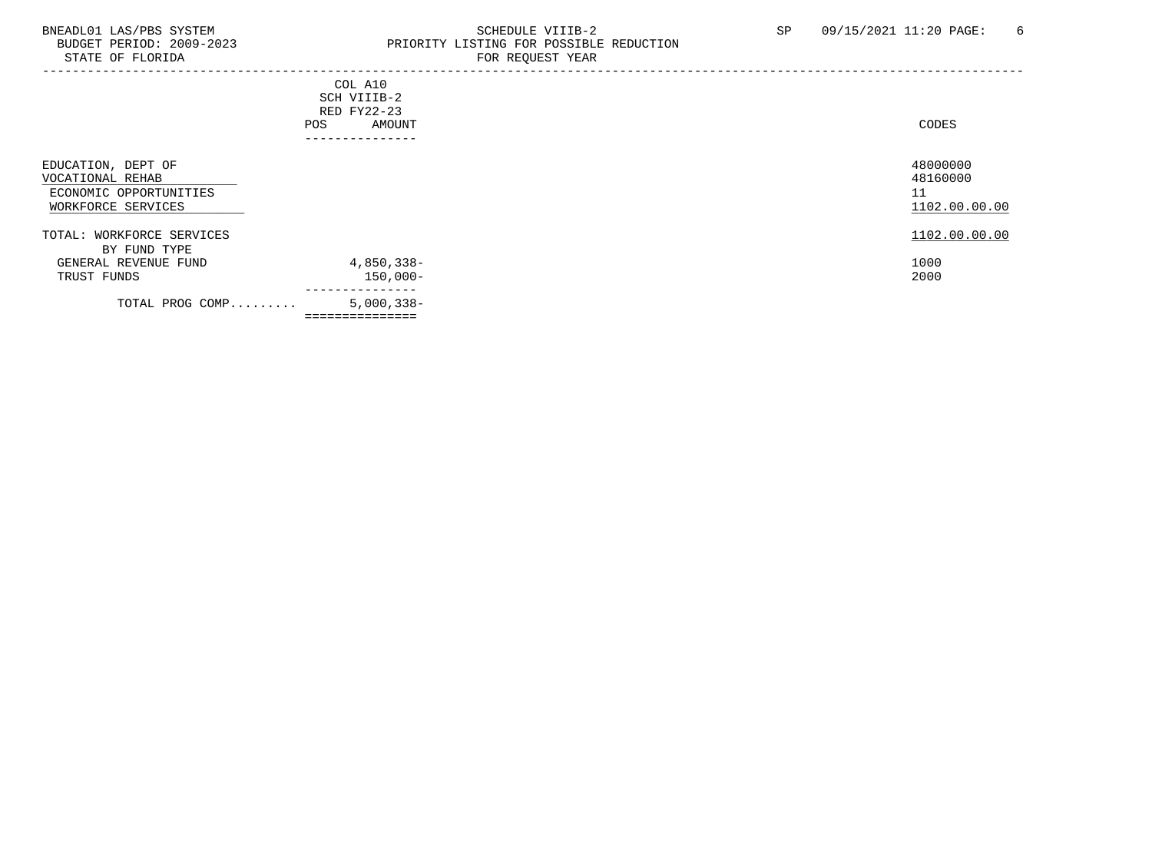# BNEADL01 LAS/PBS SYSTEM SCHEDULE VIIIB-2 SCHEDULE VIIIB-2 SP 09/15/2021 11:20 PAGE: 6<br>BUDGET PERIOD: 2009-2023 PRIORITY LISTING FOR POSSIBLE REDUCTION BUDGET PERIOD: 2009-2023 PRIORITY LISTING FOR POSSIBLE REDUCTION FOR REQUEST YEAR

| POS                                                                                    | COL A10<br>SCH VIIIB-2<br>RED FY22-23<br>AMOUNT<br>----------- | CODES                                       |
|----------------------------------------------------------------------------------------|----------------------------------------------------------------|---------------------------------------------|
| EDUCATION, DEPT OF<br>VOCATIONAL REHAB<br>ECONOMIC OPPORTUNITIES<br>WORKFORCE SERVICES |                                                                | 48000000<br>48160000<br>11<br>1102.00.00.00 |
| TOTAL: WORKFORCE SERVICES<br>BY FUND TYPE<br>GENERAL REVENUE FUND<br>TRUST FUNDS       | 4,850,338-<br>$150,000-$                                       | 1102.00.00.00<br>1000<br>2000               |
| TOTAL PROG COMP                                                                        | ---------------<br>$5,000,338-$<br>===============             |                                             |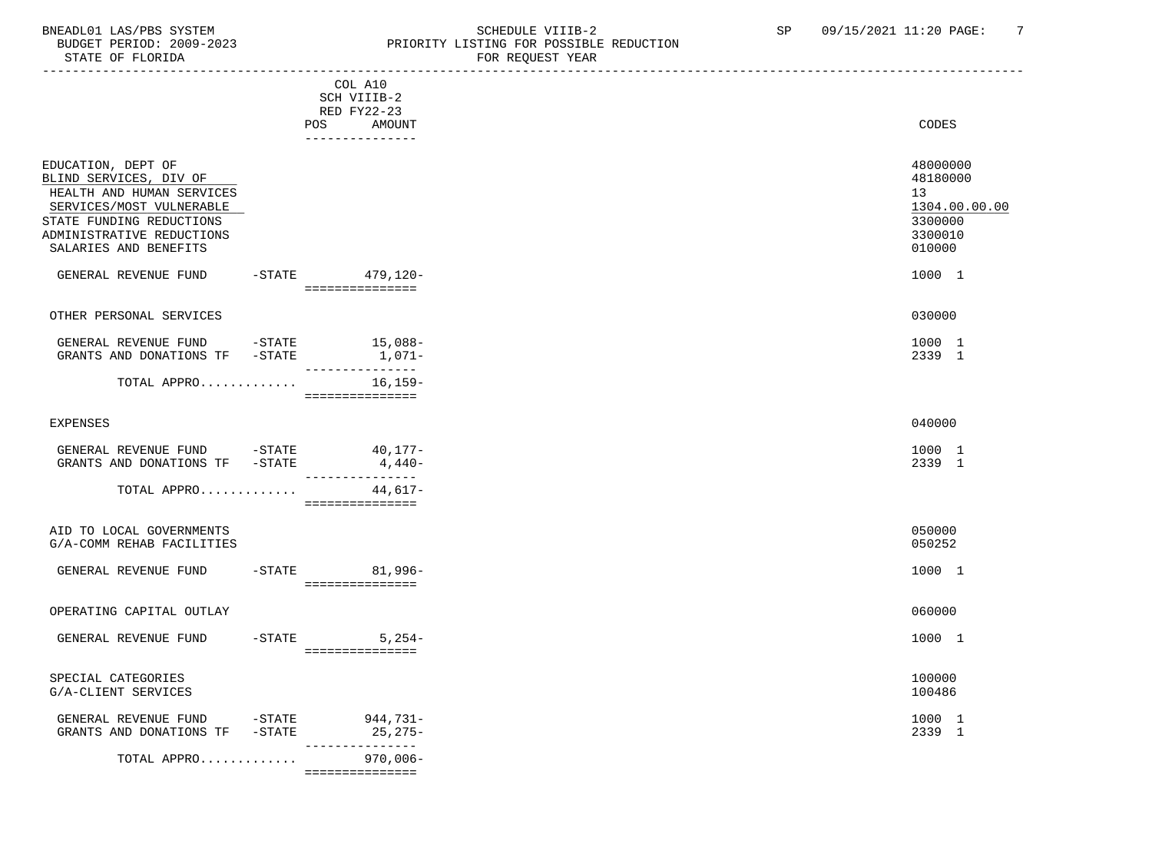## BNEADL01 LAS/PBS SYSTEM SALLE STRING THE SCHEDULE VIIIB-2 SP 09/15/2021 11:20 PAGE: 7<br>BUDGET PERIOD: 2009-2023 REDUCRITY LISTING FOR POSSIBLE REDUCTION BUDGET PERIOD: 2009-2023 PRIORITY LISTING FOR POSSIBLE REDUCTION FOR REQUEST YEAR

| DIAID OF FOORIDA                                                                                                                                                                        |                                        | LOW WERGET TEUR |                                                                             |
|-----------------------------------------------------------------------------------------------------------------------------------------------------------------------------------------|----------------------------------------|-----------------|-----------------------------------------------------------------------------|
|                                                                                                                                                                                         | COL A10<br>SCH VIIIB-2<br>RED FY22-23  |                 |                                                                             |
|                                                                                                                                                                                         | POS<br>AMOUNT<br>---------------       |                 | CODES                                                                       |
| EDUCATION, DEPT OF<br>BLIND SERVICES, DIV OF<br>HEALTH AND HUMAN SERVICES<br>SERVICES/MOST VULNERABLE<br>STATE FUNDING REDUCTIONS<br>ADMINISTRATIVE REDUCTIONS<br>SALARIES AND BENEFITS |                                        |                 | 48000000<br>48180000<br>13<br>1304.00.00.00<br>3300000<br>3300010<br>010000 |
| GENERAL REVENUE FUND                                                                                                                                                                    | $-STATE$ 479, 120-<br>---------------- |                 | 1000 1                                                                      |
| OTHER PERSONAL SERVICES                                                                                                                                                                 |                                        |                 | 030000                                                                      |
| GENERAL REVENUE FUND -STATE<br>GRANTS AND DONATIONS TF -STATE                                                                                                                           | $15,088-$<br>1,071–<br>-----------     |                 | 1000 1<br>2339 1                                                            |
| TOTAL APPRO                                                                                                                                                                             | $16, 159-$<br>===============          |                 |                                                                             |
| <b>EXPENSES</b>                                                                                                                                                                         |                                        |                 | 040000                                                                      |
| GENERAL REVENUE FUND -STATE 40,177-<br>GRANTS AND DONATIONS TF -STATE                                                                                                                   | $4,440-$<br>---------------            |                 | 1000 1<br>2339 1                                                            |
| TOTAL APPRO                                                                                                                                                                             | 44,617-<br>===============             |                 |                                                                             |
| AID TO LOCAL GOVERNMENTS<br>G/A-COMM REHAB FACILITIES                                                                                                                                   |                                        |                 | 050000<br>050252                                                            |
| GENERAL REVENUE FUND                                                                                                                                                                    | -STATE 81,996-<br>================     |                 | 1000 1                                                                      |
| OPERATING CAPITAL OUTLAY                                                                                                                                                                |                                        |                 | 060000                                                                      |
| GENERAL REVENUE FUND                                                                                                                                                                    | $-STATE$ 5, 254-<br>----------------   |                 | 1000 1                                                                      |
| SPECIAL CATEGORIES<br>G/A-CLIENT SERVICES                                                                                                                                               |                                        |                 | 100000<br>100486                                                            |
| GENERAL REVENUE FUND -STATE 944,731-<br>GRANTS AND DONATIONS TF -STATE                                                                                                                  | $25,275-$<br>---------------           |                 | 1000 1<br>2339 1                                                            |
| TOTAL APPRO                                                                                                                                                                             | $970,006 -$<br>-----------------       |                 |                                                                             |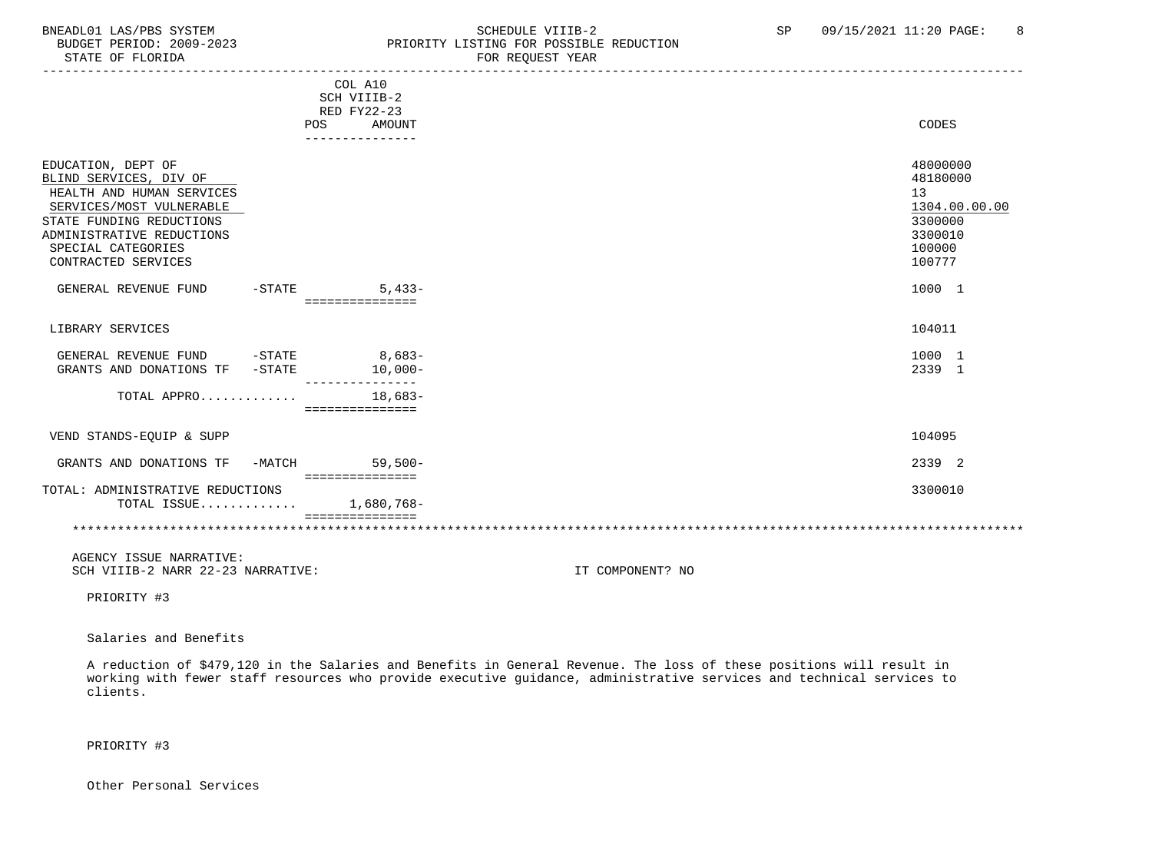# BNEADL01 LAS/PBS SYSTEM SCHEDULE VIIIB-2 SCHEDULE VIIIB-2 SP 09/15/2021 11:20 PAGE: 8<br>BUDGET PERIOD: 2009-2023 PRIORITY LISTING FOR POSSIBLE REDUCTION BUDGET PERIOD: 2009-2023<br>
STATE OF FLORIDA<br>
FOR REQUEST YEAR FOR REQUEST YEAR

|                                                                                                                                                                                                             | COL A10<br>SCH VIIIB-2<br>RED FY22-23   |                                                                                       |
|-------------------------------------------------------------------------------------------------------------------------------------------------------------------------------------------------------------|-----------------------------------------|---------------------------------------------------------------------------------------|
|                                                                                                                                                                                                             | AMOUNT<br>POS                           | CODES                                                                                 |
|                                                                                                                                                                                                             | .                                       |                                                                                       |
| EDUCATION, DEPT OF<br>BLIND SERVICES, DIV OF<br>HEALTH AND HUMAN SERVICES<br>SERVICES/MOST VULNERABLE<br>STATE FUNDING REDUCTIONS<br>ADMINISTRATIVE REDUCTIONS<br>SPECIAL CATEGORIES<br>CONTRACTED SERVICES |                                         | 48000000<br>48180000<br>13<br>1304.00.00.00<br>3300000<br>3300010<br>100000<br>100777 |
| GENERAL REVENUE FUND                                                                                                                                                                                        | $-STATE$<br>$5.433-$<br>=============== | 1000 1                                                                                |
| LIBRARY SERVICES                                                                                                                                                                                            |                                         | 104011                                                                                |
| $-$ STATE<br>GENERAL REVENUE FUND<br>GRANTS AND DONATIONS TF -STATE                                                                                                                                         | $8,683-$<br>$10,000-$                   | 1000 1<br>2339 1                                                                      |
| TOTAL APPRO                                                                                                                                                                                                 | $18.683-$<br>===============            |                                                                                       |
| VEND STANDS-EQUIP & SUPP                                                                                                                                                                                    |                                         | 104095                                                                                |
| GRANTS AND DONATIONS TF<br>-MATCH                                                                                                                                                                           | $59,500-$<br>===============            | 2339 2                                                                                |
| TOTAL: ADMINISTRATIVE REDUCTIONS<br>TOTAL ISSUE                                                                                                                                                             | 1,680,768-                              | 3300010                                                                               |
|                                                                                                                                                                                                             |                                         |                                                                                       |
| AGENCY ISSUE NARRATIVE:                                                                                                                                                                                     |                                         |                                                                                       |

SCH VIIIB-2 NARR 22-23 NARRATIVE: IT COMPONENT? NO

PRIORITY #3

Salaries and Benefits

 A reduction of \$479,120 in the Salaries and Benefits in General Revenue. The loss of these positions will result in working with fewer staff resources who provide executive guidance, administrative services and technical services to clients.

PRIORITY #3

Other Personal Services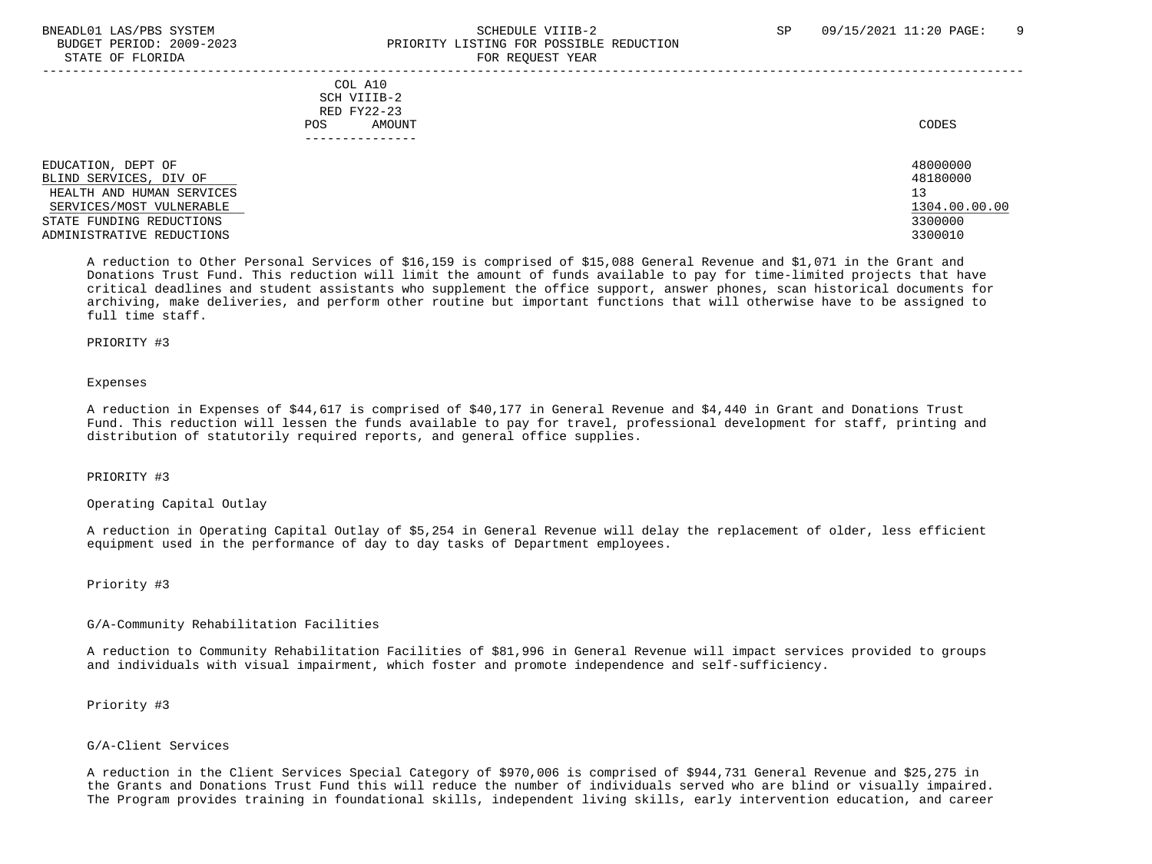# BNEADL01 LAS/PBS SYSTEM SCHEDULE VIIIB-2 SCHEDULE VIIIB-2 SP 09/15/2021 11:20 PAGE: 9 BUDGET PERIOD: 2009-2023 PRIORITY LISTING FOR POSSIBLE REDUCTION STATE OF FLORIDA FOR REQUEST YEAR FOR REQUEST THAT THE REDUCT OF STATE OF STATE OF STATE OF STATE OF STATE OF STATE OF STATE OF STATE OF STATE OF STATE OF STATE OF STATE OF STATE OF STATE OF STATE OF STATE OF STATE OF STAT

| COL A10<br>SCH VIIIB-2<br>RED FY22-23<br>AMOUNT<br><b>POS</b> | CODES         |
|---------------------------------------------------------------|---------------|
| EDUCATION, DEPT OF                                            | 48000000      |
| BLIND SERVICES, DIV OF                                        | 48180000      |
| HEALTH AND HUMAN SERVICES                                     | 13            |
| SERVICES/MOST VULNERABLE                                      | 1304.00.00.00 |
| STATE FUNDING REDUCTIONS                                      | 3300000       |
| ADMINISTRATIVE REDUCTIONS                                     | 3300010       |

 A reduction to Other Personal Services of \$16,159 is comprised of \$15,088 General Revenue and \$1,071 in the Grant and Donations Trust Fund. This reduction will limit the amount of funds available to pay for time-limited projects that have critical deadlines and student assistants who supplement the office support, answer phones, scan historical documents for archiving, make deliveries, and perform other routine but important functions that will otherwise have to be assigned to full time staff.

#### PRIORITY #3

#### Expenses

 A reduction in Expenses of \$44,617 is comprised of \$40,177 in General Revenue and \$4,440 in Grant and Donations Trust Fund. This reduction will lessen the funds available to pay for travel, professional development for staff, printing and distribution of statutorily required reports, and general office supplies.

# PRIORITY #3

Operating Capital Outlay

 A reduction in Operating Capital Outlay of \$5,254 in General Revenue will delay the replacement of older, less efficient equipment used in the performance of day to day tasks of Department employees.

#### Priority #3

#### G/A-Community Rehabilitation Facilities

 A reduction to Community Rehabilitation Facilities of \$81,996 in General Revenue will impact services provided to groups and individuals with visual impairment, which foster and promote independence and self-sufficiency.

# Priority #3

## G/A-Client Services

 A reduction in the Client Services Special Category of \$970,006 is comprised of \$944,731 General Revenue and \$25,275 in the Grants and Donations Trust Fund this will reduce the number of individuals served who are blind or visually impaired. The Program provides training in foundational skills, independent living skills, early intervention education, and career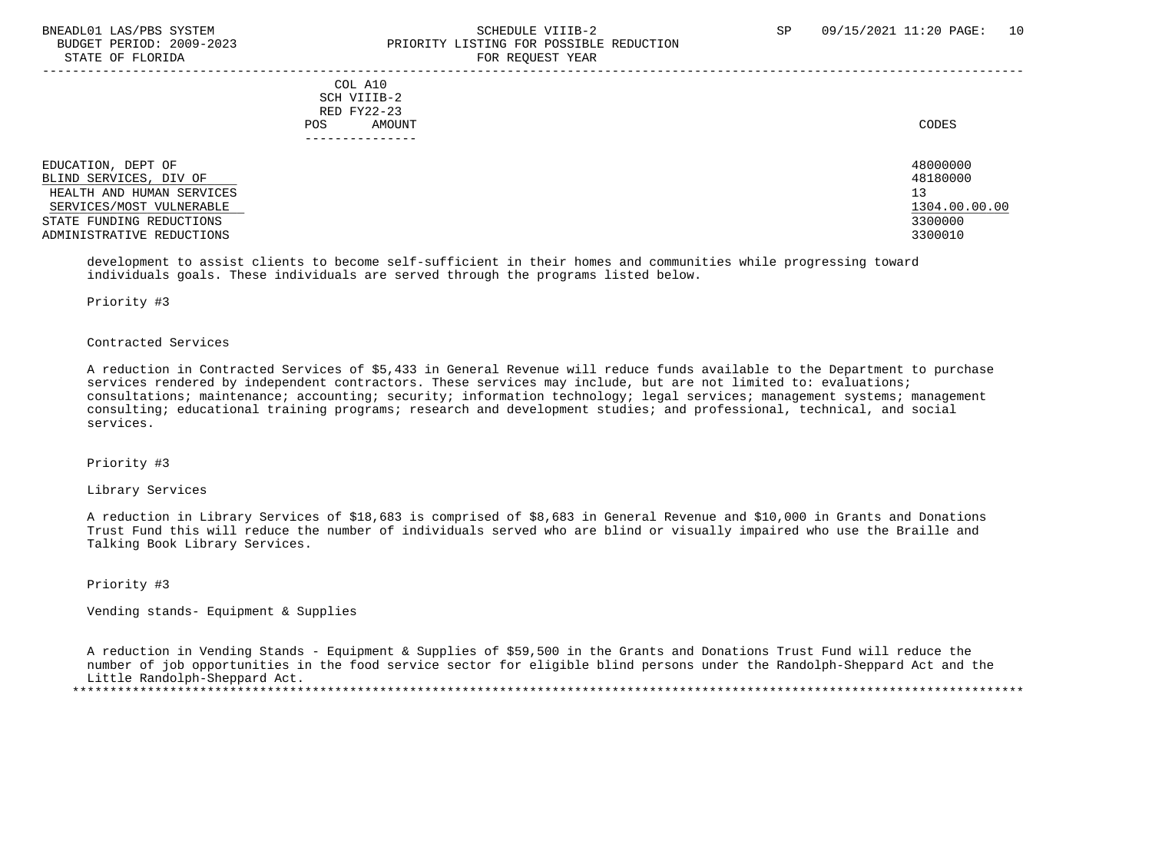# BNEADL01 LAS/PBS SYSTEM SCHEDULE VIIIB-2 SCHEDULE VIIIB-2 SP 09/15/2021 11:20 PAGE: 10 BUDGET PERIOD: 2009-2023 PRIORITY LISTING FOR POSSIBLE REDUCTION STATE OF FLORIDA FOR STATE OF  $\sim$  FOR REQUEST YEAR

|                                                                                                                                                                | COL A10<br>SCH VIIIB-2<br>RED FY22-23<br>AMOUNT<br>POS. | CODES                                                             |
|----------------------------------------------------------------------------------------------------------------------------------------------------------------|---------------------------------------------------------|-------------------------------------------------------------------|
| EDUCATION, DEPT OF<br>BLIND SERVICES, DIV OF<br>HEALTH AND HUMAN SERVICES<br>SERVICES/MOST VULNERABLE<br>STATE FUNDING REDUCTIONS<br>ADMINISTRATIVE REDUCTIONS |                                                         | 48000000<br>48180000<br>13<br>1304.00.00.00<br>3300000<br>3300010 |

 development to assist clients to become self-sufficient in their homes and communities while progressing toward individuals goals. These individuals are served through the programs listed below.

#### Priority #3

## Contracted Services

 A reduction in Contracted Services of \$5,433 in General Revenue will reduce funds available to the Department to purchase services rendered by independent contractors. These services may include, but are not limited to: evaluations; consultations; maintenance; accounting; security; information technology; legal services; management systems; management consulting; educational training programs; research and development studies; and professional, technical, and social services.

## Priority #3

# Library Services

 A reduction in Library Services of \$18,683 is comprised of \$8,683 in General Revenue and \$10,000 in Grants and Donations Trust Fund this will reduce the number of individuals served who are blind or visually impaired who use the Braille and Talking Book Library Services.

Priority #3

Vending stands- Equipment & Supplies

 A reduction in Vending Stands - Equipment & Supplies of \$59,500 in the Grants and Donations Trust Fund will reduce the number of job opportunities in the food service sector for eligible blind persons under the Randolph-Sheppard Act and the Little Randolph-Sheppard Act. \*\*\*\*\*\*\*\*\*\*\*\*\*\*\*\*\*\*\*\*\*\*\*\*\*\*\*\*\*\*\*\*\*\*\*\*\*\*\*\*\*\*\*\*\*\*\*\*\*\*\*\*\*\*\*\*\*\*\*\*\*\*\*\*\*\*\*\*\*\*\*\*\*\*\*\*\*\*\*\*\*\*\*\*\*\*\*\*\*\*\*\*\*\*\*\*\*\*\*\*\*\*\*\*\*\*\*\*\*\*\*\*\*\*\*\*\*\*\*\*\*\*\*\*\*\*\*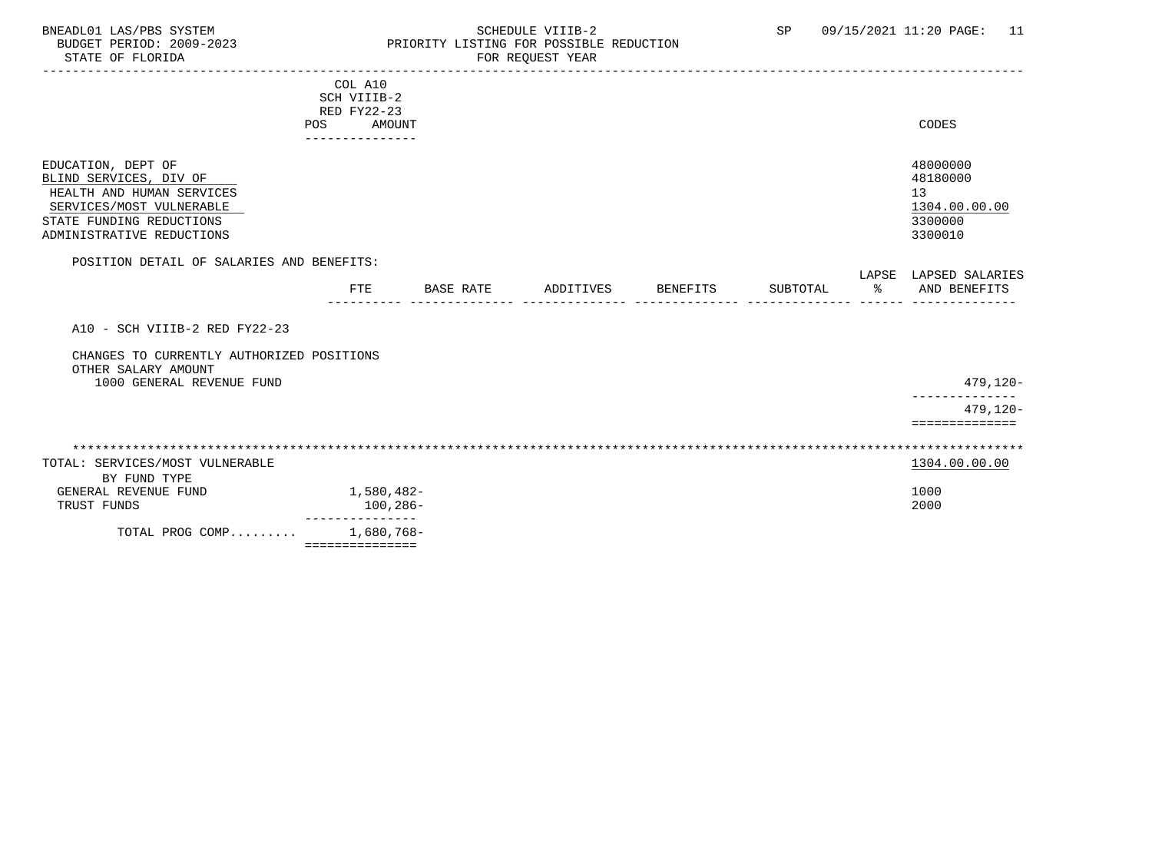# BNEADL01 LAS/PBS SYSTEM SCHEDULE VIIIB-2 SCHEDULE VIIIB-2 SP 09/15/2021 11:20 PAGE: 11 BUDGET PERIOD: 2009-2023 PRIORITY LISTING FOR POSSIBLE REDUCTION STATE OF FLORIDA FOR REQUEST YEAR FOR REQUEST YEAR

|                                           | COL A10         |                     |                  |           |          |          |    |                       |
|-------------------------------------------|-----------------|---------------------|------------------|-----------|----------|----------|----|-----------------------|
|                                           | SCH VIIIB-2     |                     |                  |           |          |          |    |                       |
|                                           | RED FY22-23     |                     |                  |           |          |          |    |                       |
|                                           | POS             | AMOUNT              |                  |           |          |          |    | CODES                 |
|                                           |                 |                     |                  |           |          |          |    |                       |
| EDUCATION, DEPT OF                        |                 |                     |                  |           |          |          |    | 48000000              |
| BLIND SERVICES, DIV OF                    |                 |                     |                  |           |          |          |    | 48180000              |
| HEALTH AND HUMAN SERVICES                 |                 |                     |                  |           |          |          |    | 13                    |
| SERVICES/MOST VULNERABLE                  |                 |                     |                  |           |          |          |    | 1304.00.00.00         |
| STATE FUNDING REDUCTIONS                  |                 |                     |                  |           |          |          |    | 3300000               |
| ADMINISTRATIVE REDUCTIONS                 |                 |                     |                  |           |          |          |    | 3300010               |
|                                           |                 |                     |                  |           |          |          |    |                       |
| POSITION DETAIL OF SALARIES AND BENEFITS: |                 |                     |                  |           |          |          |    |                       |
|                                           |                 |                     |                  |           |          |          |    | LAPSE LAPSED SALARIES |
|                                           | <b>FTE</b>      |                     | <b>BASE RATE</b> | ADDITIVES | BENEFITS | SUBTOTAL | ႜၟ | AND BENEFITS          |
|                                           |                 |                     |                  |           |          |          |    |                       |
| A10 - SCH VIIIB-2 RED FY22-23             |                 |                     |                  |           |          |          |    |                       |
|                                           |                 |                     |                  |           |          |          |    |                       |
| CHANGES TO CURRENTLY AUTHORIZED POSITIONS |                 |                     |                  |           |          |          |    |                       |
| OTHER SALARY AMOUNT                       |                 |                     |                  |           |          |          |    |                       |
| 1000 GENERAL REVENUE FUND                 |                 |                     |                  |           |          |          |    | 479,120-              |
|                                           |                 |                     |                  |           |          |          |    |                       |
|                                           |                 |                     |                  |           |          |          |    | $479, 120 -$          |
|                                           |                 |                     |                  |           |          |          |    | ==============        |
|                                           |                 |                     |                  |           |          |          |    |                       |
|                                           |                 |                     |                  |           |          |          |    |                       |
| TOTAL: SERVICES/MOST VULNERABLE           |                 |                     |                  |           |          |          |    | 1304.00.00.00         |
| BY FUND TYPE                              |                 |                     |                  |           |          |          |    |                       |
| GENERAL REVENUE FUND                      | 1,580,482-      |                     |                  |           |          |          |    | 1000                  |
| TRUST FUNDS                               |                 | 100,286-<br>------- |                  |           |          |          |    | 2000                  |
| TOTAL PROG COMP                           |                 | 1,680,768-          |                  |           |          |          |    |                       |
|                                           | =============== |                     |                  |           |          |          |    |                       |
|                                           |                 |                     |                  |           |          |          |    |                       |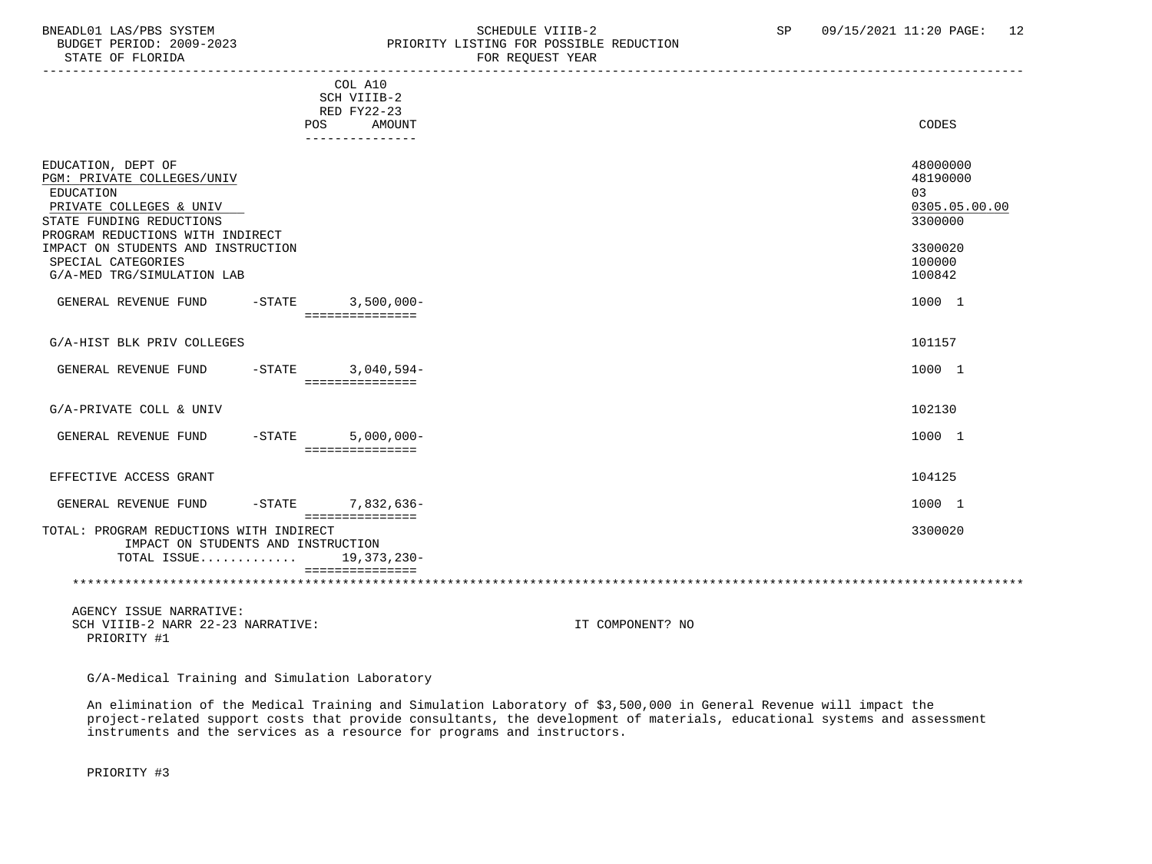# BNEADL01 LAS/PBS SYSTEM SCHEDULE VIIIB-2 SCHEDULE VIIIB-2 SP 09/15/2021 11:20 PAGE: 12<br>BUDGET PERIOD: 2009-2023 PRIORITY LISTING FOR POSSIBLE REDUCTION BUDGET PERIOD: 2009-2023 PRIORITY LISTING FOR POSSIBLE REDUCTION<br>STATE OF FLORIDA FOR REQUEST YEAR

|                                                                               | COL A10<br>SCH VIIIB-2<br>RED FY22-23 |                      |
|-------------------------------------------------------------------------------|---------------------------------------|----------------------|
|                                                                               | <b>POS</b><br>AMOUNT                  | CODES                |
|                                                                               |                                       |                      |
| EDUCATION, DEPT OF                                                            |                                       | 48000000<br>48190000 |
| PGM: PRIVATE COLLEGES/UNIV                                                    |                                       |                      |
| EDUCATION                                                                     |                                       | 03                   |
| PRIVATE COLLEGES & UNIV                                                       |                                       | 0305.05.00.00        |
| STATE FUNDING REDUCTIONS                                                      |                                       | 3300000              |
| PROGRAM REDUCTIONS WITH INDIRECT                                              |                                       |                      |
| IMPACT ON STUDENTS AND INSTRUCTION                                            |                                       | 3300020              |
| SPECIAL CATEGORIES                                                            |                                       | 100000               |
| G/A-MED TRG/SIMULATION LAB                                                    |                                       | 100842               |
| $-$ STATE<br>GENERAL REVENUE FUND                                             | $3,500,000 -$<br>===============      | 1000 1               |
|                                                                               |                                       |                      |
| G/A-HIST BLK PRIV COLLEGES                                                    |                                       | 101157               |
|                                                                               |                                       |                      |
| GENERAL REVENUE FUND<br>$-$ STATE                                             | $3,040,594-$                          | 1000 1               |
|                                                                               | ===============                       |                      |
|                                                                               |                                       |                      |
| G/A-PRIVATE COLL & UNIV                                                       |                                       | 102130               |
|                                                                               |                                       |                      |
| GENERAL REVENUE FUND<br>$-$ STATE                                             | $5,000,000 -$                         | 1000 1               |
|                                                                               | ===============                       |                      |
|                                                                               |                                       |                      |
| EFFECTIVE ACCESS GRANT                                                        |                                       | 104125               |
| GENERAL REVENUE FUND<br>$-$ STATE                                             | 7,832,636-<br>===============         | 1000 1               |
| TOTAL: PROGRAM REDUCTIONS WITH INDIRECT<br>IMPACT ON STUDENTS AND INSTRUCTION |                                       | 3300020              |
| TOTAL ISSUE                                                                   | 19,373,230-                           |                      |
|                                                                               | ---------------                       |                      |

 AGENCY ISSUE NARRATIVE: SCH VIIIB-2 NARR 22-23 NARRATIVE: IT COMPONENT? NO PRIORITY #1

G/A-Medical Training and Simulation Laboratory

 An elimination of the Medical Training and Simulation Laboratory of \$3,500,000 in General Revenue will impact the project-related support costs that provide consultants, the development of materials, educational systems and assessment instruments and the services as a resource for programs and instructors.

PRIORITY #3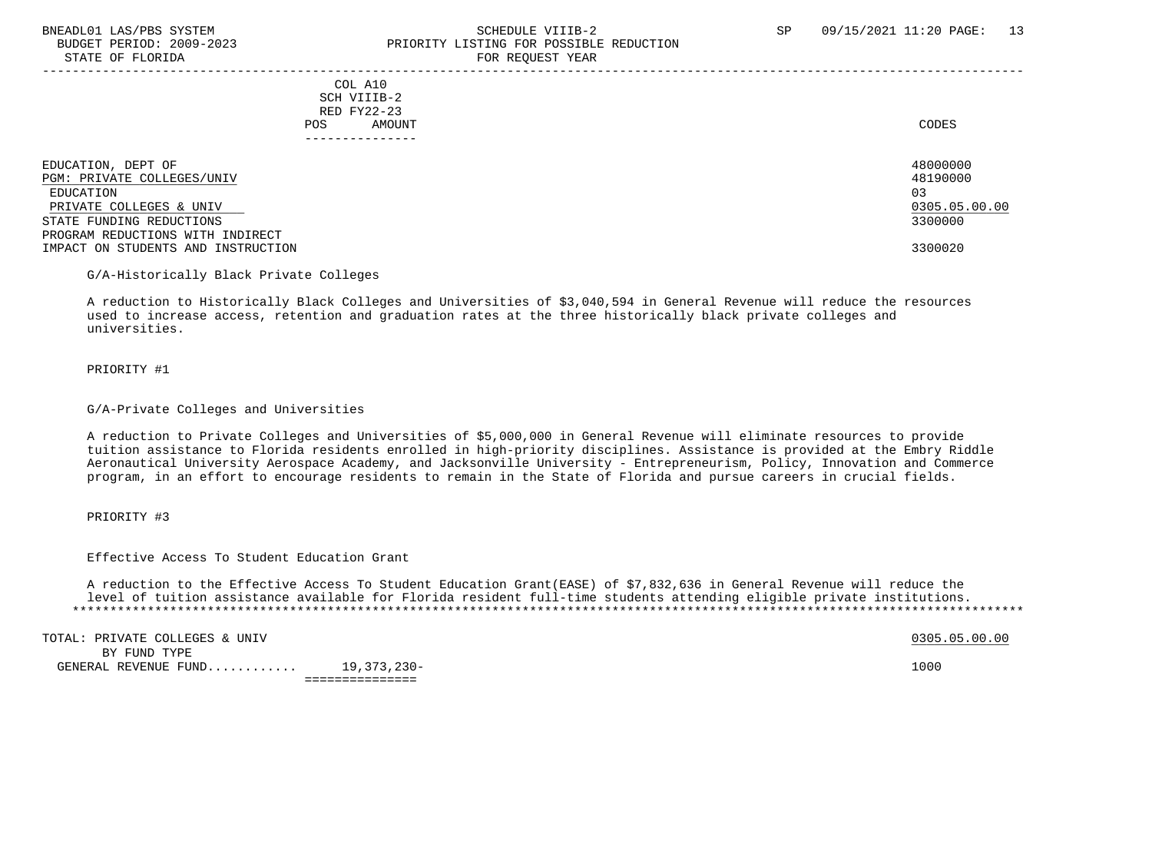# BNEADL01 LAS/PBS SYSTEM SCHEDULE VIIIB-2 SCHEDULE VIIIB-2 SP 09/15/2021 11:20 PAGE: 13 BUDGET PERIOD: 2009-2023 PRIORITY LISTING FOR POSSIBLE REDUCTION STATE OF FLORIDA FOR STATE OF  $\sim$  FOR REQUEST YEAR

-----------------------------------------------------------------------------------------------------------------------------------

 COL A10 SCH VIIIB-2 RED FY22-23 POS AMOUNT CODES ---------------

EDUCATION, DEPT OF 480000000<br>PGM: PRIVATE COLLEGES/UNIV 48190000 PGM: PRIVATE COLLEGES/UNIV 481<br>EDUCATION 03 EDUCATION 03 PRIVATE COLLEGES & UNIV LOCAL COLLEGES & UNIV LOCAL COLLEGES AND LOCAL COLLEGES AND LOCAL COLLEGES AND LOCAL COLLEGES AND LOCAL COLLEGES AND LOCAL COLLEGES AND LOCAL COLLEGES AND LOCAL COLLEGES AND LOCAL COLLEGES AND LOCAL STATE FUNDING REDUCTIONS PROGRAM REDUCTIONS WITH INDIRECT IMPACT ON STUDENTS AND INSTRUCTION 3300020

#### G/A-Historically Black Private Colleges

 A reduction to Historically Black Colleges and Universities of \$3,040,594 in General Revenue will reduce the resources used to increase access, retention and graduation rates at the three historically black private colleges and universities.

#### PRIORITY #1

## G/A-Private Colleges and Universities

 A reduction to Private Colleges and Universities of \$5,000,000 in General Revenue will eliminate resources to provide tuition assistance to Florida residents enrolled in high-priority disciplines. Assistance is provided at the Embry Riddle Aeronautical University Aerospace Academy, and Jacksonville University - Entrepreneurism, Policy, Innovation and Commerce program, in an effort to encourage residents to remain in the State of Florida and pursue careers in crucial fields.

#### PRIORITY #3

Effective Access To Student Education Grant

 A reduction to the Effective Access To Student Education Grant(EASE) of \$7,832,636 in General Revenue will reduce the level of tuition assistance available for Florida resident full-time students attending eligible private institutions. \*\*\*\*\*\*\*\*\*\*\*\*\*\*\*\*\*\*\*\*\*\*\*\*\*\*\*\*\*\*\*\*\*\*\*\*\*\*\*\*\*\*\*\*\*\*\*\*\*\*\*\*\*\*\*\*\*\*\*\*\*\*\*\*\*\*\*\*\*\*\*\*\*\*\*\*\*\*\*\*\*\*\*\*\*\*\*\*\*\*\*\*\*\*\*\*\*\*\*\*\*\*\*\*\*\*\*\*\*\*\*\*\*\*\*\*\*\*\*\*\*\*\*\*\*\*\*

TOTAL: PRIVATE COLLEGES & UNIV  $0305.05.00$ .00 BY FUND TYPE GENERAL REVENUE FUND............ 19,373,230- 1000 ===============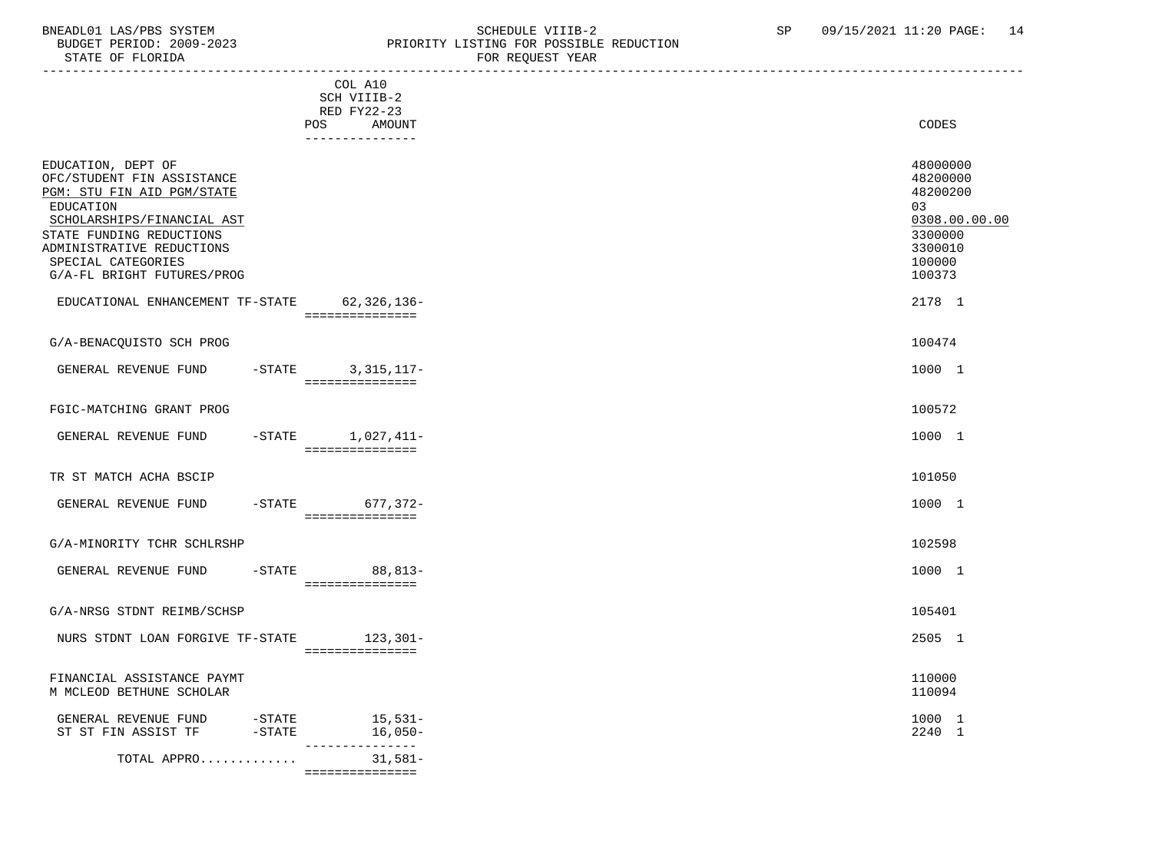# BNEADL01 LAS/PBS SYSTEM SCHEDULE VIIIB-2 SCHEDULE VIIIB-2 SP 09/15/2021 11:20 PAGE: 14<br>BUDGET PERIOD: 2009-2023 PRIORITY LISTING FOR POSSIBLE REDUCTION BUDGET PERIOD: 2009-2023 PRIORITY LISTING FOR POSSIBLE REDUCTION FOR REQUEST YEAR

|                                                                                                                                                                                                                                        | -----------------                                                                |                                                                                                   |
|----------------------------------------------------------------------------------------------------------------------------------------------------------------------------------------------------------------------------------------|----------------------------------------------------------------------------------|---------------------------------------------------------------------------------------------------|
|                                                                                                                                                                                                                                        | COL A10<br>SCH VIIIB-2<br>RED FY22-23<br><b>POS</b><br>AMOUNT<br>_______________ | CODES                                                                                             |
| EDUCATION, DEPT OF<br>OFC/STUDENT FIN ASSISTANCE<br>PGM: STU FIN AID PGM/STATE<br>EDUCATION<br>SCHOLARSHIPS/FINANCIAL AST<br>STATE FUNDING REDUCTIONS<br>ADMINISTRATIVE REDUCTIONS<br>SPECIAL CATEGORIES<br>G/A-FL BRIGHT FUTURES/PROG |                                                                                  | 48000000<br>48200000<br>48200200<br>03<br>0308.00.00.00<br>3300000<br>3300010<br>100000<br>100373 |
| EDUCATIONAL ENHANCEMENT TF-STATE 62,326,136-                                                                                                                                                                                           | ===============                                                                  | 2178 1                                                                                            |
| G/A-BENACQUISTO SCH PROG                                                                                                                                                                                                               |                                                                                  | 100474                                                                                            |
| GENERAL REVENUE FUND -STATE 3,315,117-                                                                                                                                                                                                 | ===============                                                                  | 1000 1                                                                                            |
| FGIC-MATCHING GRANT PROG                                                                                                                                                                                                               |                                                                                  | 100572                                                                                            |
| GENERAL REVENUE FUND                                                                                                                                                                                                                   | $-$ STATE $1,027,411-$<br>================                                       | 1000 1                                                                                            |
| TR ST MATCH ACHA BSCIP                                                                                                                                                                                                                 |                                                                                  | 101050                                                                                            |
| GENERAL REVENUE FUND                                                                                                                                                                                                                   | -STATE 677,372-<br>===============                                               | 1000 1                                                                                            |
| G/A-MINORITY TCHR SCHLRSHP                                                                                                                                                                                                             |                                                                                  | 102598                                                                                            |
| GENERAL REVENUE FUND                                                                                                                                                                                                                   | -STATE 88,813-<br>===============                                                | 1000 1                                                                                            |
| G/A-NRSG STDNT REIMB/SCHSP                                                                                                                                                                                                             |                                                                                  | 105401                                                                                            |
| NURS STDNT LOAN FORGIVE TF-STATE 123,301-                                                                                                                                                                                              | ===============                                                                  | 2505 1                                                                                            |
| FINANCIAL ASSISTANCE PAYMT<br>M MCLEOD BETHUNE SCHOLAR                                                                                                                                                                                 |                                                                                  | 110000<br>110094                                                                                  |
| GENERAL REVENUE FUND -STATE<br>ST ST FIN ASSIST TF -STATE                                                                                                                                                                              | 15,531-<br>16,050-<br>---------------                                            | 1000 1<br>2240 1                                                                                  |
| TOTAL APPRO                                                                                                                                                                                                                            | $31,581-$                                                                        |                                                                                                   |

===============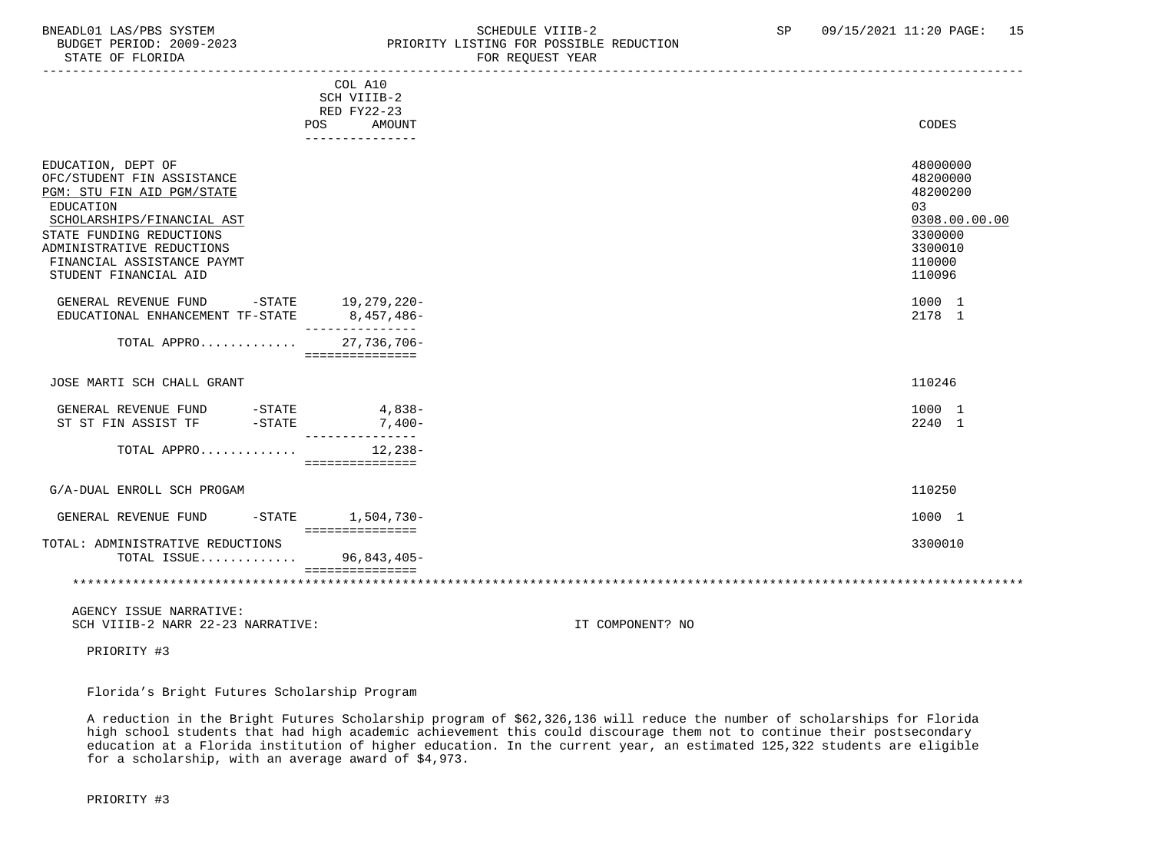# BNEADL01 LAS/PBS SYSTEM SCHEDULE VIIIB-2 SCHEDULE VIIIB-2 SP 09/15/2021 11:20 PAGE: 15 BUDGET PERIOD: 2009-2023<br>
STATE OF FLORIDA<br>
FOR REOUEST YEAR FOR REQUEST YEAR

|                                                                                                                                                                                                                                           | COL A10<br>SCH VIIIB-2<br>RED FY22-23<br>AMOUNT<br>POS<br>--------------- | CODES                                                                                             |
|-------------------------------------------------------------------------------------------------------------------------------------------------------------------------------------------------------------------------------------------|---------------------------------------------------------------------------|---------------------------------------------------------------------------------------------------|
| EDUCATION, DEPT OF<br>OFC/STUDENT FIN ASSISTANCE<br>PGM: STU FIN AID PGM/STATE<br>EDUCATION<br>SCHOLARSHIPS/FINANCIAL AST<br>STATE FUNDING REDUCTIONS<br>ADMINISTRATIVE REDUCTIONS<br>FINANCIAL ASSISTANCE PAYMT<br>STUDENT FINANCIAL AID |                                                                           | 48000000<br>48200000<br>48200200<br>03<br>0308.00.00.00<br>3300000<br>3300010<br>110000<br>110096 |
| GENERAL REVENUE FUND<br>EDUCATIONAL ENHANCEMENT TF-STATE                                                                                                                                                                                  | -STATE 19,279,220-<br>8,457,486-                                          | 1000 1<br>2178 1                                                                                  |
| TOTAL APPRO                                                                                                                                                                                                                               | 27,736,706-<br>===============                                            |                                                                                                   |
| JOSE MARTI SCH CHALL GRANT                                                                                                                                                                                                                |                                                                           | 110246                                                                                            |
| GENERAL REVENUE FUND -STATE<br>ST ST FIN ASSIST TF<br>$-STATE$                                                                                                                                                                            | $4,838-$<br>$7,400-$<br>---------------                                   | 1000 1<br>2240 1                                                                                  |
| TOTAL APPRO                                                                                                                                                                                                                               | 12,238-<br>===============                                                |                                                                                                   |
| G/A-DUAL ENROLL SCH PROGAM                                                                                                                                                                                                                |                                                                           | 110250                                                                                            |
| GENERAL REVENUE FUND<br>$-$ STATE                                                                                                                                                                                                         | 1,504,730-<br>===============                                             | 1000 1                                                                                            |
| TOTAL: ADMINISTRATIVE REDUCTIONS<br>TOTAL ISSUE                                                                                                                                                                                           | 96,843,405-<br>===============                                            | 3300010                                                                                           |
|                                                                                                                                                                                                                                           |                                                                           |                                                                                                   |

 AGENCY ISSUE NARRATIVE: SCH VIIIB-2 NARR 22-23 NARRATIVE: IT COMPONENT? NO

PRIORITY #3

Florida's Bright Futures Scholarship Program

 A reduction in the Bright Futures Scholarship program of \$62,326,136 will reduce the number of scholarships for Florida high school students that had high academic achievement this could discourage them not to continue their postsecondary education at a Florida institution of higher education. In the current year, an estimated 125,322 students are eligible for a scholarship, with an average award of \$4,973.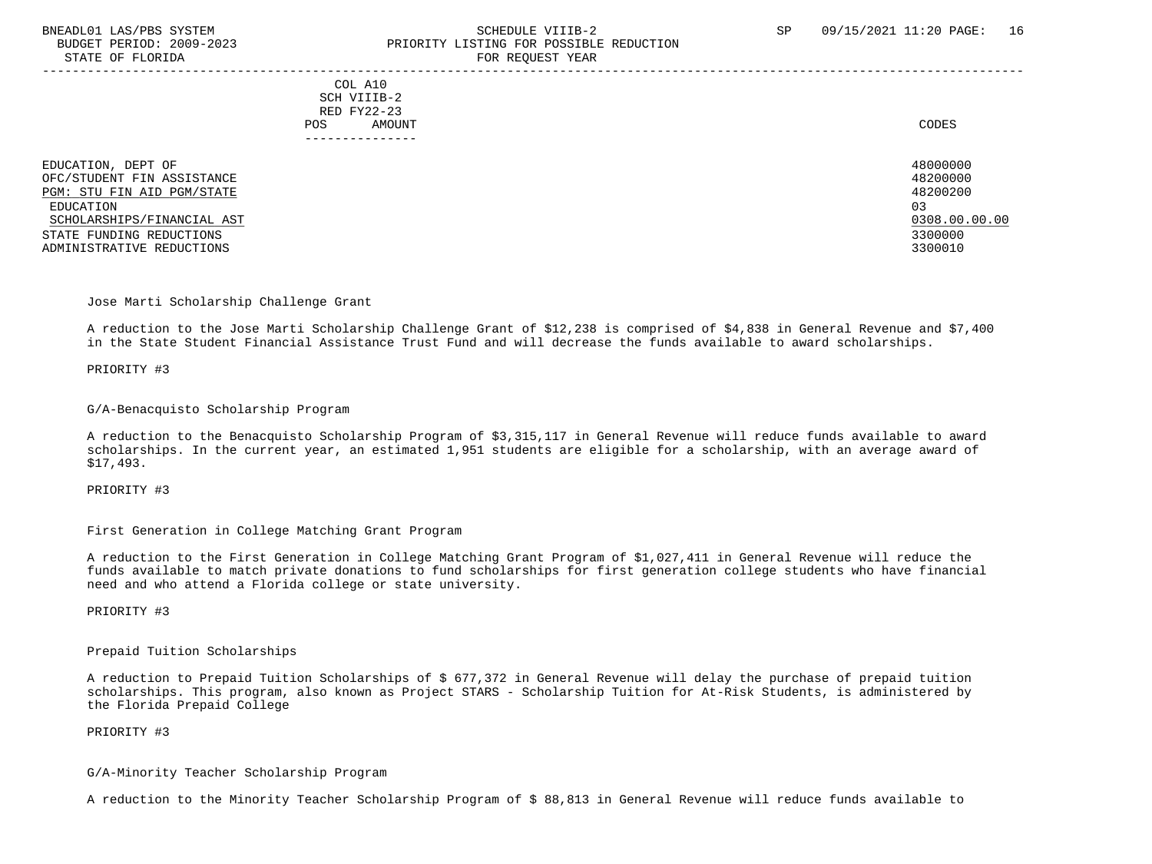# BNEADL01 LAS/PBS SYSTEM SCHEDULE VIIIB-2 SCHEDULE VIIIB-2 SP 09/15/2021 11:20 PAGE: 16 BUDGET PERIOD: 2009-2023 PRIORITY LISTING FOR POSSIBLE REDUCTION STATE OF FLORIDA FOR REQUEST YEAR FOR REQUEST YEAR

-----------------------------------------------------------------------------------------------------------------------------------

 COL A10 SCH VIIIB-2 RED FY22-23 POS AMOUNT NOTES AND AND A RESERVE AND A RESERVE AND LODGED AND LODGED AND LODGED AND LODGED AND LODGED AND LODGED AT A LODGED AND LODGED AT A LODGED AND LODGED AT A LODGED AND LODGED AT A LODGED AND LODGED AT A LODGED AND ---------------

EDUCATION, DEPT OF 480000000<br>OFC/STIIDENT FIN ASSISTANCE 48200000 OFC/STUDENT FIN ASSISTANCE 48200000 ASSISTANCE AND SERVICE SUPERIOR OF SERVICE SUPERIOR AND ASSISTANCE ASSISTANCE<br>PGM: STU FIN AID PGM/STATE PGM: STU FIN AID PGM/STATE EDUCATION 03 SCHOLARSHIPS/FINANCIAL AST 0308.00.00.00 \_\_\_\_\_\_\_\_\_\_\_\_\_\_\_\_\_\_\_\_\_\_\_\_\_\_ \_\_\_\_\_\_\_\_\_\_\_\_\_ STATE FUNDING REDUCTIONS ADMINISTRATIVE REDUCTIONS 3300010

Jose Marti Scholarship Challenge Grant

 A reduction to the Jose Marti Scholarship Challenge Grant of \$12,238 is comprised of \$4,838 in General Revenue and \$7,400 in the State Student Financial Assistance Trust Fund and will decrease the funds available to award scholarships.

PRIORITY #3

#### G/A-Benacquisto Scholarship Program

 A reduction to the Benacquisto Scholarship Program of \$3,315,117 in General Revenue will reduce funds available to award scholarships. In the current year, an estimated 1,951 students are eligible for a scholarship, with an average award of \$17,493.

PRIORITY #3

First Generation in College Matching Grant Program

 A reduction to the First Generation in College Matching Grant Program of \$1,027,411 in General Revenue will reduce the funds available to match private donations to fund scholarships for first generation college students who have financial need and who attend a Florida college or state university.

PRIORITY #3

Prepaid Tuition Scholarships

 A reduction to Prepaid Tuition Scholarships of \$ 677,372 in General Revenue will delay the purchase of prepaid tuition scholarships. This program, also known as Project STARS - Scholarship Tuition for At-Risk Students, is administered by the Florida Prepaid College

# PRIORITY #3

G/A-Minority Teacher Scholarship Program

A reduction to the Minority Teacher Scholarship Program of \$ 88,813 in General Revenue will reduce funds available to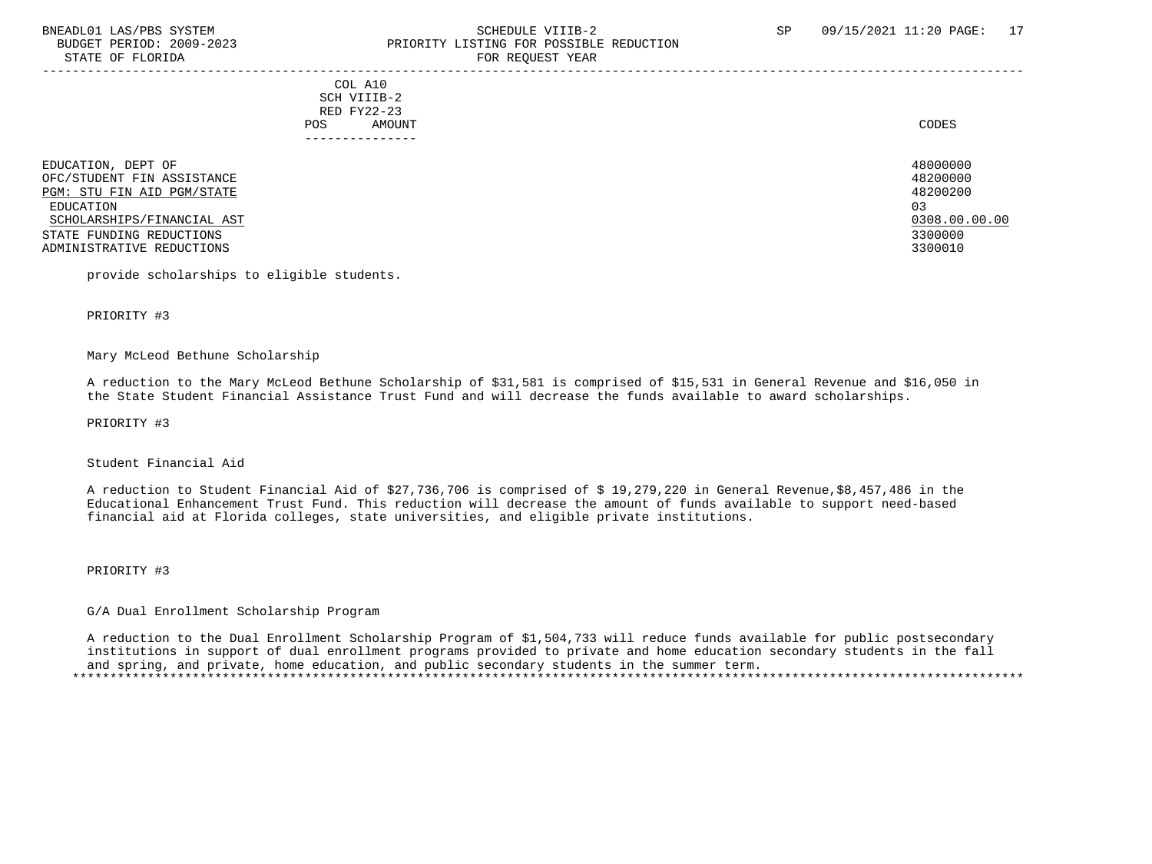# BNEADL01 LAS/PBS SYSTEM SCHEDULE VIIIB-2 SCHEDULE VIIIB-2 SP 09/15/2021 11:20 PAGE: 17 BUDGET PERIOD: 2009-2023 PRIORITY LISTING FOR POSSIBLE REDUCTION STATE OF FLORIDA FOR STATE OF  $\sim$  FOR REQUEST YEAR

-----------------------------------------------------------------------------------------------------------------------------------

 COL A10 SCH VIIIB-2 RED FY22-23 POS AMOUNT NOTES AND AND A RESERVE AND A RESERVE AND LODGED AND LODGED AND LODGED AND LODGED AND LODGED AND LODGED AT A LODGED AND LODGED AT A LODGED AND LODGED AT A LODGED AND LODGED AT A LODGED AND LODGED AT A LODGED AND ---------------

EDUCATION, DEPT OF 480000000<br>OFC/STUDENT FIN ASSISTANCE 48200000 OFC/STUDENT FIN ASSISTANCE 48200000 (1999) 48200000 (1999) 48200000 (1999) 48200000 (1999) 48200000 (1999) 48200<br>PGM: STU FIN AID PGM/STATE PGM: STU FIN AID PGM/STATE EDUCATION 03 SCHOLARSHIPS/FINANCIAL AST 0308.00.00.00 \_\_\_\_\_\_\_\_\_\_\_\_\_\_\_\_\_\_\_\_\_\_\_\_\_\_ \_\_\_\_\_\_\_\_\_\_\_\_\_ STATE FUNDING REDUCTIONS ADMINISTRATIVE REDUCTIONS 3300010

provide scholarships to eligible students.

PRIORITY #3

#### Mary McLeod Bethune Scholarship

 A reduction to the Mary McLeod Bethune Scholarship of \$31,581 is comprised of \$15,531 in General Revenue and \$16,050 in the State Student Financial Assistance Trust Fund and will decrease the funds available to award scholarships.

PRIORITY #3

## Student Financial Aid

 A reduction to Student Financial Aid of \$27,736,706 is comprised of \$ 19,279,220 in General Revenue,\$8,457,486 in the Educational Enhancement Trust Fund. This reduction will decrease the amount of funds available to support need-based financial aid at Florida colleges, state universities, and eligible private institutions.

## PRIORITY #3

# G/A Dual Enrollment Scholarship Program

 A reduction to the Dual Enrollment Scholarship Program of \$1,504,733 will reduce funds available for public postsecondary institutions in support of dual enrollment programs provided to private and home education secondary students in the fall and spring, and private, home education, and public secondary students in the summer term. \*\*\*\*\*\*\*\*\*\*\*\*\*\*\*\*\*\*\*\*\*\*\*\*\*\*\*\*\*\*\*\*\*\*\*\*\*\*\*\*\*\*\*\*\*\*\*\*\*\*\*\*\*\*\*\*\*\*\*\*\*\*\*\*\*\*\*\*\*\*\*\*\*\*\*\*\*\*\*\*\*\*\*\*\*\*\*\*\*\*\*\*\*\*\*\*\*\*\*\*\*\*\*\*\*\*\*\*\*\*\*\*\*\*\*\*\*\*\*\*\*\*\*\*\*\*\*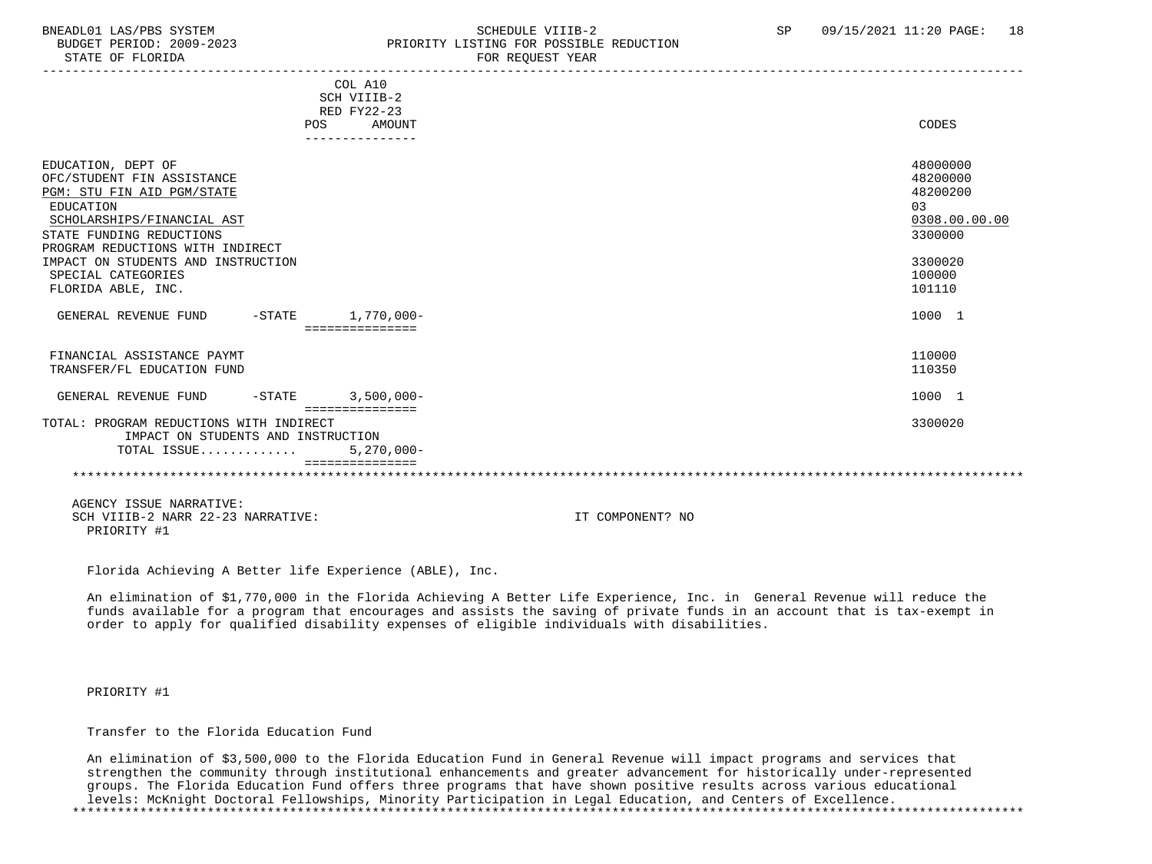# BNEADL01 LAS/PBS SYSTEM SCHEDULE VIIIB-2 SCHEDULE VIIIB-2 SP 09/15/2021 11:20 PAGE: 18 PRIORITY LISTING FOR POSSIBLE REDUCTION STATE OF FLORIDA FOR STATE OF  $\sim$  FOR REQUEST YEAR

|                                                  | COL A10         |                  |               |
|--------------------------------------------------|-----------------|------------------|---------------|
|                                                  | SCH VIIIB-2     |                  |               |
|                                                  | RED FY22-23     |                  |               |
| <b>POS</b>                                       | AMOUNT          |                  | CODES         |
|                                                  | --------------- |                  |               |
| EDUCATION, DEPT OF                               |                 |                  | 48000000      |
| OFC/STUDENT FIN ASSISTANCE                       |                 |                  | 48200000      |
| PGM: STU FIN AID PGM/STATE                       |                 |                  | 48200200      |
| EDUCATION                                        |                 |                  | 03            |
| SCHOLARSHIPS/FINANCIAL AST                       |                 |                  | 0308.00.00.00 |
| STATE FUNDING REDUCTIONS                         |                 |                  | 3300000       |
| PROGRAM REDUCTIONS WITH INDIRECT                 |                 |                  |               |
| IMPACT ON STUDENTS AND INSTRUCTION               |                 |                  | 3300020       |
| SPECIAL CATEGORIES                               |                 |                  | 100000        |
| FLORIDA ABLE, INC.                               |                 |                  | 101110        |
|                                                  |                 |                  |               |
| $-STATE$ 1,770,000-<br>GENERAL REVENUE FUND      |                 |                  | 1000 1        |
|                                                  | seesseesseesse  |                  |               |
| FINANCIAL ASSISTANCE PAYMT                       |                 |                  | 110000        |
| TRANSFER/FL EDUCATION FUND                       |                 |                  | 110350        |
|                                                  |                 |                  |               |
| $-STATE$ 3,500,000-<br>GENERAL REVENUE FUND      |                 |                  | 1000 1        |
|                                                  | =============== |                  |               |
| TOTAL: PROGRAM REDUCTIONS WITH INDIRECT          |                 |                  | 3300020       |
| IMPACT ON STUDENTS AND INSTRUCTION               |                 |                  |               |
| TOTAL ISSUE                                      | $5,270,000 -$   |                  |               |
|                                                  |                 |                  |               |
|                                                  |                 |                  |               |
| AGENCY ISSUE NARRATIVE:                          |                 |                  |               |
| SCH VIIIB-2 NARR 22-23 NARRATIVE:<br>PRIORITY #1 |                 | IT COMPONENT? NO |               |

Florida Achieving A Better life Experience (ABLE), Inc.

 An elimination of \$1,770,000 in the Florida Achieving A Better Life Experience, Inc. in General Revenue will reduce the funds available for a program that encourages and assists the saving of private funds in an account that is tax-exempt in order to apply for qualified disability expenses of eligible individuals with disabilities.

PRIORITY #1

Transfer to the Florida Education Fund

 An elimination of \$3,500,000 to the Florida Education Fund in General Revenue will impact programs and services that strengthen the community through institutional enhancements and greater advancement for historically under-represented groups. The Florida Education Fund offers three programs that have shown positive results across various educational levels: McKnight Doctoral Fellowships, Minority Participation in Legal Education, and Centers of Excellence. \*\*\*\*\*\*\*\*\*\*\*\*\*\*\*\*\*\*\*\*\*\*\*\*\*\*\*\*\*\*\*\*\*\*\*\*\*\*\*\*\*\*\*\*\*\*\*\*\*\*\*\*\*\*\*\*\*\*\*\*\*\*\*\*\*\*\*\*\*\*\*\*\*\*\*\*\*\*\*\*\*\*\*\*\*\*\*\*\*\*\*\*\*\*\*\*\*\*\*\*\*\*\*\*\*\*\*\*\*\*\*\*\*\*\*\*\*\*\*\*\*\*\*\*\*\*\*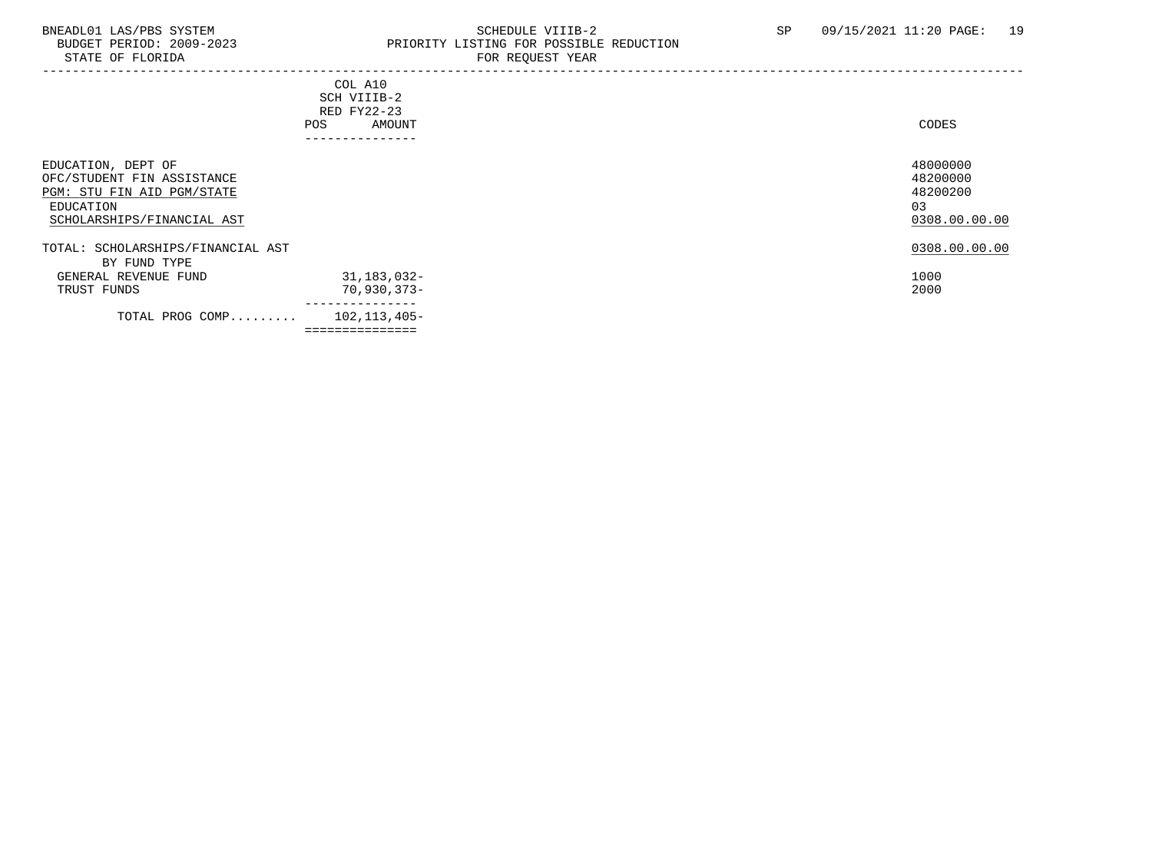# BNEADL01 LAS/PBS SYSTEM SCHEDULE VIIIB-2 SCHEDULE VIIIB-2 SP 09/15/2021 11:20 PAGE: 19<br>BUDGET PERIOD: 2009-2023 PRIORITY LISTING FOR POSSIBLE REDUCTION BUDGET PERIOD: 2009-2023 PRIORITY LISTING FOR POSSIBLE REDUCTION STATE OF FLORIDA FOR REQUEST YEAR

| STATE OF FLOKIDA                                                                                                          | FOR REQUEST YEAR                                                         |                                                         |
|---------------------------------------------------------------------------------------------------------------------------|--------------------------------------------------------------------------|---------------------------------------------------------|
|                                                                                                                           | COL A10<br>SCH VIIIB-2<br>RED FY22-23<br>AMOUNT<br>POS<br>-------------- | CODES                                                   |
| EDUCATION, DEPT OF<br>OFC/STUDENT FIN ASSISTANCE<br>PGM: STU FIN AID PGM/STATE<br>EDUCATION<br>SCHOLARSHIPS/FINANCIAL AST |                                                                          | 48000000<br>48200000<br>48200200<br>03<br>0308.00.00.00 |
| TOTAL: SCHOLARSHIPS/FINANCIAL AST<br>BY FUND TYPE<br>GENERAL REVENUE FUND<br>TRUST FUNDS                                  | 31,183,032-<br>$70,930,373-$                                             | 0308.00.00.00<br>1000<br>2000                           |
| TOTAL PROG COMP                                                                                                           | 102,113,405-<br>===============                                          |                                                         |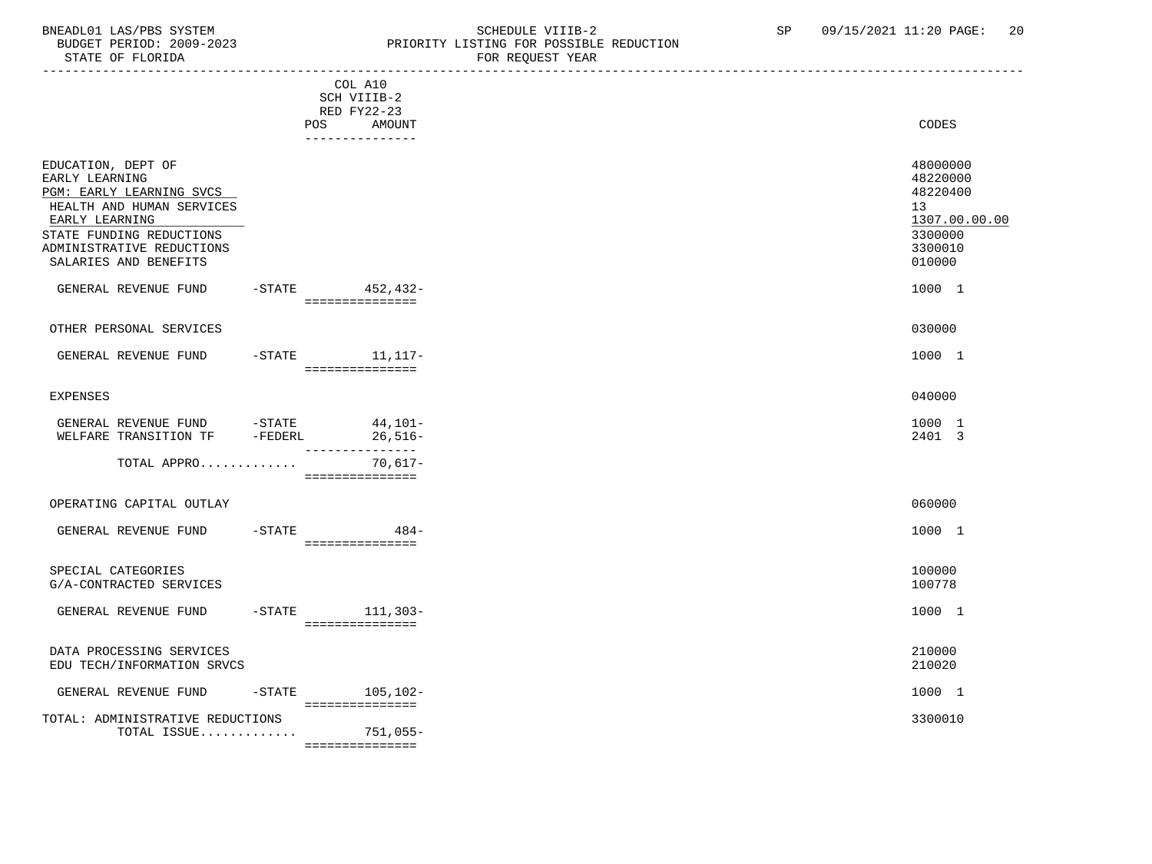#### BNEADL01 LAS/PBS SYSTEM SOME SOME SOME SCHEDULE VIIIB-2 SP 09/15/2021 11:20 PAGE: 20<br>BUDGET PERIOD: 2009-2023 REIORITY LISTING FOR POSSIBLE REDUCTION BUDGET PERIOD: 2009-2023 PRIORITY LISTING FOR POSSIBLE REDUCTION STATE OF FLORIDA FOR REQUEST YEAR

| SIAIL UP PLUKIDA                                                                                                                                                                                  |           |                                                                           | PUR REQUESI IEAR |                                                                                         |
|---------------------------------------------------------------------------------------------------------------------------------------------------------------------------------------------------|-----------|---------------------------------------------------------------------------|------------------|-----------------------------------------------------------------------------------------|
|                                                                                                                                                                                                   |           | COL A10<br>SCH VIIIB-2<br>RED FY22-23<br>AMOUNT<br>POS<br>_______________ |                  | <b>CODES</b>                                                                            |
| EDUCATION, DEPT OF<br>EARLY LEARNING<br>PGM: EARLY LEARNING SVCS<br>HEALTH AND HUMAN SERVICES<br>EARLY LEARNING<br>STATE FUNDING REDUCTIONS<br>ADMINISTRATIVE REDUCTIONS<br>SALARIES AND BENEFITS |           |                                                                           |                  | 48000000<br>48220000<br>48220400<br>13<br>1307.00.00.00<br>3300000<br>3300010<br>010000 |
| GENERAL REVENUE FUND                                                                                                                                                                              |           | -STATE 452,432-<br>===============                                        |                  | 1000 1                                                                                  |
| OTHER PERSONAL SERVICES                                                                                                                                                                           |           |                                                                           |                  | 030000                                                                                  |
| GENERAL REVENUE FUND                                                                                                                                                                              |           | -STATE 11, 117-<br>===============                                        |                  | 1000 1                                                                                  |
| <b>EXPENSES</b>                                                                                                                                                                                   |           |                                                                           |                  | 040000                                                                                  |
| GENERAL REVENUE FUND $-$ STATE $44,101$ -<br>WELFARE TRANSITION TF $-$ FEDERL $26,516$ -                                                                                                          |           | ________________                                                          |                  | 1000 1<br>2401 3                                                                        |
| TOTAL APPRO                                                                                                                                                                                       |           | 70,617-<br>===============                                                |                  |                                                                                         |
| OPERATING CAPITAL OUTLAY                                                                                                                                                                          |           |                                                                           |                  | 060000                                                                                  |
| GENERAL REVENUE FUND                                                                                                                                                                              | $-$ STATE | $484-$<br>===============                                                 |                  | 1000 1                                                                                  |
| SPECIAL CATEGORIES<br>G/A-CONTRACTED SERVICES                                                                                                                                                     |           |                                                                           |                  | 100000<br>100778                                                                        |
| GENERAL REVENUE FUND                                                                                                                                                                              |           | -STATE 111,303-<br>===============                                        |                  | 1000 1                                                                                  |
| DATA PROCESSING SERVICES<br>EDU TECH/INFORMATION SRVCS                                                                                                                                            |           |                                                                           |                  | 210000<br>210020                                                                        |
| GENERAL REVENUE FUND                                                                                                                                                                              |           | $-STATE$<br>105,102-<br>================                                  |                  | 1000 1                                                                                  |
| TOTAL: ADMINISTRATIVE REDUCTIONS<br>TOTAL ISSUE                                                                                                                                                   |           | 751,055-                                                                  |                  | 3300010                                                                                 |

===============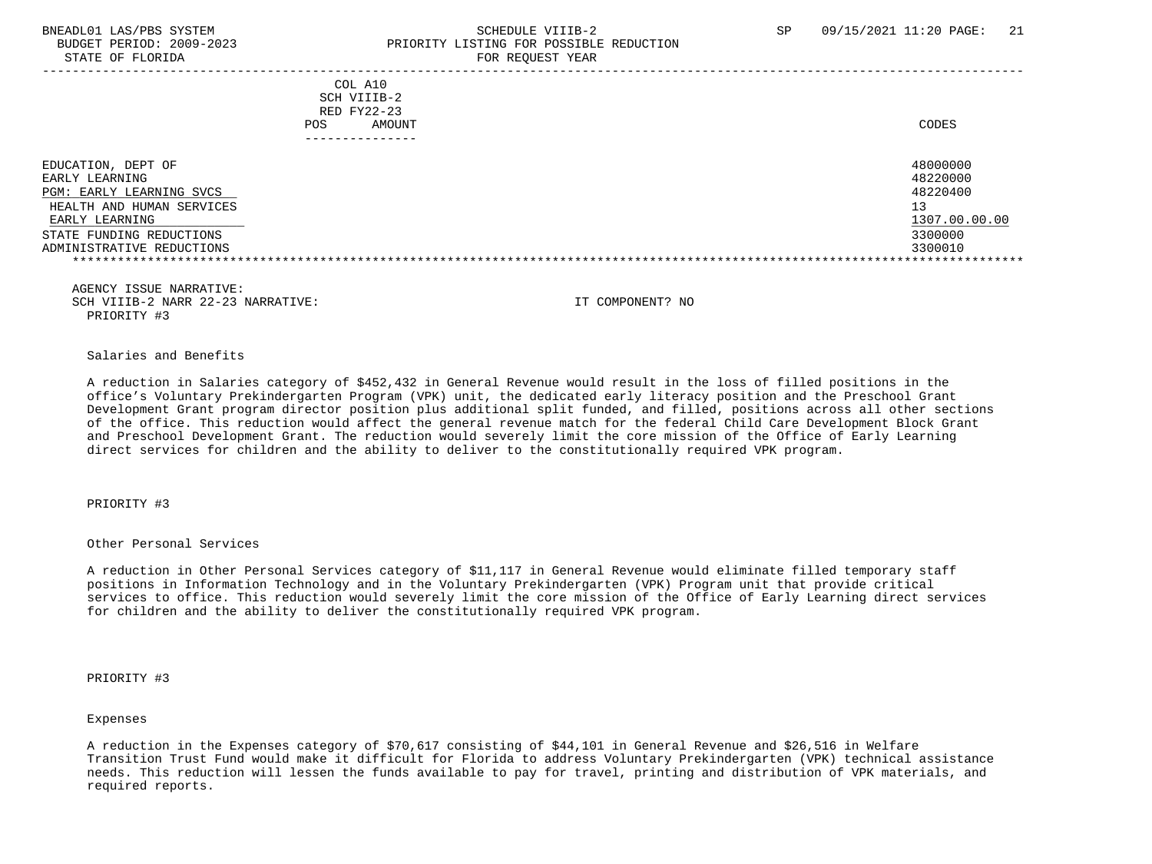# BNEADL01 LAS/PBS SYSTEM SCHEDULE VIIIB-2 SCHEDULE VIIIB-2 SP 09/15/2021 11:20 PAGE: 21 BUDGET PERIOD: 2009-2023 PRIORITY LISTING FOR POSSIBLE REDUCTION STATE OF FLORIDA FOR STATE OF  $\sim$  FOR REQUEST YEAR

|                                                                                                                                                                                 | COL A10<br>SCH VIIIB-2<br>RED FY22-23<br>AMOUNT<br>POS.<br>------------- | CODES                                                                         |
|---------------------------------------------------------------------------------------------------------------------------------------------------------------------------------|--------------------------------------------------------------------------|-------------------------------------------------------------------------------|
| EDUCATION, DEPT OF<br>EARLY LEARNING<br><b>PGM: EARLY LEARNING SVCS</b><br>HEALTH AND HUMAN SERVICES<br>EARLY LEARNING<br>STATE FUNDING REDUCTIONS<br>ADMINISTRATIVE REDUCTIONS |                                                                          | 48000000<br>48220000<br>48220400<br>13<br>1307.00.00.00<br>3300000<br>3300010 |

 AGENCY ISSUE NARRATIVE: SCH VIIIB-2 NARR 22-23 NARRATIVE: IT COMPONENT? NO PRIORITY #3

Salaries and Benefits

 A reduction in Salaries category of \$452,432 in General Revenue would result in the loss of filled positions in the office's Voluntary Prekindergarten Program (VPK) unit, the dedicated early literacy position and the Preschool Grant Development Grant program director position plus additional split funded, and filled, positions across all other sections of the office. This reduction would affect the general revenue match for the federal Child Care Development Block Grant and Preschool Development Grant. The reduction would severely limit the core mission of the Office of Early Learning direct services for children and the ability to deliver to the constitutionally required VPK program.

PRIORITY #3

Other Personal Services

 A reduction in Other Personal Services category of \$11,117 in General Revenue would eliminate filled temporary staff positions in Information Technology and in the Voluntary Prekindergarten (VPK) Program unit that provide critical services to office. This reduction would severely limit the core mission of the Office of Early Learning direct services for children and the ability to deliver the constitutionally required VPK program.

PRIORITY #3

Expenses

 A reduction in the Expenses category of \$70,617 consisting of \$44,101 in General Revenue and \$26,516 in Welfare Transition Trust Fund would make it difficult for Florida to address Voluntary Prekindergarten (VPK) technical assistance needs. This reduction will lessen the funds available to pay for travel, printing and distribution of VPK materials, and required reports.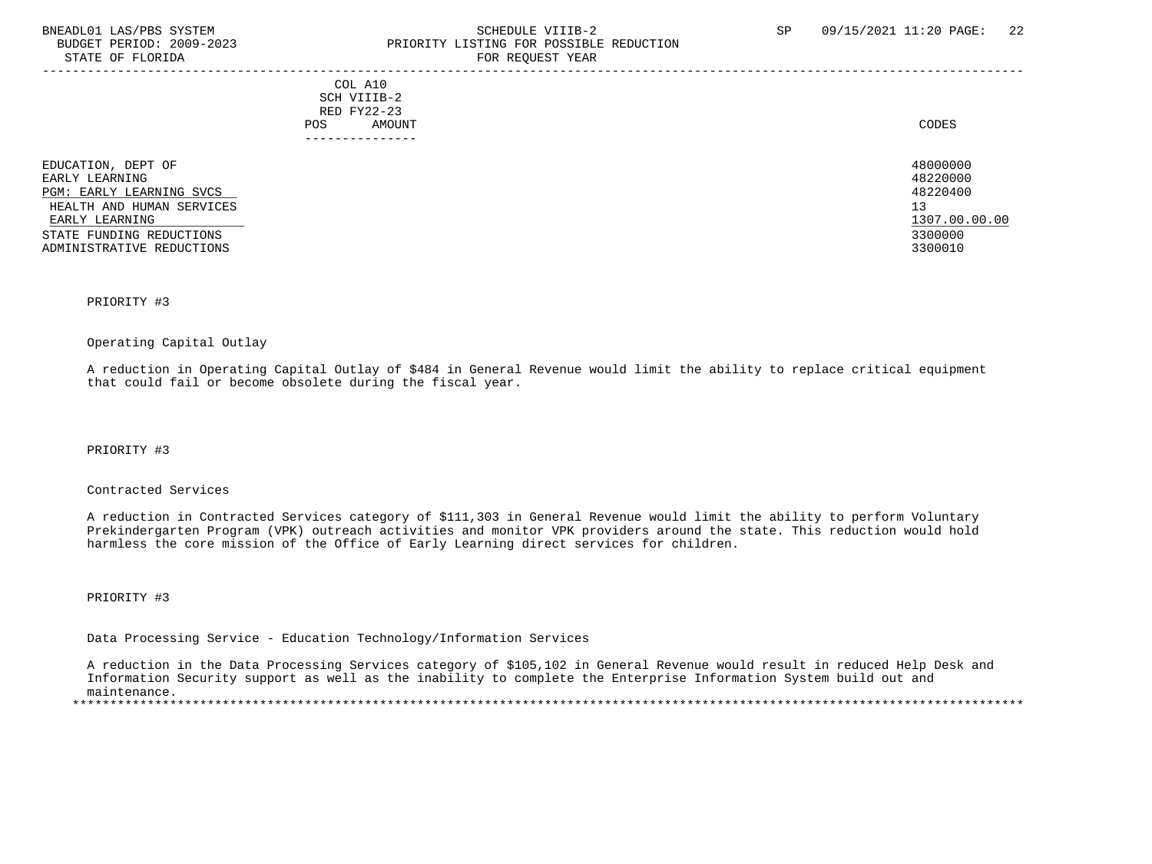# BNEADL01 LAS/PBS SYSTEM SCHEDULE VIIIB-2 SCHEDULE VIIIB-2 SP 09/15/2021 11:20 PAGE: 22 PRIORITY LISTING FOR POSSIBLE REDUCTION STATE OF FLORIDA FOR REQUEST YEAR FOR REQUEST YEAR

|                                                                                                                                                                          | COL A10<br>SCH VIIIB-2<br>RED FY22-23<br>AMOUNT<br>POS<br>------------ | CODES                                                                         |
|--------------------------------------------------------------------------------------------------------------------------------------------------------------------------|------------------------------------------------------------------------|-------------------------------------------------------------------------------|
| EDUCATION, DEPT OF<br>EARLY LEARNING<br>PGM: EARLY LEARNING SVCS<br>HEALTH AND HUMAN SERVICES<br>EARLY LEARNING<br>STATE FUNDING REDUCTIONS<br>ADMINISTRATIVE REDUCTIONS |                                                                        | 48000000<br>48220000<br>48220400<br>13<br>1307.00.00.00<br>3300000<br>3300010 |

#### PRIORITY #3

#### Operating Capital Outlay

 A reduction in Operating Capital Outlay of \$484 in General Revenue would limit the ability to replace critical equipment that could fail or become obsolete during the fiscal year.

PRIORITY #3

# Contracted Services

 A reduction in Contracted Services category of \$111,303 in General Revenue would limit the ability to perform Voluntary Prekindergarten Program (VPK) outreach activities and monitor VPK providers around the state. This reduction would hold harmless the core mission of the Office of Early Learning direct services for children.

PRIORITY #3

Data Processing Service - Education Technology/Information Services

 A reduction in the Data Processing Services category of \$105,102 in General Revenue would result in reduced Help Desk and Information Security support as well as the inability to complete the Enterprise Information System build out and maintenance.

\*\*\*\*\*\*\*\*\*\*\*\*\*\*\*\*\*\*\*\*\*\*\*\*\*\*\*\*\*\*\*\*\*\*\*\*\*\*\*\*\*\*\*\*\*\*\*\*\*\*\*\*\*\*\*\*\*\*\*\*\*\*\*\*\*\*\*\*\*\*\*\*\*\*\*\*\*\*\*\*\*\*\*\*\*\*\*\*\*\*\*\*\*\*\*\*\*\*\*\*\*\*\*\*\*\*\*\*\*\*\*\*\*\*\*\*\*\*\*\*\*\*\*\*\*\*\*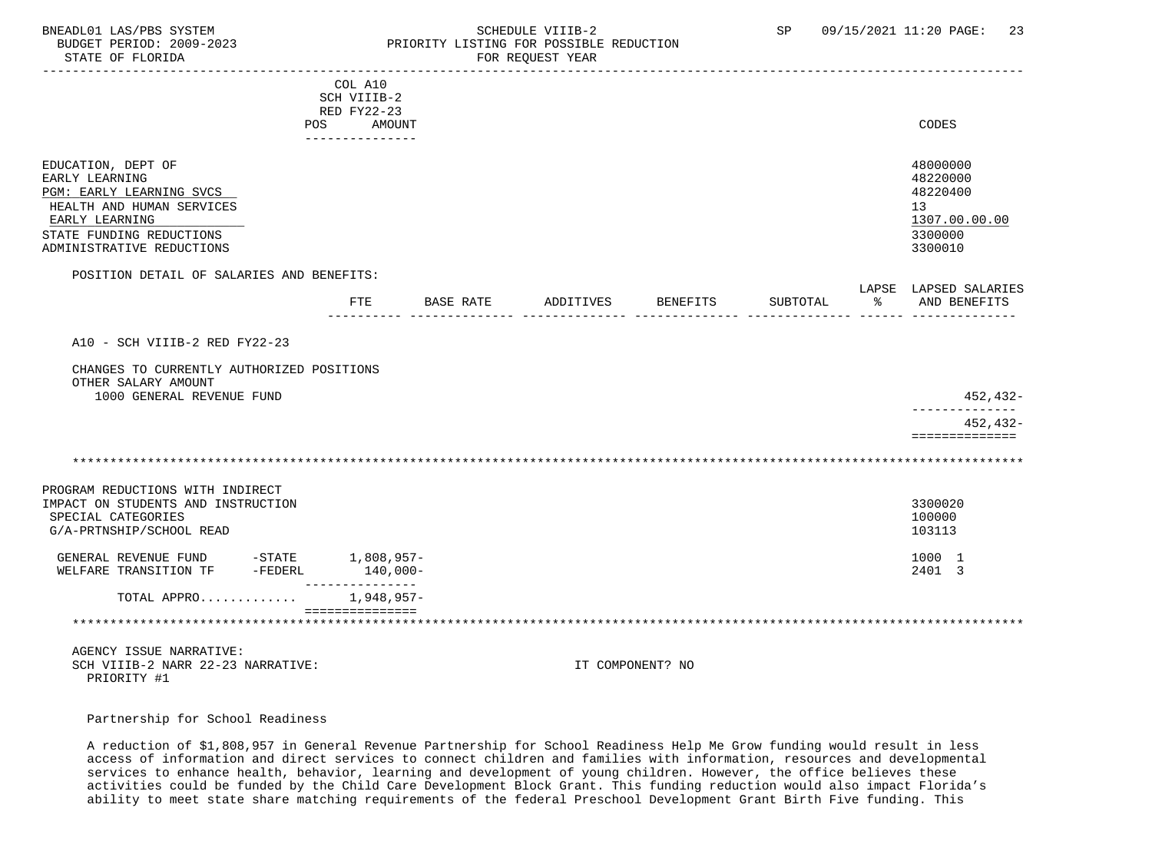#### BNEADL01 LAS/PBS SYSTEM SCHEDULE VIIIB-2 SCHEDULE VIIIB-2 SP 09/15/2021 11:20 PAGE: 23 BUDGET PERIOD: 2009-2023 PRIORITY LISTING FOR POSSIBLE REDUCTION FOR REQUEST YEAR

|                                                                                               | COL A10                          |                  |                    |                  |          |                                         |
|-----------------------------------------------------------------------------------------------|----------------------------------|------------------|--------------------|------------------|----------|-----------------------------------------|
|                                                                                               | SCH VIIIB-2                      |                  |                    |                  |          |                                         |
|                                                                                               | RED FY22-23                      |                  |                    |                  |          |                                         |
|                                                                                               | POS<br>AMOUNT<br>--------------- |                  |                    |                  |          | CODES                                   |
|                                                                                               |                                  |                  |                    |                  |          |                                         |
| EDUCATION, DEPT OF                                                                            |                                  |                  |                    |                  |          | 48000000                                |
| EARLY LEARNING                                                                                |                                  |                  |                    |                  |          | 48220000                                |
| PGM: EARLY LEARNING SVCS                                                                      |                                  |                  |                    |                  |          | 48220400                                |
| HEALTH AND HUMAN SERVICES                                                                     |                                  |                  |                    |                  |          | 13                                      |
| EARLY LEARNING                                                                                |                                  |                  |                    |                  |          | 1307.00.00.00                           |
| STATE FUNDING REDUCTIONS<br>ADMINISTRATIVE REDUCTIONS                                         |                                  |                  |                    |                  |          | 3300000<br>3300010                      |
|                                                                                               |                                  |                  |                    |                  |          |                                         |
| POSITION DETAIL OF SALARIES AND BENEFITS:                                                     |                                  |                  |                    |                  |          |                                         |
|                                                                                               | FTE                              | <b>BASE RATE</b> | ADDITIVES BENEFITS |                  | SUBTOTAL | LAPSE LAPSED SALARIES<br>% AND BENEFITS |
|                                                                                               |                                  |                  |                    |                  |          |                                         |
|                                                                                               |                                  |                  |                    |                  |          |                                         |
| A10 - SCH VIIIB-2 RED FY22-23                                                                 |                                  |                  |                    |                  |          |                                         |
| CHANGES TO CURRENTLY AUTHORIZED POSITIONS<br>OTHER SALARY AMOUNT<br>1000 GENERAL REVENUE FUND |                                  |                  |                    |                  |          | 452,432-                                |
|                                                                                               |                                  |                  |                    |                  |          | ___________                             |
|                                                                                               |                                  |                  |                    |                  |          | 452,432-<br>==============              |
|                                                                                               |                                  |                  |                    |                  |          |                                         |
|                                                                                               |                                  |                  |                    |                  |          |                                         |
| PROGRAM REDUCTIONS WITH INDIRECT                                                              |                                  |                  |                    |                  |          |                                         |
| IMPACT ON STUDENTS AND INSTRUCTION                                                            |                                  |                  |                    |                  |          | 3300020                                 |
| SPECIAL CATEGORIES                                                                            |                                  |                  |                    |                  |          | 100000                                  |
| G/A-PRTNSHIP/SCHOOL READ                                                                      |                                  |                  |                    |                  |          | 103113                                  |
|                                                                                               |                                  |                  |                    |                  |          |                                         |
| GENERAL REVENUE FUND -STATE 1,808,957-<br>WELFARE TRANSITION TF -FEDERL                       | $140,000 -$                      |                  |                    |                  |          | 1000 1<br>2401 3                        |
|                                                                                               | ----------                       |                  |                    |                  |          |                                         |
| TOTAL APPRO                                                                                   | $1,948,957-$                     |                  |                    |                  |          |                                         |
|                                                                                               | ===============                  |                  |                    |                  |          |                                         |
|                                                                                               |                                  |                  |                    |                  |          |                                         |
| AGENCY ISSUE NARRATIVE:                                                                       |                                  |                  |                    |                  |          |                                         |
| SCH VIIIB-2 NARR 22-23 NARRATIVE:                                                             |                                  |                  |                    | IT COMPONENT? NO |          |                                         |

Partnership for School Readiness

PRIORITY #1

 A reduction of \$1,808,957 in General Revenue Partnership for School Readiness Help Me Grow funding would result in less access of information and direct services to connect children and families with information, resources and developmental services to enhance health, behavior, learning and development of young children. However, the office believes these activities could be funded by the Child Care Development Block Grant. This funding reduction would also impact Florida's ability to meet state share matching requirements of the federal Preschool Development Grant Birth Five funding. This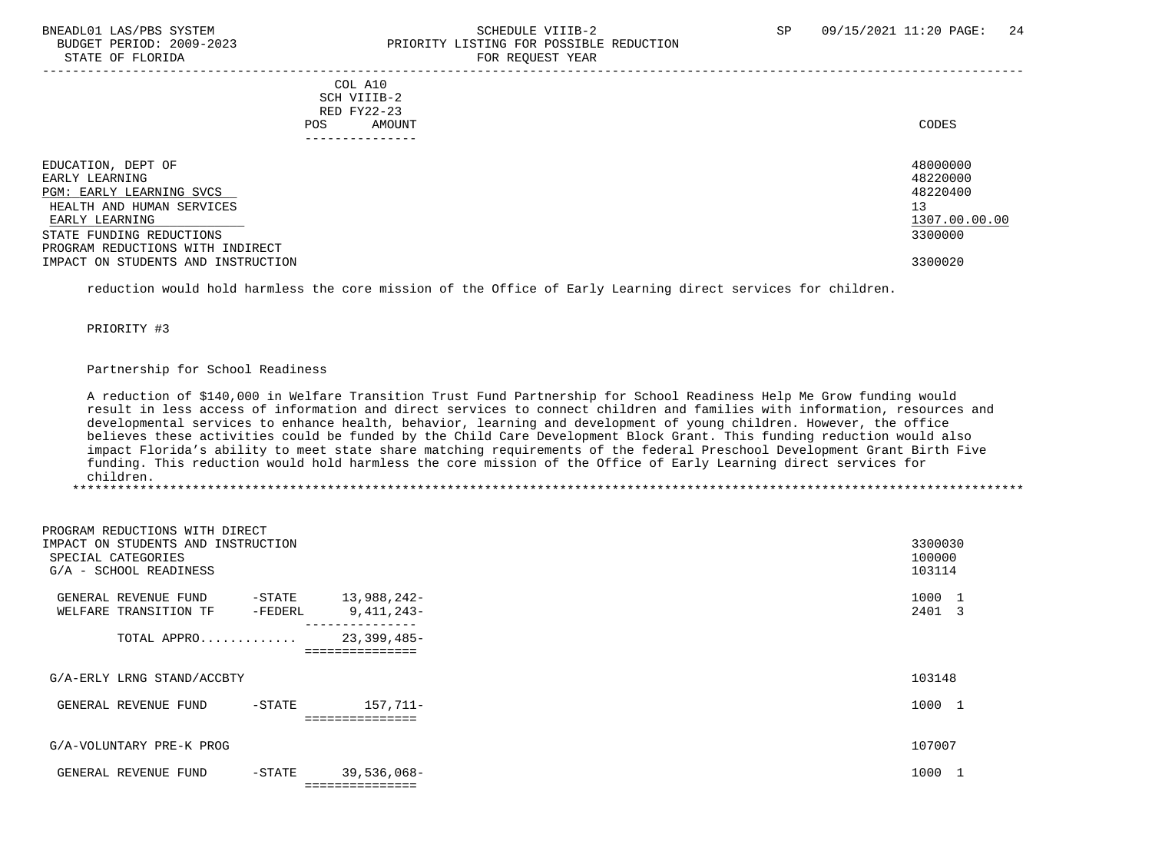# BNEADL01 LAS/PBS SYSTEM SCHEDULE VIIIB-2 SCHEDULE VIIIB-2 SP 09/15/2021 11:20 PAGE: 24 PRIORITY LISTING FOR POSSIBLE REDUCTION STATE OF FLORIDA FOR REQUEST YEAR FOR REQUEST YEAR

-----------------------------------------------------------------------------------------------------------------------------------

|     | COL A10         |  |       |
|-----|-----------------|--|-------|
|     | SCH VIIIB-2     |  |       |
|     | RED FY22-23     |  |       |
| POS | AMOUNT          |  | CODES |
|     | --------------- |  |       |
|     |                 |  |       |
|     |                 |  | .     |

| EDUCATION, DEPT OF                 | 48000000      |
|------------------------------------|---------------|
|                                    |               |
| EARLY LEARNING                     | 48220000      |
| PGM: EARLY LEARNING SVCS           | 48220400      |
| HEALTH AND HUMAN SERVICES          | 13            |
| EARLY LEARNING                     | 1307.00.00.00 |
| STATE FUNDING REDUCTIONS           | 3300000       |
| PROGRAM REDUCTIONS WITH INDIRECT   |               |
| IMPACT ON STUDENTS AND INSTRUCTION | 3300020       |

reduction would hold harmless the core mission of the Office of Early Learning direct services for children.

PRIORITY #3

## Partnership for School Readiness

 A reduction of \$140,000 in Welfare Transition Trust Fund Partnership for School Readiness Help Me Grow funding would result in less access of information and direct services to connect children and families with information, resources and developmental services to enhance health, behavior, learning and development of young children. However, the office believes these activities could be funded by the Child Care Development Block Grant. This funding reduction would also impact Florida's ability to meet state share matching requirements of the federal Preschool Development Grant Birth Five funding. This reduction would hold harmless the core mission of the Office of Early Learning direct services for children.

| PROGRAM REDUCTIONS WITH DIRECT                                                     |                   |                                              |                             |
|------------------------------------------------------------------------------------|-------------------|----------------------------------------------|-----------------------------|
| IMPACT ON STUDENTS AND INSTRUCTION<br>SPECIAL CATEGORIES<br>G/A - SCHOOL READINESS |                   |                                              | 3300030<br>100000<br>103114 |
| GENERAL REVENUE FUND<br>WELFARE TRANSITION TF                                      | -STATE<br>-FEDERL | 13,988,242-<br>9,411,243-<br>--------------- | 1000 1<br>2401 3            |
| TOTAL APPRO                                                                        |                   | 23,399,485-<br>===============               |                             |
| G/A-ERLY LRNG STAND/ACCBTY                                                         |                   |                                              | 103148                      |
| GENERAL REVENUE FUND                                                               | $-$ STATE         | 157,711-<br>==============                   | 1000 1                      |
| G/A-VOLUNTARY PRE-K PROG                                                           |                   |                                              | 107007                      |
| GENERAL REVENUE FUND                                                               | $-$ STATE         | 39,536,068-<br>===============               | 1000 1                      |
|                                                                                    |                   |                                              |                             |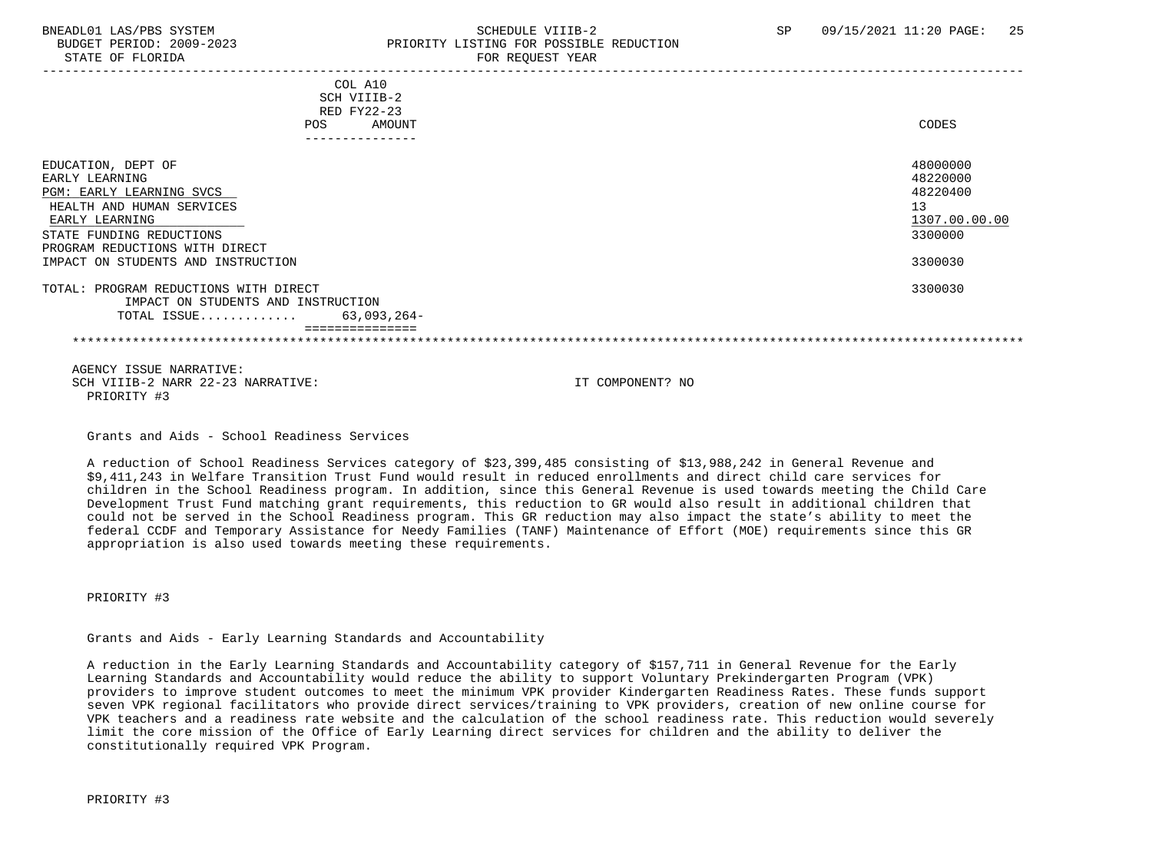# BNEADL01 LAS/PBS SYSTEM SCHEDULE VIIIB-2 SCHEDULE VIIIB-2 SP 09/15/2021 11:20 PAGE: 25 BUDGET PERIOD: 2009-2023 PRIORITY LISTING FOR POSSIBLE REDUCTION STATE OF FLORIDA FOR REQUEST YEAR FOR REQUEST THAT THE REDUCT OF STATE OF STATE OF STATE OF STATE OF STATE OF STATE OF STATE OF STATE OF STATE OF STATE OF STATE OF STATE OF STATE OF STATE OF STATE OF STATE OF STATE OF STAT

| COL A10<br>SCH VIIIB-2<br>RED FY22-23<br>AMOUNT<br>POS<br>---------------                                                                                                                                           | CODES                                                                         |
|---------------------------------------------------------------------------------------------------------------------------------------------------------------------------------------------------------------------|-------------------------------------------------------------------------------|
| EDUCATION, DEPT OF<br>EARLY LEARNING<br>PGM: EARLY LEARNING SVCS<br>HEALTH AND HUMAN SERVICES<br>EARLY LEARNING<br>STATE FUNDING REDUCTIONS<br>PROGRAM REDUCTIONS WITH DIRECT<br>IMPACT ON STUDENTS AND INSTRUCTION | 48000000<br>48220000<br>48220400<br>13<br>1307.00.00.00<br>3300000<br>3300030 |
| TOTAL: PROGRAM REDUCTIONS WITH DIRECT<br>IMPACT ON STUDENTS AND INSTRUCTION<br>63,093,264-<br>TOTAL ISSUE                                                                                                           | 3300030                                                                       |
| AGENCY ISSUE NARRATIVE:                                                                                                                                                                                             |                                                                               |

SCH VIIIB-2 NARR 22-23 NARRATIVE: IT COMPONENT? NO PRIORITY #3

Grants and Aids - School Readiness Services

 A reduction of School Readiness Services category of \$23,399,485 consisting of \$13,988,242 in General Revenue and \$9,411,243 in Welfare Transition Trust Fund would result in reduced enrollments and direct child care services for children in the School Readiness program. In addition, since this General Revenue is used towards meeting the Child Care Development Trust Fund matching grant requirements, this reduction to GR would also result in additional children that could not be served in the School Readiness program. This GR reduction may also impact the state's ability to meet the federal CCDF and Temporary Assistance for Needy Families (TANF) Maintenance of Effort (MOE) requirements since this GR appropriation is also used towards meeting these requirements.

PRIORITY #3

Grants and Aids - Early Learning Standards and Accountability

 A reduction in the Early Learning Standards and Accountability category of \$157,711 in General Revenue for the Early Learning Standards and Accountability would reduce the ability to support Voluntary Prekindergarten Program (VPK) providers to improve student outcomes to meet the minimum VPK provider Kindergarten Readiness Rates. These funds support seven VPK regional facilitators who provide direct services/training to VPK providers, creation of new online course for VPK teachers and a readiness rate website and the calculation of the school readiness rate. This reduction would severely limit the core mission of the Office of Early Learning direct services for children and the ability to deliver the constitutionally required VPK Program.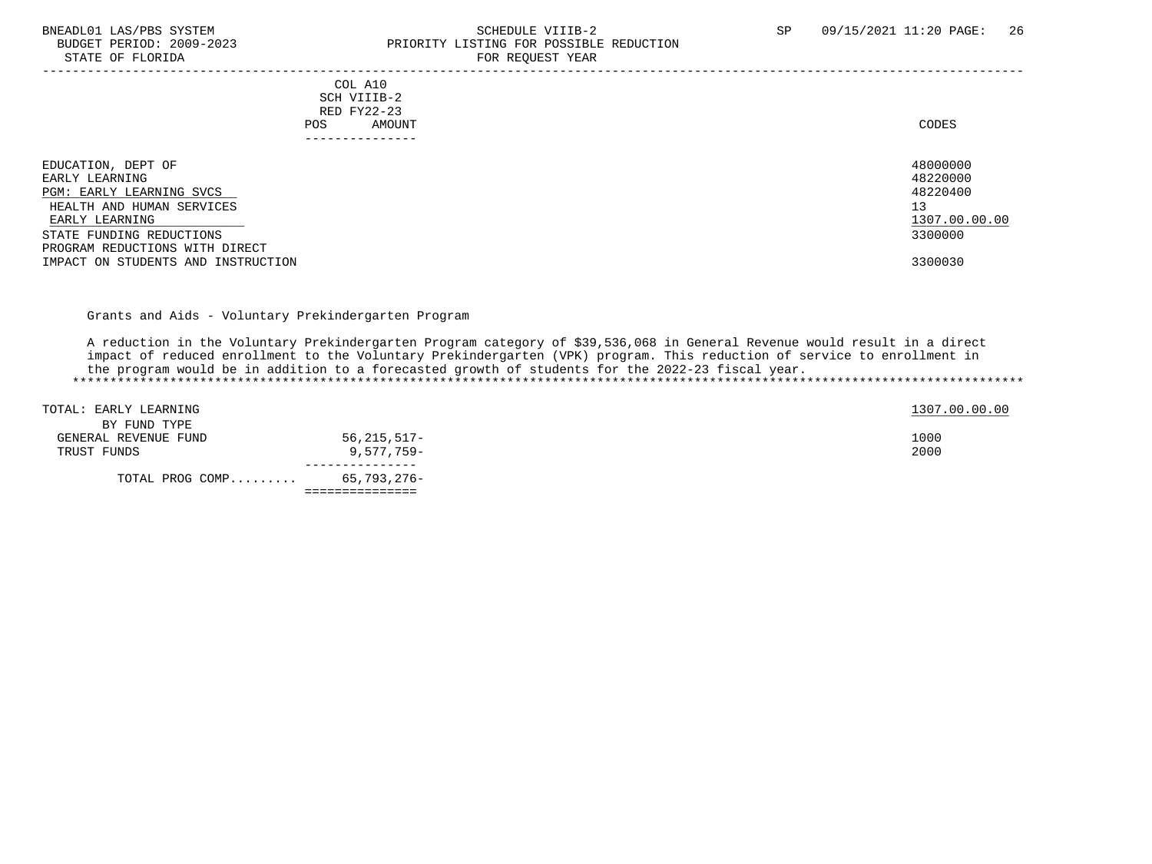STATE OF FLORIDA

# BNEADL01 LAS/PBS SYSTEM SCHEDULE VIIIB-2 SEREDUCTION SCHEDULE VIIIB-2 SP 09/15/2021 11:20 PAGE: 26 PRIORITY LISTING FOR POSSIBLE REDUCTION<br>FOR REOUEST YEAR

|                                                                                                                                                                                                                     | - --- --- <u>-</u> ---- - -----                                         |                                                                               |
|---------------------------------------------------------------------------------------------------------------------------------------------------------------------------------------------------------------------|-------------------------------------------------------------------------|-------------------------------------------------------------------------------|
|                                                                                                                                                                                                                     | COL A10<br>SCH VIIIB-2<br>RED FY22-23<br>AMOUNT<br>POS<br>------------- | CODES                                                                         |
| EDUCATION, DEPT OF<br>EARLY LEARNING<br>PGM: EARLY LEARNING SVCS<br>HEALTH AND HUMAN SERVICES<br>EARLY LEARNING<br>STATE FUNDING REDUCTIONS<br>PROGRAM REDUCTIONS WITH DIRECT<br>IMPACT ON STUDENTS AND INSTRUCTION |                                                                         | 48000000<br>48220000<br>48220400<br>13<br>1307.00.00.00<br>3300000<br>3300030 |

Grants and Aids - Voluntary Prekindergarten Program

 A reduction in the Voluntary Prekindergarten Program category of \$39,536,068 in General Revenue would result in a direct impact of reduced enrollment to the Voluntary Prekindergarten (VPK) program. This reduction of service to enrollment in the program would be in addition to a forecasted growth of students for the 2022-23 fiscal year. \*\*\*\*\*\*\*\*\*\*\*\*\*\*\*\*\*\*\*\*\*\*\*\*\*\*\*\*\*\*\*\*\*\*\*\*\*\*\*\*\*\*\*\*\*\*\*\*\*\*\*\*\*\*\*\*\*\*\*\*\*\*\*\*\*\*\*\*\*\*\*\*\*\*\*\*\*\*\*\*\*\*\*\*\*\*\*\*\*\*\*\*\*\*\*\*\*\*\*\*\*\*\*\*\*\*\*\*\*\*\*\*\*\*\*\*\*\*\*\*\*\*\*\*\*\*\*

| TOTAL PROG COMP       | 65,793,276- |  |
|-----------------------|-------------|--|
|                       |             |  |
| TRUST FUNDS           | 9,577,759-  |  |
| GENERAL REVENUE FUND  | 56,215,517– |  |
| BY FUND TYPE          |             |  |
| TOTAL: EARLY LEARNING |             |  |
|                       |             |  |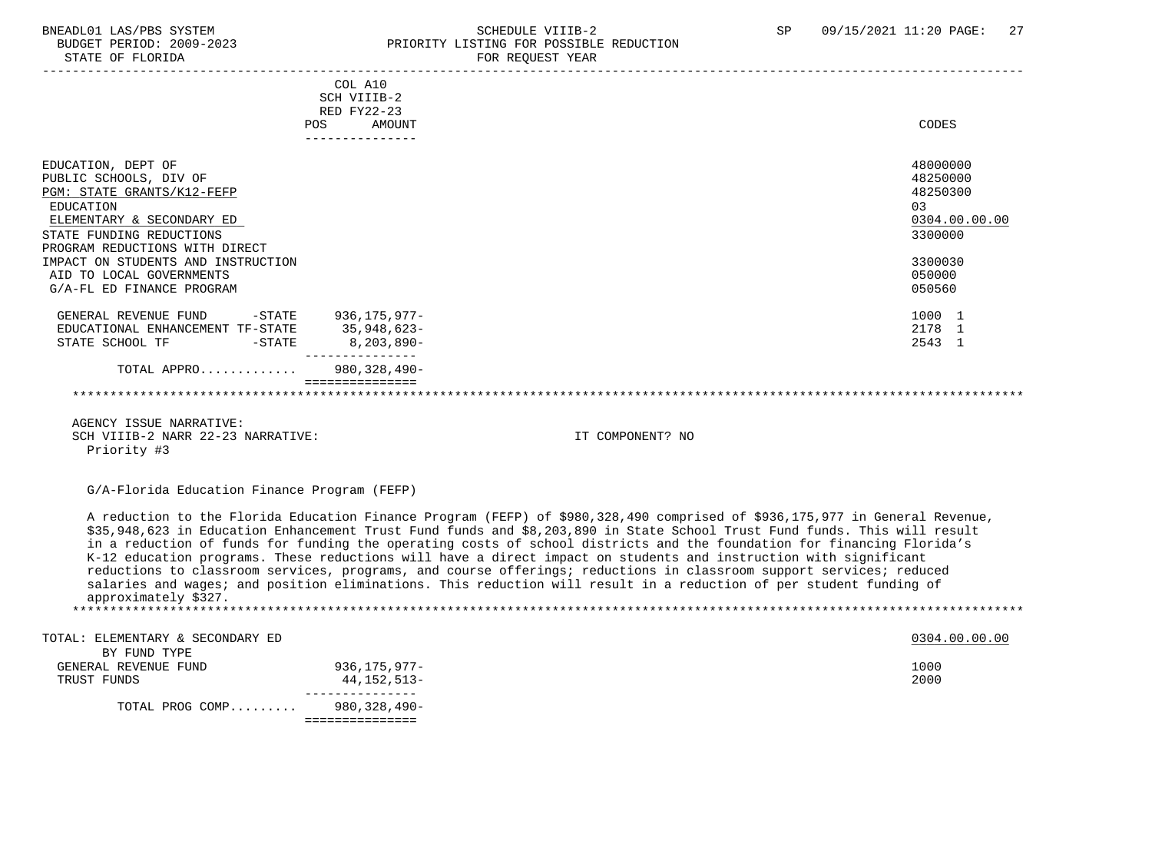# BNEADL01 LAS/PBS SYSTEM SCHEDULE VIIIB-2 SCHEDULE VIIIB-2 SP 09/15/2021 11:20 PAGE: 27 BUDGET PERIOD: 2009-2023 PRIORITY LISTING FOR POSSIBLE REDUCTION<br>STATE OF FLORIDA PRIORICE TOR REOUEST YEAR FOR REQUEST YEAR

|                                                  |     | COL A10<br>SCH VIIIB-2<br>RED FY22-23 |                  |               |
|--------------------------------------------------|-----|---------------------------------------|------------------|---------------|
|                                                  | POS | AMOUNT                                |                  | CODES         |
|                                                  |     | ---------------                       |                  |               |
| EDUCATION, DEPT OF                               |     |                                       |                  | 48000000      |
| PUBLIC SCHOOLS, DIV OF                           |     |                                       |                  | 48250000      |
| PGM: STATE GRANTS/K12-FEFP                       |     |                                       |                  | 48250300      |
| EDUCATION                                        |     |                                       |                  | 0.3           |
| ELEMENTARY & SECONDARY ED                        |     |                                       |                  | 0304.00.00.00 |
| STATE FUNDING REDUCTIONS                         |     |                                       |                  | 3300000       |
| PROGRAM REDUCTIONS WITH DIRECT                   |     |                                       |                  |               |
| IMPACT ON STUDENTS AND INSTRUCTION               |     |                                       |                  | 3300030       |
| AID TO LOCAL GOVERNMENTS                         |     |                                       |                  | 050000        |
| G/A-FL ED FINANCE PROGRAM                        |     |                                       |                  | 050560        |
|                                                  |     |                                       |                  |               |
| GENERAL REVENUE FUND -STATE 936,175,977-         |     |                                       |                  | 1000 1        |
| EDUCATIONAL ENHANCEMENT TF-STATE 35,948,623-     |     |                                       |                  | 2178 1        |
| STATE SCHOOL TF FIND - STATE                     |     | 8,203,890-                            |                  | 2543 1        |
| TOTAL APPRO 980,328,490-                         |     |                                       |                  |               |
|                                                  |     |                                       |                  |               |
|                                                  |     |                                       |                  |               |
|                                                  |     |                                       |                  |               |
| AGENCY ISSUE NARRATIVE:                          |     |                                       |                  |               |
| SCH VIIIB-2 NARR 22-23 NARRATIVE:<br>Priority #3 |     |                                       | IT COMPONENT? NO |               |
|                                                  |     |                                       |                  |               |

G/A-Florida Education Finance Program (FEFP)

 A reduction to the Florida Education Finance Program (FEFP) of \$980,328,490 comprised of \$936,175,977 in General Revenue, \$35,948,623 in Education Enhancement Trust Fund funds and \$8,203,890 in State School Trust Fund funds. This will result in a reduction of funds for funding the operating costs of school districts and the foundation for financing Florida's K-12 education programs. These reductions will have a direct impact on students and instruction with significant reductions to classroom services, programs, and course offerings; reductions in classroom support services; reduced salaries and wages; and position eliminations. This reduction will result in a reduction of per student funding of approximately \$327. \*\*\*\*\*\*\*\*\*\*\*\*\*\*\*\*\*\*\*\*\*\*\*\*\*\*\*\*\*\*\*\*\*\*\*\*\*\*\*\*\*\*\*\*\*\*\*\*\*\*\*\*\*\*\*\*\*\*\*\*\*\*\*\*\*\*\*\*\*\*\*\*\*\*\*\*\*\*\*\*\*\*\*\*\*\*\*\*\*\*\*\*\*\*\*\*\*\*\*\*\*\*\*\*\*\*\*\*\*\*\*\*\*\*\*\*\*\*\*\*\*\*\*\*\*\*\*

TOTAL: ELEMENTARY & SECONDARY ED 600.00 CONDARY ED 600.00 CONTROLL: ELEMENTARY & SECONDARY ED BY FUND TYPE GENERAL REVENUE FUND 936,175,977-<br>TRUST FUNDS 1000 936,175,977- 1000 936,175,977- TRUST FUNDS 44,152,513- 2000 --------------- TOTAL PROG COMP......... 980,328,490- ===============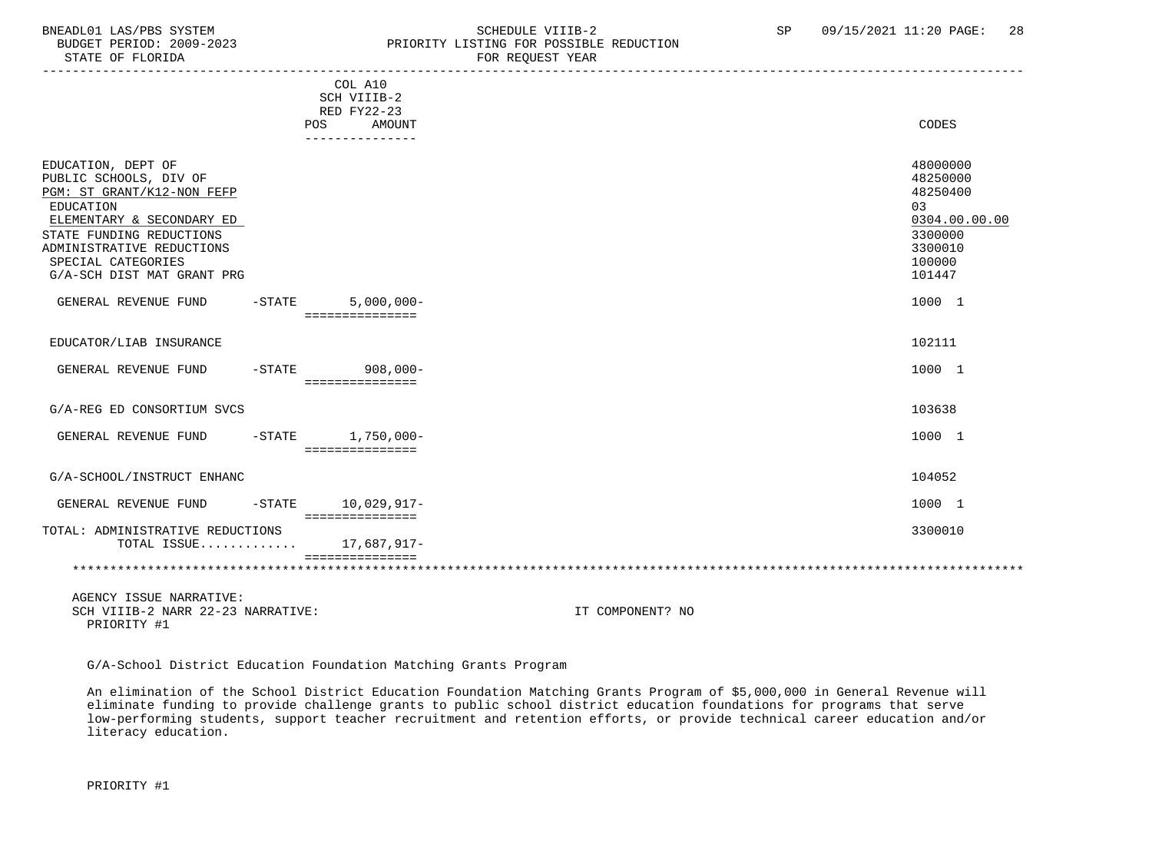# BNEADL01 LAS/PBS SYSTEM SCHEDULE VIIIB-2 SEREDUCTION SCHEDULE VIIIB-2 SP 09/15/2021 11:20 PAGE: 28 BUDGET PERIOD: 2009-2023 PRIORITY LISTING FOR POSSIBLE REDUCTION<br>STATE OF FLORIDA FOR REQUEST YEAR

|                                                                                                                                                                                                                                   | COL A10<br>SCH VIIIB-2<br>RED FY22-23 |                                                                                                   |
|-----------------------------------------------------------------------------------------------------------------------------------------------------------------------------------------------------------------------------------|---------------------------------------|---------------------------------------------------------------------------------------------------|
|                                                                                                                                                                                                                                   | AMOUNT<br>POS<br>---------------      | CODES                                                                                             |
| EDUCATION, DEPT OF<br>PUBLIC SCHOOLS, DIV OF<br>PGM: ST GRANT/K12-NON FEFP<br>EDUCATION<br>ELEMENTARY & SECONDARY ED<br>STATE FUNDING REDUCTIONS<br>ADMINISTRATIVE REDUCTIONS<br>SPECIAL CATEGORIES<br>G/A-SCH DIST MAT GRANT PRG |                                       | 48000000<br>48250000<br>48250400<br>03<br>0304.00.00.00<br>3300000<br>3300010<br>100000<br>101447 |
| $-STATE$<br>GENERAL REVENUE FUND                                                                                                                                                                                                  | $5,000,000 -$<br>===============      | 1000 1                                                                                            |
| EDUCATOR/LIAB INSURANCE                                                                                                                                                                                                           |                                       | 102111                                                                                            |
| GENERAL REVENUE FUND                                                                                                                                                                                                              | -STATE 908,000-<br>===============    | 1000 1                                                                                            |
| G/A-REG ED CONSORTIUM SVCS                                                                                                                                                                                                        |                                       | 103638                                                                                            |
| GENERAL REVENUE FUND<br>$-$ STATE                                                                                                                                                                                                 | $1,750,000 -$<br>===============      | 1000 1                                                                                            |
| G/A-SCHOOL/INSTRUCT ENHANC                                                                                                                                                                                                        |                                       | 104052                                                                                            |
| GENERAL REVENUE FUND                                                                                                                                                                                                              | -STATE 10,029,917-<br>=============== | 1000 1                                                                                            |
| TOTAL: ADMINISTRATIVE REDUCTIONS<br>TOTAL ISSUE                                                                                                                                                                                   | 17,687,917-                           | 3300010                                                                                           |
|                                                                                                                                                                                                                                   | essessessessess                       |                                                                                                   |
| AGENCY ISSUE NARRATIVE:                                                                                                                                                                                                           |                                       |                                                                                                   |

SCH VIIIB-2 NARR 22-23 NARRATIVE: IT COMPONENT? NO PRIORITY #1

G/A-School District Education Foundation Matching Grants Program

 An elimination of the School District Education Foundation Matching Grants Program of \$5,000,000 in General Revenue will eliminate funding to provide challenge grants to public school district education foundations for programs that serve low-performing students, support teacher recruitment and retention efforts, or provide technical career education and/or literacy education.

PRIORITY #1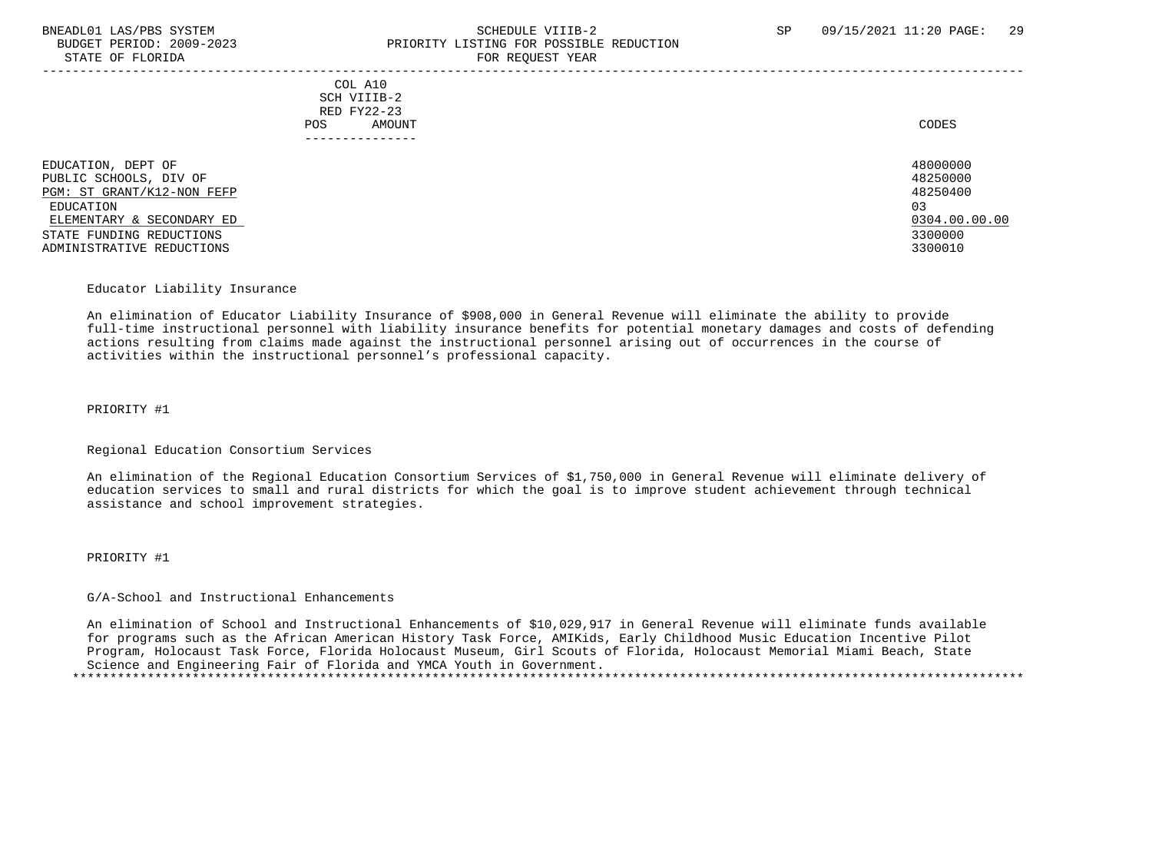# BNEADL01 LAS/PBS SYSTEM SCHEDULE VIIIB-2 SCHEDULE VIIIB-2 SP 09/15/2021 11:20 PAGE: 29 BUDGET PERIOD: 2009-2023 PRIORITY LISTING FOR POSSIBLE REDUCTION STATE OF FLORIDA FOR STATE OF  $\sim$  FOR REQUEST YEAR

-----------------------------------------------------------------------------------------------------------------------------------

 COL A10 SCH VIIIB-2 RED FY22-23 POS AMOUNT NOTES AND AND A RESERVE AND A RESERVE AND LODGED AND LODGED AND LODGED AND LODGED AND LODGED AND LODGED AT A LODGED AND LODGED AT A LODGED AND LODGED AT A LODGED AND LODGED AT A LODGED AND LODGED AT A LODGED AND ---------------

EDUCATION, DEPT OF 480000000<br>PUBLIC SCHOOLS. DIV OF 48250000 PUBLIC SCHOOLS, DIV OF 48250000<br>PGM: ST GRANT/K12-NON FEFP 48250400  $PGM: ST GRANT/K12-NON FEFF$  EDUCATION 03 ELEMENTARY & SECONDARY ED 0304.00.00.00 \_\_\_\_\_\_\_\_\_\_\_\_\_\_\_\_\_\_\_\_\_\_\_\_\_\_ \_\_\_\_\_\_\_\_\_\_\_\_\_ STATE FUNDING REDUCTIONS ADMINISTRATIVE REDUCTIONS 3300010

#### Educator Liability Insurance

 An elimination of Educator Liability Insurance of \$908,000 in General Revenue will eliminate the ability to provide full-time instructional personnel with liability insurance benefits for potential monetary damages and costs of defending actions resulting from claims made against the instructional personnel arising out of occurrences in the course of activities within the instructional personnel's professional capacity.

PRIORITY #1

Regional Education Consortium Services

 An elimination of the Regional Education Consortium Services of \$1,750,000 in General Revenue will eliminate delivery of education services to small and rural districts for which the goal is to improve student achievement through technical assistance and school improvement strategies.

PRIORITY #1

G/A-School and Instructional Enhancements

 An elimination of School and Instructional Enhancements of \$10,029,917 in General Revenue will eliminate funds available for programs such as the African American History Task Force, AMIKids, Early Childhood Music Education Incentive Pilot Program, Holocaust Task Force, Florida Holocaust Museum, Girl Scouts of Florida, Holocaust Memorial Miami Beach, State Science and Engineering Fair of Florida and YMCA Youth in Government. \*\*\*\*\*\*\*\*\*\*\*\*\*\*\*\*\*\*\*\*\*\*\*\*\*\*\*\*\*\*\*\*\*\*\*\*\*\*\*\*\*\*\*\*\*\*\*\*\*\*\*\*\*\*\*\*\*\*\*\*\*\*\*\*\*\*\*\*\*\*\*\*\*\*\*\*\*\*\*\*\*\*\*\*\*\*\*\*\*\*\*\*\*\*\*\*\*\*\*\*\*\*\*\*\*\*\*\*\*\*\*\*\*\*\*\*\*\*\*\*\*\*\*\*\*\*\*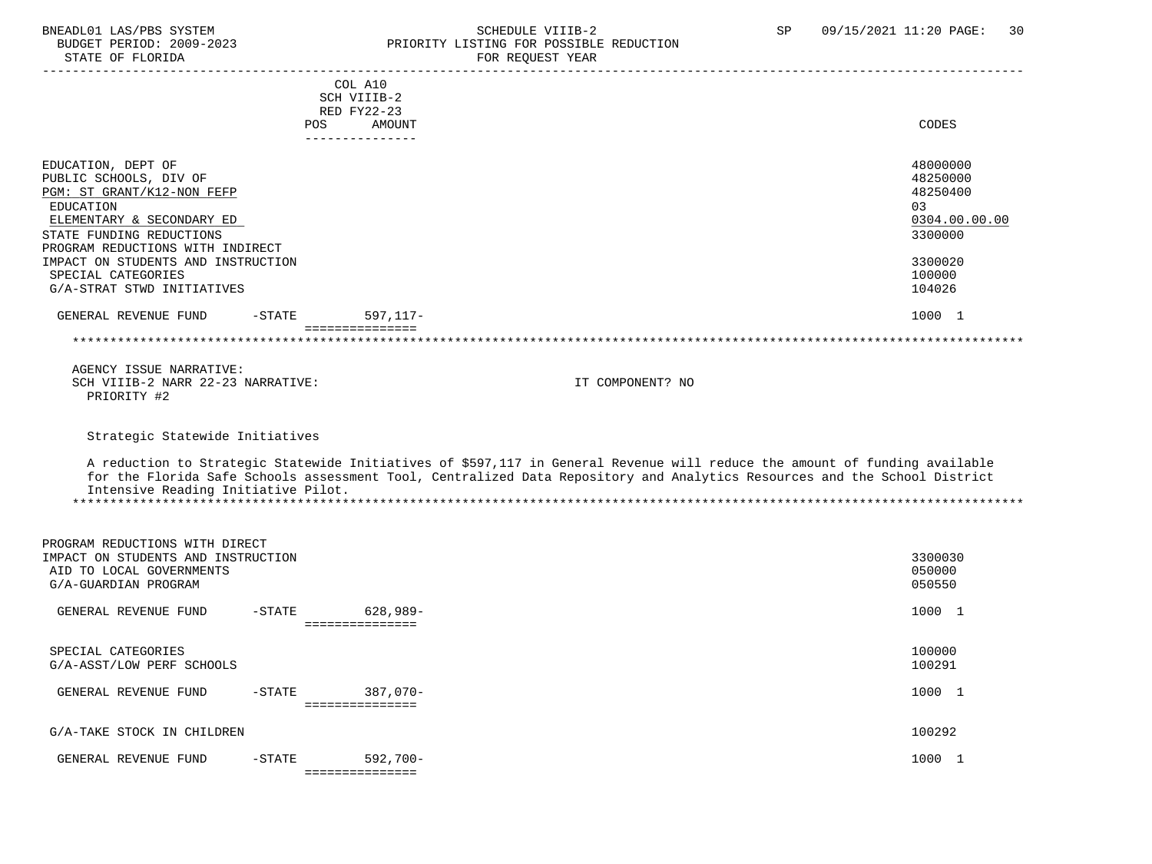# BNEADL01 LAS/PBS SYSTEM SCHEDULE VIIIB-2 SP 09/15/2021 11:20 PAGE: 30 BUDGET PERIOD: 2009-2023 PRIORITY LISTING FOR POSSIBLE REDUCTION FOR REOUEST YEAR

|                                                                                                                                                                                                                                                                                | <b>POS</b> | COL A10<br>SCH VIIIB-2<br>RED FY22-23<br>AMOUNT<br>--------------- |                                                                                                                                                                                                                                                         | CODES                                                                                             |
|--------------------------------------------------------------------------------------------------------------------------------------------------------------------------------------------------------------------------------------------------------------------------------|------------|--------------------------------------------------------------------|---------------------------------------------------------------------------------------------------------------------------------------------------------------------------------------------------------------------------------------------------------|---------------------------------------------------------------------------------------------------|
| EDUCATION, DEPT OF<br>PUBLIC SCHOOLS, DIV OF<br>PGM: ST GRANT/K12-NON FEFP<br>EDUCATION<br>ELEMENTARY & SECONDARY ED<br>STATE FUNDING REDUCTIONS<br>PROGRAM REDUCTIONS WITH INDIRECT<br>IMPACT ON STUDENTS AND INSTRUCTION<br>SPECIAL CATEGORIES<br>G/A-STRAT STWD INITIATIVES |            |                                                                    |                                                                                                                                                                                                                                                         | 48000000<br>48250000<br>48250400<br>03<br>0304.00.00.00<br>3300000<br>3300020<br>100000<br>104026 |
| GENERAL REVENUE FUND                                                                                                                                                                                                                                                           | $-STATE$   | $597, 117 -$                                                       |                                                                                                                                                                                                                                                         | 1000 1                                                                                            |
|                                                                                                                                                                                                                                                                                |            | ===============                                                    |                                                                                                                                                                                                                                                         |                                                                                                   |
|                                                                                                                                                                                                                                                                                |            |                                                                    |                                                                                                                                                                                                                                                         |                                                                                                   |
| AGENCY ISSUE NARRATIVE:<br>SCH VIIIB-2 NARR 22-23 NARRATIVE:<br>PRIORITY #2                                                                                                                                                                                                    |            |                                                                    | IT COMPONENT? NO                                                                                                                                                                                                                                        |                                                                                                   |
| Strategic Statewide Initiatives<br>Intensive Reading Initiative Pilot.                                                                                                                                                                                                         |            |                                                                    | A reduction to Strategic Statewide Initiatives of \$597,117 in General Revenue will reduce the amount of funding available<br>for the Florida Safe Schools assessment Tool, Centralized Data Repository and Analytics Resources and the School District |                                                                                                   |
| PROGRAM REDUCTIONS WITH DIRECT<br>IMPACT ON STUDENTS AND INSTRUCTION<br>AID TO LOCAL GOVERNMENTS<br>G/A-GUARDIAN PROGRAM                                                                                                                                                       |            |                                                                    |                                                                                                                                                                                                                                                         | 3300030<br>050000<br>050550                                                                       |
| GENERAL REVENUE FUND                                                                                                                                                                                                                                                           | $-$ STATE  | 628,989-<br>===============                                        |                                                                                                                                                                                                                                                         | 1000 1                                                                                            |
| SPECIAL CATEGORIES<br>G/A-ASST/LOW PERF SCHOOLS                                                                                                                                                                                                                                |            |                                                                    |                                                                                                                                                                                                                                                         | 100000<br>100291                                                                                  |
| GENERAL REVENUE FUND                                                                                                                                                                                                                                                           | $-$ STATE  | 387,070-<br>===============                                        |                                                                                                                                                                                                                                                         | 1000 1                                                                                            |
| G/A-TAKE STOCK IN CHILDREN                                                                                                                                                                                                                                                     |            |                                                                    |                                                                                                                                                                                                                                                         | 100292                                                                                            |
| GENERAL REVENUE FUND                                                                                                                                                                                                                                                           | $-STATE$   | $592,700-$<br>===============                                      |                                                                                                                                                                                                                                                         | 1000 1                                                                                            |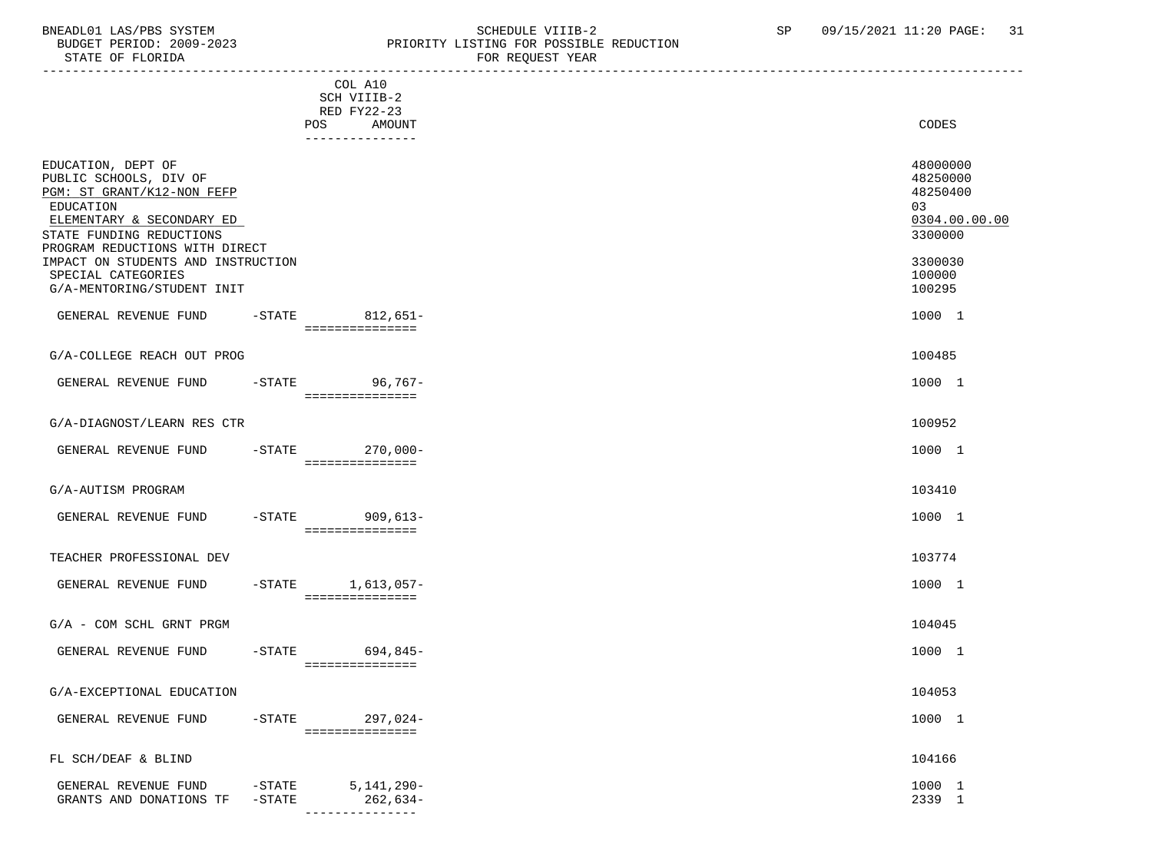# BNEADL01 LAS/PBS SYSTEM SCHEDULE VIIIB-2 SCHEDULE VIIIB-2 SP 09/15/2021 11:20 PAGE: 31 BUDGET PERIOD: 2009-2023 PRIORITY LISTING FOR POSSIBLE REDUCTION<br>FOR REQUEST YEAR FOR REQUEST YEAR

|                                                                                                                                                                                                                          |                      | COL A10                                  |                                                                               |
|--------------------------------------------------------------------------------------------------------------------------------------------------------------------------------------------------------------------------|----------------------|------------------------------------------|-------------------------------------------------------------------------------|
|                                                                                                                                                                                                                          |                      | SCH VIIIB-2                              |                                                                               |
|                                                                                                                                                                                                                          |                      | RED FY22-23                              |                                                                               |
|                                                                                                                                                                                                                          |                      | POS AMOUNT<br>----------------           | CODES                                                                         |
| EDUCATION, DEPT OF<br>PUBLIC SCHOOLS, DIV OF<br>PGM: ST GRANT/K12-NON FEFP<br>EDUCATION<br>ELEMENTARY & SECONDARY ED<br>STATE FUNDING REDUCTIONS<br>PROGRAM REDUCTIONS WITH DIRECT<br>IMPACT ON STUDENTS AND INSTRUCTION |                      |                                          | 48000000<br>48250000<br>48250400<br>03<br>0304.00.00.00<br>3300000<br>3300030 |
| SPECIAL CATEGORIES                                                                                                                                                                                                       |                      |                                          | 100000                                                                        |
| G/A-MENTORING/STUDENT INIT                                                                                                                                                                                               |                      |                                          | 100295                                                                        |
| GENERAL REVENUE FUND                                                                                                                                                                                                     |                      | -STATE 812,651-<br>================      | 1000 1                                                                        |
|                                                                                                                                                                                                                          |                      |                                          |                                                                               |
| G/A-COLLEGE REACH OUT PROG                                                                                                                                                                                               |                      |                                          | 100485                                                                        |
| GENERAL REVENUE FUND                                                                                                                                                                                                     |                      | -STATE 96,767-<br>================       | 1000 1                                                                        |
| G/A-DIAGNOST/LEARN RES CTR                                                                                                                                                                                               |                      |                                          | 100952                                                                        |
| GENERAL REVENUE FUND                                                                                                                                                                                                     |                      | -STATE 270,000-<br>================      | 1000 1                                                                        |
| G/A-AUTISM PROGRAM                                                                                                                                                                                                       |                      |                                          | 103410                                                                        |
| GENERAL REVENUE FUND                                                                                                                                                                                                     |                      | -STATE 909,613-<br>================      | 1000 1                                                                        |
| TEACHER PROFESSIONAL DEV                                                                                                                                                                                                 |                      |                                          | 103774                                                                        |
| GENERAL REVENUE FUND                                                                                                                                                                                                     |                      | $-STATE$ 1,613,057-<br>- =============== | 1000 1                                                                        |
| $G/A$ - COM SCHL GRNT PRGM                                                                                                                                                                                               |                      |                                          | 104045                                                                        |
| GENERAL REVENUE FUND -STATE 694,845-                                                                                                                                                                                     |                      | ===============                          | 1000 1                                                                        |
| G/A-EXCEPTIONAL EDUCATION                                                                                                                                                                                                |                      |                                          | 104053                                                                        |
| GENERAL REVENUE FUND                                                                                                                                                                                                     | $-$ STATE            | $297,024-$<br>===============            | 1000 1                                                                        |
| FL SCH/DEAF & BLIND                                                                                                                                                                                                      |                      |                                          | 104166                                                                        |
| GENERAL REVENUE FUND<br>GRANTS AND DONATIONS TF                                                                                                                                                                          | $-STATE$<br>$-STATE$ | $5,141,290-$<br>$262,634-$               | 1000 1<br>2339 1                                                              |

---------------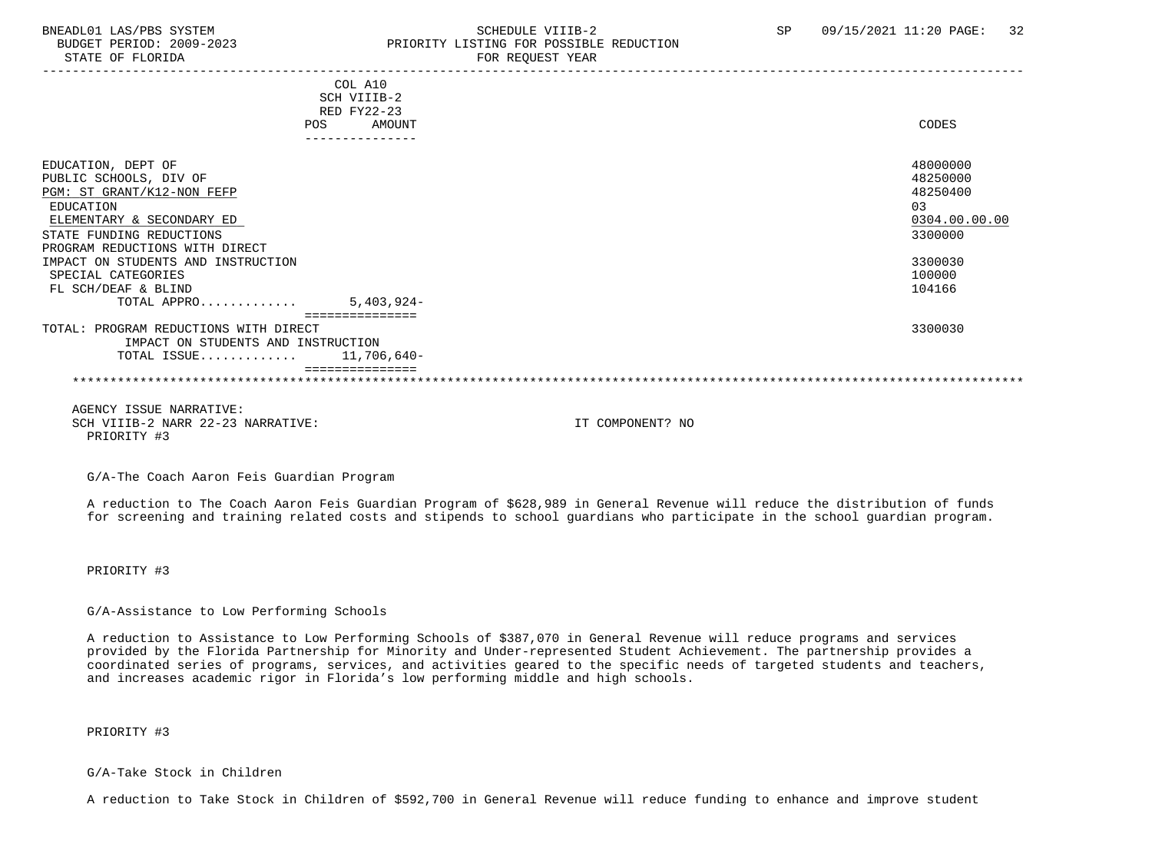BUDGET PERIOD: 2009-2023 PRIORITY LISTING FOR POSSIBLE REDUCTION STATE OF FLORIDA FOR REQUEST YEAR FOR REQUEST YEAR ----------------------------------------------------------------------------------------------------------------------------------- COL A10 SCH VIIIB-2 RED FY22-23 POS AMOUNT NOTES AND AND A RESERVE AND A RESERVE AND LODGED AND LODGED AND LODGED AND LODGED AND LODGED AND LODGED AT A LODGED AND LODGED AT A LODGED AND LODGED AT A LODGED AND LODGED AT A LODGED AND LODGED AT A LODGED AND --------------- EDUCATION, DEPT OF 48000000 PUBLIC SCHOOLS, DIV OF 48250000<br>PGM: ST GRANT/K12-NON FEFP 48250400 PGM: ST GRANT/K12-NON FEFP EDUCATION 03 ELEMENTARY & SECONDARY ED 0304.00.00.00 \_\_\_\_\_\_\_\_\_\_\_\_\_\_\_\_\_\_\_\_\_\_\_\_\_\_ \_\_\_\_\_\_\_\_\_\_\_\_\_ STATE FUNDING REDUCTIONS PROGRAM REDUCTIONS WITH DIRECT IMPACT ON STUDENTS AND INSTRUCTION 3300030<br>SPECIAL CATEGORIES 300000 SPECIAL CATEGORIES 100000 PHOTOS SERVICES AND SERVICES AND SERVICES AND SERVICES AND SERVICES AND SERVICES AND SERVICES AND SERVICES AND SERVICES AND SERVICES AND SERVICES AND SERVICES AND SERVICES AND SERVICE SERVICES AND FL SCH/DEAF & BLIND TOTAL APPRO............. 5,403,924- =============== TOTAL: PROGRAM REDUCTIONS WITH DIRECT 3300030 IMPACT ON STUDENTS AND INSTRUCTION TOTAL ISSUE............. 11,706,640- =============== \*\*\*\*\*\*\*\*\*\*\*\*\*\*\*\*\*\*\*\*\*\*\*\*\*\*\*\*\*\*\*\*\*\*\*\*\*\*\*\*\*\*\*\*\*\*\*\*\*\*\*\*\*\*\*\*\*\*\*\*\*\*\*\*\*\*\*\*\*\*\*\*\*\*\*\*\*\*\*\*\*\*\*\*\*\*\*\*\*\*\*\*\*\*\*\*\*\*\*\*\*\*\*\*\*\*\*\*\*\*\*\*\*\*\*\*\*\*\*\*\*\*\*\*\*\*\* AGENCY ISSUE NARRATIVE:

SCH VIIIB-2 NARR 22-23 NARRATIVE: IT COMPONENT? NO PRIORITY #3

G/A-The Coach Aaron Feis Guardian Program

 A reduction to The Coach Aaron Feis Guardian Program of \$628,989 in General Revenue will reduce the distribution of funds for screening and training related costs and stipends to school guardians who participate in the school guardian program.

PRIORITY #3

#### G/A-Assistance to Low Performing Schools

 A reduction to Assistance to Low Performing Schools of \$387,070 in General Revenue will reduce programs and services provided by the Florida Partnership for Minority and Under-represented Student Achievement. The partnership provides a coordinated series of programs, services, and activities geared to the specific needs of targeted students and teachers, and increases academic rigor in Florida's low performing middle and high schools.

PRIORITY #3

#### G/A-Take Stock in Children

A reduction to Take Stock in Children of \$592,700 in General Revenue will reduce funding to enhance and improve student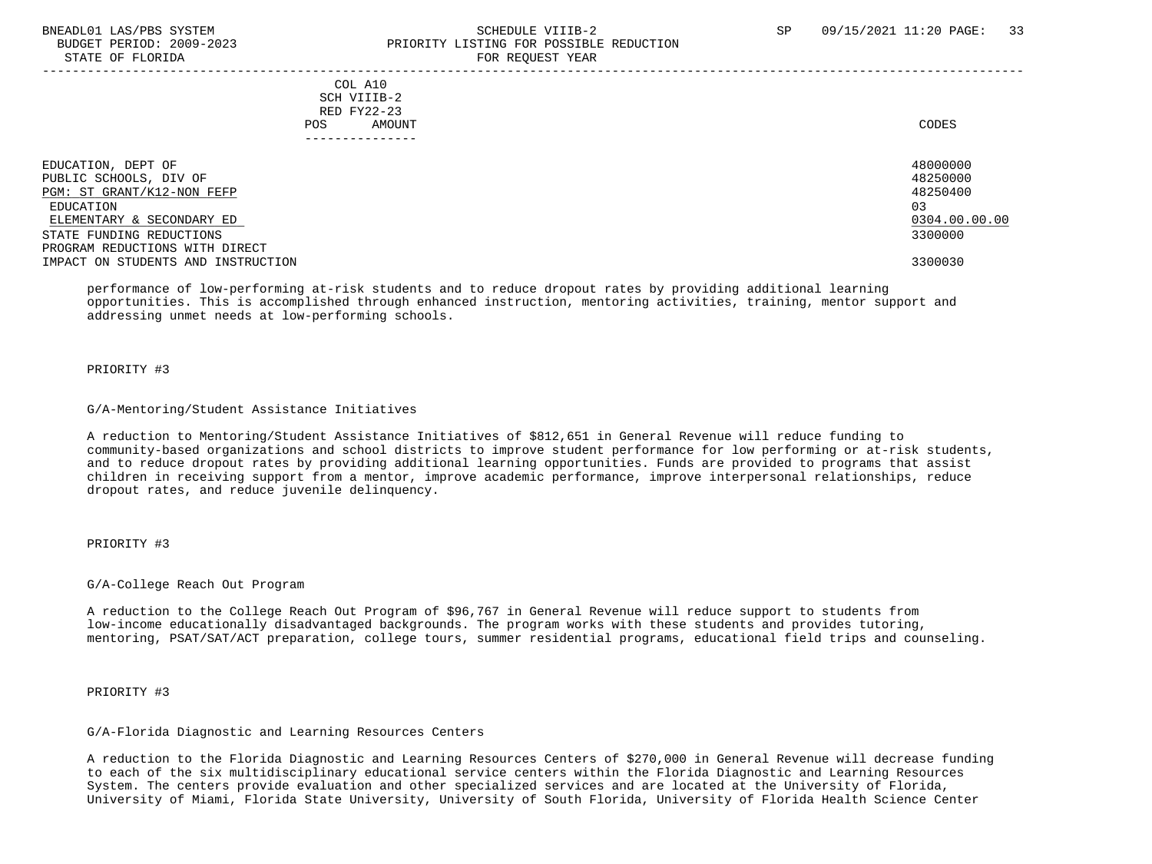# BNEADL01 LAS/PBS SYSTEM SCHEDULE VIIIB-2 SCHEDULE VIIIB-2 SP 09/15/2021 11:20 PAGE: 33 BUDGET PERIOD: 2009-2023 PRIORITY LISTING FOR POSSIBLE REDUCTION STATE OF FLORIDA FOR STATE OF  $\sim$  FOR REQUEST YEAR

-----------------------------------------------------------------------------------------------------------------------------------

 COL A10 SCH VIIIB-2 RED FY22-23<br>POS AMOUI POS AMOUNT NOTES AND AND A RESERVE AND A RESERVE AND LODGED AND LODGED AND LODGED AND LODGED AND LODGED AND LODGED AT A LODGED AND LODGED AT A LODGED AND LODGED AT A LODGED AND LODGED AT A LODGED AND LODGED AT A LODGED AND ---------------

| EDUCATION, DEPT OF                 | 48000000      |
|------------------------------------|---------------|
| PUBLIC SCHOOLS, DIV OF             | 48250000      |
| PGM: ST GRANT/K12-NON FEFP         | 48250400      |
| EDUCATION                          | 03            |
| ELEMENTARY & SECONDARY ED          | 0304.00.00.00 |
| STATE FUNDING REDUCTIONS           | 3300000       |
| PROGRAM REDUCTIONS WITH DIRECT     |               |
| IMPACT ON STUDENTS AND INSTRUCTION | 3300030       |

 performance of low-performing at-risk students and to reduce dropout rates by providing additional learning opportunities. This is accomplished through enhanced instruction, mentoring activities, training, mentor support and addressing unmet needs at low-performing schools.

PRIORITY #3

#### G/A-Mentoring/Student Assistance Initiatives

 A reduction to Mentoring/Student Assistance Initiatives of \$812,651 in General Revenue will reduce funding to community-based organizations and school districts to improve student performance for low performing or at-risk students, and to reduce dropout rates by providing additional learning opportunities. Funds are provided to programs that assist children in receiving support from a mentor, improve academic performance, improve interpersonal relationships, reduce dropout rates, and reduce juvenile delinquency.

# PRIORITY #3

G/A-College Reach Out Program

 A reduction to the College Reach Out Program of \$96,767 in General Revenue will reduce support to students from low-income educationally disadvantaged backgrounds. The program works with these students and provides tutoring, mentoring, PSAT/SAT/ACT preparation, college tours, summer residential programs, educational field trips and counseling.

PRIORITY #3

# G/A-Florida Diagnostic and Learning Resources Centers

 A reduction to the Florida Diagnostic and Learning Resources Centers of \$270,000 in General Revenue will decrease funding to each of the six multidisciplinary educational service centers within the Florida Diagnostic and Learning Resources System. The centers provide evaluation and other specialized services and are located at the University of Florida, University of Miami, Florida State University, University of South Florida, University of Florida Health Science Center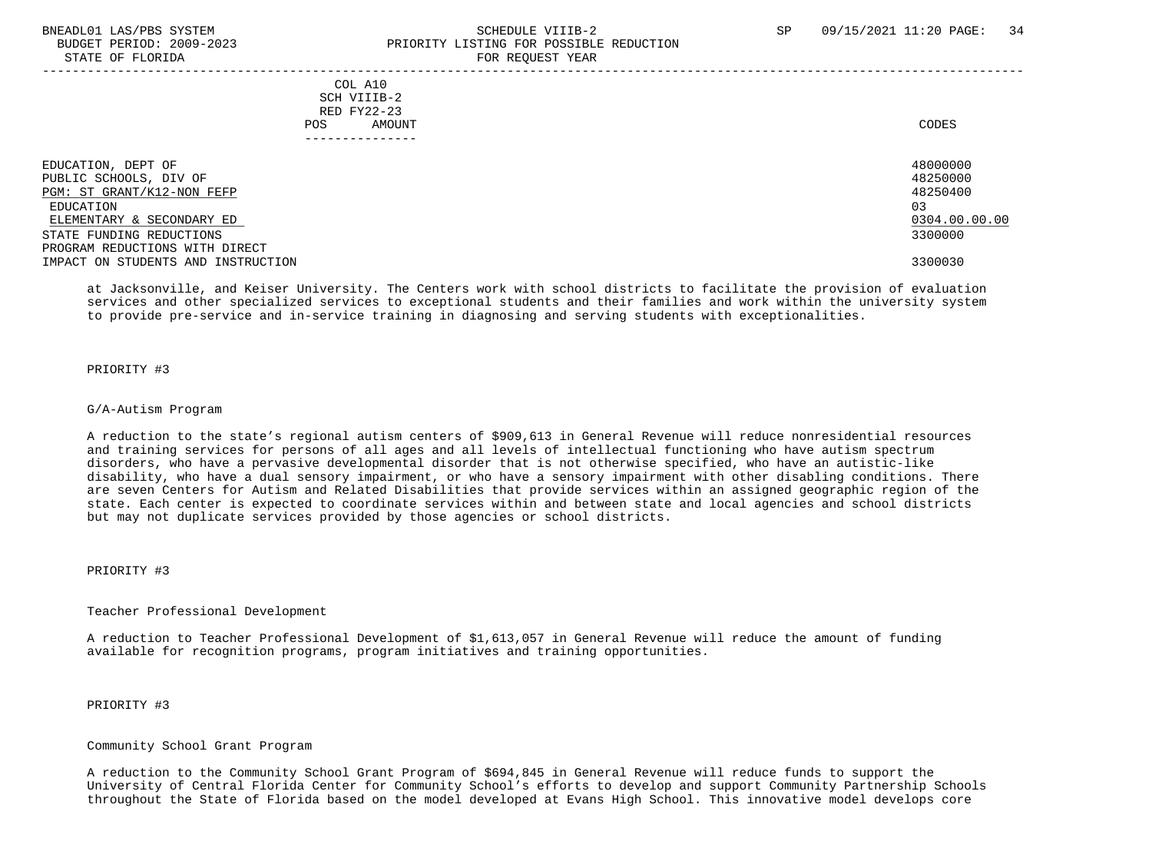#### BNEADL01 LAS/PBS SYSTEM SCHEDULE VIIIB-2 SCHEDULE VIIIB-2 SP 09/15/2021 11:20 PAGE: 34 BUDGET PERIOD: 2009-2023 PRIORITY LISTING FOR POSSIBLE REDUCTION STATE OF FLORIDA FOR STATE OF  $\sim$  FOR REQUEST YEAR -----------------------------------------------------------------------------------------------------------------------------------

## COL A10 SCH VIIIB-2 RED FY22-23 POS AMOUNT NOTES AND AND A RESERVE AND A RESERVE AND LODGED AND LODGED AND LODGED AND LODGED AND LODGED AND LODGED AT A LODGED AND LODGED AT A LODGED AND LODGED AT A LODGED AND LODGED AT A LODGED AND LODGED AT A LODGED AND ---------------

| EDUCATION, DEPT OF                 | 48000000      |
|------------------------------------|---------------|
| PUBLIC SCHOOLS, DIV OF             | 48250000      |
| PGM: ST GRANT/K12-NON FEFP         | 48250400      |
| EDUCATION                          | 03            |
| ELEMENTARY & SECONDARY ED          | 0304.00.00.00 |
| STATE FUNDING REDUCTIONS           | 3300000       |
| PROGRAM REDUCTIONS WITH DIRECT     |               |
| IMPACT ON STUDENTS AND INSTRUCTION | 3300030       |

 at Jacksonville, and Keiser University. The Centers work with school districts to facilitate the provision of evaluation services and other specialized services to exceptional students and their families and work within the university system to provide pre-service and in-service training in diagnosing and serving students with exceptionalities.

#### PRIORITY #3

#### G/A-Autism Program

 A reduction to the state's regional autism centers of \$909,613 in General Revenue will reduce nonresidential resources and training services for persons of all ages and all levels of intellectual functioning who have autism spectrum disorders, who have a pervasive developmental disorder that is not otherwise specified, who have an autistic-like disability, who have a dual sensory impairment, or who have a sensory impairment with other disabling conditions. There are seven Centers for Autism and Related Disabilities that provide services within an assigned geographic region of the state. Each center is expected to coordinate services within and between state and local agencies and school districts but may not duplicate services provided by those agencies or school districts.

## PRIORITY #3

#### Teacher Professional Development

 A reduction to Teacher Professional Development of \$1,613,057 in General Revenue will reduce the amount of funding available for recognition programs, program initiatives and training opportunities.

# PRIORITY #3

#### Community School Grant Program

 A reduction to the Community School Grant Program of \$694,845 in General Revenue will reduce funds to support the University of Central Florida Center for Community School's efforts to develop and support Community Partnership Schools throughout the State of Florida based on the model developed at Evans High School. This innovative model develops core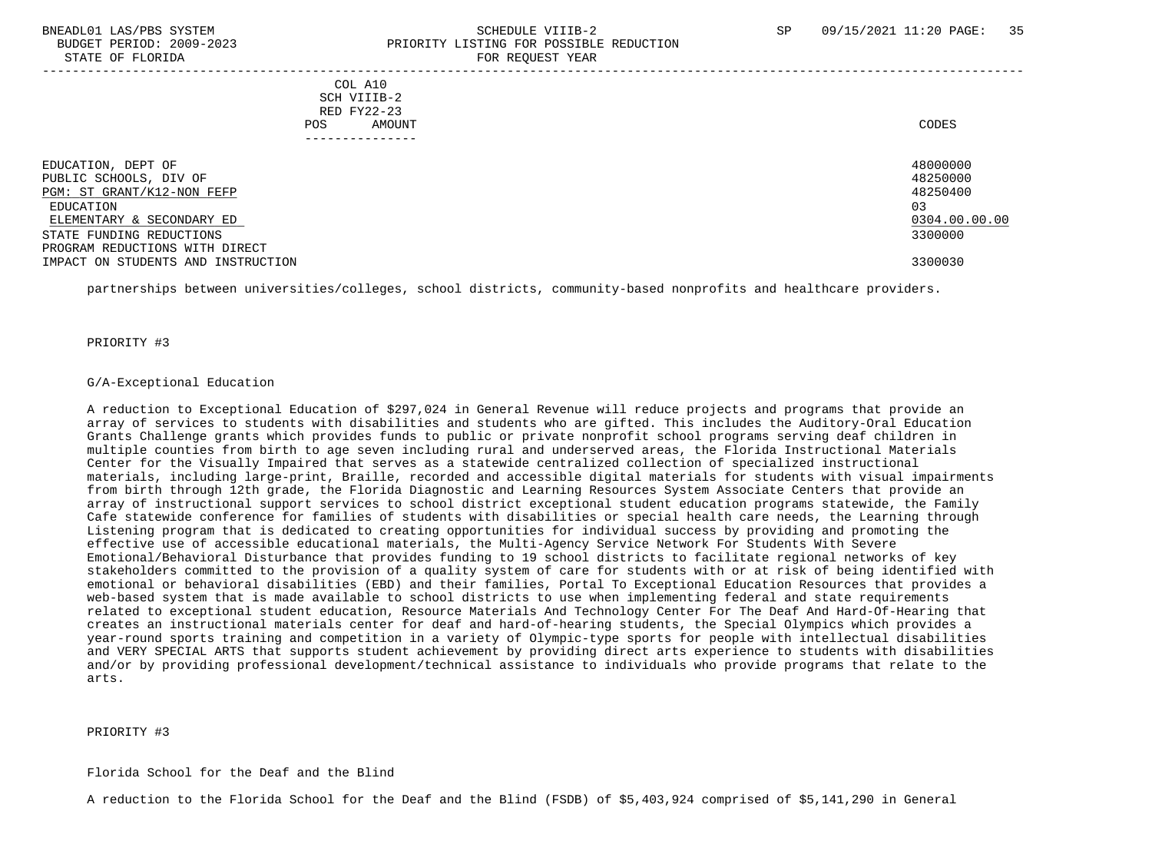#### BNEADL01 LAS/PBS SYSTEM SCHEDULE VIIIB-2 SCHEDULE VIIIB-2 SP 09/15/2021 11:20 PAGE: 35 BUDGET PERIOD: 2009-2023 PRIORITY LISTING FOR POSSIBLE REDUCTION STATE OF FLORIDA FOR REQUEST YEAR FOR REQUEST THAT THE REDUCT OF STATE OF STATE OF STATE OF STATE OF STATE OF STATE OF STATE OF STATE OF STATE OF STATE OF STATE OF STATE OF STATE OF STATE OF STATE OF STATE OF STATE OF STAT -----------------------------------------------------------------------------------------------------------------------------------

| COL A10<br>SCH VIIIB-2                       |                             |
|----------------------------------------------|-----------------------------|
| RED FY22-23<br>AMOUNT<br>POS                 | CODES                       |
| EDUCATION, DEPT OF<br>PUBLIC SCHOOLS, DIV OF | 480000<br>482500<br>1000001 |

| EDUCATION, DEPT OF                 | 48000000      |
|------------------------------------|---------------|
| PUBLIC SCHOOLS, DIV OF             | 48250000      |
| PGM: ST GRANT/K12-NON FEFP         | 48250400      |
| EDUCATION                          | 03            |
| ELEMENTARY & SECONDARY ED          | 0304.00.00.00 |
| STATE FUNDING REDUCTIONS           | 3300000       |
| PROGRAM REDUCTIONS WITH DIRECT     |               |
| IMPACT ON STUDENTS AND INSTRUCTION | 3300030       |

partnerships between universities/colleges, school districts, community-based nonprofits and healthcare providers.

#### PRIORITY #3

## G/A-Exceptional Education

 A reduction to Exceptional Education of \$297,024 in General Revenue will reduce projects and programs that provide an array of services to students with disabilities and students who are gifted. This includes the Auditory-Oral Education Grants Challenge grants which provides funds to public or private nonprofit school programs serving deaf children in multiple counties from birth to age seven including rural and underserved areas, the Florida Instructional Materials Center for the Visually Impaired that serves as a statewide centralized collection of specialized instructional materials, including large-print, Braille, recorded and accessible digital materials for students with visual impairments from birth through 12th grade, the Florida Diagnostic and Learning Resources System Associate Centers that provide an array of instructional support services to school district exceptional student education programs statewide, the Family Cafe statewide conference for families of students with disabilities or special health care needs, the Learning through Listening program that is dedicated to creating opportunities for individual success by providing and promoting the effective use of accessible educational materials, the Multi-Agency Service Network For Students With Severe Emotional/Behavioral Disturbance that provides funding to 19 school districts to facilitate regional networks of key stakeholders committed to the provision of a quality system of care for students with or at risk of being identified with emotional or behavioral disabilities (EBD) and their families, Portal To Exceptional Education Resources that provides a web-based system that is made available to school districts to use when implementing federal and state requirements related to exceptional student education, Resource Materials And Technology Center For The Deaf And Hard-Of-Hearing that creates an instructional materials center for deaf and hard-of-hearing students, the Special Olympics which provides a year-round sports training and competition in a variety of Olympic-type sports for people with intellectual disabilities and VERY SPECIAL ARTS that supports student achievement by providing direct arts experience to students with disabilities and/or by providing professional development/technical assistance to individuals who provide programs that relate to the arts.

#### PRIORITY #3

#### Florida School for the Deaf and the Blind

A reduction to the Florida School for the Deaf and the Blind (FSDB) of \$5,403,924 comprised of \$5,141,290 in General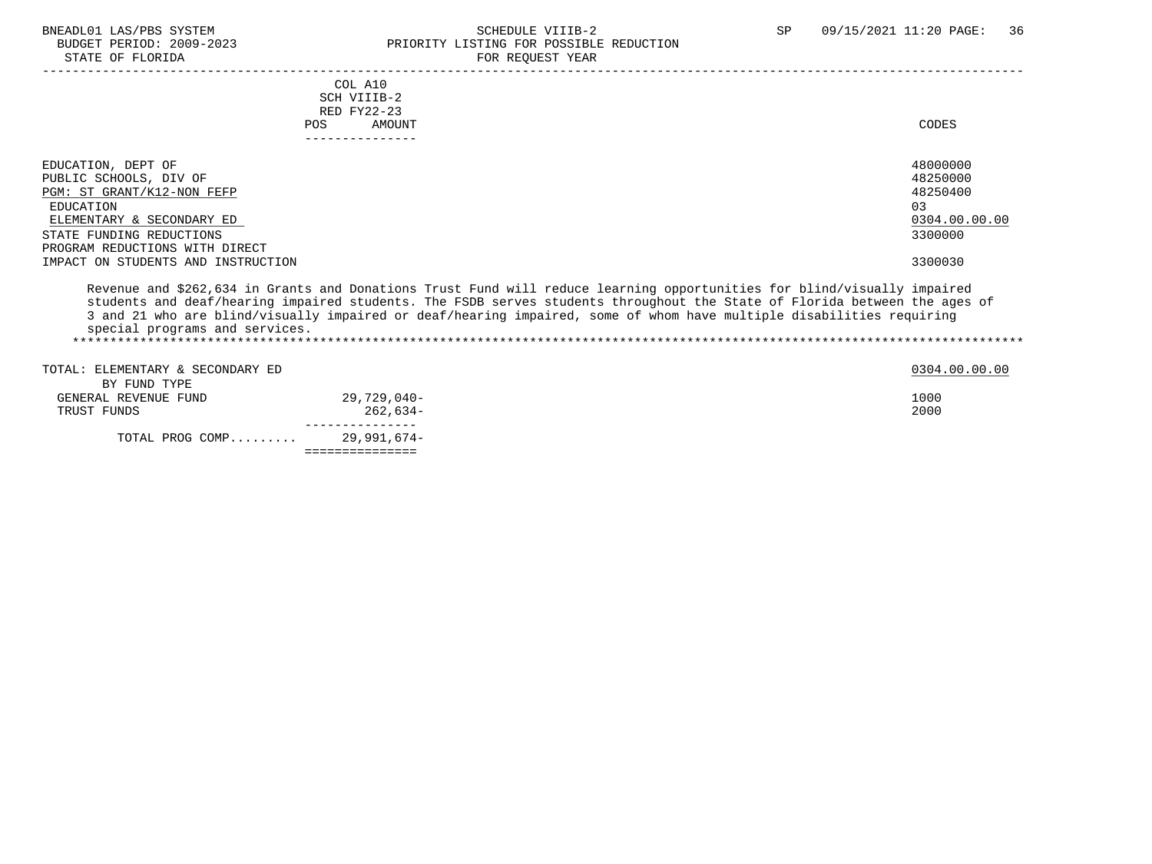# BNEADL01 LAS/PBS SYSTEM SCHEDULE VIIIB-2 SCHEDULE VIIIB-2 SP 09/15/2021 11:20 PAGE: 36<br>BUDGET PERIOD: 2009-2023 PRIORITY LISTING FOR POSSIBLE REDUCTION BUDGET PERIOD: 2009-2023 PRIORITY LISTING FOR POSSIBLE REDUCTION FOR REQUEST YEAR

| COL A10<br>SCH VIIIB-2<br>RED FY22-23<br>POS.<br>AMOUNT                                                                                                                                                                                                                                                                                                                                                        | CODES                                                                                     |
|----------------------------------------------------------------------------------------------------------------------------------------------------------------------------------------------------------------------------------------------------------------------------------------------------------------------------------------------------------------------------------------------------------------|-------------------------------------------------------------------------------------------|
| EDUCATION, DEPT OF<br>PUBLIC SCHOOLS, DIV OF<br>PGM: ST GRANT/K12-NON FEFP<br>EDUCATION<br>ELEMENTARY & SECONDARY ED<br>STATE FUNDING REDUCTIONS<br>PROGRAM REDUCTIONS WITH DIRECT<br>IMPACT ON STUDENTS AND INSTRUCTION                                                                                                                                                                                       | 48000000<br>48250000<br>48250400<br>0 <sub>3</sub><br>0304.00.00.00<br>3300000<br>3300030 |
| Revenue and \$262,634 in Grants and Donations Trust Fund will reduce learning opportunities for blind/visually impaired<br>students and deaf/hearing impaired students. The FSDB serves students throughout the State of Florida between the ages of<br>3 and 21 who are blind/visually impaired or deaf/hearing impaired, some of whom have multiple disabilities requiring<br>special programs and services. |                                                                                           |

| TOTAL PROG COMP                      | 29,991,674- |               |
|--------------------------------------|-------------|---------------|
| TRUST FUNDS                          | $262.634-$  | 2000          |
| BY FUND TYPE<br>GENERAL REVENUE FUND | 29,729,040- | 1000          |
|                                      |             | 0304.00.00.00 |
| TOTAL: ELEMENTARY & SECONDARY ED     |             |               |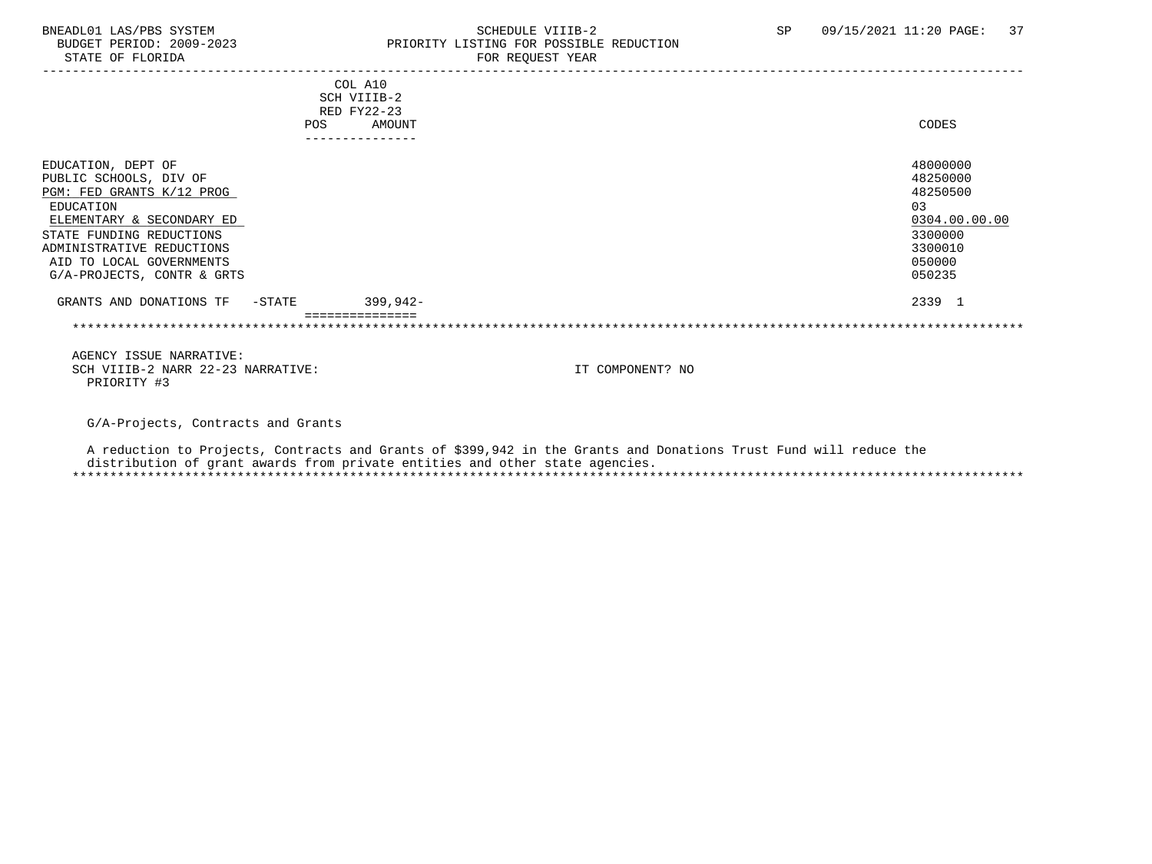### BNEADL01 LAS/PBS SYSTEM SCHEDULE VIIIB-2 SCHEDULE VIIIB-2 SP 09/15/2021 11:20 PAGE: 37<br>BUDGET PERIOD: 2009-2023 PRIORITY LISTING FOR POSSIBLE REDUCTION BUDGET PERIOD: 2009-2023 PRIORITY LISTING FOR POSSIBLE REDUCTION<br>FOR REQUEST YEAR FOR REQUEST YEAR

| COL A10                                                                                                           |                  |               |
|-------------------------------------------------------------------------------------------------------------------|------------------|---------------|
| SCH VIIIB-2                                                                                                       |                  |               |
| RED FY22-23                                                                                                       |                  |               |
| AMOUNT<br><b>POS</b>                                                                                              |                  | CODES         |
| ---------------                                                                                                   |                  |               |
| EDUCATION, DEPT OF                                                                                                |                  | 48000000      |
| PUBLIC SCHOOLS, DIV OF                                                                                            |                  | 48250000      |
| PGM: FED GRANTS K/12 PROG                                                                                         |                  | 48250500      |
| EDUCATION                                                                                                         |                  | 03            |
| ELEMENTARY & SECONDARY ED                                                                                         |                  | 0304.00.00.00 |
| STATE FUNDING REDUCTIONS                                                                                          |                  | 3300000       |
| ADMINISTRATIVE REDUCTIONS                                                                                         |                  | 3300010       |
| AID TO LOCAL GOVERNMENTS                                                                                          |                  | 050000        |
| G/A-PROJECTS, CONTR & GRTS                                                                                        |                  | 050235        |
|                                                                                                                   |                  |               |
| $399,942-$<br>GRANTS AND DONATIONS TF<br>-STATE                                                                   |                  | 2339 1        |
|                                                                                                                   |                  |               |
|                                                                                                                   |                  |               |
| AGENCY ISSUE NARRATIVE:                                                                                           |                  |               |
| SCH VIIIB-2 NARR 22-23 NARRATIVE:                                                                                 | IT COMPONENT? NO |               |
| PRIORITY #3                                                                                                       |                  |               |
|                                                                                                                   |                  |               |
|                                                                                                                   |                  |               |
| G/A-Projects, Contracts and Grants                                                                                |                  |               |
| A reduction to Projects, Contracts and Grants of \$399,942 in the Grants and Donations Trust Fund will reduce the |                  |               |
|                                                                                                                   |                  |               |

 distribution of grant awards from private entities and other state agencies. \*\*\*\*\*\*\*\*\*\*\*\*\*\*\*\*\*\*\*\*\*\*\*\*\*\*\*\*\*\*\*\*\*\*\*\*\*\*\*\*\*\*\*\*\*\*\*\*\*\*\*\*\*\*\*\*\*\*\*\*\*\*\*\*\*\*\*\*\*\*\*\*\*\*\*\*\*\*\*\*\*\*\*\*\*\*\*\*\*\*\*\*\*\*\*\*\*\*\*\*\*\*\*\*\*\*\*\*\*\*\*\*\*\*\*\*\*\*\*\*\*\*\*\*\*\*\*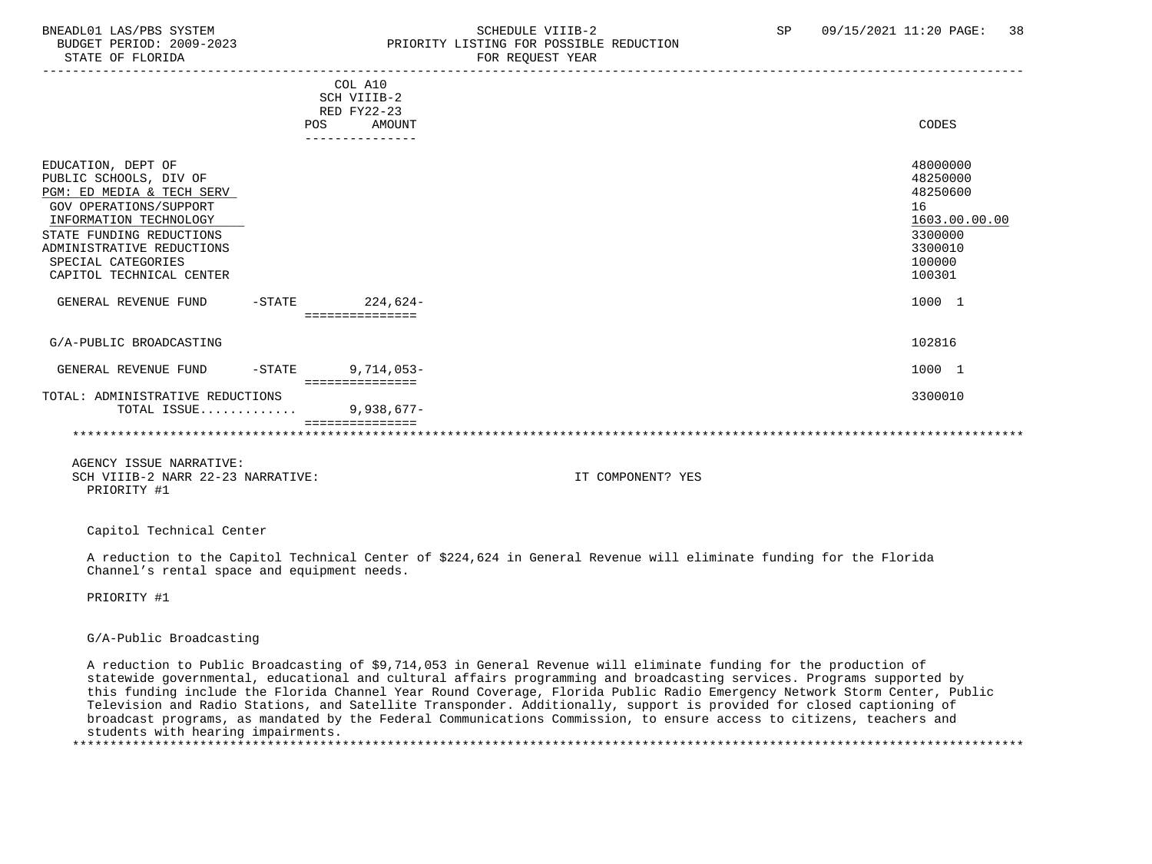### BNEADL01 LAS/PBS SYSTEM SCHEDULE VIIIB-2 SCHEDULE VIIIB-2 SP 09/15/2021 11:20 PAGE: 38 PRIORITY LISTING FOR POSSIBLE REDUCTION STATE OF FLORIDA FOR STATE OF  $\sim$  FOR REQUEST YEAR

|                                  |           | COL A10<br>SCH VIIIB-2<br><b>RED FY22-23</b><br>AMOUNT | CODES                |
|----------------------------------|-----------|--------------------------------------------------------|----------------------|
|                                  | POS       |                                                        |                      |
|                                  |           | ---------------                                        |                      |
| EDUCATION, DEPT OF               |           |                                                        | 48000000<br>48250000 |
| PUBLIC SCHOOLS, DIV OF           |           |                                                        |                      |
| PGM: ED MEDIA & TECH SERV        |           |                                                        | 48250600             |
| GOV OPERATIONS/SUPPORT           |           |                                                        | 16                   |
| INFORMATION TECHNOLOGY           |           |                                                        | 1603.00.00.00        |
| STATE FUNDING REDUCTIONS         |           |                                                        | 3300000              |
| ADMINISTRATIVE REDUCTIONS        |           |                                                        | 3300010              |
| SPECIAL CATEGORIES               |           |                                                        | 100000               |
| CAPITOL TECHNICAL CENTER         |           |                                                        | 100301               |
|                                  |           |                                                        |                      |
| GENERAL REVENUE FUND             | $-$ STATE | 224,624-                                               | 1000 1               |
|                                  |           | ===============                                        |                      |
|                                  |           |                                                        |                      |
| G/A-PUBLIC BROADCASTING          |           |                                                        | 102816               |
|                                  |           |                                                        |                      |
| GENERAL REVENUE FUND             | $-$ STATE | $9,714,053-$                                           | 1000 1               |
|                                  |           | ===============                                        |                      |
| TOTAL: ADMINISTRATIVE REDUCTIONS |           |                                                        | 3300010              |
| TOTAL ISSUE                      |           | $9,938,677-$                                           |                      |
|                                  |           |                                                        |                      |
|                                  |           |                                                        |                      |
|                                  |           |                                                        |                      |
| AGENCY ISSUE NARRATIVE:          |           |                                                        |                      |

 SCH VIIIB-2 NARR 22-23 NARRATIVE: IT COMPONENT? YES PRIORITY #1

Capitol Technical Center

 A reduction to the Capitol Technical Center of \$224,624 in General Revenue will eliminate funding for the Florida Channel's rental space and equipment needs.

PRIORITY #1

### G/A-Public Broadcasting

 A reduction to Public Broadcasting of \$9,714,053 in General Revenue will eliminate funding for the production of statewide governmental, educational and cultural affairs programming and broadcasting services. Programs supported by this funding include the Florida Channel Year Round Coverage, Florida Public Radio Emergency Network Storm Center, Public Television and Radio Stations, and Satellite Transponder. Additionally, support is provided for closed captioning of broadcast programs, as mandated by the Federal Communications Commission, to ensure access to citizens, teachers and students with hearing impairments. \*\*\*\*\*\*\*\*\*\*\*\*\*\*\*\*\*\*\*\*\*\*\*\*\*\*\*\*\*\*\*\*\*\*\*\*\*\*\*\*\*\*\*\*\*\*\*\*\*\*\*\*\*\*\*\*\*\*\*\*\*\*\*\*\*\*\*\*\*\*\*\*\*\*\*\*\*\*\*\*\*\*\*\*\*\*\*\*\*\*\*\*\*\*\*\*\*\*\*\*\*\*\*\*\*\*\*\*\*\*\*\*\*\*\*\*\*\*\*\*\*\*\*\*\*\*\*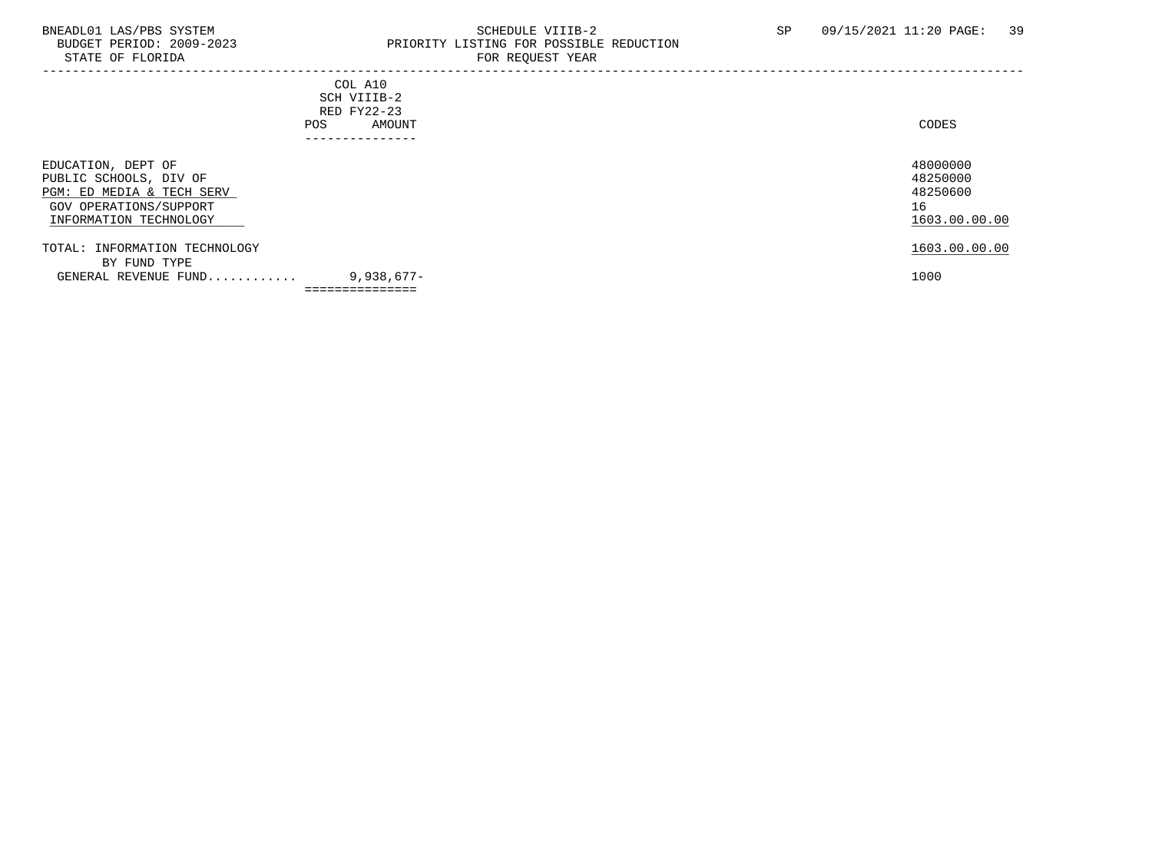### BNEADL01 LAS/PBS SYSTEM SALLE STRING THE SCHEDULE VIIIB-2 SP 09/15/2021 11:20 PAGE: 39<br>BUDGET PERIOD: 2009-2023 PRIORITY LISTING FOR POSSIBLE REDUCTION BUDGET PERIOD: 2009-2023 PRIORITY LISTING FOR POSSIBLE REDUCTION FOR REQUEST YEAR

| POS                                                                                                                           | COL A10<br>SCH VIIIB-2<br>RED FY22-23<br>AMOUNT<br>. - - - - - - - - - - - - - - | CODES                                                   |
|-------------------------------------------------------------------------------------------------------------------------------|----------------------------------------------------------------------------------|---------------------------------------------------------|
| EDUCATION, DEPT OF<br>PUBLIC SCHOOLS, DIV OF<br>PGM: ED MEDIA & TECH SERV<br>GOV OPERATIONS/SUPPORT<br>INFORMATION TECHNOLOGY |                                                                                  | 48000000<br>48250000<br>48250600<br>16<br>1603.00.00.00 |
| TOTAL: INFORMATION TECHNOLOGY<br>BY FUND TYPE                                                                                 |                                                                                  | 1603.00.00.00                                           |
| GENERAL REVENUE FUND                                                                                                          | $9,938,677-$                                                                     | 1000                                                    |
|                                                                                                                               | ===============                                                                  |                                                         |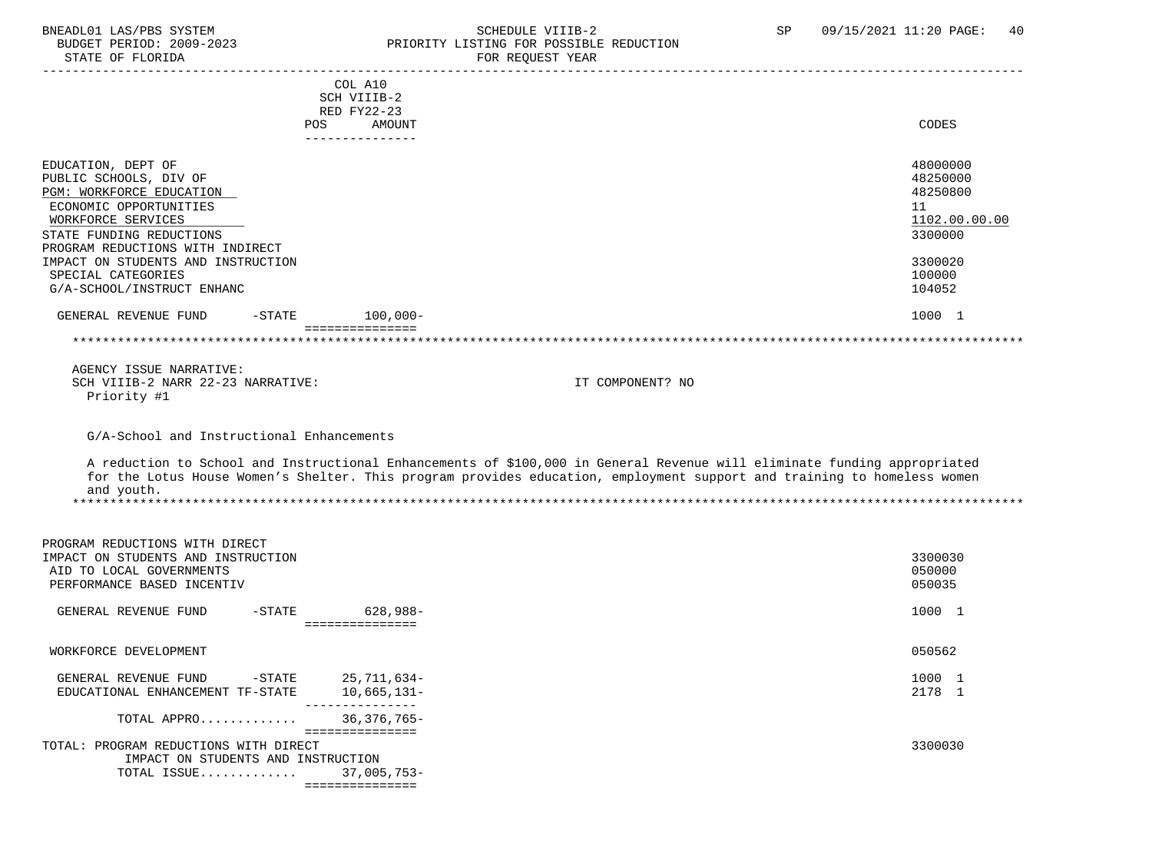### BNEADL01 LAS/PBS SYSTEM SCHEDULE VIIIB-2 SCHEDULE VIIIB-2 SP 09/15/2021 11:20 PAGE: 40 BUDGET PERIOD: 2009-2023 PRIORITY LISTING FOR POSSIBLE REDUCTION STATE OF FLORIDA FOR REQUEST YEAR

| SIAIL UP PLUKIDA                                                                                                                                                                                                                                     |                                                                                            | PUR REQUESI IEAR                                                                                                                                                                                                                                    |                                                                                                   |
|------------------------------------------------------------------------------------------------------------------------------------------------------------------------------------------------------------------------------------------------------|--------------------------------------------------------------------------------------------|-----------------------------------------------------------------------------------------------------------------------------------------------------------------------------------------------------------------------------------------------------|---------------------------------------------------------------------------------------------------|
|                                                                                                                                                                                                                                                      | COL A10<br>SCH VIIIB-2<br>RED FY22-23<br>POS<br>AMOUNT<br>---------------                  |                                                                                                                                                                                                                                                     | CODES                                                                                             |
| EDUCATION, DEPT OF<br>PUBLIC SCHOOLS, DIV OF<br>PGM: WORKFORCE EDUCATION<br>ECONOMIC OPPORTUNITIES<br>WORKFORCE SERVICES<br>STATE FUNDING REDUCTIONS<br>PROGRAM REDUCTIONS WITH INDIRECT<br>IMPACT ON STUDENTS AND INSTRUCTION<br>SPECIAL CATEGORIES |                                                                                            |                                                                                                                                                                                                                                                     | 48000000<br>48250000<br>48250800<br>11<br>1102.00.00.00<br>3300000<br>3300020<br>100000<br>104052 |
| G/A-SCHOOL/INSTRUCT ENHANC                                                                                                                                                                                                                           |                                                                                            |                                                                                                                                                                                                                                                     |                                                                                                   |
| GENERAL REVENUE FUND                                                                                                                                                                                                                                 | $-$ STATE<br>$100,000 -$<br>===============                                                |                                                                                                                                                                                                                                                     | 1000 1                                                                                            |
|                                                                                                                                                                                                                                                      |                                                                                            |                                                                                                                                                                                                                                                     |                                                                                                   |
| AGENCY ISSUE NARRATIVE:<br>SCH VIIIB-2 NARR 22-23 NARRATIVE:<br>Priority #1                                                                                                                                                                          |                                                                                            | IT COMPONENT? NO                                                                                                                                                                                                                                    |                                                                                                   |
| G/A-School and Instructional Enhancements                                                                                                                                                                                                            |                                                                                            |                                                                                                                                                                                                                                                     |                                                                                                   |
| and youth.                                                                                                                                                                                                                                           |                                                                                            | A reduction to School and Instructional Enhancements of \$100,000 in General Revenue will eliminate funding appropriated<br>for the Lotus House Women's Shelter. This program provides education, employment support and training to homeless women |                                                                                                   |
| PROGRAM REDUCTIONS WITH DIRECT<br>IMPACT ON STUDENTS AND INSTRUCTION<br>AID TO LOCAL GOVERNMENTS<br>PERFORMANCE BASED INCENTIV                                                                                                                       |                                                                                            |                                                                                                                                                                                                                                                     | 3300030<br>050000<br>050035                                                                       |
| GENERAL REVENUE FUND                                                                                                                                                                                                                                 | $-$ STATE<br>628,988-<br>===============                                                   |                                                                                                                                                                                                                                                     | 1000 1                                                                                            |
| WORKFORCE DEVELOPMENT                                                                                                                                                                                                                                |                                                                                            |                                                                                                                                                                                                                                                     | 050562                                                                                            |
| GENERAL REVENUE FUND<br>EDUCATIONAL ENHANCEMENT TF-STATE                                                                                                                                                                                             | $-$ STATE<br>25,711,634-<br>$10,665,131-$<br>_______________                               |                                                                                                                                                                                                                                                     | 1000 1<br>2178 1                                                                                  |
| TOTAL APPRO                                                                                                                                                                                                                                          | 36, 376, 765-                                                                              |                                                                                                                                                                                                                                                     |                                                                                                   |
| TOTAL: PROGRAM REDUCTIONS WITH DIRECT<br>TOTAL ISSUE                                                                                                                                                                                                 | ================<br>IMPACT ON STUDENTS AND INSTRUCTION<br>$37,005,753-$<br>=============== |                                                                                                                                                                                                                                                     | 3300030                                                                                           |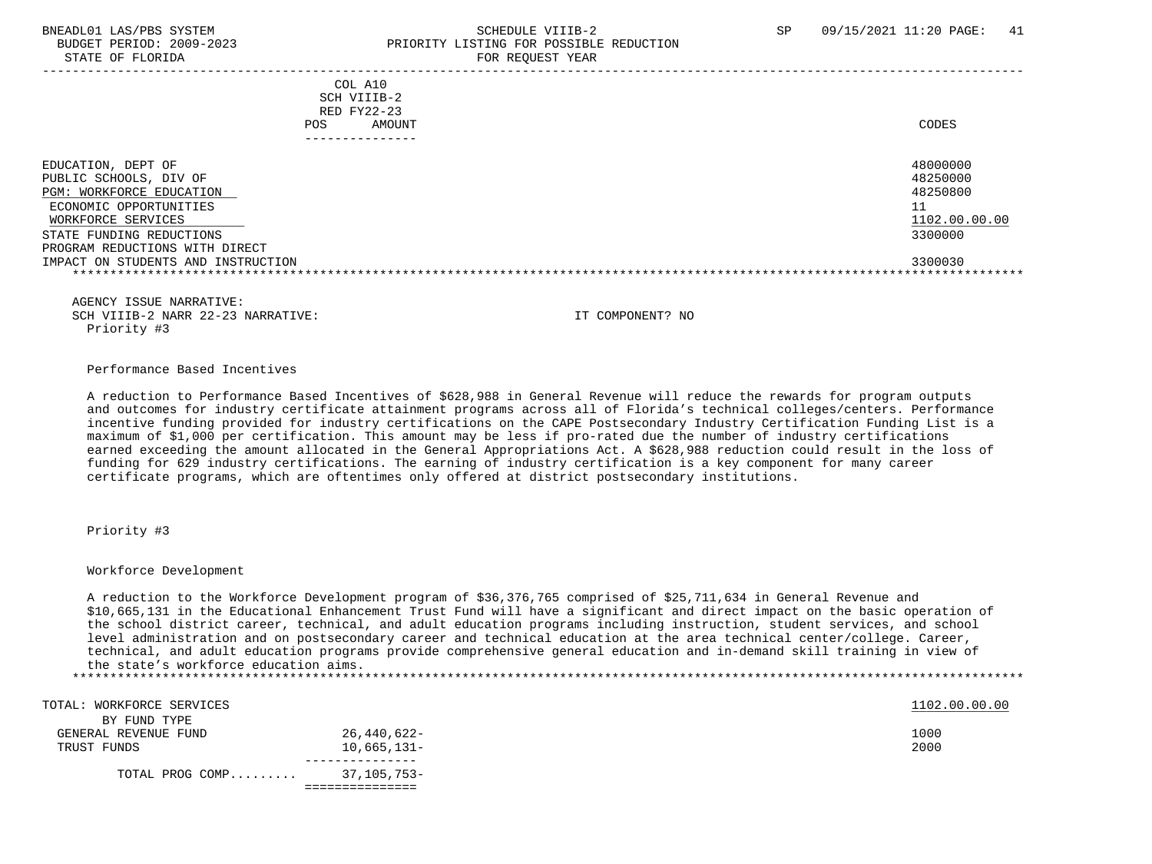### BNEADL01 LAS/PBS SYSTEM SCHEDULE VIIIB-2 SCHEDULE VIIIB-2 SP 09/15/2021 11:20 PAGE: 41 BUDGET PERIOD: 2009-2023 PRIORITY LISTING FOR POSSIBLE REDUCTION STATE OF FLORIDA FOR STATE OF  $\sim$  FOR REQUEST YEAR

| POS.                                                                                                                                                                                                                         | COL A10<br>SCH VIIIB-2<br>RED FY22-23<br>AMOUNT | CODES                                                                         |
|------------------------------------------------------------------------------------------------------------------------------------------------------------------------------------------------------------------------------|-------------------------------------------------|-------------------------------------------------------------------------------|
| EDUCATION, DEPT OF<br>PUBLIC SCHOOLS, DIV OF<br>PGM: WORKFORCE EDUCATION<br>ECONOMIC OPPORTUNITIES<br>WORKFORCE SERVICES<br>STATE FUNDING REDUCTIONS<br>PROGRAM REDUCTIONS WITH DIRECT<br>IMPACT ON STUDENTS AND INSTRUCTION |                                                 | 48000000<br>48250000<br>48250800<br>11<br>1102.00.00.00<br>3300000<br>3300030 |

 AGENCY ISSUE NARRATIVE: SCH VIIIB-2 NARR 22-23 NARRATIVE: IT COMPONENT? NO Priority #3

### Performance Based Incentives

 A reduction to Performance Based Incentives of \$628,988 in General Revenue will reduce the rewards for program outputs and outcomes for industry certificate attainment programs across all of Florida's technical colleges/centers. Performance incentive funding provided for industry certifications on the CAPE Postsecondary Industry Certification Funding List is a maximum of \$1,000 per certification. This amount may be less if pro-rated due the number of industry certifications earned exceeding the amount allocated in the General Appropriations Act. A \$628,988 reduction could result in the loss of funding for 629 industry certifications. The earning of industry certification is a key component for many career certificate programs, which are oftentimes only offered at district postsecondary institutions.

### Priority #3

### Workforce Development

 A reduction to the Workforce Development program of \$36,376,765 comprised of \$25,711,634 in General Revenue and \$10,665,131 in the Educational Enhancement Trust Fund will have a significant and direct impact on the basic operation of the school district career, technical, and adult education programs including instruction, student services, and school level administration and on postsecondary career and technical education at the area technical center/college. Career, technical, and adult education programs provide comprehensive general education and in-demand skill training in view of the state's workforce education aims. \*\*\*\*\*\*\*\*\*\*\*\*\*\*\*\*\*\*\*\*\*\*\*\*\*\*\*\*\*\*\*\*\*\*\*\*\*\*\*\*\*\*\*\*\*\*\*\*\*\*\*\*\*\*\*\*\*\*\*\*\*\*\*\*\*\*\*\*\*\*\*\*\*\*\*\*\*\*\*\*\*\*\*\*\*\*\*\*\*\*\*\*\*\*\*\*\*\*\*\*\*\*\*\*\*\*\*\*\*\*\*\*\*\*\*\*\*\*\*\*\*\*\*\*\*\*\*

| TOTAL: WORKFORCE SERVICES |               | 1102.00.00.00 |
|---------------------------|---------------|---------------|
| BY FUND TYPE              |               |               |
| GENERAL REVENUE FUND      | 26,440,622-   | 1000          |
| TRUST FUNDS               | $10,665,131-$ | 2000          |
|                           |               |               |
| TOTAL PROG COMP           | 37,105,753-   |               |
|                           |               |               |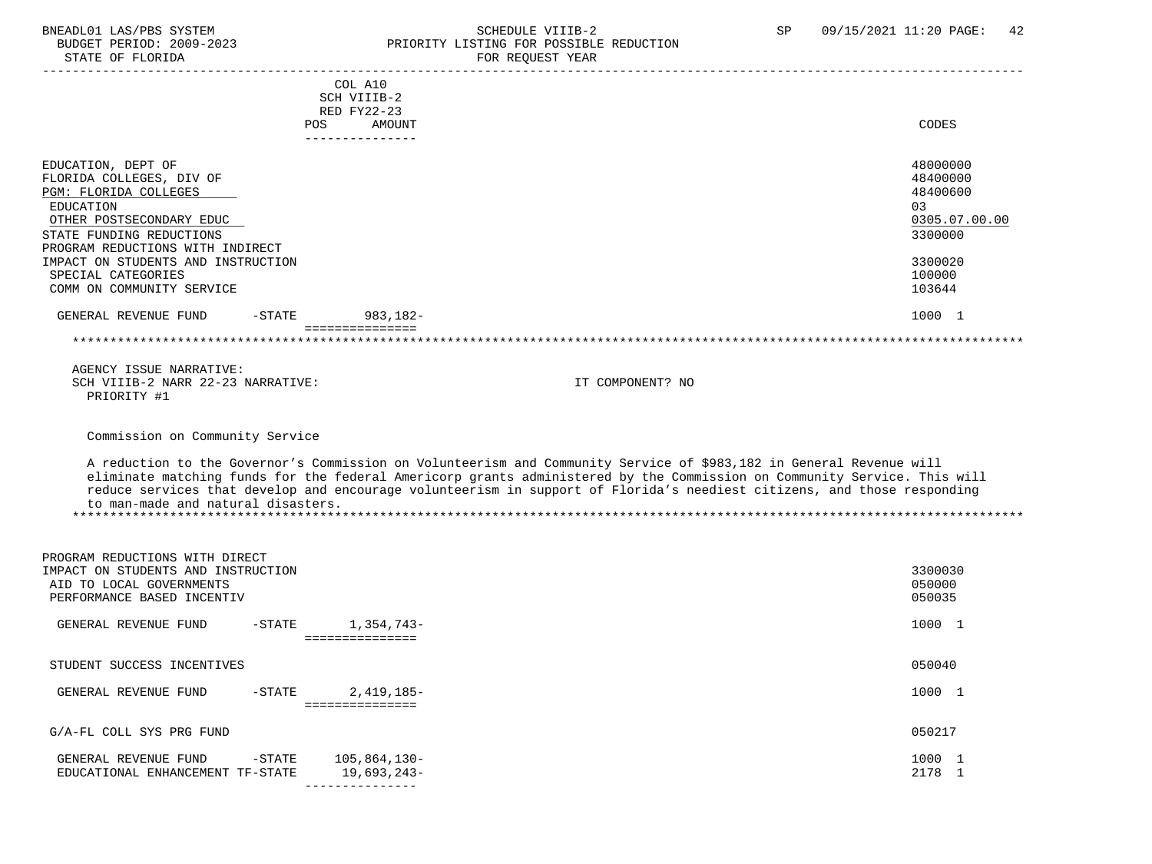### BNEADL01 LAS/PBS SYSTEM SCHEDULE VIIIB-2 SCHEDULE VIIIB-2 SP 09/15/2021 11:20 PAGE: 42 BUDGET PERIOD: 2009-2023 PRIORITY LISTING FOR POSSIBLE REDUCTION STATE OF FLORIDA FOR REQUEST YEAR

| STATE OF FLORIDA                                                                                                                                                                                                                                                          |            |                                                 | FOR REQUEST YEAR                                                                                                                                                                                                                                                                                                                                                           |                                                                                                   |
|---------------------------------------------------------------------------------------------------------------------------------------------------------------------------------------------------------------------------------------------------------------------------|------------|-------------------------------------------------|----------------------------------------------------------------------------------------------------------------------------------------------------------------------------------------------------------------------------------------------------------------------------------------------------------------------------------------------------------------------------|---------------------------------------------------------------------------------------------------|
|                                                                                                                                                                                                                                                                           | <b>POS</b> | COL A10<br>SCH VIIIB-2<br>RED FY22-23<br>AMOUNT |                                                                                                                                                                                                                                                                                                                                                                            | CODES                                                                                             |
| EDUCATION, DEPT OF<br>FLORIDA COLLEGES, DIV OF<br>PGM: FLORIDA COLLEGES<br>EDUCATION<br>OTHER POSTSECONDARY EDUC<br>STATE FUNDING REDUCTIONS<br>PROGRAM REDUCTIONS WITH INDIRECT<br>IMPACT ON STUDENTS AND INSTRUCTION<br>SPECIAL CATEGORIES<br>COMM ON COMMUNITY SERVICE |            | ---------------                                 |                                                                                                                                                                                                                                                                                                                                                                            | 48000000<br>48400000<br>48400600<br>03<br>0305.07.00.00<br>3300000<br>3300020<br>100000<br>103644 |
| GENERAL REVENUE FUND                                                                                                                                                                                                                                                      | $-$ STATE  | 983,182-                                        |                                                                                                                                                                                                                                                                                                                                                                            | 1000 1                                                                                            |
|                                                                                                                                                                                                                                                                           |            | ===============                                 |                                                                                                                                                                                                                                                                                                                                                                            |                                                                                                   |
| AGENCY ISSUE NARRATIVE:<br>SCH VIIIB-2 NARR 22-23 NARRATIVE:<br>PRIORITY #1                                                                                                                                                                                               |            |                                                 | IT COMPONENT? NO                                                                                                                                                                                                                                                                                                                                                           |                                                                                                   |
| Commission on Community Service<br>to man-made and natural disasters.                                                                                                                                                                                                     |            |                                                 | A reduction to the Governor's Commission on Volunteerism and Community Service of \$983,182 in General Revenue will<br>eliminate matching funds for the federal Americorp grants administered by the Commission on Community Service. This will<br>reduce services that develop and encourage volunteerism in support of Florida's neediest citizens, and those responding |                                                                                                   |
| PROGRAM REDUCTIONS WITH DIRECT<br>IMPACT ON STUDENTS AND INSTRUCTION<br>AID TO LOCAL GOVERNMENTS<br>PERFORMANCE BASED INCENTIV                                                                                                                                            |            |                                                 |                                                                                                                                                                                                                                                                                                                                                                            | 3300030<br>050000<br>050035                                                                       |
| GENERAL REVENUE FUND                                                                                                                                                                                                                                                      | $-STATE$   | 1,354,743-<br>===============                   |                                                                                                                                                                                                                                                                                                                                                                            | 1000 1                                                                                            |
| STUDENT SUCCESS INCENTIVES                                                                                                                                                                                                                                                |            |                                                 |                                                                                                                                                                                                                                                                                                                                                                            | 050040                                                                                            |
| GENERAL REVENUE FUND                                                                                                                                                                                                                                                      | $-$ STATE  | $2,419,185-$<br>===============                 |                                                                                                                                                                                                                                                                                                                                                                            | 1000 1                                                                                            |
| G/A-FL COLL SYS PRG FUND                                                                                                                                                                                                                                                  |            |                                                 |                                                                                                                                                                                                                                                                                                                                                                            | 050217                                                                                            |
| GENERAL REVENUE FUND<br>EDUCATIONAL ENHANCEMENT TF-STATE                                                                                                                                                                                                                  | $-$ STATE  | 105,864,130-<br>19,693,243-                     |                                                                                                                                                                                                                                                                                                                                                                            | 1000 1<br>2178 1                                                                                  |

---------------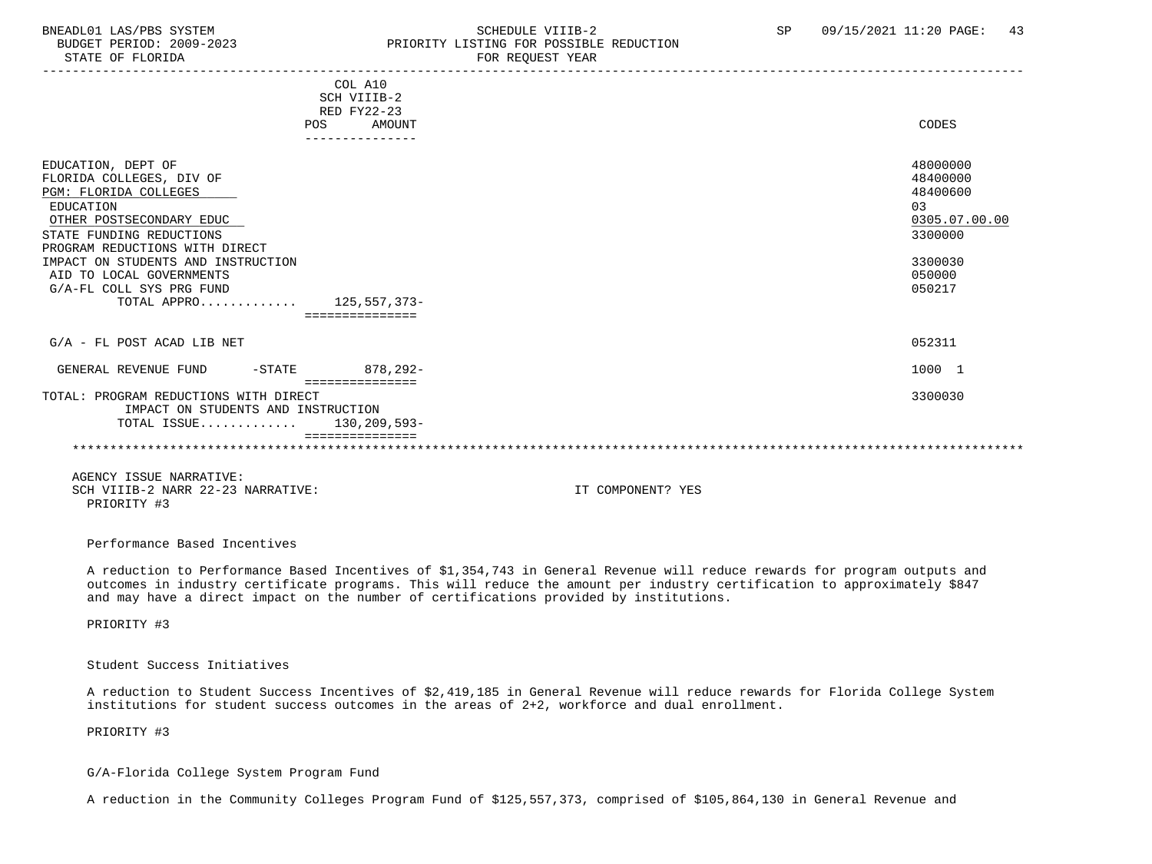STATE OF FLORIDA FOR STATE OF  $\sim$  FOR REQUEST YEAR

### BNEADL01 LAS/PBS SYSTEM SCHEDULE VIIIB-2 SCHEDULE VIIIB-2 SP 09/15/2021 11:20 PAGE: 43 PRIORITY LISTING FOR POSSIBLE REDUCTION

| COL A10<br>SCH VIIIB-2<br><b>RED FY22-23</b> |               |
|----------------------------------------------|---------------|
| POS<br>AMOUNT                                | CODES         |
| ---------------                              |               |
|                                              |               |
| EDUCATION, DEPT OF                           | 48000000      |
| FLORIDA COLLEGES, DIV OF                     | 48400000      |
| PGM: FLORIDA COLLEGES                        | 48400600      |
| EDUCATION                                    | 03            |
| OTHER POSTSECONDARY EDUC                     | 0305.07.00.00 |
| STATE FUNDING REDUCTIONS                     | 3300000       |
| PROGRAM REDUCTIONS WITH DIRECT               |               |
| IMPACT ON STUDENTS AND INSTRUCTION           | 3300030       |
| AID TO LOCAL GOVERNMENTS                     | 050000        |
| G/A-FL COLL SYS PRG FUND                     | 050217        |
| TOTAL APPRO 125,557,373-                     |               |
| ===============                              |               |
|                                              |               |
| $G/A$ - FL POST ACAD LIB NET                 | 052311        |
|                                              |               |
| 878,292-<br>GENERAL REVENUE FUND<br>-STATE   | 1000 1        |
| ----------------                             |               |
| TOTAL: PROGRAM REDUCTIONS WITH DIRECT        | 3300030       |
| IMPACT ON STUDENTS AND INSTRUCTION           |               |
| TOTAL ISSUE $130.209.593-$                   |               |
|                                              |               |
|                                              |               |

 AGENCY ISSUE NARRATIVE: SCH VIIIB-2 NARR 22-23 NARRATIVE: IT COMPONENT? YES PRIORITY #3

Performance Based Incentives

 A reduction to Performance Based Incentives of \$1,354,743 in General Revenue will reduce rewards for program outputs and outcomes in industry certificate programs. This will reduce the amount per industry certification to approximately \$847 and may have a direct impact on the number of certifications provided by institutions.

PRIORITY #3

Student Success Initiatives

 A reduction to Student Success Incentives of \$2,419,185 in General Revenue will reduce rewards for Florida College System institutions for student success outcomes in the areas of 2+2, workforce and dual enrollment.

PRIORITY #3

G/A-Florida College System Program Fund

A reduction in the Community Colleges Program Fund of \$125,557,373, comprised of \$105,864,130 in General Revenue and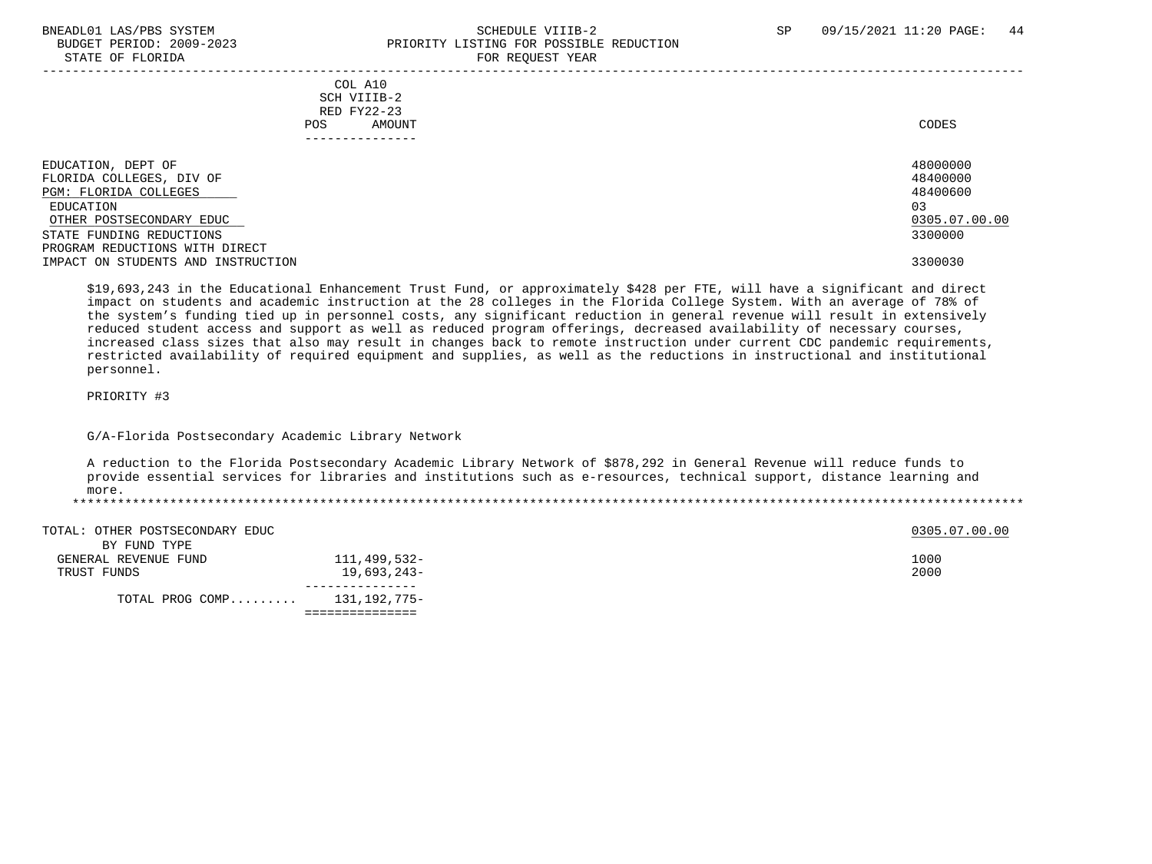### BNEADL01 LAS/PBS SYSTEM SCHEDULE VIIIB-2 SCHEDULE VIIIB-2 SP 09/15/2021 11:20 PAGE: 44 BUDGET PERIOD: 2009-2023 PRIORITY LISTING FOR POSSIBLE REDUCTION STATE OF FLORIDA FOR REQUEST YEAR FOR REQUEST THAT THE REDUCT OF STATE OF STATE OF STATE OF STATE OF STATE OF STATE OF STATE OF STATE OF STATE OF STATE OF STATE OF STATE OF STATE OF STATE OF STATE OF STATE OF STATE OF STAT

| COL A10<br>SCH VIIIB-2<br>RED FY22-23<br>AMOUNT<br>POS. | CODES         |
|---------------------------------------------------------|---------------|
| EDUCATION, DEPT OF                                      | 48000000      |
| FLORIDA COLLEGES, DIV OF                                | 48400000      |
| PGM: FLORIDA COLLEGES                                   | 48400600      |
| EDUCATION                                               | 03            |
| OTHER POSTSECONDARY EDUC                                | 0305.07.00.00 |
| STATE FUNDING REDUCTIONS                                | 3300000       |
| PROGRAM REDUCTIONS WITH DIRECT                          |               |
| IMPACT ON STUDENTS AND INSTRUCTION                      | 3300030       |

 \$19,693,243 in the Educational Enhancement Trust Fund, or approximately \$428 per FTE, will have a significant and direct impact on students and academic instruction at the 28 colleges in the Florida College System. With an average of 78% of the system's funding tied up in personnel costs, any significant reduction in general revenue will result in extensively reduced student access and support as well as reduced program offerings, decreased availability of necessary courses, increased class sizes that also may result in changes back to remote instruction under current CDC pandemic requirements, restricted availability of required equipment and supplies, as well as the reductions in instructional and institutional personnel.

PRIORITY #3

G/A-Florida Postsecondary Academic Library Network

 A reduction to the Florida Postsecondary Academic Library Network of \$878,292 in General Revenue will reduce funds to provide essential services for libraries and institutions such as e-resources, technical support, distance learning and more.

| TOTAL: OTHER POSTSECONDARY EDUC   |              | 0305.07.00.00 |
|-----------------------------------|--------------|---------------|
| BY FUND TYPE                      |              |               |
| GENERAL REVENUE FUND              | 111,499,532- | 1000          |
| TRUST FUNDS                       | 19,693,243-  | 2000          |
|                                   |              |               |
| TOTAL PROG COMP $131, 192, 775 -$ |              |               |
|                                   |              |               |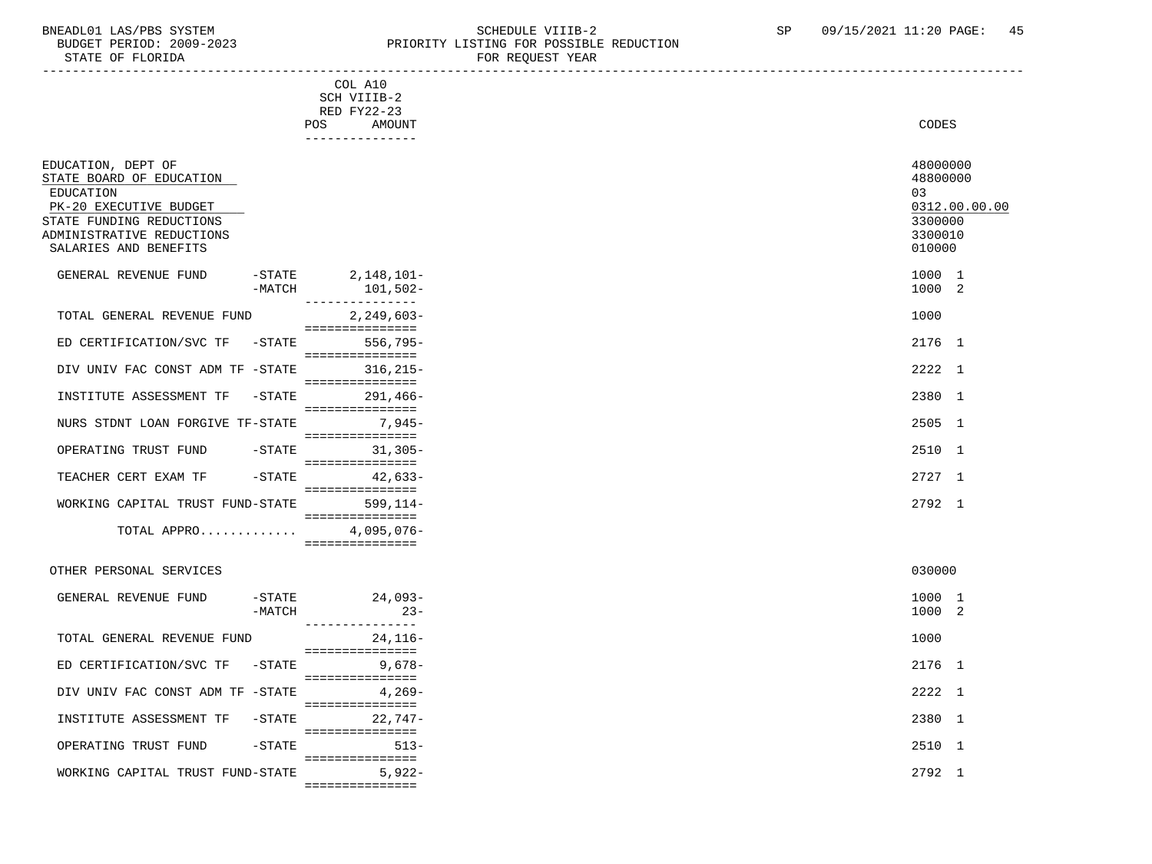### BNEADL01 LAS/PBS SYSTEM SCHEDULE VIIIB-2 SCHEDULE VIIIB-2 SP 09/15/2021 11:20 PAGE: 45 BUDGET PERIOD: 2009-2023 PRIORITY LISTING FOR POSSIBLE REDUCTION

| STATE OF FLORIDA                                                                                                                                                        |                                                                           | FOR REQUEST YEAR |                                                                             |
|-------------------------------------------------------------------------------------------------------------------------------------------------------------------------|---------------------------------------------------------------------------|------------------|-----------------------------------------------------------------------------|
|                                                                                                                                                                         | COL A10<br>SCH VIIIB-2<br>RED FY22-23<br>POS<br>AMOUNT<br>--------------- |                  | CODES                                                                       |
| EDUCATION, DEPT OF<br>STATE BOARD OF EDUCATION<br>EDUCATION<br>PK-20 EXECUTIVE BUDGET<br>STATE FUNDING REDUCTIONS<br>ADMINISTRATIVE REDUCTIONS<br>SALARIES AND BENEFITS |                                                                           |                  | 48000000<br>48800000<br>03<br>0312.00.00.00<br>3300000<br>3300010<br>010000 |
| GENERAL REVENUE FUND<br>$-$ STATE<br>$-MATCH$                                                                                                                           | 2,148,101-<br>101,502-<br>---------------                                 |                  | 1000 1<br>1000 2                                                            |
| TOTAL GENERAL REVENUE FUND                                                                                                                                              | $2,249,603-$<br>===============                                           |                  | 1000                                                                        |
| ED CERTIFICATION/SVC TF -STATE                                                                                                                                          | $556,795-$                                                                |                  | 2176 1                                                                      |
| DIV UNIV FAC CONST ADM TF -STATE                                                                                                                                        | ===============<br>$316, 215 -$                                           |                  | 2222 1                                                                      |
| INSTITUTE ASSESSMENT TF<br>$-\mathtt{STATE}$                                                                                                                            | ===============<br>291,466-                                               |                  | 2380 1                                                                      |
| NURS STDNT LOAN FORGIVE TF-STATE                                                                                                                                        | ===============<br>7,945-                                                 |                  | 2505 1                                                                      |
| OPERATING TRUST FUND<br>$-$ STATE                                                                                                                                       | ===============<br>31,305-                                                |                  | 2510 1                                                                      |
| TEACHER CERT EXAM TF<br>-STATE                                                                                                                                          | ===============<br>42,633-                                                |                  | 2727 1                                                                      |
| WORKING CAPITAL TRUST FUND-STATE                                                                                                                                        | ===============<br>$599, 114 -$                                           |                  | 2792 1                                                                      |
| TOTAL APPRO                                                                                                                                                             | - ================<br>4,095,076-<br>===============                       |                  |                                                                             |
| OTHER PERSONAL SERVICES                                                                                                                                                 |                                                                           |                  | 030000                                                                      |
| GENERAL REVENUE FUND<br>-STATE<br>$-MATCH$                                                                                                                              | $24,093-$<br>$23-$<br>---------------                                     |                  | 1000 1<br>1000 2                                                            |
| TOTAL GENERAL REVENUE FUND                                                                                                                                              | $24, 116 -$<br>===============                                            |                  | 1000                                                                        |
| ED CERTIFICATION/SVC TF<br>$ STATE$                                                                                                                                     | $9,678-$                                                                  |                  | 2176 1                                                                      |
| DIV UNIV FAC CONST ADM TF -STATE                                                                                                                                        | ===============<br>$4,269-$                                               |                  | 2222 1                                                                      |
| INSTITUTE ASSESSMENT TF<br>$-$ STATE                                                                                                                                    | ===============<br>$22,747-$                                              |                  | 2380 1                                                                      |
| OPERATING TRUST FUND<br>$-STATE$                                                                                                                                        | ===============<br>$513-$                                                 |                  | 2510 1                                                                      |
| WORKING CAPITAL TRUST FUND-STATE                                                                                                                                        | ===============<br>$5,922-$<br>===============                            |                  | 2792 1                                                                      |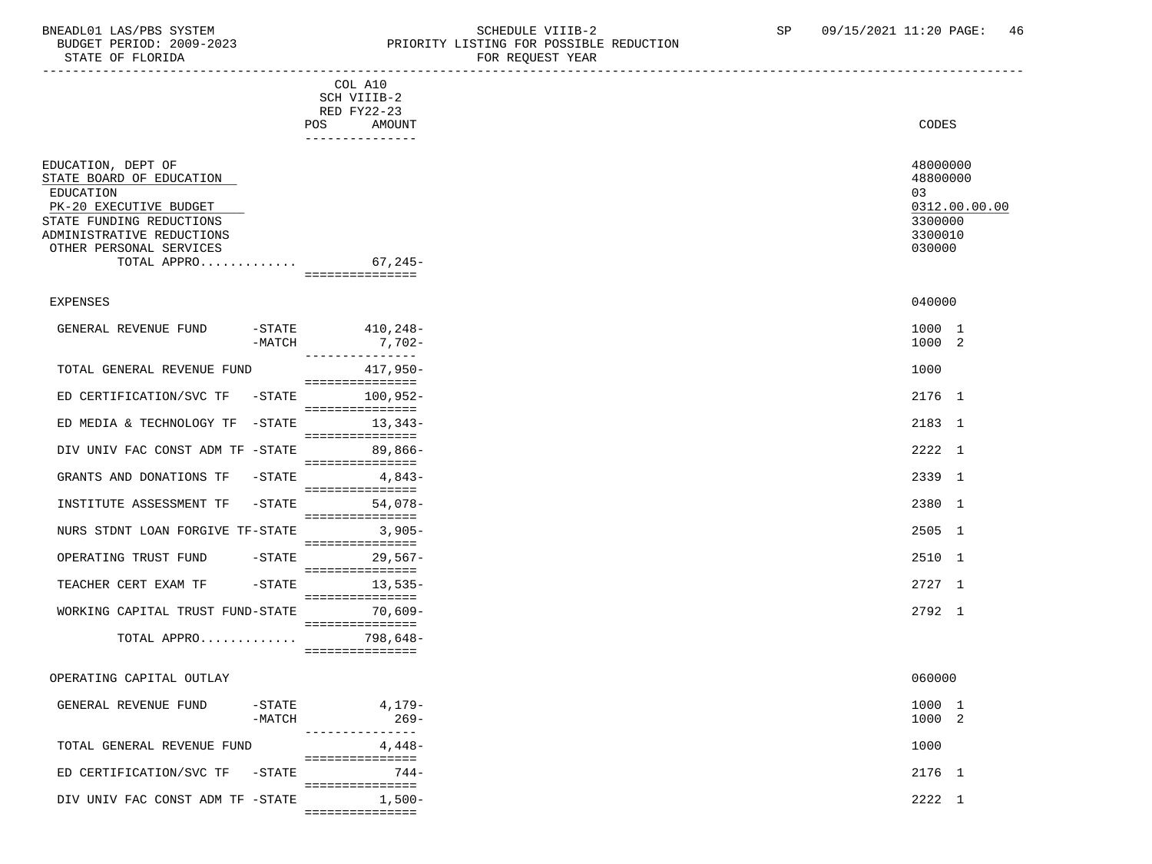STATE OF FLORIDA

## BNEADL01 LAS/PBS SYSTEM SCHEDULE VIIIB-2 SCHEDULE VIIIB-2 SP 09/15/2021 11:20 PAGE: 46 PRIORITY LISTING FOR POSSIBLE REDUCTION<br>FOR REQUEST YEAR

|                                                                                                                                                                                                         | COL A10<br>SCH VIIIB-2<br>RED FY22-23<br>POS FOR THE POST OF THE STATE STATES<br>AMOUNT | CODES                                                                       |
|---------------------------------------------------------------------------------------------------------------------------------------------------------------------------------------------------------|-----------------------------------------------------------------------------------------|-----------------------------------------------------------------------------|
| EDUCATION, DEPT OF<br>STATE BOARD OF EDUCATION<br><b>EDUCATION</b><br>PK-20 EXECUTIVE BUDGET<br>STATE FUNDING REDUCTIONS<br>ADMINISTRATIVE REDUCTIONS<br>OTHER PERSONAL SERVICES<br>TOTAL APPRO 67,245- | ---------------<br>===============                                                      | 48000000<br>48800000<br>03<br>0312.00.00.00<br>3300000<br>3300010<br>030000 |
| EXPENSES                                                                                                                                                                                                |                                                                                         | 040000                                                                      |
| GENERAL REVENUE FUND<br>$-MATCH$                                                                                                                                                                        | $-$ STATE 410, 248 -<br>$7,702-$                                                        | 1000 1<br>1000 2                                                            |
| TOTAL GENERAL REVENUE FUND                                                                                                                                                                              | ---------------<br>417,950-<br>===============                                          | 1000                                                                        |
| $-$ STATE<br>ED CERTIFICATION/SVC TF                                                                                                                                                                    | 100,952-<br>===============                                                             | 2176 1                                                                      |
| -STATE<br>ED MEDIA & TECHNOLOGY TF                                                                                                                                                                      | $13,343-$<br>===============                                                            | 2183 1                                                                      |
| DIV UNIV FAC CONST ADM TF -STATE                                                                                                                                                                        | $89,866-$<br>===============                                                            | 2222 1                                                                      |
| $-$ STATE<br>GRANTS AND DONATIONS TF                                                                                                                                                                    | 4,843-<br>===============                                                               | 2339 1                                                                      |
| INSTITUTE ASSESSMENT TF<br>$-STATE$                                                                                                                                                                     | $54,078-$<br>===============                                                            | 2380 1                                                                      |
| NURS STDNT LOAN FORGIVE TF-STATE                                                                                                                                                                        | $3,905-$<br>===============                                                             | 2505 1                                                                      |
| OPERATING TRUST FUND<br>-STATE                                                                                                                                                                          | $29,567-$<br>===============                                                            | 2510 1                                                                      |
| TEACHER CERT EXAM TF<br>$-$ STATE                                                                                                                                                                       | $13,535-$<br>===============                                                            | 2727 1                                                                      |
| WORKING CAPITAL TRUST FUND-STATE                                                                                                                                                                        | 70,609-<br>===============                                                              | 2792 1                                                                      |
| TOTAL APPRO                                                                                                                                                                                             | 798,648-<br>===============                                                             |                                                                             |
| OPERATING CAPITAL OUTLAY                                                                                                                                                                                |                                                                                         | 060000                                                                      |
| GENERAL REVENUE FUND<br>$-$ STATE<br>$-MATCH$                                                                                                                                                           | 4,179-<br>$269-$<br>---------                                                           | 1000 1<br>1000 2                                                            |
| TOTAL GENERAL REVENUE FUND                                                                                                                                                                              | .<br>$4,448-$<br>===============                                                        | 1000                                                                        |
| ED CERTIFICATION/SVC TF -STATE                                                                                                                                                                          | $744-$<br>===============                                                               | 2176 1                                                                      |
| DIV UNIV FAC CONST ADM TF -STATE                                                                                                                                                                        | $1,500-$<br>===============                                                             | 2222 1                                                                      |
|                                                                                                                                                                                                         |                                                                                         |                                                                             |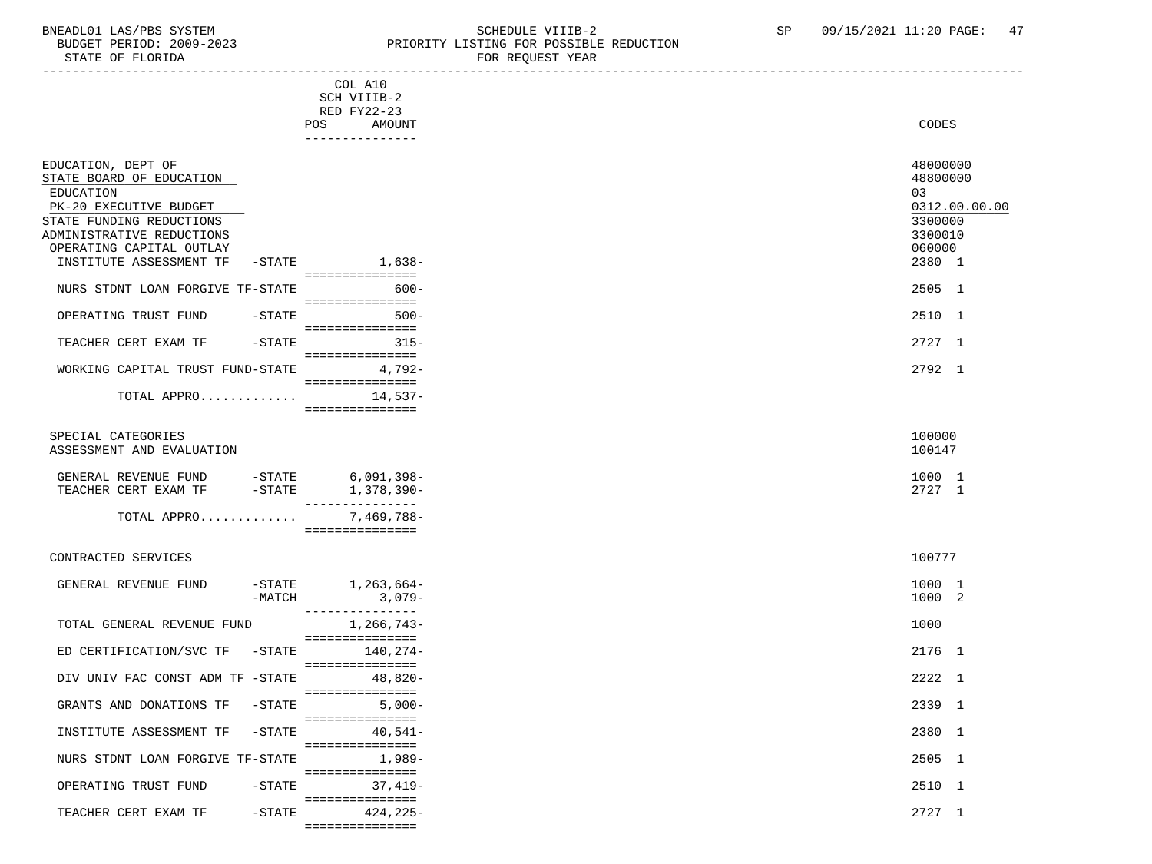===============

### BNEADL01 LAS/PBS SYSTEM SCHEDULE VIIIB-2 SEREDULE VIIIB-2 SP 09/15/2021 11:20 PAGE: 47<br>BUDGET PERIOD: 2009-2023 PRIORITY LISTING FOR POSSIBLE REDUCTION PRIORITY LISTING FOR POSSIBLE REDUCTION

| STATE OF FLORIDA                                                                                                                                                           |                                                        | FOR REQUEST YEAR |                                                                                       |
|----------------------------------------------------------------------------------------------------------------------------------------------------------------------------|--------------------------------------------------------|------------------|---------------------------------------------------------------------------------------|
|                                                                                                                                                                            | COL A10<br>SCH VIIIB-2<br>RED FY22-23<br>POS<br>AMOUNT |                  | CODES                                                                                 |
|                                                                                                                                                                            | ---------------                                        |                  |                                                                                       |
| EDUCATION, DEPT OF<br>STATE BOARD OF EDUCATION<br>EDUCATION<br>PK-20 EXECUTIVE BUDGET<br>STATE FUNDING REDUCTIONS<br>ADMINISTRATIVE REDUCTIONS<br>OPERATING CAPITAL OUTLAY |                                                        |                  | 48000000<br>48800000<br>03<br>0312.00.00.00<br>3300000<br>3300010<br>060000<br>2380 1 |
| INSTITUTE ASSESSMENT TF                                                                                                                                                    | -STATE 1,638-<br>----------------                      |                  |                                                                                       |
| NURS STDNT LOAN FORGIVE TF-STATE                                                                                                                                           | $600 -$<br>----------------                            |                  | 2505 1                                                                                |
| OPERATING TRUST FUND<br>$-$ STATE                                                                                                                                          | $500 -$<br>===============                             |                  | 2510 1                                                                                |
| TEACHER CERT EXAM TF<br>-STATE                                                                                                                                             | $315-$<br>===============                              |                  | 2727 1                                                                                |
| WORKING CAPITAL TRUST FUND-STATE                                                                                                                                           | $4,792-$<br>_________________                          |                  | 2792 1                                                                                |
| TOTAL APPRO                                                                                                                                                                | 14,537-<br>- ================                          |                  |                                                                                       |
| SPECIAL CATEGORIES<br>ASSESSMENT AND EVALUATION                                                                                                                            |                                                        |                  | 100000<br>100147                                                                      |
| GENERAL REVENUE FUND -STATE 6,091,398-<br>$-STATE$<br>TEACHER CERT EXAM TF                                                                                                 | 1,378,390-                                             |                  | 1000 1<br>2727 1                                                                      |
| TOTAL APPRO                                                                                                                                                                | ---------------<br>7,469,788-<br>===============       |                  |                                                                                       |
| CONTRACTED SERVICES                                                                                                                                                        |                                                        |                  | 100777                                                                                |
| GENERAL REVENUE FUND<br>$-MATCH$                                                                                                                                           | $-STATE$ 1, 263, 664-<br>$3,079-$<br>---------------   |                  | 1000 1<br>1000 2                                                                      |
| TOTAL GENERAL REVENUE FUND                                                                                                                                                 | 1,266,743-<br>===============                          |                  | 1000                                                                                  |
| ED CERTIFICATION/SVC TF<br>$-\mathtt{STATE}$                                                                                                                               | 140,274-                                               |                  | 2176 1                                                                                |
| DIV UNIV FAC CONST ADM TF -STATE                                                                                                                                           | ===============<br>48,820-                             |                  | 2222 1                                                                                |
| $-$ STATE<br>GRANTS AND DONATIONS TF                                                                                                                                       | ===============<br>$5,000-$                            |                  | 2339 1                                                                                |
| INSTITUTE ASSESSMENT TF<br>$-$ STATE                                                                                                                                       | ===============<br>$40,541-$                           |                  | 2380 1                                                                                |
| NURS STDNT LOAN FORGIVE TF-STATE                                                                                                                                           | ===============<br>1,989-                              |                  | 2505 1                                                                                |
| OPERATING TRUST FUND<br>$-STATE$                                                                                                                                           | ===============<br>$37,419-$                           |                  | 2510 1                                                                                |
| TEACHER CERT EXAM TF<br>$-STATE$                                                                                                                                           | ===============<br>$424, 225 -$                        |                  | 2727 1                                                                                |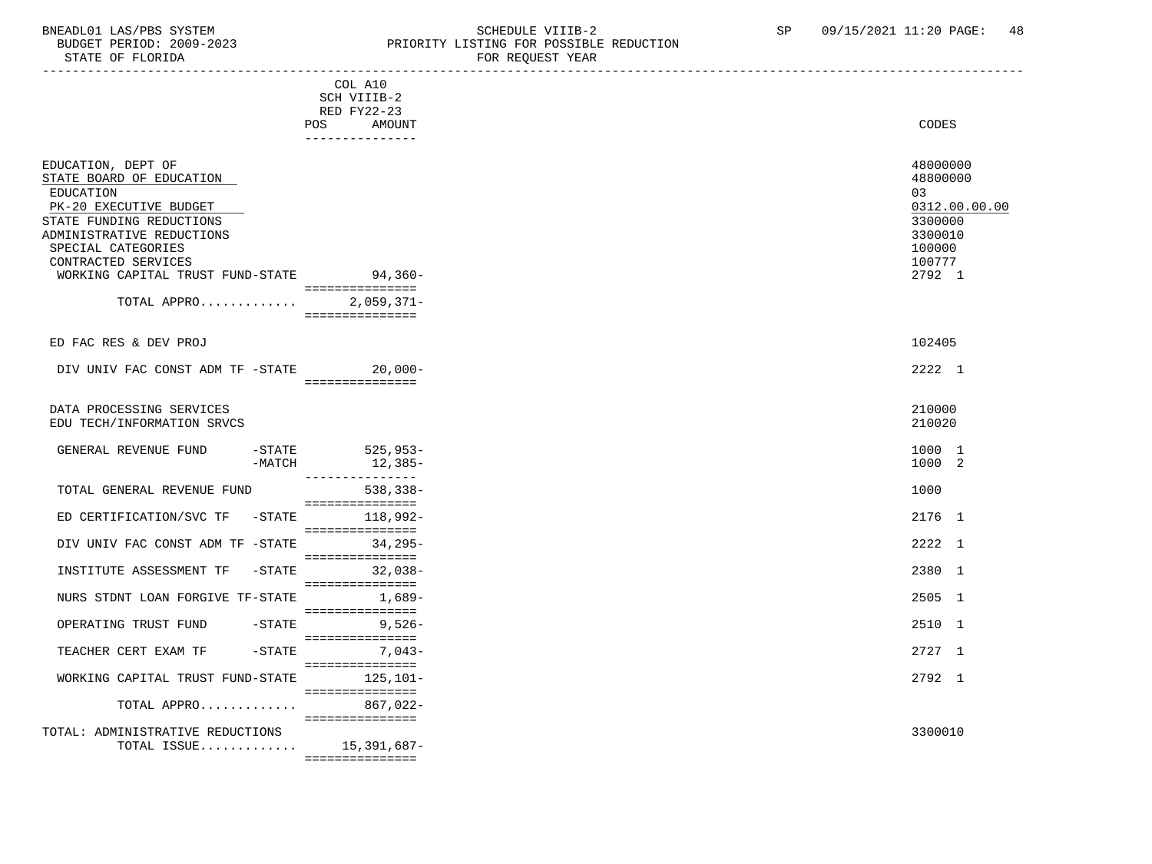### BNEADL01 LAS/PBS SYSTEM SCHEDULE VIIIB-2 SCHEDULE VIIIB-2 SP 09/15/2021 11:20 PAGE: 48 BUDGET PERIOD: 2009-2023<br>
STATE OF FLORIDA STATE OF FLORIDA FOR REQUEST YEAR

| PIAIE OF FLOKIDA                                                                                                                                                                                                                                       |                                                                           | FOR REQUEST IEAR                                                                                |
|--------------------------------------------------------------------------------------------------------------------------------------------------------------------------------------------------------------------------------------------------------|---------------------------------------------------------------------------|-------------------------------------------------------------------------------------------------|
|                                                                                                                                                                                                                                                        | COL A10<br>SCH VIIIB-2<br>RED FY22-23<br>POS<br>AMOUNT<br>--------------- | <b>CODES</b>                                                                                    |
| EDUCATION, DEPT OF<br>STATE BOARD OF EDUCATION<br>EDUCATION<br>PK-20 EXECUTIVE BUDGET<br>STATE FUNDING REDUCTIONS<br>ADMINISTRATIVE REDUCTIONS<br>SPECIAL CATEGORIES<br>CONTRACTED SERVICES<br>WORKING CAPITAL TRUST FUND-STATE 94,360-<br>TOTAL APPRO | ================<br>$2,059,371-$<br>===============                       | 48000000<br>48800000<br>03<br>0312.00.00.00<br>3300000<br>3300010<br>100000<br>100777<br>2792 1 |
| ED FAC RES & DEV PROJ                                                                                                                                                                                                                                  |                                                                           | 102405                                                                                          |
| DIV UNIV FAC CONST ADM TF -STATE 20,000-                                                                                                                                                                                                               | ===============                                                           | 2222 1                                                                                          |
| DATA PROCESSING SERVICES<br>EDU TECH/INFORMATION SRVCS                                                                                                                                                                                                 |                                                                           | 210000<br>210020                                                                                |
| GENERAL REVENUE FUND<br>$-MATCH$                                                                                                                                                                                                                       | -STATE 525,953-<br>12,385-<br>---------------                             | 1000 1<br>1000 2                                                                                |
| TOTAL GENERAL REVENUE FUND                                                                                                                                                                                                                             | $538, 338 -$<br>===============                                           | 1000                                                                                            |
| ED CERTIFICATION/SVC TF<br>$-STATE$                                                                                                                                                                                                                    | 118,992-<br>===============                                               | 2176 1                                                                                          |
| DIV UNIV FAC CONST ADM TF -STATE                                                                                                                                                                                                                       | $34,295-$<br>===============                                              | 2222 1                                                                                          |
| $-STATE$<br>INSTITUTE ASSESSMENT TF                                                                                                                                                                                                                    | $32,038-$<br>===============                                              | 2380 1                                                                                          |
| NURS STDNT LOAN FORGIVE TF-STATE                                                                                                                                                                                                                       | 1,689-<br>===============                                                 | 2505 1                                                                                          |
| -STATE<br>OPERATING TRUST FUND                                                                                                                                                                                                                         | $9,526-$<br>===============                                               | 2510 1                                                                                          |
| $-STATE$<br>TEACHER CERT EXAM TF                                                                                                                                                                                                                       | $7,043-$<br>===============                                               | 2727 1                                                                                          |
| WORKING CAPITAL TRUST FUND-STATE                                                                                                                                                                                                                       | $125,101-$<br>===============                                             | 2792 1                                                                                          |
| TOTAL APPRO                                                                                                                                                                                                                                            | 867,022-<br>===============                                               |                                                                                                 |
| TOTAL: ADMINISTRATIVE REDUCTIONS<br>TOTAL ISSUE $15,391,687-$                                                                                                                                                                                          | ===============                                                           | 3300010                                                                                         |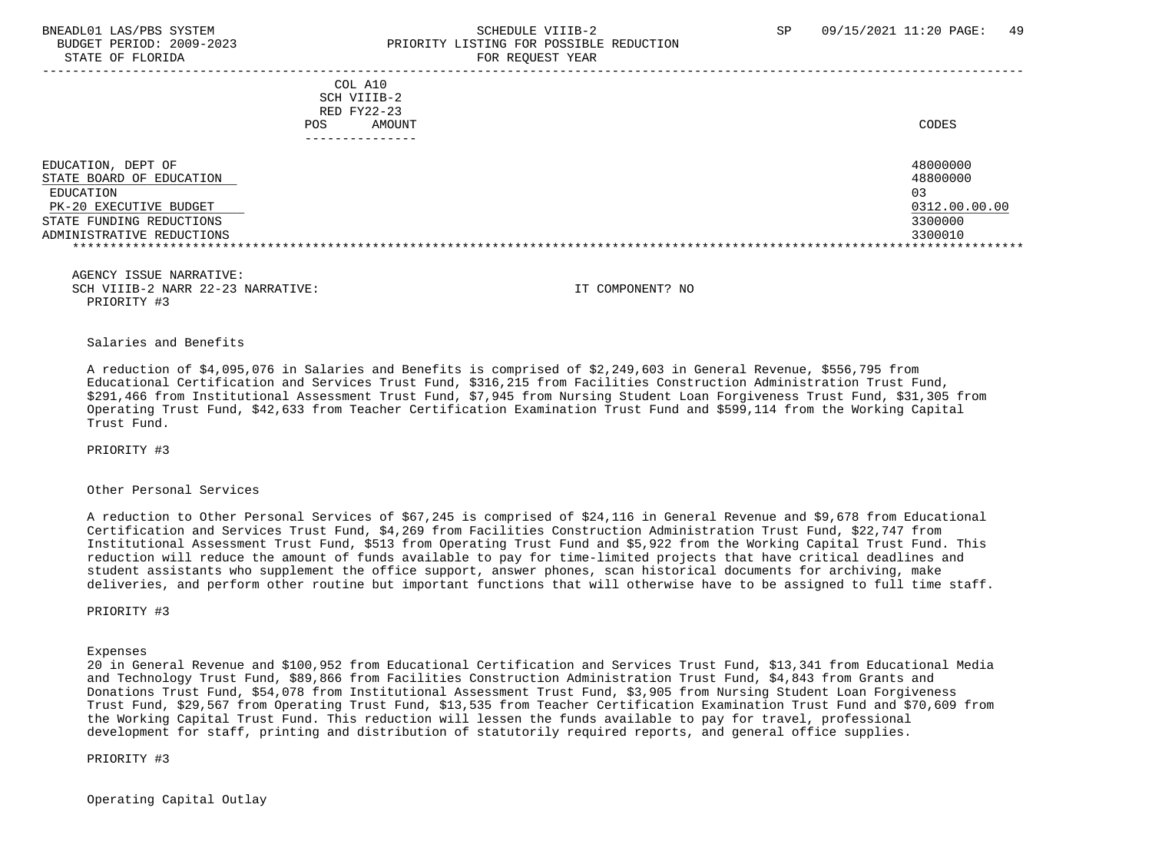### BNEADL01 LAS/PBS SYSTEM SCHEDULE VIIIB-2 SCHEDULE VIIIB-2 SP 09/15/2021 11:20 PAGE: 49 BUDGET PERIOD: 2009-2023 PRIORITY LISTING FOR POSSIBLE REDUCTION STATE OF FLORIDA FOR REQUEST YEAR FOR REQUEST THAT THE REDUCT OF STATE OF STATE OF STATE OF STATE OF STATE OF STATE OF STATE OF STATE OF STATE OF STATE OF STATE OF STATE OF STATE OF STATE OF STATE OF STATE OF STATE OF STAT

|                                                                                                                                                | COL A10<br>SCH VIIIB-2<br>RED FY22-23<br>AMOUNT<br><b>POS</b> | CODES                                                             |
|------------------------------------------------------------------------------------------------------------------------------------------------|---------------------------------------------------------------|-------------------------------------------------------------------|
| EDUCATION, DEPT OF<br>STATE BOARD OF EDUCATION<br>EDUCATION<br>PK-20 EXECUTIVE BUDGET<br>STATE FUNDING REDUCTIONS<br>ADMINISTRATIVE REDUCTIONS |                                                               | 48000000<br>48800000<br>03<br>0312.00.00.00<br>3300000<br>3300010 |

|  |             | AGENCY ISSUE NARRATIVE: |                                   |
|--|-------------|-------------------------|-----------------------------------|
|  |             |                         | SCH VIIIB-2 NARR 22-23 NARRATIVE: |
|  | PRIORITY #3 |                         |                                   |

SCH VIIIB-2 NARR 22-23 NARRATIVE: IT COMPONENT? NO

Salaries and Benefits

 A reduction of \$4,095,076 in Salaries and Benefits is comprised of \$2,249,603 in General Revenue, \$556,795 from Educational Certification and Services Trust Fund, \$316,215 from Facilities Construction Administration Trust Fund, \$291,466 from Institutional Assessment Trust Fund, \$7,945 from Nursing Student Loan Forgiveness Trust Fund, \$31,305 from Operating Trust Fund, \$42,633 from Teacher Certification Examination Trust Fund and \$599,114 from the Working Capital Trust Fund.

PRIORITY #3

### Other Personal Services

 A reduction to Other Personal Services of \$67,245 is comprised of \$24,116 in General Revenue and \$9,678 from Educational Certification and Services Trust Fund, \$4,269 from Facilities Construction Administration Trust Fund, \$22,747 from Institutional Assessment Trust Fund, \$513 from Operating Trust Fund and \$5,922 from the Working Capital Trust Fund. This reduction will reduce the amount of funds available to pay for time-limited projects that have critical deadlines and student assistants who supplement the office support, answer phones, scan historical documents for archiving, make deliveries, and perform other routine but important functions that will otherwise have to be assigned to full time staff.

PRIORITY #3

Expenses

 20 in General Revenue and \$100,952 from Educational Certification and Services Trust Fund, \$13,341 from Educational Media and Technology Trust Fund, \$89,866 from Facilities Construction Administration Trust Fund, \$4,843 from Grants and Donations Trust Fund, \$54,078 from Institutional Assessment Trust Fund, \$3,905 from Nursing Student Loan Forgiveness Trust Fund, \$29,567 from Operating Trust Fund, \$13,535 from Teacher Certification Examination Trust Fund and \$70,609 from the Working Capital Trust Fund. This reduction will lessen the funds available to pay for travel, professional development for staff, printing and distribution of statutorily required reports, and general office supplies.

PRIORITY #3

Operating Capital Outlay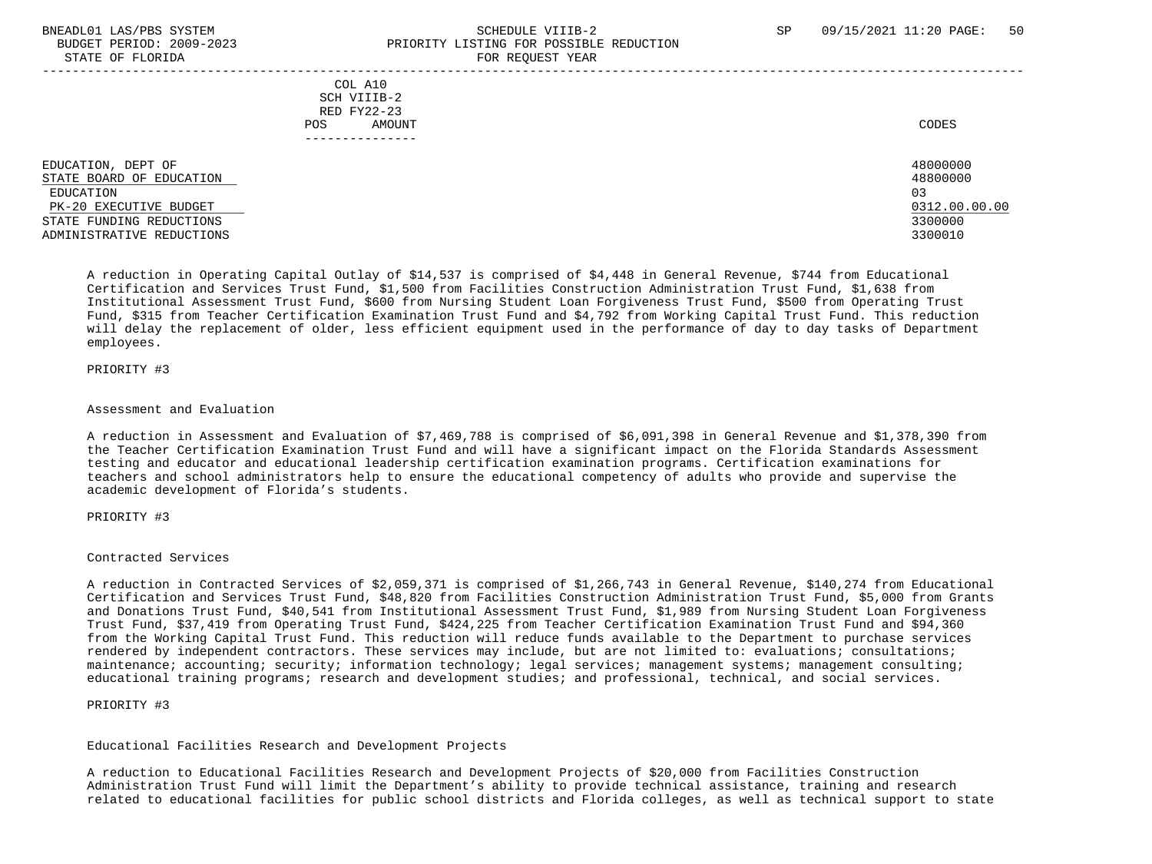STATE OF FLOR

## BNEADL01 LAS/PBS SYSTEM SCHEDULE VIIIB-2 SCHEDULE VIIIB-2 SP 09/15/2021 11:20 PAGE: 50 BUDGET PERIOD: 2009-2023 PRIORITY LISTING FOR POSSIBLE REDUCTION

| STATE OF FLORIDA                                                                                                                               | FOR REQUEST YEAR                                       |                                                                   |
|------------------------------------------------------------------------------------------------------------------------------------------------|--------------------------------------------------------|-------------------------------------------------------------------|
|                                                                                                                                                | COL A10<br>SCH VIIIB-2<br>RED FY22-23<br>AMOUNT<br>POS | CODES                                                             |
| EDUCATION, DEPT OF<br>STATE BOARD OF EDUCATION<br>EDUCATION<br>PK-20 EXECUTIVE BUDGET<br>STATE FUNDING REDUCTIONS<br>ADMINISTRATIVE REDUCTIONS |                                                        | 48000000<br>48800000<br>03<br>0312.00.00.00<br>3300000<br>3300010 |

 A reduction in Operating Capital Outlay of \$14,537 is comprised of \$4,448 in General Revenue, \$744 from Educational Certification and Services Trust Fund, \$1,500 from Facilities Construction Administration Trust Fund, \$1,638 from Institutional Assessment Trust Fund, \$600 from Nursing Student Loan Forgiveness Trust Fund, \$500 from Operating Trust Fund, \$315 from Teacher Certification Examination Trust Fund and \$4,792 from Working Capital Trust Fund. This reduction will delay the replacement of older, less efficient equipment used in the performance of day to day tasks of Department employees.

### PRIORITY #3

#### Assessment and Evaluation

 A reduction in Assessment and Evaluation of \$7,469,788 is comprised of \$6,091,398 in General Revenue and \$1,378,390 from the Teacher Certification Examination Trust Fund and will have a significant impact on the Florida Standards Assessment testing and educator and educational leadership certification examination programs. Certification examinations for teachers and school administrators help to ensure the educational competency of adults who provide and supervise the academic development of Florida's students.

#### PRIORITY #3

### Contracted Services

 A reduction in Contracted Services of \$2,059,371 is comprised of \$1,266,743 in General Revenue, \$140,274 from Educational Certification and Services Trust Fund, \$48,820 from Facilities Construction Administration Trust Fund, \$5,000 from Grants and Donations Trust Fund, \$40,541 from Institutional Assessment Trust Fund, \$1,989 from Nursing Student Loan Forgiveness Trust Fund, \$37,419 from Operating Trust Fund, \$424,225 from Teacher Certification Examination Trust Fund and \$94,360 from the Working Capital Trust Fund. This reduction will reduce funds available to the Department to purchase services rendered by independent contractors. These services may include, but are not limited to: evaluations; consultations; maintenance; accounting; security; information technology; legal services; management systems; management consulting; educational training programs; research and development studies; and professional, technical, and social services.

### PRIORITY #3

#### Educational Facilities Research and Development Projects

 A reduction to Educational Facilities Research and Development Projects of \$20,000 from Facilities Construction Administration Trust Fund will limit the Department's ability to provide technical assistance, training and research related to educational facilities for public school districts and Florida colleges, as well as technical support to state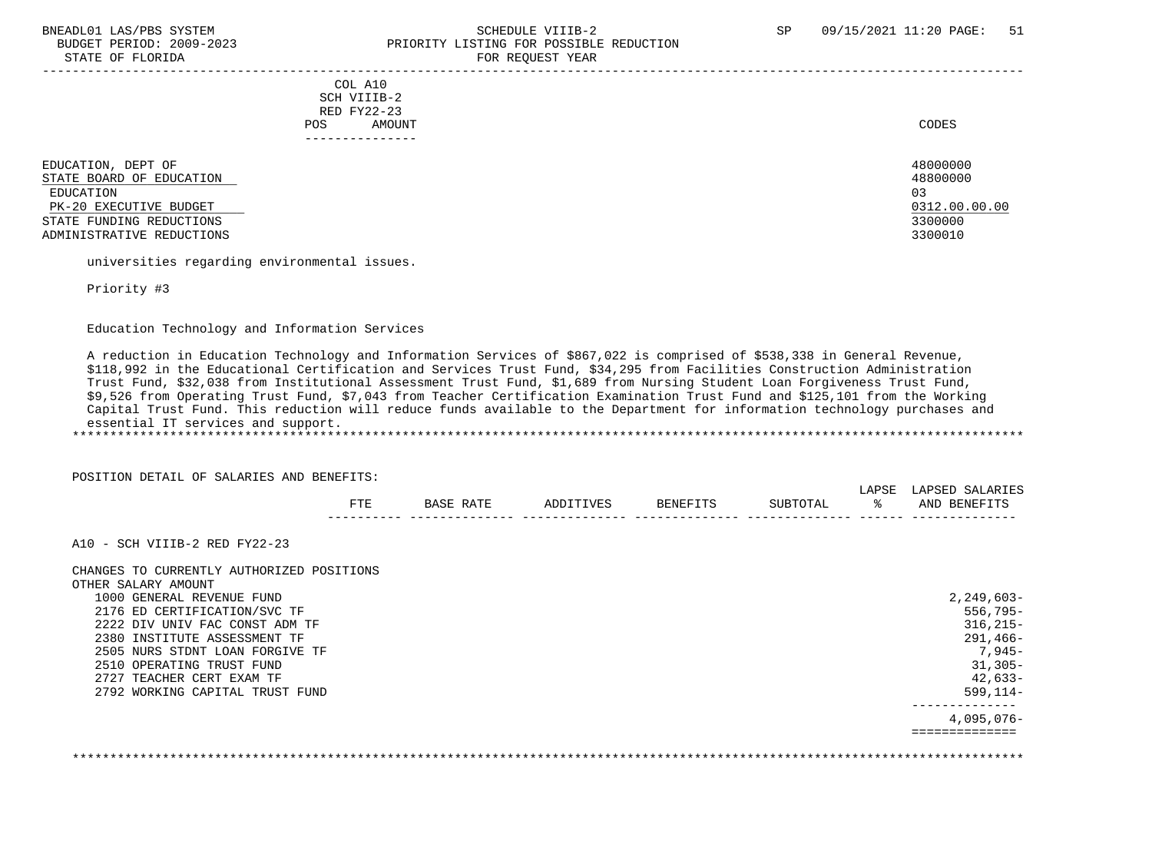### BNEADL01 LAS/PBS SYSTEM SCHEDULE VIIIB-2 SCHEDULE VIIIB-2 SP 09/15/2021 11:20 PAGE: 51 BUDGET PERIOD: 2009-2023 PRIORITY LISTING FOR POSSIBLE REDUCTION STATE OF FLORIDA FOR REQUEST YEAR FOR REQUEST YEAR

-----------------------------------------------------------------------------------------------------------------------------------

 COL A10 SCH VIIIB-2 RED FY22-23 POS AMOUNT CODES ---------------

EDUCATION, DEPT OF 48000000 AND 1999 AND 1999 AND 1999 AND 1999 AND 1999 AND 1999 AND 1999 AND 1999 AND 1999 A<br>STATE BOARD OF EDUCATION STATE BOARD OF EDUCATION 48800000 \_\_\_\_\_\_\_\_\_\_\_\_\_\_\_\_\_\_\_\_\_\_\_\_\_\_ EDUCATION 03 PK-20 EXECUTIVE BUDGET 100.00.00 2012.00.00 EXECUTIVE BUDGET 2000 2012 AND RESPONDENT A LATE FUNDING REDUCTIONS STATE FUNDING REDUCTIONS ADMINISTRATIVE REDUCTIONS 3300010

universities regarding environmental issues.

Priority #3

Education Technology and Information Services

 A reduction in Education Technology and Information Services of \$867,022 is comprised of \$538,338 in General Revenue, \$118,992 in the Educational Certification and Services Trust Fund, \$34,295 from Facilities Construction Administration Trust Fund, \$32,038 from Institutional Assessment Trust Fund, \$1,689 from Nursing Student Loan Forgiveness Trust Fund, \$9,526 from Operating Trust Fund, \$7,043 from Teacher Certification Examination Trust Fund and \$125,101 from the Working Capital Trust Fund. This reduction will reduce funds available to the Department for information technology purchases and essential IT services and support. \*\*\*\*\*\*\*\*\*\*\*\*\*\*\*\*\*\*\*\*\*\*\*\*\*\*\*\*\*\*\*\*\*\*\*\*\*\*\*\*\*\*\*\*\*\*\*\*\*\*\*\*\*\*\*\*\*\*\*\*\*\*\*\*\*\*\*\*\*\*\*\*\*\*\*\*\*\*\*\*\*\*\*\*\*\*\*\*\*\*\*\*\*\*\*\*\*\*\*\*\*\*\*\*\*\*\*\*\*\*\*\*\*\*\*\*\*\*\*\*\*\*\*\*\*\*\*

POSITION DETAIL OF SALARIES AND BENEFITS:

|                                           | FTE | BASE RATE | ADDITIVES | BENEFITS | SUBTOTAL | LAPSE<br>ႜႂ | LAPSED SALARIES<br>AND BENEFITS |
|-------------------------------------------|-----|-----------|-----------|----------|----------|-------------|---------------------------------|
| A10 - SCH VIIIB-2 RED FY22-23             |     |           |           |          |          |             |                                 |
| CHANGES TO CURRENTLY AUTHORIZED POSITIONS |     |           |           |          |          |             |                                 |
| OTHER SALARY AMOUNT                       |     |           |           |          |          |             |                                 |
| 1000 GENERAL REVENUE FUND                 |     |           |           |          |          |             | $2,249,603-$                    |
| 2176 ED CERTIFICATION/SVC TF              |     |           |           |          |          |             | $556,795-$                      |
| 2222 DIV UNIV FAC CONST ADM TF            |     |           |           |          |          |             | $316, 215 -$                    |
| 2380 INSTITUTE ASSESSMENT TF              |     |           |           |          |          |             | 291,466-                        |
| 2505 NURS STDNT LOAN FORGIVE TF           |     |           |           |          |          |             | $7,945-$                        |
| 2510 OPERATING TRUST FUND                 |     |           |           |          |          |             | $31,305-$                       |
| 2727 TEACHER CERT EXAM TF                 |     |           |           |          |          |             | $42,633-$                       |
| 2792 WORKING CAPITAL TRUST FUND           |     |           |           |          |          |             | $599, 114 -$                    |
|                                           |     |           |           |          |          |             | 4,095,076-                      |
|                                           |     |           |           |          |          |             |                                 |

\*\*\*\*\*\*\*\*\*\*\*\*\*\*\*\*\*\*\*\*\*\*\*\*\*\*\*\*\*\*\*\*\*\*\*\*\*\*\*\*\*\*\*\*\*\*\*\*\*\*\*\*\*\*\*\*\*\*\*\*\*\*\*\*\*\*\*\*\*\*\*\*\*\*\*\*\*\*\*\*\*\*\*\*\*\*\*\*\*\*\*\*\*\*\*\*\*\*\*\*\*\*\*\*\*\*\*\*\*\*\*\*\*\*\*\*\*\*\*\*\*\*\*\*\*\*\*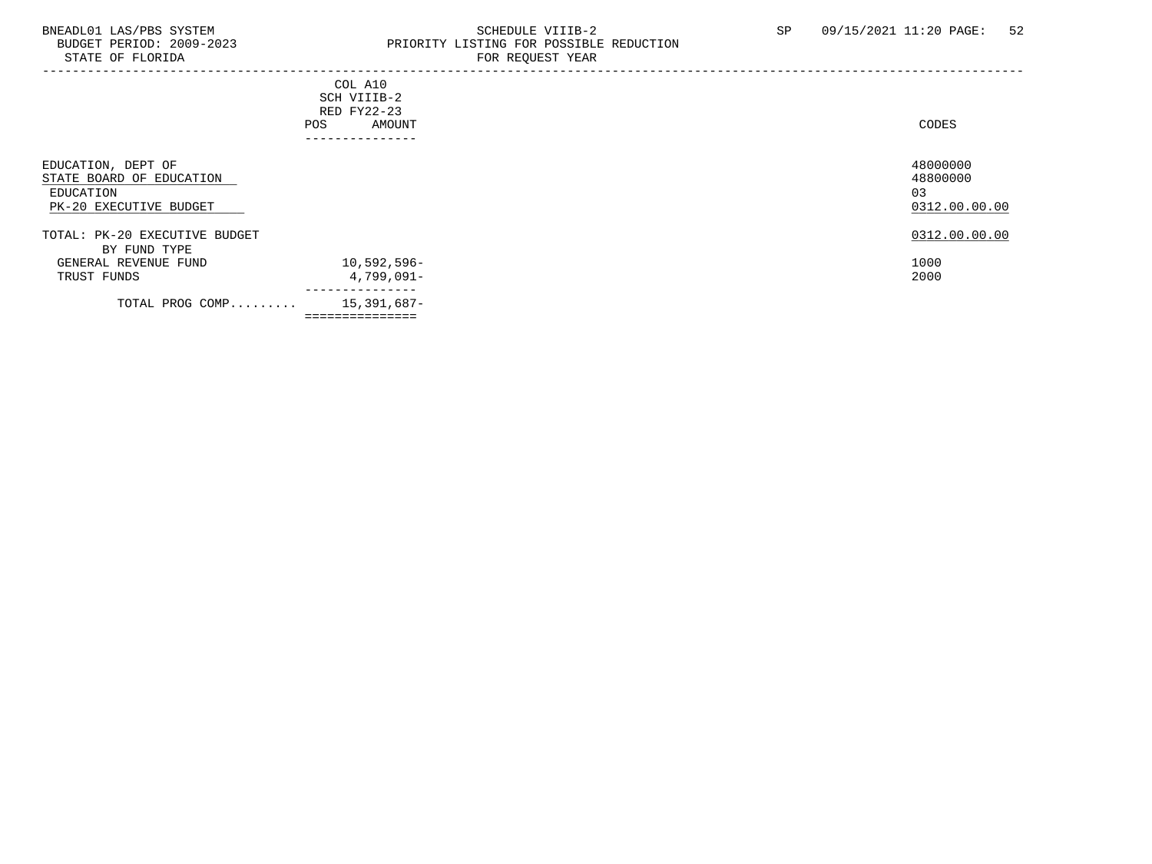### BNEADL01 LAS/PBS SYSTEM SALLE SERIEDULE SCHEDULE VIIIB-2 SP 09/15/2021 11:20 PAGE: 52<br>BUDGET PERIOD: 2009-2023 PRIORITY LISTING FOR POSSIBLE REDUCTION BUDGET PERIOD: 2009-2023 PRIORITY LISTING FOR POSSIBLE REDUCTION<br>STATE OF FLORIDA FOR REQUEST YEAR FOR REQUEST YEAR

| - - - - - - - - - - - -                                                               |                                                                        | 10111122000111111                           |
|---------------------------------------------------------------------------------------|------------------------------------------------------------------------|---------------------------------------------|
|                                                                                       | COL A10<br>SCH VIIIB-2<br>RED FY22-23<br>AMOUNT<br>POS<br>------------ | CODES                                       |
| EDUCATION, DEPT OF<br>STATE BOARD OF EDUCATION<br>EDUCATION<br>PK-20 EXECUTIVE BUDGET |                                                                        | 48000000<br>48800000<br>03<br>0312.00.00.00 |
| TOTAL: PK-20 EXECUTIVE BUDGET<br>BY FUND TYPE<br>GENERAL REVENUE FUND                 | $10,592,596 -$                                                         | 0312.00.00.00<br>1000                       |
| TRUST FUNDS                                                                           | 4,799,091-<br>---------------                                          | 2000                                        |
| TOTAL PROG COMP                                                                       | 15,391,687-<br>===============                                         |                                             |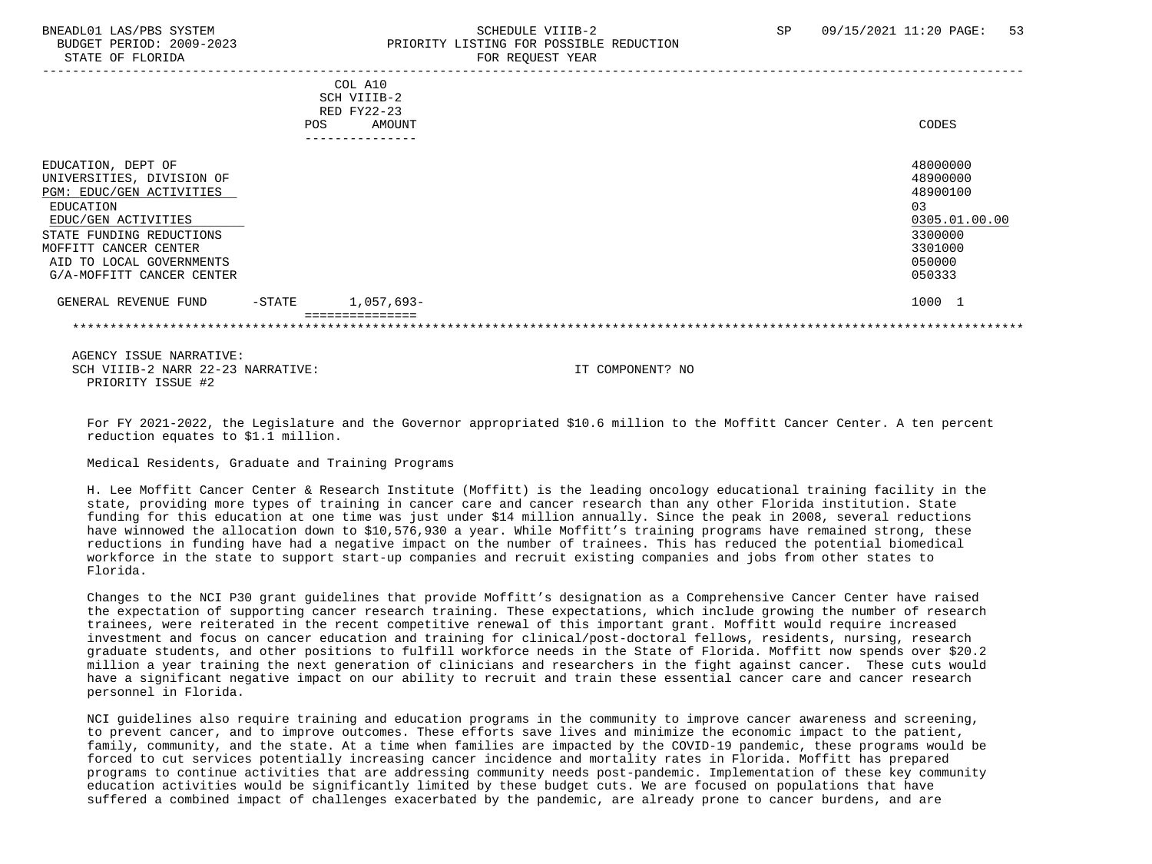BUDGET PERIOD: 2009-2023 PRIORITY LISTING FOR POSSIBLE REDUCTION STATE OF FLORIDA FOR REQUEST YEAR FOR REQUEST THAT AND THE STATE OF STATE OF STATE OF STATE OF STATE OF STATE OF STATE OF STATE OF STATE OF STATE OF STATE OF STATE OF STATE OF STATE OF STATE OF STATE OF STATE OF STATE OF S

# BNEADL01 LAS/PBS SYSTEM SCHEDULE VIIIB-2 SCHEDULE VIIIB-2 SP 09/15/2021 11:20 PAGE: 53

|                                                                                                                                                                                                                               | POS    | COL A10<br>SCH VIIIB-2<br>RED FY22-23<br>AMOUNT | CODES                                                                                             |
|-------------------------------------------------------------------------------------------------------------------------------------------------------------------------------------------------------------------------------|--------|-------------------------------------------------|---------------------------------------------------------------------------------------------------|
|                                                                                                                                                                                                                               |        | --------------                                  |                                                                                                   |
| EDUCATION, DEPT OF<br>UNIVERSITIES, DIVISION OF<br>PGM: EDUC/GEN ACTIVITIES<br>EDUCATION<br>EDUC/GEN ACTIVITIES<br>STATE FUNDING REDUCTIONS<br>MOFFITT CANCER CENTER<br>AID TO LOCAL GOVERNMENTS<br>G/A-MOFFITT CANCER CENTER |        |                                                 | 48000000<br>48900000<br>48900100<br>03<br>0305.01.00.00<br>3300000<br>3301000<br>050000<br>050333 |
| GENERAL REVENUE FUND                                                                                                                                                                                                          | -STATE | 1,057,693-                                      | 1000 1                                                                                            |
|                                                                                                                                                                                                                               |        |                                                 |                                                                                                   |
|                                                                                                                                                                                                                               |        |                                                 |                                                                                                   |
| AGENCY ISSUE NARRATIVE:                                                                                                                                                                                                       |        |                                                 |                                                                                                   |

SCH VIIIB-2 NARR 22-23 NARRATIVE: IT COMPONENT? NO PRIORITY ISSUE #2

 For FY 2021-2022, the Legislature and the Governor appropriated \$10.6 million to the Moffitt Cancer Center. A ten percent reduction equates to \$1.1 million.

Medical Residents, Graduate and Training Programs

 H. Lee Moffitt Cancer Center & Research Institute (Moffitt) is the leading oncology educational training facility in the state, providing more types of training in cancer care and cancer research than any other Florida institution. State funding for this education at one time was just under \$14 million annually. Since the peak in 2008, several reductions have winnowed the allocation down to \$10,576,930 a year. While Moffitt's training programs have remained strong, these reductions in funding have had a negative impact on the number of trainees. This has reduced the potential biomedical workforce in the state to support start-up companies and recruit existing companies and jobs from other states to Florida.

 Changes to the NCI P30 grant guidelines that provide Moffitt's designation as a Comprehensive Cancer Center have raised the expectation of supporting cancer research training. These expectations, which include growing the number of research trainees, were reiterated in the recent competitive renewal of this important grant. Moffitt would require increased investment and focus on cancer education and training for clinical/post-doctoral fellows, residents, nursing, research graduate students, and other positions to fulfill workforce needs in the State of Florida. Moffitt now spends over \$20.2 million a year training the next generation of clinicians and researchers in the fight against cancer. These cuts would have a significant negative impact on our ability to recruit and train these essential cancer care and cancer research personnel in Florida.

 NCI guidelines also require training and education programs in the community to improve cancer awareness and screening, to prevent cancer, and to improve outcomes. These efforts save lives and minimize the economic impact to the patient, family, community, and the state. At a time when families are impacted by the COVID-19 pandemic, these programs would be forced to cut services potentially increasing cancer incidence and mortality rates in Florida. Moffitt has prepared programs to continue activities that are addressing community needs post-pandemic. Implementation of these key community education activities would be significantly limited by these budget cuts. We are focused on populations that have suffered a combined impact of challenges exacerbated by the pandemic, are already prone to cancer burdens, and are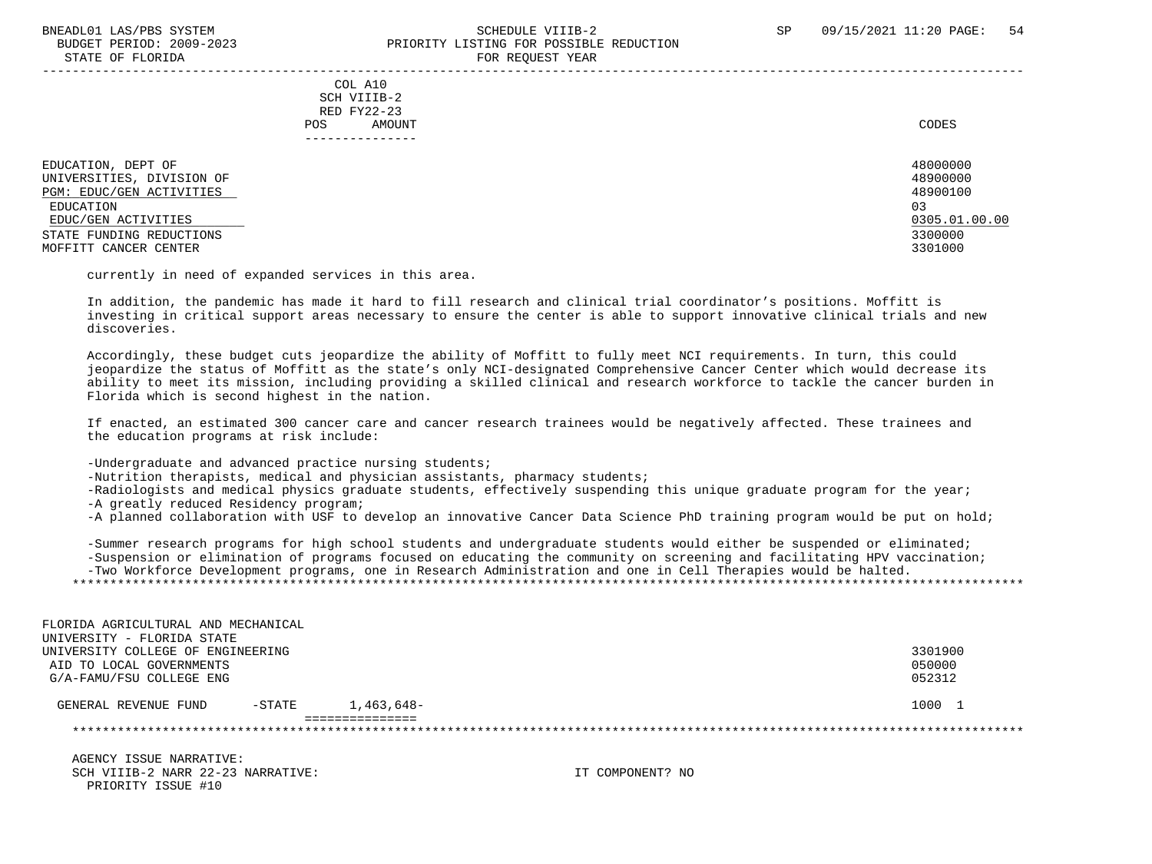### BNEADL01 LAS/PBS SYSTEM SCHEDULE VIIIB-2 SCHEDULE VIIIB-2 SP 09/15/2021 11:20 PAGE: 54 BUDGET PERIOD: 2009-2023 PRIORITY LISTING FOR POSSIBLE REDUCTION STATE OF FLORIDA FOR REQUEST YEAR FOR REQUEST THAT THE REDUCT OF STATE OF STATE OF STATE OF STATE OF STATE OF STATE OF STATE OF STATE OF STATE OF STATE OF STATE OF STATE OF STATE OF STATE OF STATE OF STATE OF STATE OF STAT

 ----------------------------------------------------------------------------------------------------------------------------------- COL A10 SCH VIIIB-2 RED FY22-23 POS AMOUNT CODES ---------------

EDUCATION, DEPT OF 480000000<br>INIVERSITIES DIVISION OF UNIVERSITIES, DIVISION OF 48900000 PGM: EDUC/GEN ACTIVITIES EDUCATION 03 EDUC/GEN ACTIVITIES 2008.01.00.00 EDUC/GEN ACTIVITIES 2005.01.00.00 STATE FUNDING REDUCTIONS 3300000 MOFFITT CANCER CENTER 3301000

currently in need of expanded services in this area.

 In addition, the pandemic has made it hard to fill research and clinical trial coordinator's positions. Moffitt is investing in critical support areas necessary to ensure the center is able to support innovative clinical trials and new discoveries.

 Accordingly, these budget cuts jeopardize the ability of Moffitt to fully meet NCI requirements. In turn, this could jeopardize the status of Moffitt as the state's only NCI-designated Comprehensive Cancer Center which would decrease its ability to meet its mission, including providing a skilled clinical and research workforce to tackle the cancer burden in Florida which is second highest in the nation.

 If enacted, an estimated 300 cancer care and cancer research trainees would be negatively affected. These trainees and the education programs at risk include:

-Undergraduate and advanced practice nursing students;

-Nutrition therapists, medical and physician assistants, pharmacy students;

-Radiologists and medical physics graduate students, effectively suspending this unique graduate program for the year;

-A greatly reduced Residency program;

-A planned collaboration with USF to develop an innovative Cancer Data Science PhD training program would be put on hold;

 -Summer research programs for high school students and undergraduate students would either be suspended or eliminated; -Suspension or elimination of programs focused on educating the community on screening and facilitating HPV vaccination; -Two Workforce Development programs, one in Research Administration and one in Cell Therapies would be halted. \*\*\*\*\*\*\*\*\*\*\*\*\*\*\*\*\*\*\*\*\*\*\*\*\*\*\*\*\*\*\*\*\*\*\*\*\*\*\*\*\*\*\*\*\*\*\*\*\*\*\*\*\*\*\*\*\*\*\*\*\*\*\*\*\*\*\*\*\*\*\*\*\*\*\*\*\*\*\*\*\*\*\*\*\*\*\*\*\*\*\*\*\*\*\*\*\*\*\*\*\*\*\*\*\*\*\*\*\*\*\*\*\*\*\*\*\*\*\*\*\*\*\*\*\*\*\*

| FLORIDA AGRICULTURAL AND MECHANICAL |           |            |         |
|-------------------------------------|-----------|------------|---------|
| UNIVERSITY - FLORIDA STATE          |           |            |         |
| UNIVERSITY COLLEGE OF ENGINEERING   |           |            | 3301900 |
| AID TO LOCAL GOVERNMENTS            |           |            | 050000  |
| G/A-FAMU/FSU COLLEGE ENG            |           |            | 052312  |
| GENERAL REVENUE FUND                | $-$ STATE | 1,463,648- | 1000 1  |
|                                     |           |            |         |
|                                     |           |            |         |

 AGENCY ISSUE NARRATIVE: SCH VIIIB-2 NARR 22-23 NARRATIVE: IT COMPONENT? NO PRIORITY ISSUE #10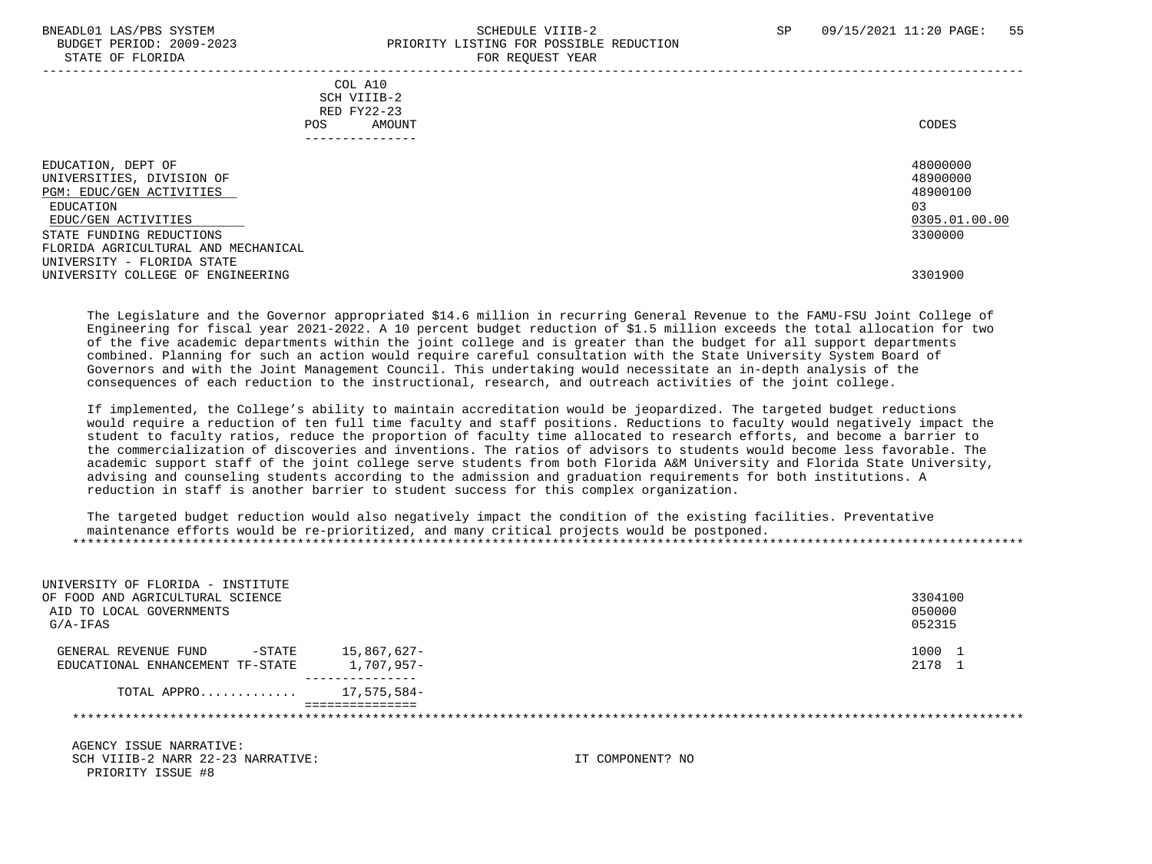STATE OF FLORIDA

### BNEADL01 LAS/PBS SYSTEM SCHEDULE VIIIB-2 SCHEDULE VIIIB-2 SP 09/15/2021 11:20 PAGE: 55 BUDGET PERIOD: 2009-2023<br>
PRIORITY LISTING FOR POSSIBLE REDUCTION<br>
FOR PEOUTEST VEAP

| DIAIL OF FLORIDA                                                                                                                                                                                                                                      | LOV VEÃOFOI IEUV                                |                                                                               |
|-------------------------------------------------------------------------------------------------------------------------------------------------------------------------------------------------------------------------------------------------------|-------------------------------------------------|-------------------------------------------------------------------------------|
| POS.                                                                                                                                                                                                                                                  | COL A10<br>SCH VIIIB-2<br>RED FY22-23<br>AMOUNT | CODES                                                                         |
| EDUCATION, DEPT OF<br>UNIVERSITIES, DIVISION OF<br>PGM: EDUC/GEN ACTIVITIES<br>EDUCATION<br>EDUC/GEN ACTIVITIES<br>STATE FUNDING REDUCTIONS<br>FLORIDA AGRICULTURAL AND MECHANICAL<br>UNIVERSITY - FLORIDA STATE<br>UNIVERSITY COLLEGE OF ENGINEERING |                                                 | 48000000<br>48900000<br>48900100<br>03<br>0305.01.00.00<br>3300000<br>3301900 |
|                                                                                                                                                                                                                                                       |                                                 |                                                                               |

 The Legislature and the Governor appropriated \$14.6 million in recurring General Revenue to the FAMU-FSU Joint College of Engineering for fiscal year 2021-2022. A 10 percent budget reduction of \$1.5 million exceeds the total allocation for two of the five academic departments within the joint college and is greater than the budget for all support departments combined. Planning for such an action would require careful consultation with the State University System Board of Governors and with the Joint Management Council. This undertaking would necessitate an in-depth analysis of the consequences of each reduction to the instructional, research, and outreach activities of the joint college.

 If implemented, the College's ability to maintain accreditation would be jeopardized. The targeted budget reductions would require a reduction of ten full time faculty and staff positions. Reductions to faculty would negatively impact the student to faculty ratios, reduce the proportion of faculty time allocated to research efforts, and become a barrier to the commercialization of discoveries and inventions. The ratios of advisors to students would become less favorable. The academic support staff of the joint college serve students from both Florida A&M University and Florida State University, advising and counseling students according to the admission and graduation requirements for both institutions. A reduction in staff is another barrier to student success for this complex organization.

 The targeted budget reduction would also negatively impact the condition of the existing facilities. Preventative maintenance efforts would be re-prioritized, and many critical projects would be postponed. \*\*\*\*\*\*\*\*\*\*\*\*\*\*\*\*\*\*\*\*\*\*\*\*\*\*\*\*\*\*\*\*\*\*\*\*\*\*\*\*\*\*\*\*\*\*\*\*\*\*\*\*\*\*\*\*\*\*\*\*\*\*\*\*\*\*\*\*\*\*\*\*\*\*\*\*\*\*\*\*\*\*\*\*\*\*\*\*\*\*\*\*\*\*\*\*\*\*\*\*\*\*\*\*\*\*\*\*\*\*\*\*\*\*\*\*\*\*\*\*\*\*\*\*\*\*\*

| UNIVERSITY OF FLORIDA - INSTITUTE<br>OF FOOD AND AGRICULTURAL SCIENCE<br>AID TO LOCAL GOVERNMENTS<br>$G/A-IFAS$ |                           |                  | 3304100<br>050000<br>052315 |
|-----------------------------------------------------------------------------------------------------------------|---------------------------|------------------|-----------------------------|
| $-$ STATE<br>GENERAL REVENUE FUND<br>EDUCATIONAL ENHANCEMENT TF-STATE                                           | 15,867,627-<br>1,707,957- |                  | 1000 1<br>2178 1            |
| TOTAL APPRO                                                                                                     | 17,575,584-               |                  |                             |
|                                                                                                                 | ===============           |                  |                             |
| AGENCY ISSUE NARRATIVE:<br>SCH VIIIB-2 NARR 22-23 NARRATIVE:<br>PRIORITY ISSUE #8                               |                           | IT COMPONENT? NO |                             |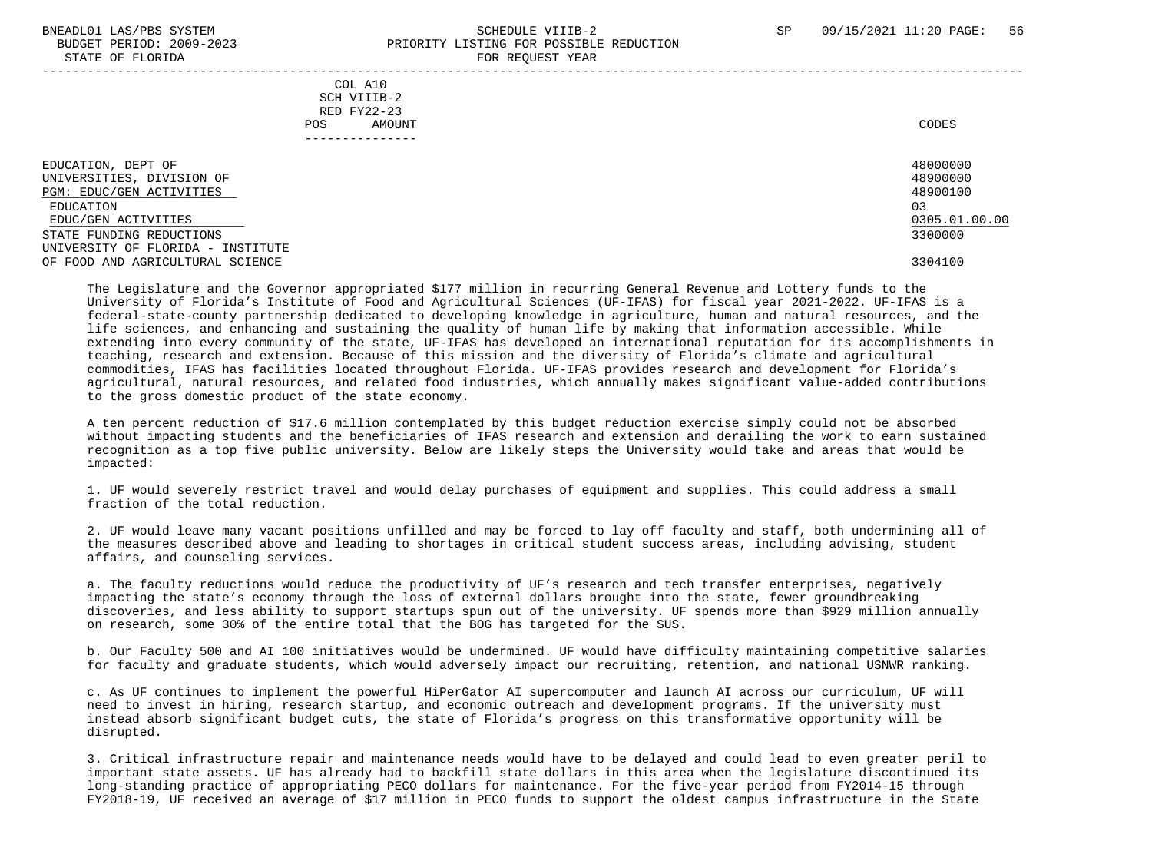### BNEADL01 LAS/PBS SYSTEM SCHEDULE VIIIB-2 SCHEDULE VIIIB-2 SP 09/15/2021 11:20 PAGE: 56 BUDGET PERIOD: 2009-2023 PRIORITY LISTING FOR POSSIBLE REDUCTION STATE OF FLORIDA FOR REQUEST YEAR FOR REQUEST THAT AND THE STATE OF STATE OF STATE OF STATE OF STATE OF STATE OF STATE OF STATE OF STATE OF STATE OF STATE OF STATE OF STATE OF STATE OF STATE OF STATE OF STATE OF STATE OF S -----------------------------------------------------------------------------------------------------------------------------------

 COL A10 SCH VIIIB-2 RED FY22-23 POS AMOUNT CODES ---------------

| DEPT OF<br>EDUCATION,             | 48000000      |
|-----------------------------------|---------------|
| UNIVERSITIES, DIVISION OF         | 48900000      |
| PGM: EDUC/GEN ACTIVITIES          | 48900100      |
| EDUCATION                         | 03            |
| EDUC/GEN ACTIVITIES               | 0305.01.00.00 |
| STATE FUNDING REDUCTIONS          | 3300000       |
| UNIVERSITY OF FLORIDA - INSTITUTE |               |
| OF FOOD AND AGRICULTURAL SCIENCE  | 3304100       |
|                                   |               |

 The Legislature and the Governor appropriated \$177 million in recurring General Revenue and Lottery funds to the University of Florida's Institute of Food and Agricultural Sciences (UF-IFAS) for fiscal year 2021-2022. UF-IFAS is a federal-state-county partnership dedicated to developing knowledge in agriculture, human and natural resources, and the life sciences, and enhancing and sustaining the quality of human life by making that information accessible. While extending into every community of the state, UF-IFAS has developed an international reputation for its accomplishments in teaching, research and extension. Because of this mission and the diversity of Florida's climate and agricultural commodities, IFAS has facilities located throughout Florida. UF-IFAS provides research and development for Florida's agricultural, natural resources, and related food industries, which annually makes significant value-added contributions to the gross domestic product of the state economy.

 A ten percent reduction of \$17.6 million contemplated by this budget reduction exercise simply could not be absorbed without impacting students and the beneficiaries of IFAS research and extension and derailing the work to earn sustained recognition as a top five public university. Below are likely steps the University would take and areas that would be impacted:

 1. UF would severely restrict travel and would delay purchases of equipment and supplies. This could address a small fraction of the total reduction.

 2. UF would leave many vacant positions unfilled and may be forced to lay off faculty and staff, both undermining all of the measures described above and leading to shortages in critical student success areas, including advising, student affairs, and counseling services.

 a. The faculty reductions would reduce the productivity of UF's research and tech transfer enterprises, negatively impacting the state's economy through the loss of external dollars brought into the state, fewer groundbreaking discoveries, and less ability to support startups spun out of the university. UF spends more than \$929 million annually on research, some 30% of the entire total that the BOG has targeted for the SUS.

 b. Our Faculty 500 and AI 100 initiatives would be undermined. UF would have difficulty maintaining competitive salaries for faculty and graduate students, which would adversely impact our recruiting, retention, and national USNWR ranking.

 c. As UF continues to implement the powerful HiPerGator AI supercomputer and launch AI across our curriculum, UF will need to invest in hiring, research startup, and economic outreach and development programs. If the university must instead absorb significant budget cuts, the state of Florida's progress on this transformative opportunity will be disrupted.

 3. Critical infrastructure repair and maintenance needs would have to be delayed and could lead to even greater peril to important state assets. UF has already had to backfill state dollars in this area when the legislature discontinued its long-standing practice of appropriating PECO dollars for maintenance. For the five-year period from FY2014-15 through FY2018-19, UF received an average of \$17 million in PECO funds to support the oldest campus infrastructure in the State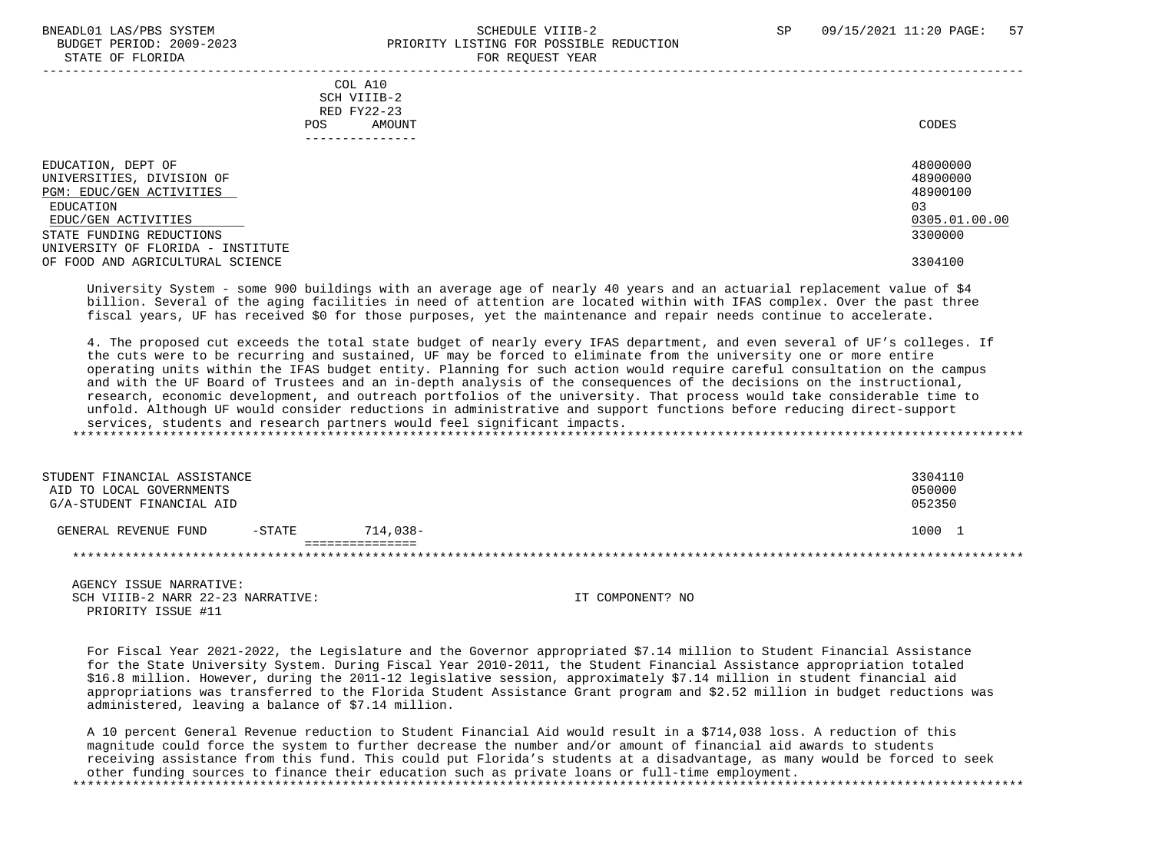### BNEADL01 LAS/PBS SYSTEM SCHEDULE VIIIB-2 SCHEDULE VIIIB-2 SP 09/15/2021 11:20 PAGE: 57 BUDGET PERIOD: 2009-2023 PRIORITY LISTING FOR POSSIBLE REDUCTION STATE OF FLORIDA FOR REQUEST YEAR FOR REQUEST THAT THE REDUCT OF STATE OF STATE OF STATE OF STATE OF STATE OF STATE OF STATE OF STATE OF STATE OF STATE OF STATE OF STATE OF STATE OF STATE OF STATE OF STATE OF STATE OF STAT -----------------------------------------------------------------------------------------------------------------------------------

 COL A10 SCH VIIIB-2 RED FY22-23 POS AMOUNT CODES ---------------

| EDUCATION, DEPT OF                | 48000000      |
|-----------------------------------|---------------|
| UNIVERSITIES, DIVISION OF         | 48900000      |
| PGM: EDUC/GEN ACTIVITIES          | 48900100      |
| EDUCATION                         | 03            |
| EDUC/GEN ACTIVITIES               | 0305.01.00.00 |
| STATE FUNDING REDUCTIONS          | 3300000       |
| UNIVERSITY OF FLORIDA - INSTITUTE |               |
| OF FOOD AND AGRICULTURAL SCIENCE  | 3304100       |
|                                   |               |

 University System - some 900 buildings with an average age of nearly 40 years and an actuarial replacement value of \$4 billion. Several of the aging facilities in need of attention are located within with IFAS complex. Over the past three fiscal years, UF has received \$0 for those purposes, yet the maintenance and repair needs continue to accelerate.

 4. The proposed cut exceeds the total state budget of nearly every IFAS department, and even several of UF's colleges. If the cuts were to be recurring and sustained, UF may be forced to eliminate from the university one or more entire operating units within the IFAS budget entity. Planning for such action would require careful consultation on the campus and with the UF Board of Trustees and an in-depth analysis of the consequences of the decisions on the instructional, research, economic development, and outreach portfolios of the university. That process would take considerable time to unfold. Although UF would consider reductions in administrative and support functions before reducing direct-support services, students and research partners would feel significant impacts. \*\*\*\*\*\*\*\*\*\*\*\*\*\*\*\*\*\*\*\*\*\*\*\*\*\*\*\*\*\*\*\*\*\*\*\*\*\*\*\*\*\*\*\*\*\*\*\*\*\*\*\*\*\*\*\*\*\*\*\*\*\*\*\*\*\*\*\*\*\*\*\*\*\*\*\*\*\*\*\*\*\*\*\*\*\*\*\*\*\*\*\*\*\*\*\*\*\*\*\*\*\*\*\*\*\*\*\*\*\*\*\*\*\*\*\*\*\*\*\*\*\*\*\*\*\*\*

| STUDENT FINANCIAL ASSISTANCE<br>AID TO LOCAL GOVERNMENTS<br>G/A-STUDENT FINANCIAL AID |           |          | 3304110<br>050000<br>052350 |
|---------------------------------------------------------------------------------------|-----------|----------|-----------------------------|
| GENERAL REVENUE FUND                                                                  | $-$ STATE | 714.038- | 1000                        |
|                                                                                       |           |          |                             |

 AGENCY ISSUE NARRATIVE: SCH VIIIB-2 NARR 22-23 NARRATIVE: IT COMPONENT? NO PRIORITY ISSUE #11

 For Fiscal Year 2021-2022, the Legislature and the Governor appropriated \$7.14 million to Student Financial Assistance for the State University System. During Fiscal Year 2010-2011, the Student Financial Assistance appropriation totaled \$16.8 million. However, during the 2011-12 legislative session, approximately \$7.14 million in student financial aid appropriations was transferred to the Florida Student Assistance Grant program and \$2.52 million in budget reductions was administered, leaving a balance of \$7.14 million.

 A 10 percent General Revenue reduction to Student Financial Aid would result in a \$714,038 loss. A reduction of this magnitude could force the system to further decrease the number and/or amount of financial aid awards to students receiving assistance from this fund. This could put Florida's students at a disadvantage, as many would be forced to seek other funding sources to finance their education such as private loans or full-time employment. \*\*\*\*\*\*\*\*\*\*\*\*\*\*\*\*\*\*\*\*\*\*\*\*\*\*\*\*\*\*\*\*\*\*\*\*\*\*\*\*\*\*\*\*\*\*\*\*\*\*\*\*\*\*\*\*\*\*\*\*\*\*\*\*\*\*\*\*\*\*\*\*\*\*\*\*\*\*\*\*\*\*\*\*\*\*\*\*\*\*\*\*\*\*\*\*\*\*\*\*\*\*\*\*\*\*\*\*\*\*\*\*\*\*\*\*\*\*\*\*\*\*\*\*\*\*\*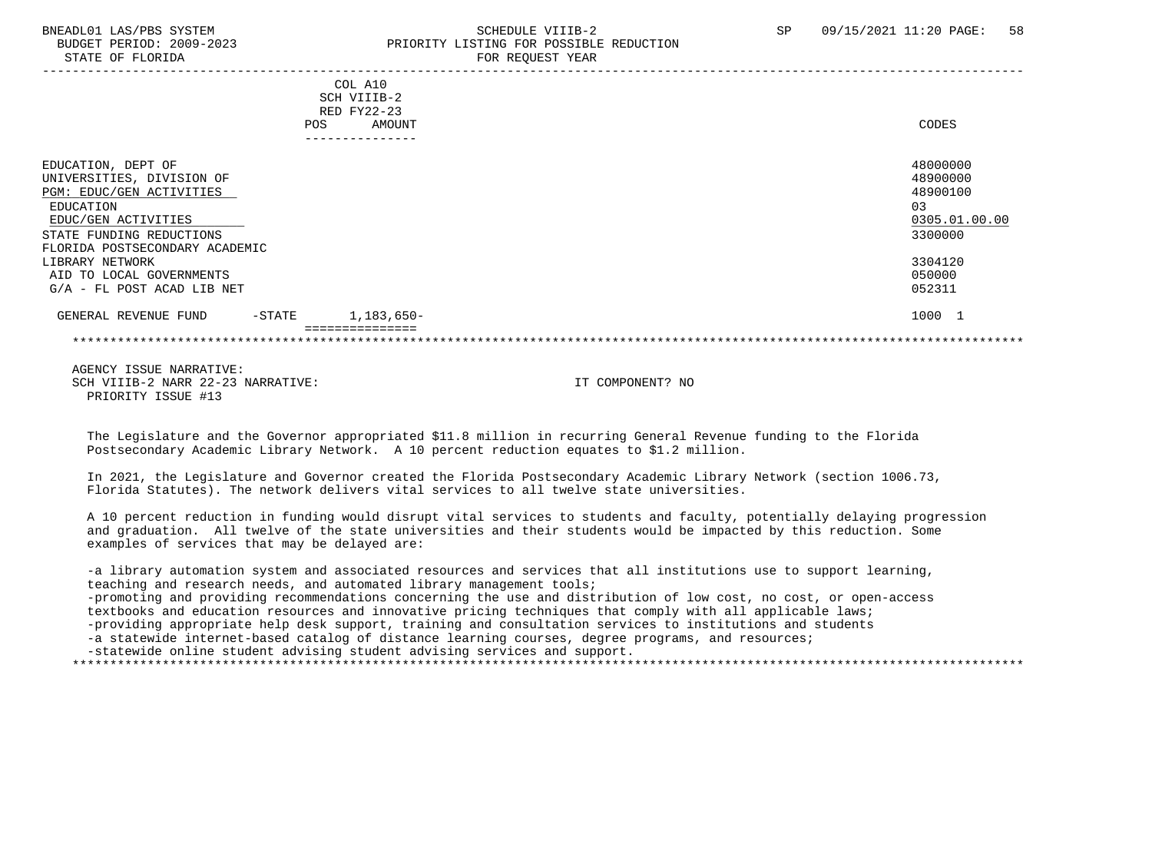### BNEADL01 LAS/PBS SYSTEM SCHEDULE VIIIB-2 SCHEDULE VIIIB-2 SP 09/15/2021 11:20 PAGE: 58 BUDGET PERIOD: 2009-2023 PRIORITY LISTING FOR POSSIBLE REDUCTION STATE OF FLORIDA FOR REQUEST YEAR FOR REQUEST YEAR

|                                                                                                                                                                               | COL A10<br>SCH VIIIB-2<br>RED FY22-23<br>AMOUNT<br><b>POS</b> | CODES                                                              |
|-------------------------------------------------------------------------------------------------------------------------------------------------------------------------------|---------------------------------------------------------------|--------------------------------------------------------------------|
|                                                                                                                                                                               |                                                               |                                                                    |
| EDUCATION, DEPT OF<br>UNIVERSITIES, DIVISION OF<br>PGM: EDUC/GEN ACTIVITIES<br>EDUCATION<br>EDUC/GEN ACTIVITIES<br>STATE FUNDING REDUCTIONS<br>FLORIDA POSTSECONDARY ACADEMIC |                                                               | 48000000<br>48900000<br>48900100<br>03<br>0305.01.00.00<br>3300000 |
| LIBRARY NETWORK<br>AID TO LOCAL GOVERNMENTS<br>$G/A$ - FL POST ACAD LIB NET                                                                                                   |                                                               | 3304120<br>050000<br>052311                                        |
| GENERAL REVENUE FUND<br>$-$ STATE                                                                                                                                             | 1,183,650-                                                    | 1000 1                                                             |
|                                                                                                                                                                               |                                                               |                                                                    |

 AGENCY ISSUE NARRATIVE: SCH VIIIB-2 NARR 22-23 NARRATIVE: IT COMPONENT? NO PRIORITY ISSUE #13

 The Legislature and the Governor appropriated \$11.8 million in recurring General Revenue funding to the Florida Postsecondary Academic Library Network. A 10 percent reduction equates to \$1.2 million.

 In 2021, the Legislature and Governor created the Florida Postsecondary Academic Library Network (section 1006.73, Florida Statutes). The network delivers vital services to all twelve state universities.

 A 10 percent reduction in funding would disrupt vital services to students and faculty, potentially delaying progression and graduation. All twelve of the state universities and their students would be impacted by this reduction. Some examples of services that may be delayed are:

 -a library automation system and associated resources and services that all institutions use to support learning, teaching and research needs, and automated library management tools; -promoting and providing recommendations concerning the use and distribution of low cost, no cost, or open-access textbooks and education resources and innovative pricing techniques that comply with all applicable laws; -providing appropriate help desk support, training and consultation services to institutions and students -a statewide internet-based catalog of distance learning courses, degree programs, and resources;

-statewide online student advising student advising services and support.

\*\*\*\*\*\*\*\*\*\*\*\*\*\*\*\*\*\*\*\*\*\*\*\*\*\*\*\*\*\*\*\*\*\*\*\*\*\*\*\*\*\*\*\*\*\*\*\*\*\*\*\*\*\*\*\*\*\*\*\*\*\*\*\*\*\*\*\*\*\*\*\*\*\*\*\*\*\*\*\*\*\*\*\*\*\*\*\*\*\*\*\*\*\*\*\*\*\*\*\*\*\*\*\*\*\*\*\*\*\*\*\*\*\*\*\*\*\*\*\*\*\*\*\*\*\*\*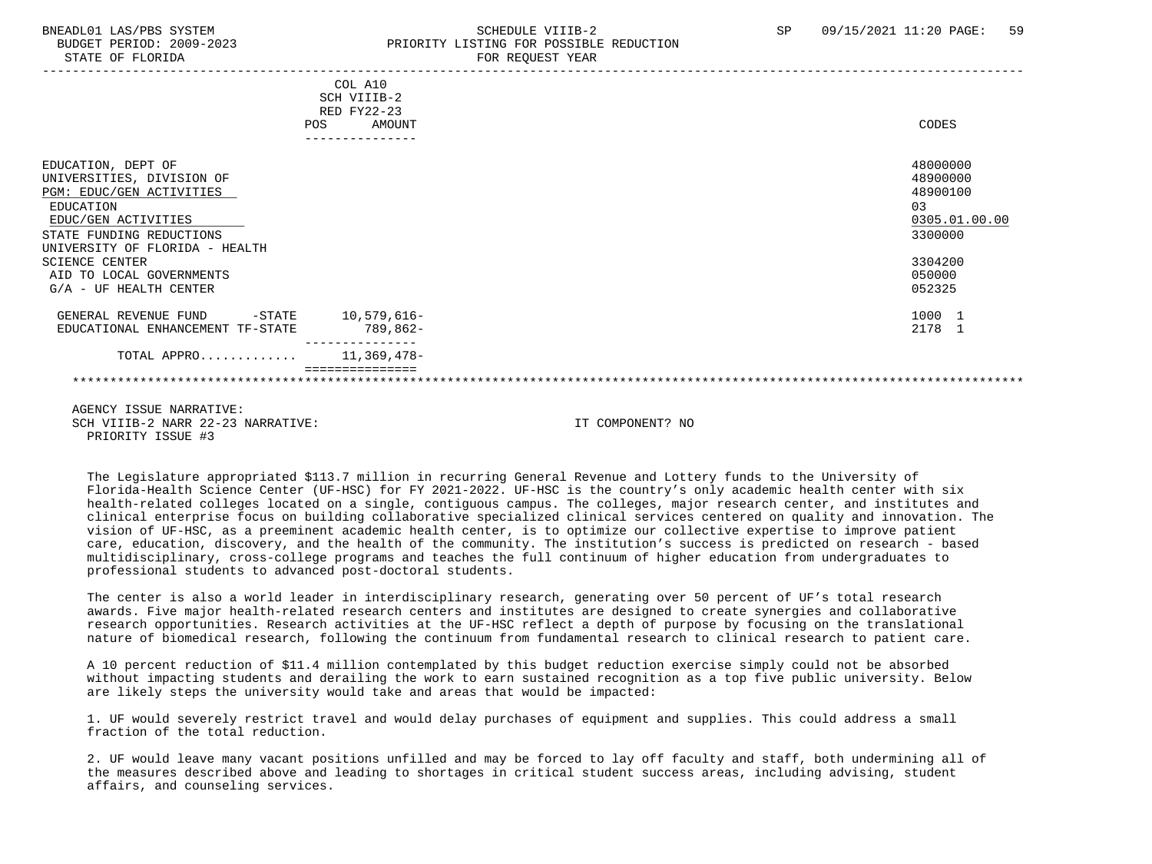### BNEADL01 LAS/PBS SYSTEM SCHEDULE VIIIB-2 SCHEDULE VIIIB-2 SP 09/15/2021 11:20 PAGE: 59 BUDGET PERIOD: 2009-2023 PRIORITY LISTING FOR POSSIBLE REDUCTION STATE OF FLORIDA FOR REQUEST YEAR FOR REQUEST THAT THE REDUCT OF STATE OF STATE OF STATE OF STATE OF STATE OF STATE OF STATE OF STATE OF STATE OF STATE OF STATE OF STATE OF STATE OF STATE OF STATE OF STATE OF STATE OF STAT

|                                                                                     | COL A10<br>SCH VIIIB-2<br>RED FY22-23<br><b>POS</b><br>AMOUNT |                  | CODES                            |
|-------------------------------------------------------------------------------------|---------------------------------------------------------------|------------------|----------------------------------|
| EDUCATION, DEPT OF<br>UNIVERSITIES, DIVISION OF                                     |                                                               |                  | 48000000<br>48900000             |
| PGM: EDUC/GEN ACTIVITIES<br>EDUCATION<br>EDUC/GEN ACTIVITIES                        |                                                               |                  | 48900100<br>0.3<br>0305.01.00.00 |
| STATE FUNDING REDUCTIONS<br>UNIVERSITY OF FLORIDA - HEALTH<br><b>SCIENCE CENTER</b> |                                                               |                  | 3300000<br>3304200               |
| AID TO LOCAL GOVERNMENTS<br>$G/A$ - UF HEALTH CENTER                                |                                                               |                  | 050000<br>052325                 |
| GENERAL REVENUE FUND<br>EDUCATIONAL ENHANCEMENT TF-STATE                            | -STATE 10,579,616-<br>789,862-                                |                  | 1000 1<br>2178 1                 |
| TOTAL APPRO $11,369,478-$                                                           |                                                               |                  |                                  |
|                                                                                     |                                                               |                  |                                  |
| AGENCY ISSUE NARRATIVE:                                                             |                                                               |                  |                                  |
| SCH VIIIB-2 NARR 22-23 NARRATIVE:                                                   |                                                               | TT COMPONENT? NO |                                  |

PRIORITY ISSUE #3

 The Legislature appropriated \$113.7 million in recurring General Revenue and Lottery funds to the University of Florida-Health Science Center (UF-HSC) for FY 2021-2022. UF-HSC is the country's only academic health center with six health-related colleges located on a single, contiguous campus. The colleges, major research center, and institutes and clinical enterprise focus on building collaborative specialized clinical services centered on quality and innovation. The vision of UF-HSC, as a preeminent academic health center, is to optimize our collective expertise to improve patient care, education, discovery, and the health of the community. The institution's success is predicted on research - based multidisciplinary, cross-college programs and teaches the full continuum of higher education from undergraduates to professional students to advanced post-doctoral students.

 The center is also a world leader in interdisciplinary research, generating over 50 percent of UF's total research awards. Five major health-related research centers and institutes are designed to create synergies and collaborative research opportunities. Research activities at the UF-HSC reflect a depth of purpose by focusing on the translational nature of biomedical research, following the continuum from fundamental research to clinical research to patient care.

 A 10 percent reduction of \$11.4 million contemplated by this budget reduction exercise simply could not be absorbed without impacting students and derailing the work to earn sustained recognition as a top five public university. Below are likely steps the university would take and areas that would be impacted:

 1. UF would severely restrict travel and would delay purchases of equipment and supplies. This could address a small fraction of the total reduction.

 2. UF would leave many vacant positions unfilled and may be forced to lay off faculty and staff, both undermining all of the measures described above and leading to shortages in critical student success areas, including advising, student affairs, and counseling services.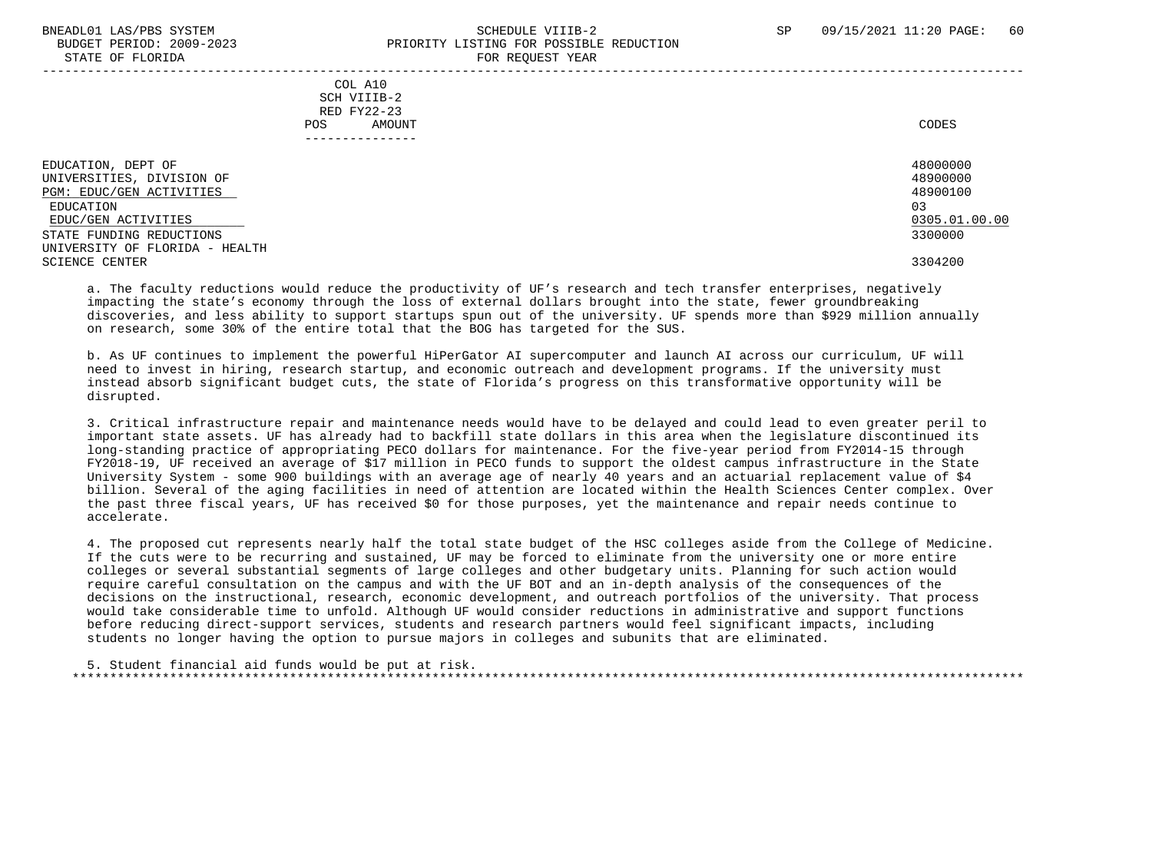### BNEADL01 LAS/PBS SYSTEM SCHEDULE VIIIB-2 SCHEDULE VIIIB-2 SP 09/15/2021 11:20 PAGE: 60 BUDGET PERIOD: 2009-2023 PRIORITY LISTING FOR POSSIBLE REDUCTION STATE OF FLORIDA FOR REQUEST YEAR FOR REQUEST THAT THE REDUCT OF STATE OF STATE OF STATE OF STATE OF STATE OF STATE OF STATE OF STATE OF STATE OF STATE OF STATE OF STATE OF STATE OF STATE OF STATE OF STATE OF STATE OF STAT -----------------------------------------------------------------------------------------------------------------------------------

 COL A10 SCH VIIIB-2 RED FY22-23 POS AMOUNT CODES ---------------

 EDUCATION, DEPT OF 48000000 UNIVERSITIES, DIVISION OF 48900000 PGM: EDUC/GEN ACTIVITIES EDUCATION 03  $\frac{\rm{EDUC/GEN}}{\rm{ATALE}}$   $\frac{0305.01.00.00}{3300000}$   $\frac{0305.01.00.00}{3300000}$ STATE FUNDING REDUCTIONS UNIVERSITY OF FLORIDA - HEALTH SCIENCE CENTER 3304200

a. The faculty reductions would reduce the productivity of UF's research and tech transfer enterprises, negatively impacting the state's economy through the loss of external dollars brought into the state, fewer groundbreaking discoveries, and less ability to support startups spun out of the university. UF spends more than \$929 million annually on research, some 30% of the entire total that the BOG has targeted for the SUS.

 b. As UF continues to implement the powerful HiPerGator AI supercomputer and launch AI across our curriculum, UF will need to invest in hiring, research startup, and economic outreach and development programs. If the university must instead absorb significant budget cuts, the state of Florida's progress on this transformative opportunity will be disrupted.

 3. Critical infrastructure repair and maintenance needs would have to be delayed and could lead to even greater peril to important state assets. UF has already had to backfill state dollars in this area when the legislature discontinued its long-standing practice of appropriating PECO dollars for maintenance. For the five-year period from FY2014-15 through FY2018-19, UF received an average of \$17 million in PECO funds to support the oldest campus infrastructure in the State University System - some 900 buildings with an average age of nearly 40 years and an actuarial replacement value of \$4 billion. Several of the aging facilities in need of attention are located within the Health Sciences Center complex. Over the past three fiscal years, UF has received \$0 for those purposes, yet the maintenance and repair needs continue to accelerate.

 4. The proposed cut represents nearly half the total state budget of the HSC colleges aside from the College of Medicine. If the cuts were to be recurring and sustained, UF may be forced to eliminate from the university one or more entire colleges or several substantial segments of large colleges and other budgetary units. Planning for such action would require careful consultation on the campus and with the UF BOT and an in-depth analysis of the consequences of the decisions on the instructional, research, economic development, and outreach portfolios of the university. That process would take considerable time to unfold. Although UF would consider reductions in administrative and support functions before reducing direct-support services, students and research partners would feel significant impacts, including students no longer having the option to pursue majors in colleges and subunits that are eliminated.

 5. Student financial aid funds would be put at risk. \*\*\*\*\*\*\*\*\*\*\*\*\*\*\*\*\*\*\*\*\*\*\*\*\*\*\*\*\*\*\*\*\*\*\*\*\*\*\*\*\*\*\*\*\*\*\*\*\*\*\*\*\*\*\*\*\*\*\*\*\*\*\*\*\*\*\*\*\*\*\*\*\*\*\*\*\*\*\*\*\*\*\*\*\*\*\*\*\*\*\*\*\*\*\*\*\*\*\*\*\*\*\*\*\*\*\*\*\*\*\*\*\*\*\*\*\*\*\*\*\*\*\*\*\*\*\*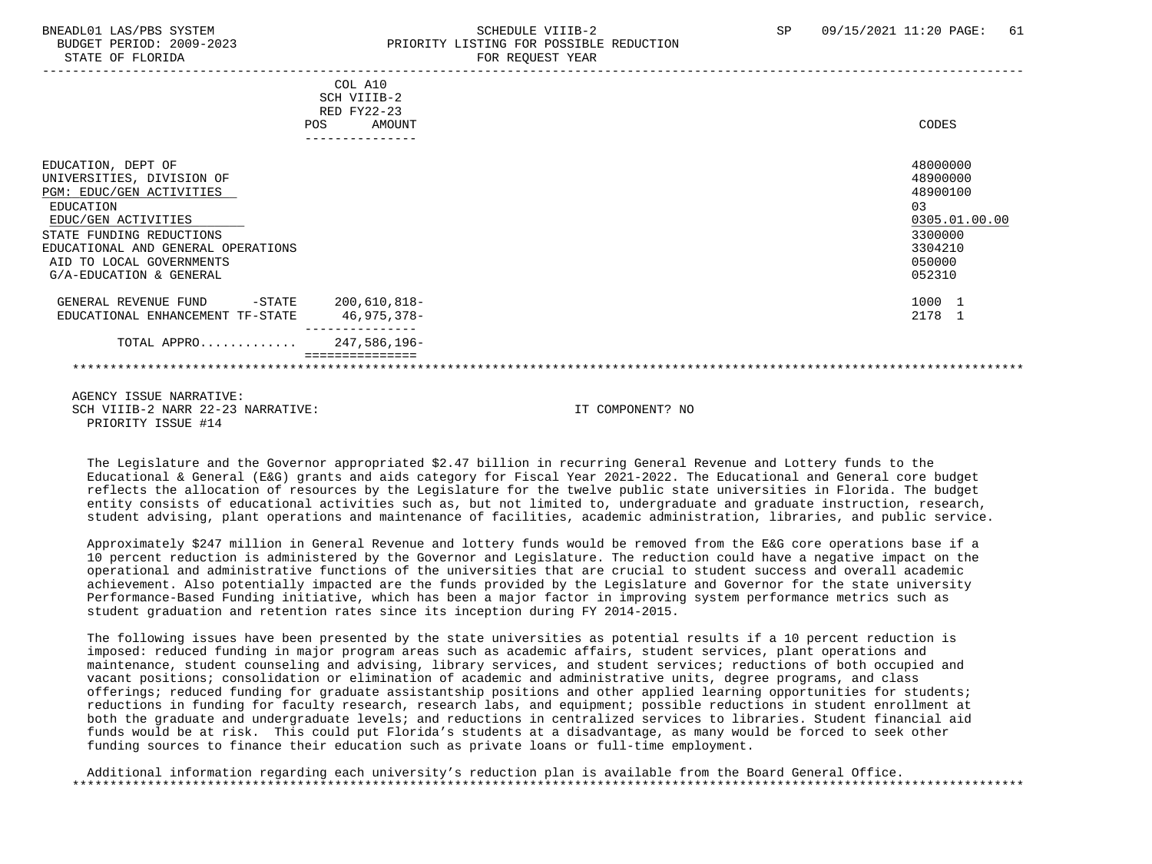STATE OF FLORIDA

### BNEADL01 LAS/PBS SYSTEM SCHEDULE VIIIB-2 SCHEDULE VIIIB-2 SP 09/15/2021 11:20 PAGE: 61 BUDGET PERIOD: 2009-2023<br>
PRIORITY LISTING FOR POSSIBLE REDUCTION<br>
FOR PEOUTEST VEAP

|                                                                                                                                                                                                                                          | COL A10<br>SCH VIIIB-2<br>RED FY22-23<br>AMOUNT<br>POS | CODES                                                                                              |
|------------------------------------------------------------------------------------------------------------------------------------------------------------------------------------------------------------------------------------------|--------------------------------------------------------|----------------------------------------------------------------------------------------------------|
| EDUCATION, DEPT OF<br>UNIVERSITIES, DIVISION OF<br>PGM: EDUC/GEN ACTIVITIES<br>EDUCATION<br>EDUC/GEN ACTIVITIES<br>STATE FUNDING REDUCTIONS<br>EDUCATIONAL AND GENERAL OPERATIONS<br>AID TO LOCAL GOVERNMENTS<br>G/A-EDUCATION & GENERAL | ---------------                                        | 48000000<br>48900000<br>48900100<br>0.3<br>0305.01.00.00<br>3300000<br>3304210<br>050000<br>052310 |
| GENERAL REVENUE FUND<br>EDUCATIONAL ENHANCEMENT TF-STATE                                                                                                                                                                                 | $-$ STATE 200,610,818 $-$<br>46,975,378-               | 1000 1<br>2178 1                                                                                   |
| TOTAL APPRO 247,586,196-                                                                                                                                                                                                                 |                                                        |                                                                                                    |
|                                                                                                                                                                                                                                          |                                                        |                                                                                                    |
| AGENCY ISSUE NARRATIVE:<br>SCH VIIIB-2 NARR 22-23 NARRATIVE:<br>PRIORITY ISSUE #14                                                                                                                                                       |                                                        | IT COMPONENT? NO                                                                                   |

 The Legislature and the Governor appropriated \$2.47 billion in recurring General Revenue and Lottery funds to the Educational & General (E&G) grants and aids category for Fiscal Year 2021-2022. The Educational and General core budget reflects the allocation of resources by the Legislature for the twelve public state universities in Florida. The budget entity consists of educational activities such as, but not limited to, undergraduate and graduate instruction, research, student advising, plant operations and maintenance of facilities, academic administration, libraries, and public service.

 Approximately \$247 million in General Revenue and lottery funds would be removed from the E&G core operations base if a 10 percent reduction is administered by the Governor and Legislature. The reduction could have a negative impact on the operational and administrative functions of the universities that are crucial to student success and overall academic achievement. Also potentially impacted are the funds provided by the Legislature and Governor for the state university Performance-Based Funding initiative, which has been a major factor in improving system performance metrics such as student graduation and retention rates since its inception during FY 2014-2015.

 The following issues have been presented by the state universities as potential results if a 10 percent reduction is imposed: reduced funding in major program areas such as academic affairs, student services, plant operations and maintenance, student counseling and advising, library services, and student services; reductions of both occupied and vacant positions; consolidation or elimination of academic and administrative units, degree programs, and class offerings; reduced funding for graduate assistantship positions and other applied learning opportunities for students; reductions in funding for faculty research, research labs, and equipment; possible reductions in student enrollment at both the graduate and undergraduate levels; and reductions in centralized services to libraries. Student financial aid funds would be at risk. This could put Florida's students at a disadvantage, as many would be forced to seek other funding sources to finance their education such as private loans or full-time employment.

 Additional information regarding each university's reduction plan is available from the Board General Office. \*\*\*\*\*\*\*\*\*\*\*\*\*\*\*\*\*\*\*\*\*\*\*\*\*\*\*\*\*\*\*\*\*\*\*\*\*\*\*\*\*\*\*\*\*\*\*\*\*\*\*\*\*\*\*\*\*\*\*\*\*\*\*\*\*\*\*\*\*\*\*\*\*\*\*\*\*\*\*\*\*\*\*\*\*\*\*\*\*\*\*\*\*\*\*\*\*\*\*\*\*\*\*\*\*\*\*\*\*\*\*\*\*\*\*\*\*\*\*\*\*\*\*\*\*\*\*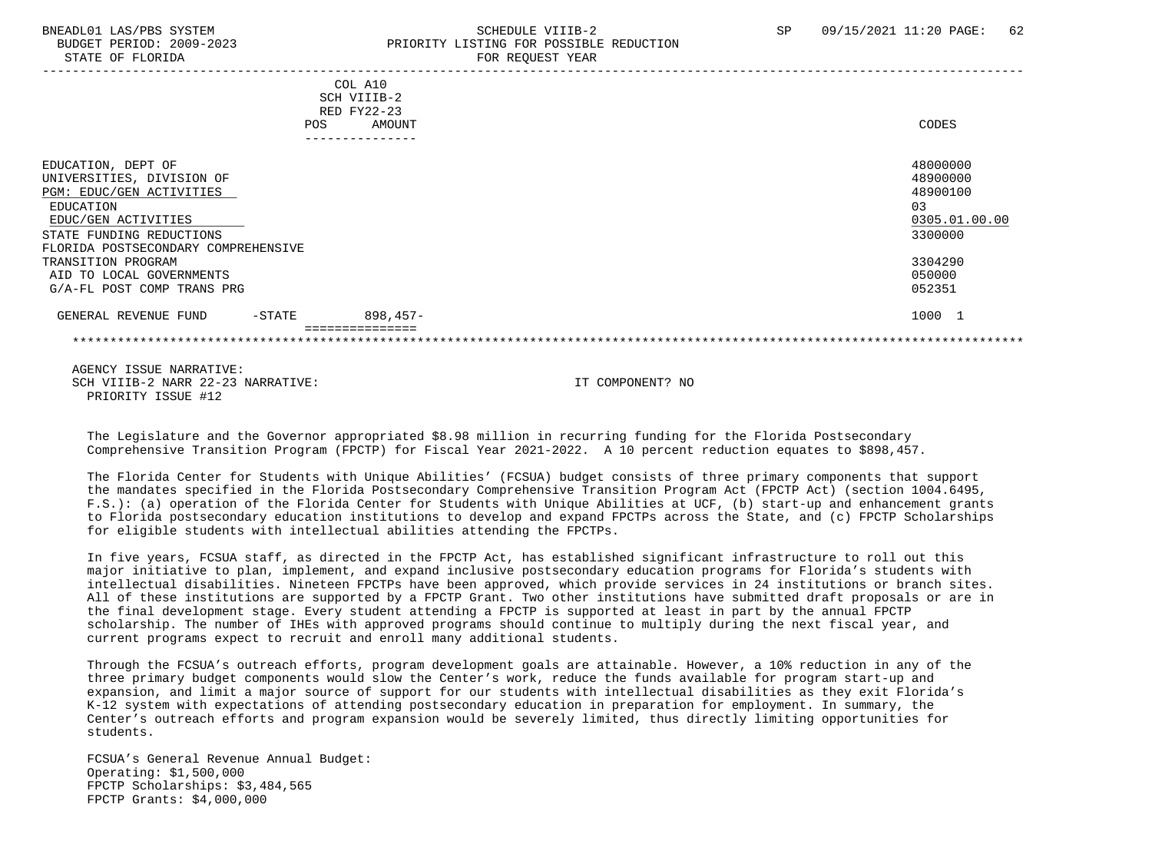### BNEADL01 LAS/PBS SYSTEM SCHEDULE VIIIB-2 SCHEDULE VIIIB-2 SP 09/15/2021 11:20 PAGE: 62 BUDGET PERIOD: 2009-2023 PRIORITY LISTING FOR POSSIBLE REDUCTION STATE OF FLORIDA FOR REQUEST YEAR FOR REQUEST THAT AND THE STATE OF STATE OF STATE OF STATE OF STATE OF STATE OF STATE OF STATE OF STATE OF STATE OF STATE OF STATE OF STATE OF STATE OF STATE OF STATE OF STATE OF STATE OF S

|                                     | COL A10<br>SCH VIIIB-2 |               |
|-------------------------------------|------------------------|---------------|
|                                     | RED FY22-23            |               |
| POS                                 | AMOUNT                 | CODES         |
|                                     |                        |               |
| EDUCATION, DEPT OF                  |                        | 48000000      |
| UNIVERSITIES, DIVISION OF           |                        | 48900000      |
| PGM: EDUC/GEN ACTIVITIES            |                        | 48900100      |
| EDUCATION                           |                        | 03            |
| EDUC/GEN ACTIVITIES                 |                        | 0305.01.00.00 |
| STATE FUNDING REDUCTIONS            |                        | 3300000       |
| FLORIDA POSTSECONDARY COMPREHENSIVE |                        |               |
| TRANSITION PROGRAM                  |                        | 3304290       |
| AID TO LOCAL GOVERNMENTS            |                        | 050000        |
| G/A-FL POST COMP TRANS PRG          |                        | 052351        |
| $-$ STATE<br>GENERAL REVENUE FUND   | $898.457-$             | 1000 1        |
|                                     |                        |               |
|                                     |                        |               |

 AGENCY ISSUE NARRATIVE: SCH VIIIB-2 NARR 22-23 NARRATIVE: IT COMPONENT? NO PRIORITY ISSUE #12

 The Legislature and the Governor appropriated \$8.98 million in recurring funding for the Florida Postsecondary Comprehensive Transition Program (FPCTP) for Fiscal Year 2021-2022. A 10 percent reduction equates to \$898,457.

 The Florida Center for Students with Unique Abilities' (FCSUA) budget consists of three primary components that support the mandates specified in the Florida Postsecondary Comprehensive Transition Program Act (FPCTP Act) (section 1004.6495, F.S.): (a) operation of the Florida Center for Students with Unique Abilities at UCF, (b) start-up and enhancement grants to Florida postsecondary education institutions to develop and expand FPCTPs across the State, and (c) FPCTP Scholarships for eligible students with intellectual abilities attending the FPCTPs.

 In five years, FCSUA staff, as directed in the FPCTP Act, has established significant infrastructure to roll out this major initiative to plan, implement, and expand inclusive postsecondary education programs for Florida's students with intellectual disabilities. Nineteen FPCTPs have been approved, which provide services in 24 institutions or branch sites. All of these institutions are supported by a FPCTP Grant. Two other institutions have submitted draft proposals or are in the final development stage. Every student attending a FPCTP is supported at least in part by the annual FPCTP scholarship. The number of IHEs with approved programs should continue to multiply during the next fiscal year, and current programs expect to recruit and enroll many additional students.

 Through the FCSUA's outreach efforts, program development goals are attainable. However, a 10% reduction in any of the three primary budget components would slow the Center's work, reduce the funds available for program start-up and expansion, and limit a major source of support for our students with intellectual disabilities as they exit Florida's K-12 system with expectations of attending postsecondary education in preparation for employment. In summary, the Center's outreach efforts and program expansion would be severely limited, thus directly limiting opportunities for students.

 FCSUA's General Revenue Annual Budget: Operating: \$1,500,000 FPCTP Scholarships: \$3,484,565 FPCTP Grants: \$4,000,000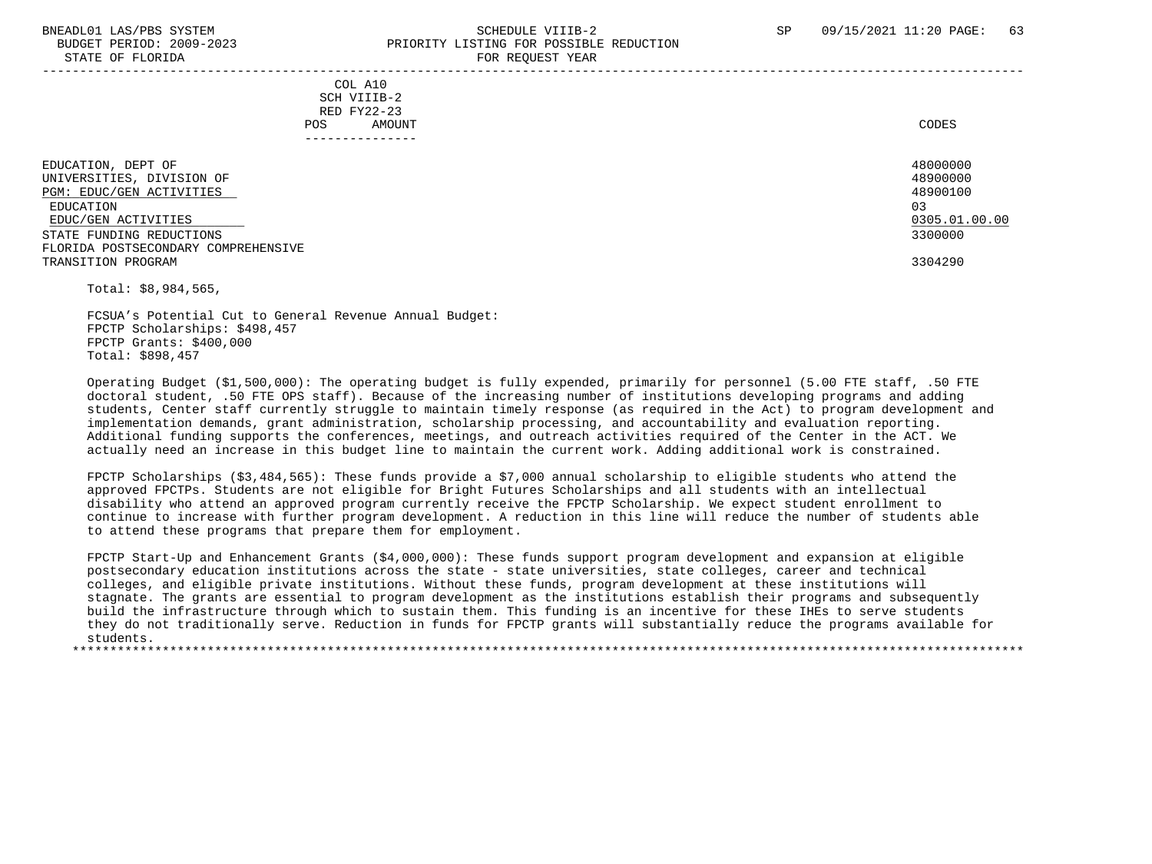### BNEADL01 LAS/PBS SYSTEM SCHEDULE VIIIB-2 SCHEDULE VIIIB-2 SP 09/15/2021 11:20 PAGE: 63 BUDGET PERIOD: 2009-2023 PRIORITY LISTING FOR POSSIBLE REDUCTION STATE OF FLORIDA **FOR REQUEST YEAR**

|                                                                         | - --- --- <u>-</u> ---- - ----- |
|-------------------------------------------------------------------------|---------------------------------|
| COL A10<br>SCH VIIIB-2<br>RED FY22-23<br>AMOUNT<br>POS.<br>------------ | CODES                           |
| EDUCATION, DEPT OF                                                      | 48000000                        |
|                                                                         | 48900000                        |
| UNIVERSITIES, DIVISION OF                                               |                                 |
| PGM: EDUC/GEN ACTIVITIES                                                | 48900100                        |
| EDUCATION                                                               | 03                              |
| EDUC/GEN ACTIVITIES                                                     | 0305.01.00.00                   |
| STATE FUNDING REDUCTIONS                                                | 3300000                         |
| FLORIDA POSTSECONDARY COMPREHENSIVE                                     |                                 |
| TRANSITION PROGRAM                                                      | 3304290                         |
|                                                                         |                                 |

Total: \$8,984,565,

 FCSUA's Potential Cut to General Revenue Annual Budget: FPCTP Scholarships: \$498,457 FPCTP Grants: \$400,000 Total: \$898,457

 Operating Budget (\$1,500,000): The operating budget is fully expended, primarily for personnel (5.00 FTE staff, .50 FTE doctoral student, .50 FTE OPS staff). Because of the increasing number of institutions developing programs and adding students, Center staff currently struggle to maintain timely response (as required in the Act) to program development and implementation demands, grant administration, scholarship processing, and accountability and evaluation reporting. Additional funding supports the conferences, meetings, and outreach activities required of the Center in the ACT. We actually need an increase in this budget line to maintain the current work. Adding additional work is constrained.

 FPCTP Scholarships (\$3,484,565): These funds provide a \$7,000 annual scholarship to eligible students who attend the approved FPCTPs. Students are not eligible for Bright Futures Scholarships and all students with an intellectual disability who attend an approved program currently receive the FPCTP Scholarship. We expect student enrollment to continue to increase with further program development. A reduction in this line will reduce the number of students able to attend these programs that prepare them for employment.

 FPCTP Start-Up and Enhancement Grants (\$4,000,000): These funds support program development and expansion at eligible postsecondary education institutions across the state - state universities, state colleges, career and technical colleges, and eligible private institutions. Without these funds, program development at these institutions will stagnate. The grants are essential to program development as the institutions establish their programs and subsequently build the infrastructure through which to sustain them. This funding is an incentive for these IHEs to serve students they do not traditionally serve. Reduction in funds for FPCTP grants will substantially reduce the programs available for students.

\*\*\*\*\*\*\*\*\*\*\*\*\*\*\*\*\*\*\*\*\*\*\*\*\*\*\*\*\*\*\*\*\*\*\*\*\*\*\*\*\*\*\*\*\*\*\*\*\*\*\*\*\*\*\*\*\*\*\*\*\*\*\*\*\*\*\*\*\*\*\*\*\*\*\*\*\*\*\*\*\*\*\*\*\*\*\*\*\*\*\*\*\*\*\*\*\*\*\*\*\*\*\*\*\*\*\*\*\*\*\*\*\*\*\*\*\*\*\*\*\*\*\*\*\*\*\*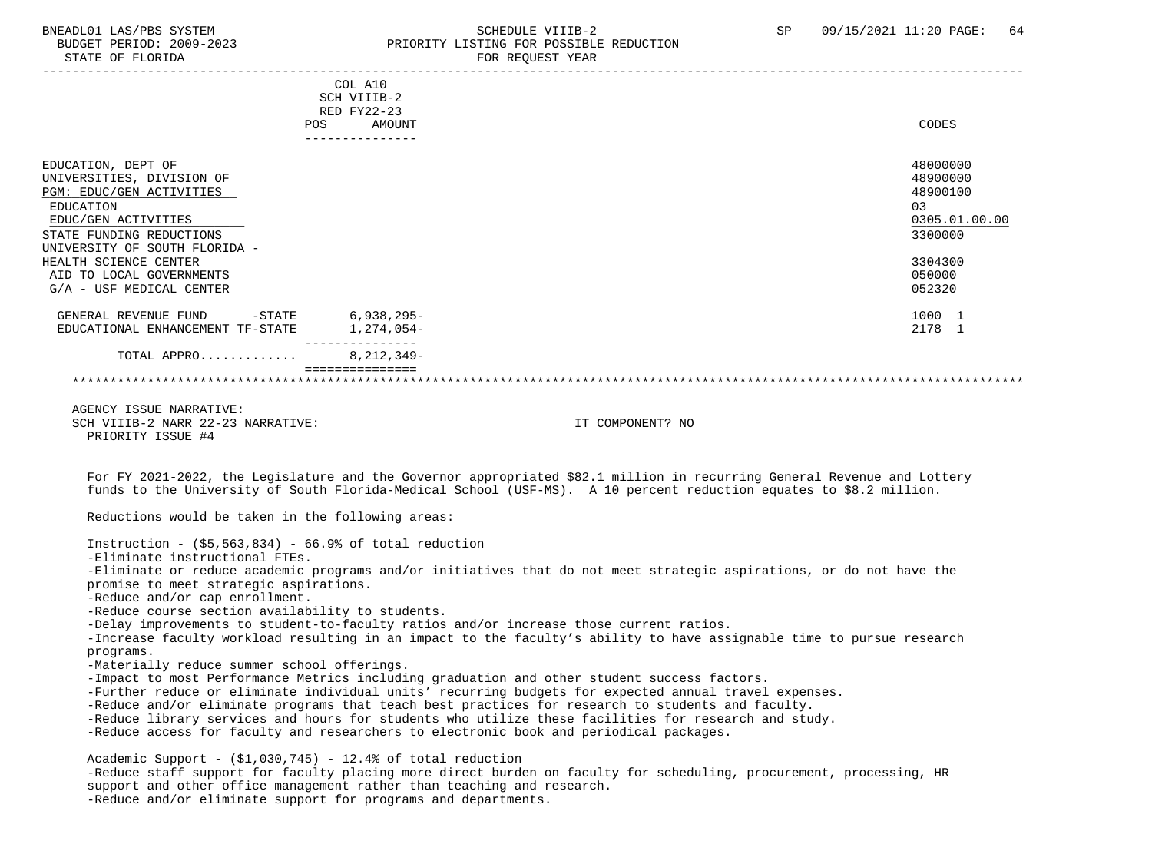### BNEADL01 LAS/PBS SYSTEM SCHEDULE VIIIB-2 SCHEDULE VIIIB-2 SP 09/15/2021 11:20 PAGE: 64 BUDGET PERIOD: 2009-2023 PRIORITY LISTING FOR POSSIBLE REDUCTION STATE OF FLORIDA FOR REQUEST YEAR FOR REQUEST YEAR

| POS                                                                                                                                                                                                                                                           | COL A10<br>SCH VIIIB-2<br>RED FY22-23<br>AMOUNT<br>_______________ |                                                                                                                                                                                                                                               | CODES                                                                                             |
|---------------------------------------------------------------------------------------------------------------------------------------------------------------------------------------------------------------------------------------------------------------|--------------------------------------------------------------------|-----------------------------------------------------------------------------------------------------------------------------------------------------------------------------------------------------------------------------------------------|---------------------------------------------------------------------------------------------------|
| EDUCATION, DEPT OF<br>UNIVERSITIES, DIVISION OF<br>PGM: EDUC/GEN ACTIVITIES<br>EDUCATION<br>EDUC/GEN ACTIVITIES<br>STATE FUNDING REDUCTIONS<br>UNIVERSITY OF SOUTH FLORIDA -<br>HEALTH SCIENCE CENTER<br>AID TO LOCAL GOVERNMENTS<br>G/A - USF MEDICAL CENTER |                                                                    |                                                                                                                                                                                                                                               | 48000000<br>48900000<br>48900100<br>03<br>0305.01.00.00<br>3300000<br>3304300<br>050000<br>052320 |
| $-STATE$ 6,938,295-<br>GENERAL REVENUE FUND<br>EDUCATIONAL ENHANCEMENT TF-STATE                                                                                                                                                                               | 1,274,054-                                                         |                                                                                                                                                                                                                                               | 1000 1<br>2178 1                                                                                  |
| TOTAL APPRO                                                                                                                                                                                                                                                   | . <u>.</u><br>$8,212,349-$<br>===============                      |                                                                                                                                                                                                                                               |                                                                                                   |
| AGENCY ISSUE NARRATIVE:<br>SCH VIIIB-2 NARR 22-23 NARRATIVE:<br>PRIORITY ISSUE #4                                                                                                                                                                             |                                                                    | IT COMPONENT? NO                                                                                                                                                                                                                              |                                                                                                   |
|                                                                                                                                                                                                                                                               |                                                                    | For FY 2021-2022, the Legislature and the Governor appropriated \$82.1 million in recurring General Revenue and Lottery<br>funds to the University of South Florida-Medical School (USF-MS). A 10 percent reduction equates to \$8.2 million. |                                                                                                   |
| Reductions would be taken in the following areas:                                                                                                                                                                                                             |                                                                    |                                                                                                                                                                                                                                               |                                                                                                   |
| Instruction - $(55, 563, 834)$ - 66.9% of total reduction<br>-Eliminate instructional FTEs.                                                                                                                                                                   |                                                                    | -Eliminate or reduce academic programs and/or initiatives that do not meet strategic aspirations, or do not have the                                                                                                                          |                                                                                                   |

promise to meet strategic aspirations.

-Reduce and/or cap enrollment.

-Reduce course section availability to students.

-Delay improvements to student-to-faculty ratios and/or increase those current ratios.

 -Increase faculty workload resulting in an impact to the faculty's ability to have assignable time to pursue research programs.

-Materially reduce summer school offerings.

-Impact to most Performance Metrics including graduation and other student success factors.

-Further reduce or eliminate individual units' recurring budgets for expected annual travel expenses.

-Reduce and/or eliminate programs that teach best practices for research to students and faculty.

-Reduce library services and hours for students who utilize these facilities for research and study.

-Reduce access for faculty and researchers to electronic book and periodical packages.

Academic Support -  $(S1,030,745)$  - 12.4% of total reduction

 -Reduce staff support for faculty placing more direct burden on faculty for scheduling, procurement, processing, HR support and other office management rather than teaching and research. -Reduce and/or eliminate support for programs and departments.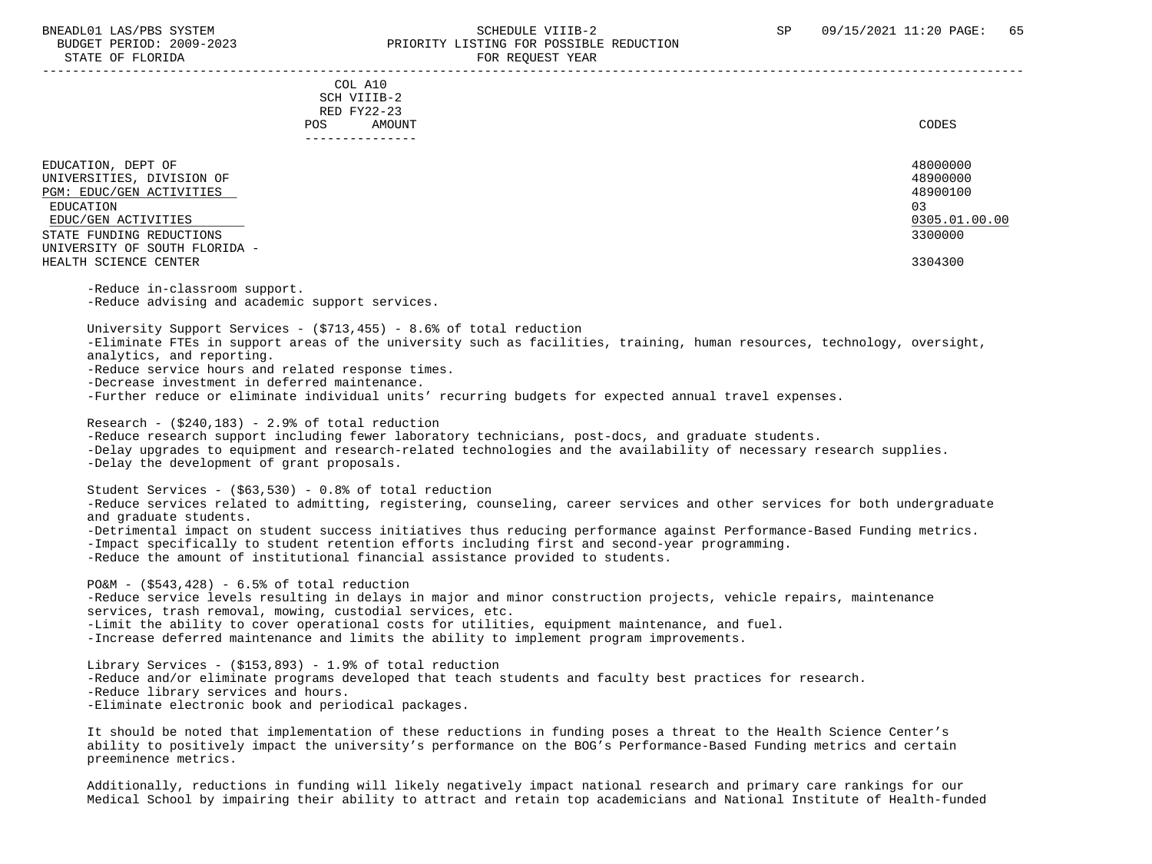### BNEADL01 LAS/PBS SYSTEM SCHEDULE VIIIB-2 SCHEDULE VIIIB-2 SP 09/15/2021 11:20 PAGE: 65 BUDGET PERIOD: 2009-2023 PRIORITY LISTING FOR POSSIBLE REDUCTION STATE OF FLORIDA FOR REQUEST YEAR FOR REQUEST THAT THE REDUCT OF STATE OF STATE OF STATE OF STATE OF STATE OF STATE OF STATE OF STATE OF STATE OF STATE OF STATE OF STATE OF STATE OF STATE OF STATE OF STATE OF STATE OF STAT -----------------------------------------------------------------------------------------------------------------------------------

 COL A10 SCH VIIIB-2 RED FY22-23 POS AMOUNT CODES ---------------

| EDUCATION, DEPT OF            | 48000000      |
|-------------------------------|---------------|
| UNIVERSITIES, DIVISION OF     | 48900000      |
| PGM: EDUC/GEN ACTIVITIES      | 48900100      |
| EDUCATION                     | 03            |
| EDUC/GEN ACTIVITIES           | 0305.01.00.00 |
| STATE FUNDING REDUCTIONS      | 3300000       |
| UNIVERSITY OF SOUTH FLORIDA - |               |
| HEALTH SCIENCE CENTER         | 3304300       |
|                               |               |
| -Reduce in-classroom support. |               |

-Reduce advising and academic support services.

 University Support Services - (\$713,455) - 8.6% of total reduction -Eliminate FTEs in support areas of the university such as facilities, training, human resources, technology, oversight, analytics, and reporting. -Reduce service hours and related response times. -Decrease investment in deferred maintenance. -Further reduce or eliminate individual units' recurring budgets for expected annual travel expenses.

Research -  $(5240.183)$  - 2.9% of total reduction -Reduce research support including fewer laboratory technicians, post-docs, and graduate students. -Delay upgrades to equipment and research-related technologies and the availability of necessary research supplies. -Delay the development of grant proposals.

 Student Services - (\$63,530) - 0.8% of total reduction -Reduce services related to admitting, registering, counseling, career services and other services for both undergraduate and graduate students. -Detrimental impact on student success initiatives thus reducing performance against Performance-Based Funding metrics. -Impact specifically to student retention efforts including first and second-year programming. -Reduce the amount of institutional financial assistance provided to students.

 $POSM - (5543.428) - 6.5$ % of total reduction -Reduce service levels resulting in delays in major and minor construction projects, vehicle repairs, maintenance services, trash removal, mowing, custodial services, etc. -Limit the ability to cover operational costs for utilities, equipment maintenance, and fuel. -Increase deferred maintenance and limits the ability to implement program improvements.

 Library Services - (\$153,893) - 1.9% of total reduction -Reduce and/or eliminate programs developed that teach students and faculty best practices for research. -Reduce library services and hours. -Eliminate electronic book and periodical packages.

 It should be noted that implementation of these reductions in funding poses a threat to the Health Science Center's ability to positively impact the university's performance on the BOG's Performance-Based Funding metrics and certain preeminence metrics.

 Additionally, reductions in funding will likely negatively impact national research and primary care rankings for our Medical School by impairing their ability to attract and retain top academicians and National Institute of Health-funded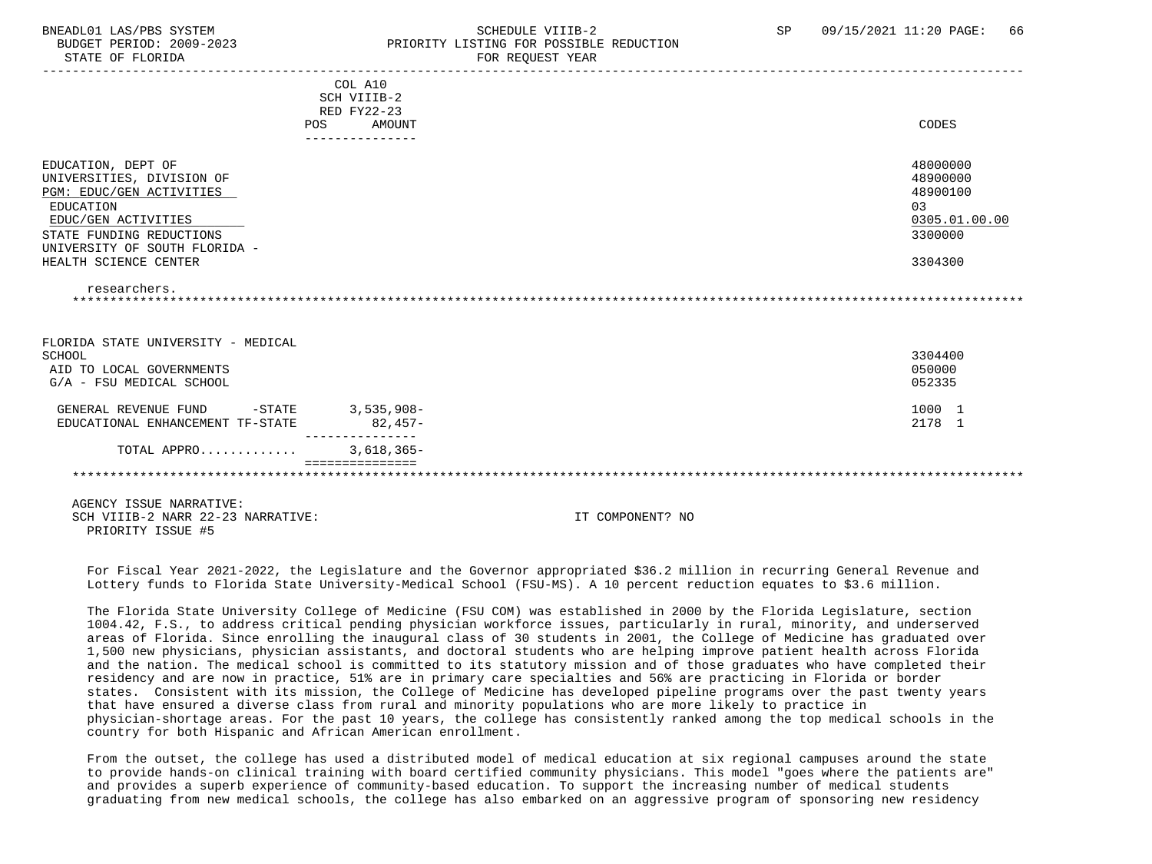### BNEADL01 LAS/PBS SYSTEM SCHEDULE VIIIB-2 SCHEDULE VIIIB-2 SP 09/15/2021 11:20 PAGE: 66 BUDGET PERIOD: 2009-2023<br>
PRIORITY LISTING FOR POSSIBLE REDUCTION<br>
FOR PEOUTEST VEAP

| STATE OF FLORIDA                                                                                                                                                                                                      |                                                        | FOR REQUEST YEAR |                                                                                |
|-----------------------------------------------------------------------------------------------------------------------------------------------------------------------------------------------------------------------|--------------------------------------------------------|------------------|--------------------------------------------------------------------------------|
|                                                                                                                                                                                                                       | COL A10<br>SCH VIIIB-2<br>RED FY22-23<br>POS<br>AMOUNT |                  | CODES                                                                          |
| EDUCATION, DEPT OF<br>UNIVERSITIES, DIVISION OF<br>PGM: EDUC/GEN ACTIVITIES<br>EDUCATION<br>EDUC/GEN ACTIVITIES<br>STATE FUNDING REDUCTIONS<br>UNIVERSITY OF SOUTH FLORIDA -<br>HEALTH SCIENCE CENTER<br>researchers. |                                                        |                  | 48000000<br>48900000<br>48900100<br>0.3<br>0305.01.00.00<br>3300000<br>3304300 |
| FLORIDA STATE UNIVERSITY - MEDICAL<br>SCHOOL<br>AID TO LOCAL GOVERNMENTS<br>G/A - FSU MEDICAL SCHOOL                                                                                                                  |                                                        |                  | 3304400<br>050000<br>052335                                                    |
| GENERAL REVENUE FUND<br>$-$ STATE<br>EDUCATIONAL ENHANCEMENT TF-STATE                                                                                                                                                 | $3,535,908-$<br>$82,457-$                              |                  | 1000 1<br>2178 1                                                               |
| TOTAL APPRO                                                                                                                                                                                                           | $3,618,365-$<br>---------------                        |                  |                                                                                |
| AGENCY ISSUE NARRATIVE:<br>SCH VIIIB-2 NARR 22-23 NARRATIVE:<br>PRIORITY ISSUE #5                                                                                                                                     |                                                        | IT COMPONENT? NO |                                                                                |

 For Fiscal Year 2021-2022, the Legislature and the Governor appropriated \$36.2 million in recurring General Revenue and Lottery funds to Florida State University-Medical School (FSU-MS). A 10 percent reduction equates to \$3.6 million.

 The Florida State University College of Medicine (FSU COM) was established in 2000 by the Florida Legislature, section 1004.42, F.S., to address critical pending physician workforce issues, particularly in rural, minority, and underserved areas of Florida. Since enrolling the inaugural class of 30 students in 2001, the College of Medicine has graduated over 1,500 new physicians, physician assistants, and doctoral students who are helping improve patient health across Florida and the nation. The medical school is committed to its statutory mission and of those graduates who have completed their residency and are now in practice, 51% are in primary care specialties and 56% are practicing in Florida or border states. Consistent with its mission, the College of Medicine has developed pipeline programs over the past twenty years that have ensured a diverse class from rural and minority populations who are more likely to practice in physician-shortage areas. For the past 10 years, the college has consistently ranked among the top medical schools in the country for both Hispanic and African American enrollment.

 From the outset, the college has used a distributed model of medical education at six regional campuses around the state to provide hands-on clinical training with board certified community physicians. This model "goes where the patients are" and provides a superb experience of community-based education. To support the increasing number of medical students graduating from new medical schools, the college has also embarked on an aggressive program of sponsoring new residency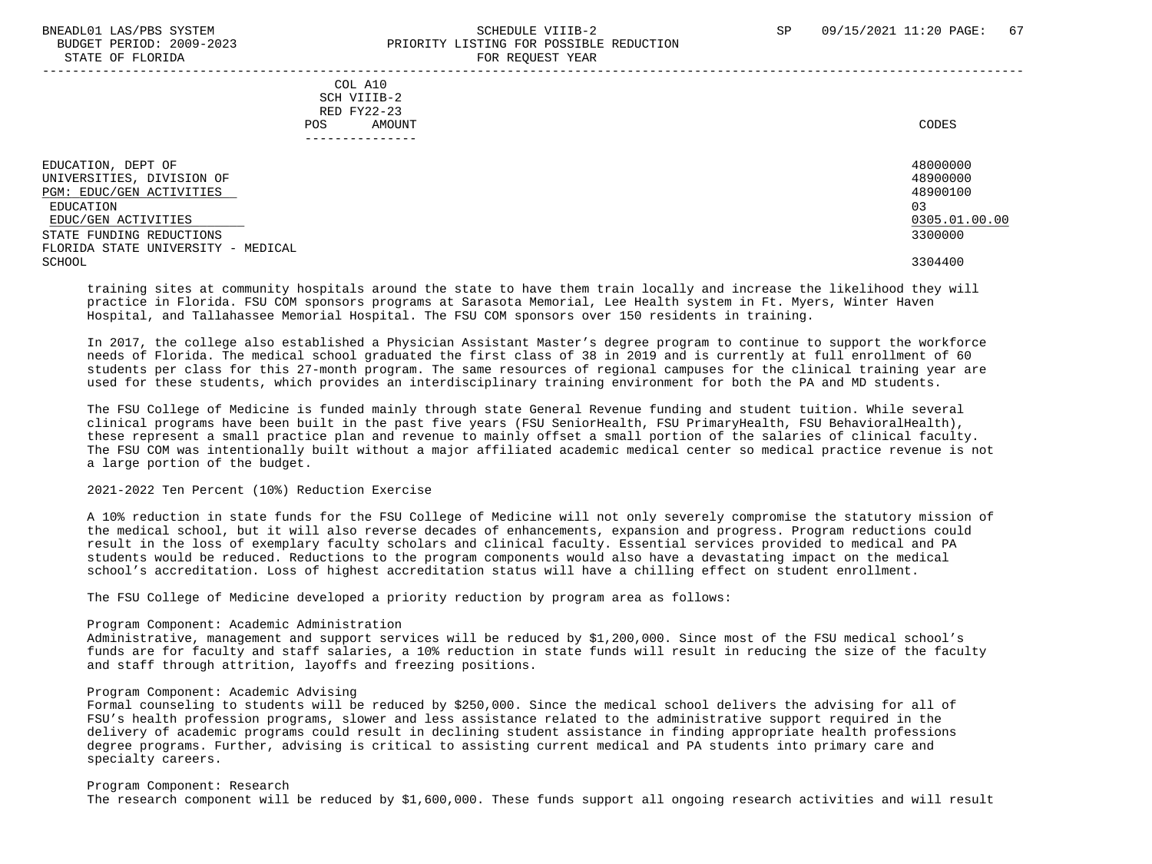### BNEADL01 LAS/PBS SYSTEM SCHEDULE VIIIB-2 SCHEDULE VIIIB-2 SP 09/15/2021 11:20 PAGE: 67 BUDGET PERIOD: 2009-2023 PRIORITY LISTING FOR POSSIBLE REDUCTION STATE OF FLORIDA FOR REQUEST YEAR FOR REQUEST THAT AND THE STATE OF STATE OF STATE OF STATE OF STATE OF STATE O

-----------------------------------------------------------------------------------------------------------------------------------

### COL A10 SCH VIIIB-2 RED FY22-23 POS AMOUNT CODES ---------------

| EDUCATION, DEPT OF                 | 48000000      |
|------------------------------------|---------------|
| UNIVERSITIES, DIVISION OF          | 48900000      |
| PGM: EDUC/GEN ACTIVITIES           | 48900100      |
| EDUCATION                          | 03            |
| EDUC/GEN ACTIVITIES                | 0305.01.00.00 |
| STATE FUNDING REDUCTIONS           | 3300000       |
| FLORIDA STATE UNIVERSITY - MEDICAL |               |
| SCHOOL                             | 3304400       |
|                                    |               |

 training sites at community hospitals around the state to have them train locally and increase the likelihood they will practice in Florida. FSU COM sponsors programs at Sarasota Memorial, Lee Health system in Ft. Myers, Winter Haven Hospital, and Tallahassee Memorial Hospital. The FSU COM sponsors over 150 residents in training.

 In 2017, the college also established a Physician Assistant Master's degree program to continue to support the workforce needs of Florida. The medical school graduated the first class of 38 in 2019 and is currently at full enrollment of 60 students per class for this 27-month program. The same resources of regional campuses for the clinical training year are used for these students, which provides an interdisciplinary training environment for both the PA and MD students.

 The FSU College of Medicine is funded mainly through state General Revenue funding and student tuition. While several clinical programs have been built in the past five years (FSU SeniorHealth, FSU PrimaryHealth, FSU BehavioralHealth), these represent a small practice plan and revenue to mainly offset a small portion of the salaries of clinical faculty. The FSU COM was intentionally built without a major affiliated academic medical center so medical practice revenue is not a large portion of the budget.

### 2021-2022 Ten Percent (10%) Reduction Exercise

 A 10% reduction in state funds for the FSU College of Medicine will not only severely compromise the statutory mission of the medical school, but it will also reverse decades of enhancements, expansion and progress. Program reductions could result in the loss of exemplary faculty scholars and clinical faculty. Essential services provided to medical and PA students would be reduced. Reductions to the program components would also have a devastating impact on the medical school's accreditation. Loss of highest accreditation status will have a chilling effect on student enrollment.

The FSU College of Medicine developed a priority reduction by program area as follows:

#### Program Component: Academic Administration

 Administrative, management and support services will be reduced by \$1,200,000. Since most of the FSU medical school's funds are for faculty and staff salaries, a 10% reduction in state funds will result in reducing the size of the faculty and staff through attrition, layoffs and freezing positions.

### Program Component: Academic Advising

 Formal counseling to students will be reduced by \$250,000. Since the medical school delivers the advising for all of FSU's health profession programs, slower and less assistance related to the administrative support required in the delivery of academic programs could result in declining student assistance in finding appropriate health professions degree programs. Further, advising is critical to assisting current medical and PA students into primary care and specialty careers.

#### Program Component: Research

The research component will be reduced by \$1,600,000. These funds support all ongoing research activities and will result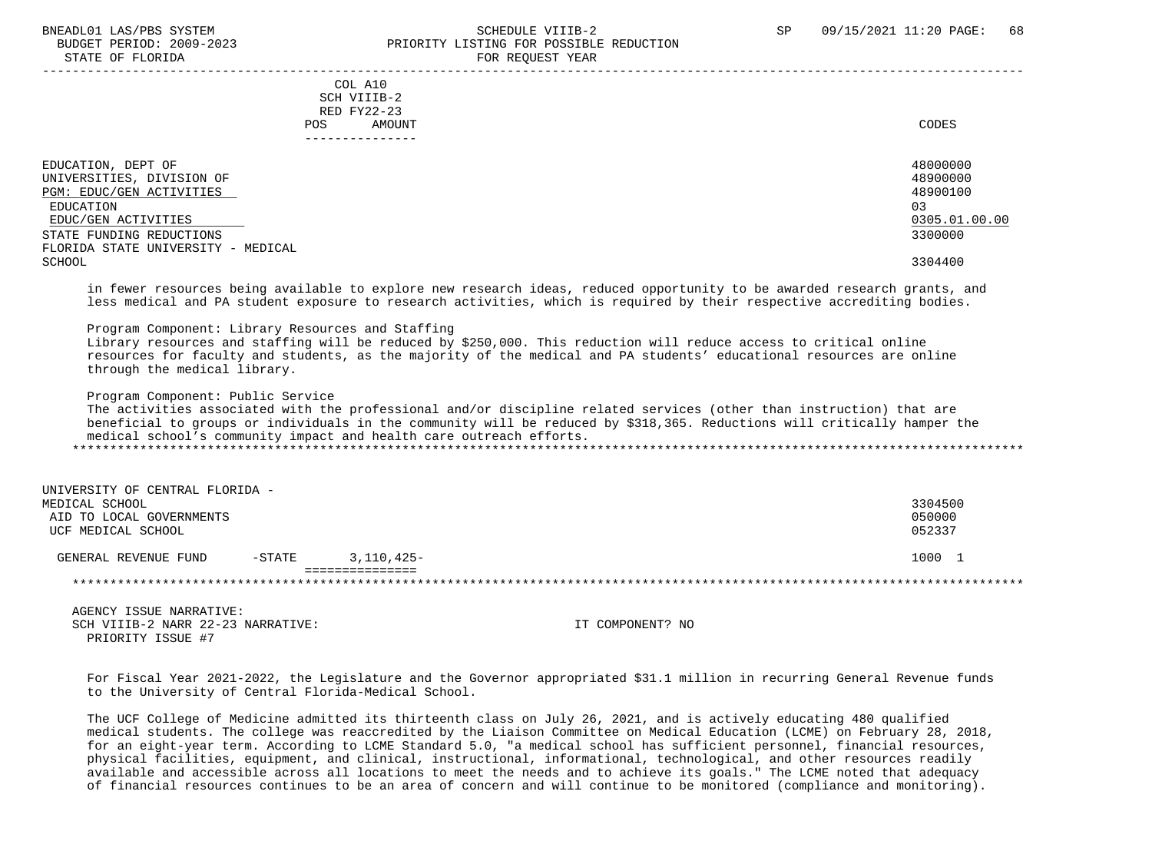### BNEADL01 LAS/PBS SYSTEM SCHEDULE VIIIB-2 SCHEDULE VIIIB-2 SP 09/15/2021 11:20 PAGE: 68 BUDGET PERIOD: 2009-2023 PRIORITY LISTING FOR POSSIBLE REDUCTION STATE OF FLORIDA FOR REQUEST YEAR FOR REQUEST THAT THE REDUCT OF STATE OF STATE OF STATE OF STATE OF STATE OF STATE OF STATE OF STATE OF STATE OF STATE OF STATE OF STATE OF STATE OF STATE OF STATE OF STATE OF STATE OF STAT -----------------------------------------------------------------------------------------------------------------------------------

### COL A10 SCH VIIIB-2 RED FY22-23 POS AMOUNT CODES ---------------

| EDUCATION, DEPT OF                 | 48000000      |
|------------------------------------|---------------|
| UNIVERSITIES, DIVISION OF          | 48900000      |
| PGM: EDUC/GEN ACTIVITIES           | 48900100      |
| EDUCATION                          | 03            |
| EDUC/GEN ACTIVITIES                | 0305.01.00.00 |
| STATE FUNDING REDUCTIONS           | 3300000       |
| FLORIDA STATE UNIVERSITY - MEDICAL |               |
| SCHOOL                             | 3304400       |

 in fewer resources being available to explore new research ideas, reduced opportunity to be awarded research grants, and less medical and PA student exposure to research activities, which is required by their respective accrediting bodies.

Program Component: Library Resources and Staffing

 Library resources and staffing will be reduced by \$250,000. This reduction will reduce access to critical online resources for faculty and students, as the majority of the medical and PA students' educational resources are online through the medical library.

Program Component: Public Service

 The activities associated with the professional and/or discipline related services (other than instruction) that are beneficial to groups or individuals in the community will be reduced by \$318,365. Reductions will critically hamper the medical school's community impact and health care outreach efforts. \*\*\*\*\*\*\*\*\*\*\*\*\*\*\*\*\*\*\*\*\*\*\*\*\*\*\*\*\*\*\*\*\*\*\*\*\*\*\*\*\*\*\*\*\*\*\*\*\*\*\*\*\*\*\*\*\*\*\*\*\*\*\*\*\*\*\*\*\*\*\*\*\*\*\*\*\*\*\*\*\*\*\*\*\*\*\*\*\*\*\*\*\*\*\*\*\*\*\*\*\*\*\*\*\*\*\*\*\*\*\*\*\*\*\*\*\*\*\*\*\*\*\*\*\*\*\*

| UNIVERSITY OF CENTRAL FLORIDA - |           |            |         |
|---------------------------------|-----------|------------|---------|
| MEDICAL SCHOOL                  |           |            | 3304500 |
| AID TO LOCAL GOVERNMENTS        |           |            | 050000  |
| UCF MEDICAL SCHOOL              |           |            | 052337  |
|                                 |           |            |         |
| GENERAL REVENUE FUND            | $-$ STATE | 3,110,425- | 1000 1  |
|                                 |           |            |         |
|                                 |           |            |         |

 AGENCY ISSUE NARRATIVE: SCH VIIIB-2 NARR 22-23 NARRATIVE: IT COMPONENT? NO PRIORITY ISSUE #7

 For Fiscal Year 2021-2022, the Legislature and the Governor appropriated \$31.1 million in recurring General Revenue funds to the University of Central Florida-Medical School.

 The UCF College of Medicine admitted its thirteenth class on July 26, 2021, and is actively educating 480 qualified medical students. The college was reaccredited by the Liaison Committee on Medical Education (LCME) on February 28, 2018, for an eight-year term. According to LCME Standard 5.0, "a medical school has sufficient personnel, financial resources, physical facilities, equipment, and clinical, instructional, informational, technological, and other resources readily available and accessible across all locations to meet the needs and to achieve its goals." The LCME noted that adequacy of financial resources continues to be an area of concern and will continue to be monitored (compliance and monitoring).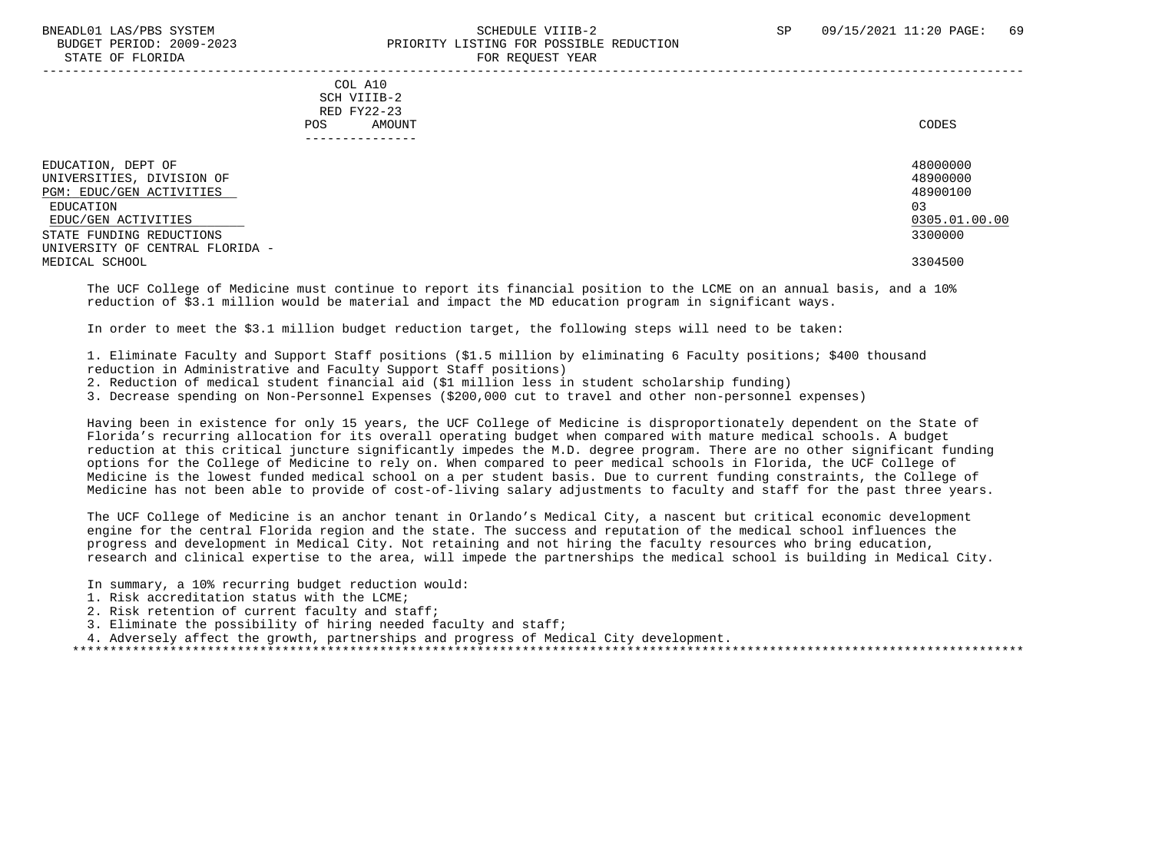### BNEADL01 LAS/PBS SYSTEM SCHEDULE VIIIB-2 SCHEDULE VIIIB-2 SP 09/15/2021 11:20 PAGE: 69 BUDGET PERIOD: 2009-2023 PRIORITY LISTING FOR POSSIBLE REDUCTION STATE OF FLORIDA FOR STATE OF  $\sim$  FOR REQUEST YEAR

-----------------------------------------------------------------------------------------------------------------------------------

 COL A10 SCH VIIIB-2 RED FY22-23 POS AMOUNT CODES ---------------

| EDUCATION, DEPT OF              | 48000000      |
|---------------------------------|---------------|
| UNIVERSITIES, DIVISION OF       | 48900000      |
| PGM: EDUC/GEN ACTIVITIES        | 48900100      |
| EDUCATION                       | 03            |
| EDUC/GEN ACTIVITIES             | 0305.01.00.00 |
| STATE FUNDING REDUCTIONS        | 3300000       |
| UNIVERSITY OF CENTRAL FLORIDA - |               |
| MEDICAL SCHOOL                  | 3304500       |
|                                 |               |

 The UCF College of Medicine must continue to report its financial position to the LCME on an annual basis, and a 10% reduction of \$3.1 million would be material and impact the MD education program in significant ways.

In order to meet the \$3.1 million budget reduction target, the following steps will need to be taken:

 1. Eliminate Faculty and Support Staff positions (\$1.5 million by eliminating 6 Faculty positions; \$400 thousand reduction in Administrative and Faculty Support Staff positions)

2. Reduction of medical student financial aid (\$1 million less in student scholarship funding)

3. Decrease spending on Non-Personnel Expenses (\$200,000 cut to travel and other non-personnel expenses)

 Having been in existence for only 15 years, the UCF College of Medicine is disproportionately dependent on the State of Florida's recurring allocation for its overall operating budget when compared with mature medical schools. A budget reduction at this critical juncture significantly impedes the M.D. degree program. There are no other significant funding options for the College of Medicine to rely on. When compared to peer medical schools in Florida, the UCF College of Medicine is the lowest funded medical school on a per student basis. Due to current funding constraints, the College of Medicine has not been able to provide of cost-of-living salary adjustments to faculty and staff for the past three years.

 The UCF College of Medicine is an anchor tenant in Orlando's Medical City, a nascent but critical economic development engine for the central Florida region and the state. The success and reputation of the medical school influences the progress and development in Medical City. Not retaining and not hiring the faculty resources who bring education, research and clinical expertise to the area, will impede the partnerships the medical school is building in Medical City.

In summary, a 10% recurring budget reduction would:

- 1. Risk accreditation status with the LCME;
- 2. Risk retention of current faculty and staff;
- 3. Eliminate the possibility of hiring needed faculty and staff;
- 4. Adversely affect the growth, partnerships and progress of Medical City development.

\*\*\*\*\*\*\*\*\*\*\*\*\*\*\*\*\*\*\*\*\*\*\*\*\*\*\*\*\*\*\*\*\*\*\*\*\*\*\*\*\*\*\*\*\*\*\*\*\*\*\*\*\*\*\*\*\*\*\*\*\*\*\*\*\*\*\*\*\*\*\*\*\*\*\*\*\*\*\*\*\*\*\*\*\*\*\*\*\*\*\*\*\*\*\*\*\*\*\*\*\*\*\*\*\*\*\*\*\*\*\*\*\*\*\*\*\*\*\*\*\*\*\*\*\*\*\*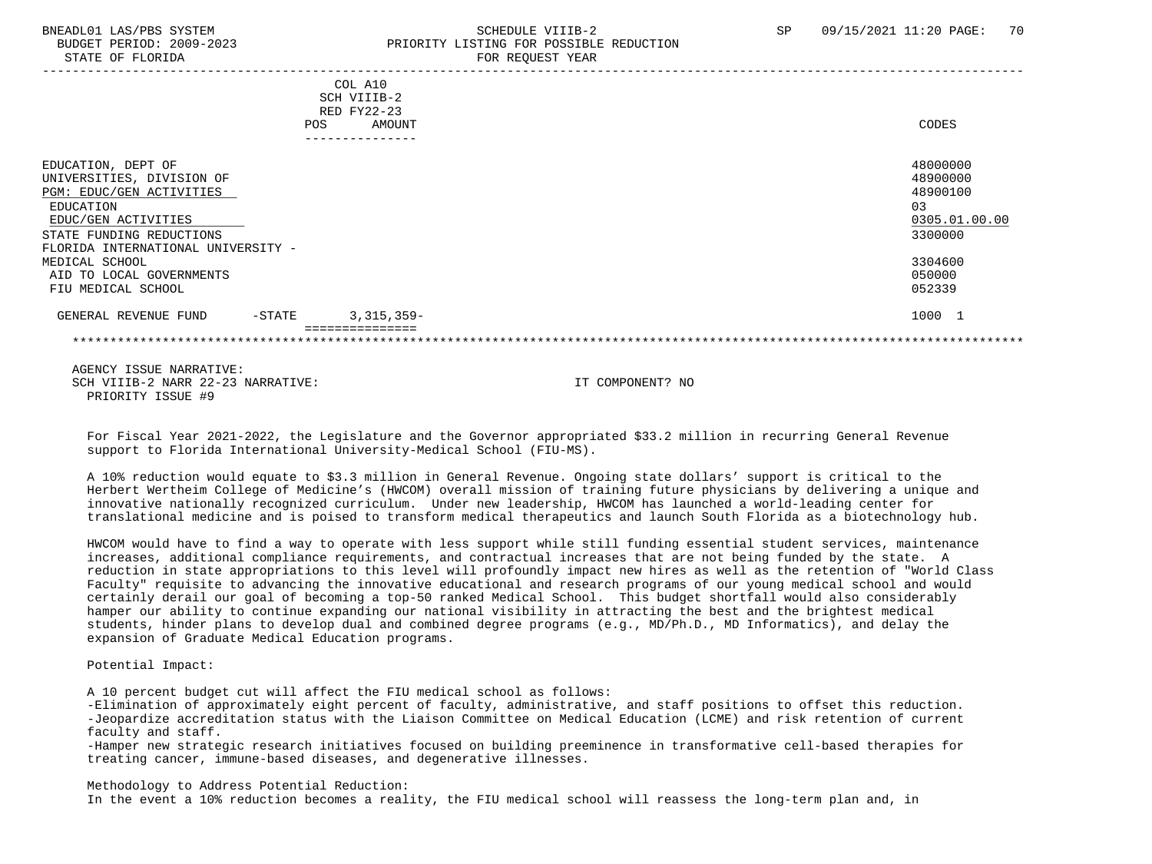### BNEADL01 LAS/PBS SYSTEM SCHEDULE VIIIB-2 SCHEDULE VIIIB-2 SP 09/15/2021 11:20 PAGE: 70 BUDGET PERIOD: 2009-2023 PRIORITY LISTING FOR POSSIBLE REDUCTION STATE OF FLORIDA FOR REQUEST YEAR FOR REQUEST THAT AND THE REDUCT OF THE REDUCT OF THE REDUCT OF THE REDUCT OF THE REDUCT OF THE REDUCT OF THE REDUCT OF THE REDUCT OF THE REDUCT OF THE REDUCT OF THE REDUCT OF THE REDUCT OF

|                                                                                                                                                                                   | POS       | COL A10<br>SCH VIIIB-2<br>RED FY22-23<br>AMOUNT | CODES                                                              |
|-----------------------------------------------------------------------------------------------------------------------------------------------------------------------------------|-----------|-------------------------------------------------|--------------------------------------------------------------------|
|                                                                                                                                                                                   |           |                                                 |                                                                    |
| EDUCATION, DEPT OF<br>UNIVERSITIES, DIVISION OF<br>PGM: EDUC/GEN ACTIVITIES<br>EDUCATION<br>EDUC/GEN ACTIVITIES<br>STATE FUNDING REDUCTIONS<br>FLORIDA INTERNATIONAL UNIVERSITY - |           |                                                 | 48000000<br>48900000<br>48900100<br>03<br>0305.01.00.00<br>3300000 |
| MEDICAL SCHOOL<br>AID TO LOCAL GOVERNMENTS<br>FIU MEDICAL SCHOOL                                                                                                                  |           |                                                 | 3304600<br>050000<br>052339                                        |
| GENERAL REVENUE FUND                                                                                                                                                              | $-$ STATE | $3,315,359-$                                    | 1000 1                                                             |
|                                                                                                                                                                                   |           |                                                 |                                                                    |

 AGENCY ISSUE NARRATIVE: SCH VIIIB-2 NARR 22-23 NARRATIVE: IT COMPONENT? NO PRIORITY ISSUE #9

 For Fiscal Year 2021-2022, the Legislature and the Governor appropriated \$33.2 million in recurring General Revenue support to Florida International University-Medical School (FIU-MS).

 A 10% reduction would equate to \$3.3 million in General Revenue. Ongoing state dollars' support is critical to the Herbert Wertheim College of Medicine's (HWCOM) overall mission of training future physicians by delivering a unique and innovative nationally recognized curriculum. Under new leadership, HWCOM has launched a world-leading center for translational medicine and is poised to transform medical therapeutics and launch South Florida as a biotechnology hub.

 HWCOM would have to find a way to operate with less support while still funding essential student services, maintenance increases, additional compliance requirements, and contractual increases that are not being funded by the state. A reduction in state appropriations to this level will profoundly impact new hires as well as the retention of "World Class Faculty" requisite to advancing the innovative educational and research programs of our young medical school and would certainly derail our goal of becoming a top-50 ranked Medical School. This budget shortfall would also considerably hamper our ability to continue expanding our national visibility in attracting the best and the brightest medical students, hinder plans to develop dual and combined degree programs (e.g., MD/Ph.D., MD Informatics), and delay the expansion of Graduate Medical Education programs.

Potential Impact:

A 10 percent budget cut will affect the FIU medical school as follows:

 -Elimination of approximately eight percent of faculty, administrative, and staff positions to offset this reduction. -Jeopardize accreditation status with the Liaison Committee on Medical Education (LCME) and risk retention of current faculty and staff.

 -Hamper new strategic research initiatives focused on building preeminence in transformative cell-based therapies for treating cancer, immune-based diseases, and degenerative illnesses.

Methodology to Address Potential Reduction:

In the event a 10% reduction becomes a reality, the FIU medical school will reassess the long-term plan and, in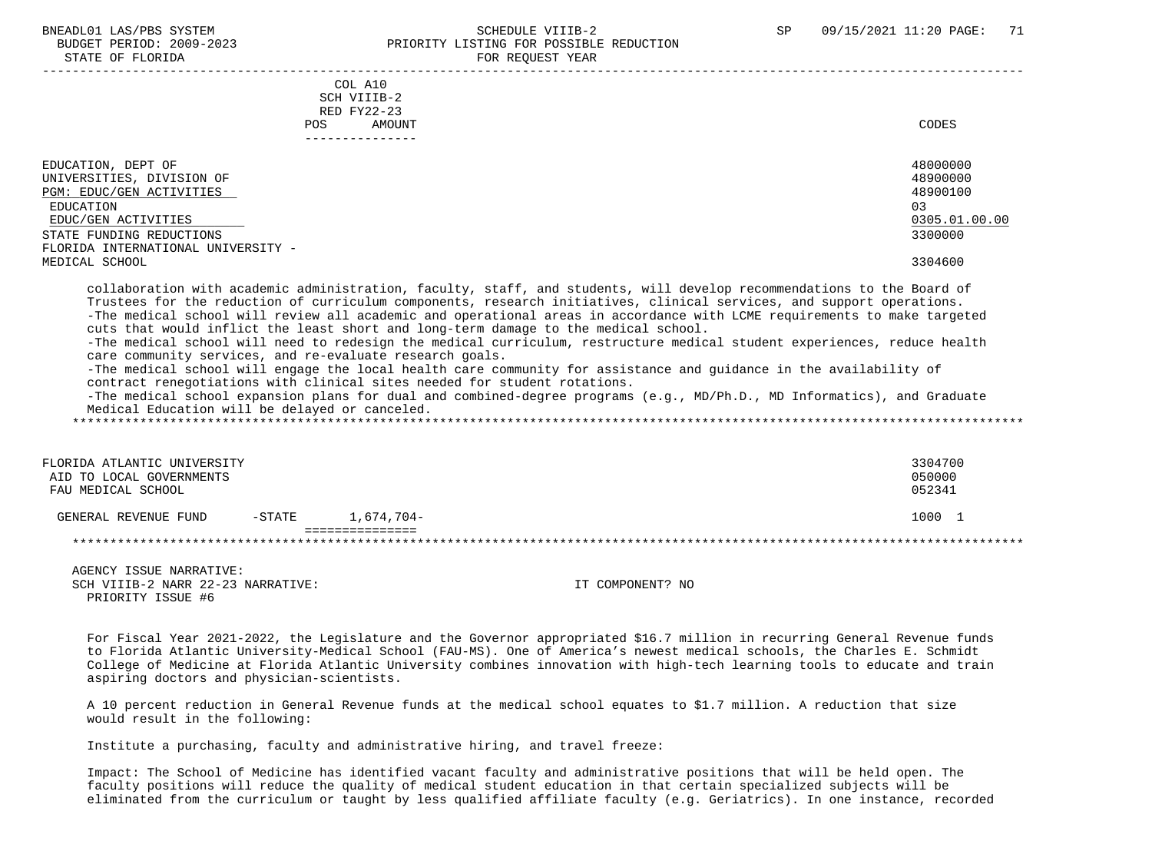### BNEADL01 LAS/PBS SYSTEM SCHEDULE VIIIB-2 SCHEDULE VIIIB-2 SP 09/15/2021 11:20 PAGE: 71 BUDGET PERIOD: 2009-2023 PRIORITY LISTING FOR POSSIBLE REDUCTION STATE OF FLORIDA FOR REQUEST YEAR FOR REQUEST YEAR

| COL A10                                                                                                                                                                                                                                                                                                                                                                                                                                                                                                                                                                                                                                                                                                                                                                                                                                                                                                                                                                                                                                     |                   |
|---------------------------------------------------------------------------------------------------------------------------------------------------------------------------------------------------------------------------------------------------------------------------------------------------------------------------------------------------------------------------------------------------------------------------------------------------------------------------------------------------------------------------------------------------------------------------------------------------------------------------------------------------------------------------------------------------------------------------------------------------------------------------------------------------------------------------------------------------------------------------------------------------------------------------------------------------------------------------------------------------------------------------------------------|-------------------|
| SCH VIIIB-2                                                                                                                                                                                                                                                                                                                                                                                                                                                                                                                                                                                                                                                                                                                                                                                                                                                                                                                                                                                                                                 |                   |
| RED FY22-23                                                                                                                                                                                                                                                                                                                                                                                                                                                                                                                                                                                                                                                                                                                                                                                                                                                                                                                                                                                                                                 |                   |
| POS<br>AMOUNT                                                                                                                                                                                                                                                                                                                                                                                                                                                                                                                                                                                                                                                                                                                                                                                                                                                                                                                                                                                                                               | CODES             |
| ---------------                                                                                                                                                                                                                                                                                                                                                                                                                                                                                                                                                                                                                                                                                                                                                                                                                                                                                                                                                                                                                             |                   |
|                                                                                                                                                                                                                                                                                                                                                                                                                                                                                                                                                                                                                                                                                                                                                                                                                                                                                                                                                                                                                                             |                   |
| EDUCATION, DEPT OF                                                                                                                                                                                                                                                                                                                                                                                                                                                                                                                                                                                                                                                                                                                                                                                                                                                                                                                                                                                                                          | 48000000          |
| UNIVERSITIES, DIVISION OF                                                                                                                                                                                                                                                                                                                                                                                                                                                                                                                                                                                                                                                                                                                                                                                                                                                                                                                                                                                                                   | 48900000          |
| PGM: EDUC/GEN ACTIVITIES                                                                                                                                                                                                                                                                                                                                                                                                                                                                                                                                                                                                                                                                                                                                                                                                                                                                                                                                                                                                                    | 48900100          |
| EDUCATION                                                                                                                                                                                                                                                                                                                                                                                                                                                                                                                                                                                                                                                                                                                                                                                                                                                                                                                                                                                                                                   | 03                |
| EDUC/GEN ACTIVITIES                                                                                                                                                                                                                                                                                                                                                                                                                                                                                                                                                                                                                                                                                                                                                                                                                                                                                                                                                                                                                         | 0305.01.00.00     |
| STATE FUNDING REDUCTIONS                                                                                                                                                                                                                                                                                                                                                                                                                                                                                                                                                                                                                                                                                                                                                                                                                                                                                                                                                                                                                    | 3300000           |
| FLORIDA INTERNATIONAL UNIVERSITY -                                                                                                                                                                                                                                                                                                                                                                                                                                                                                                                                                                                                                                                                                                                                                                                                                                                                                                                                                                                                          |                   |
| MEDICAL SCHOOL                                                                                                                                                                                                                                                                                                                                                                                                                                                                                                                                                                                                                                                                                                                                                                                                                                                                                                                                                                                                                              | 3304600           |
|                                                                                                                                                                                                                                                                                                                                                                                                                                                                                                                                                                                                                                                                                                                                                                                                                                                                                                                                                                                                                                             |                   |
| collaboration with academic administration, faculty, staff, and students, will develop recommendations to the Board of<br>Trustees for the reduction of curriculum components, research initiatives, clinical services, and support operations.<br>-The medical school will review all academic and operational areas in accordance with LCME requirements to make targeted<br>cuts that would inflict the least short and long-term damage to the medical school.<br>-The medical school will need to redesign the medical curriculum, restructure medical student experiences, reduce health<br>care community services, and re-evaluate research goals.<br>-The medical school will engage the local health care community for assistance and guidance in the availability of<br>contract renegotiations with clinical sites needed for student rotations.<br>-The medical school expansion plans for dual and combined-degree programs (e.g., MD/Ph.D., MD Informatics), and Graduate<br>Medical Education will be delayed or canceled. |                   |
| FLORIDA ATLANTIC UNIVERSITY<br>AID TO LOCAL GOVERNMENTS                                                                                                                                                                                                                                                                                                                                                                                                                                                                                                                                                                                                                                                                                                                                                                                                                                                                                                                                                                                     | 3304700<br>050000 |
| FAU MEDICAL SCHOOL                                                                                                                                                                                                                                                                                                                                                                                                                                                                                                                                                                                                                                                                                                                                                                                                                                                                                                                                                                                                                          | 052341            |
| GENERAL REVENUE FUND<br>$-$ STATE<br>1,674,704-<br>===============                                                                                                                                                                                                                                                                                                                                                                                                                                                                                                                                                                                                                                                                                                                                                                                                                                                                                                                                                                          | 1000 1            |

\*\*\*\*\*\*\*\*\*\*\*\*\*\*\*\*\*\*\*\*\*\*\*\*\*\*\*\*\*\*\*\*\*\*\*\*\*\*\*\*\*\*\*\*\*\*\*\*\*\*\*\*\*\*\*\*\*\*\*\*\*\*\*\*\*\*\*\*\*\*\*\*\*\*\*\*\*\*\*\*\*\*\*\*\*\*\*\*\*\*\*\*\*\*\*\*\*\*\*\*\*\*\*\*\*\*\*\*\*\*\*\*\*\*\*\*\*\*\*\*\*\*\*\*\*\*\*

 AGENCY ISSUE NARRATIVE: SCH VIIIB-2 NARR 22-23 NARRATIVE: IT COMPONENT? NO PRIORITY ISSUE #6

 For Fiscal Year 2021-2022, the Legislature and the Governor appropriated \$16.7 million in recurring General Revenue funds to Florida Atlantic University-Medical School (FAU-MS). One of America's newest medical schools, the Charles E. Schmidt College of Medicine at Florida Atlantic University combines innovation with high-tech learning tools to educate and train aspiring doctors and physician-scientists.

 A 10 percent reduction in General Revenue funds at the medical school equates to \$1.7 million. A reduction that size would result in the following:

Institute a purchasing, faculty and administrative hiring, and travel freeze:

 Impact: The School of Medicine has identified vacant faculty and administrative positions that will be held open. The faculty positions will reduce the quality of medical student education in that certain specialized subjects will be eliminated from the curriculum or taught by less qualified affiliate faculty (e.g. Geriatrics). In one instance, recorded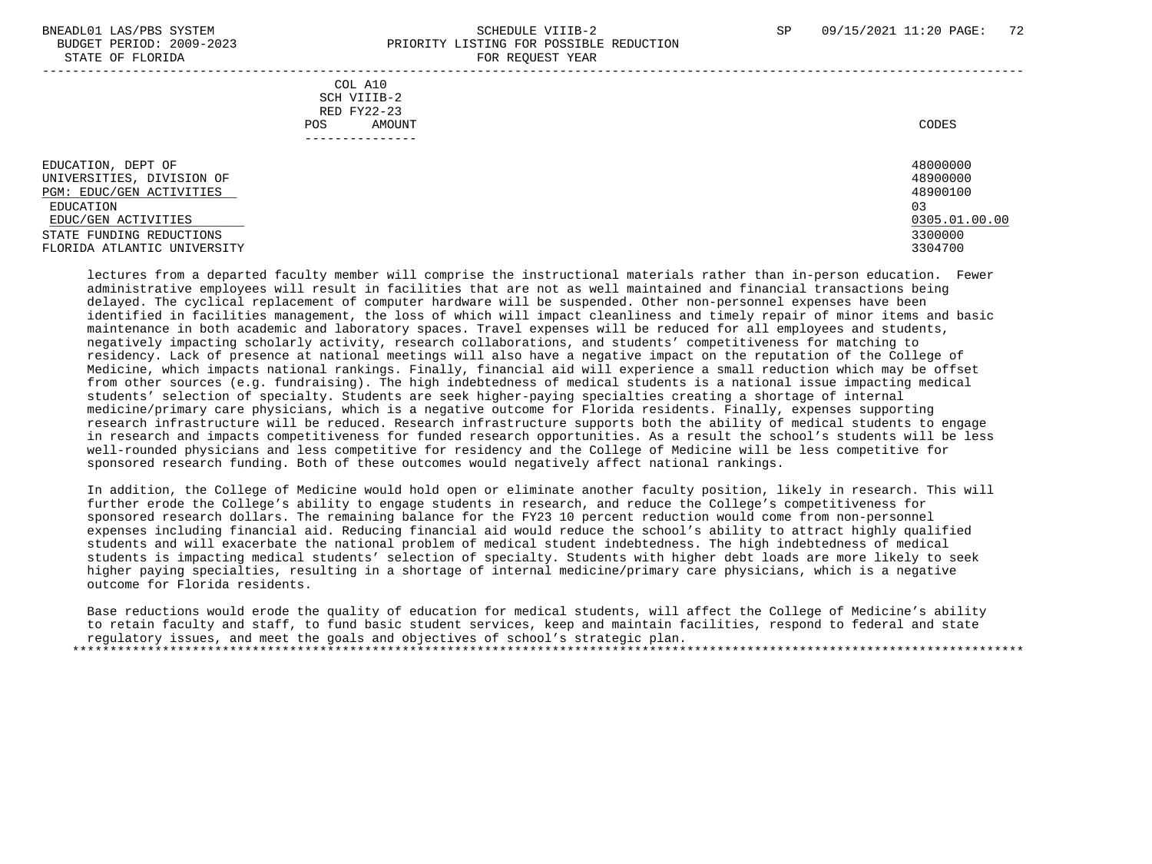### BNEADL01 LAS/PBS SYSTEM SCHEDULE VIIIB-2 SCHEDULE VIIIB-2 SP 09/15/2021 11:20 PAGE: 72 BUDGET PERIOD: 2009-2023 PRIORITY LISTING FOR POSSIBLE REDUCTION STATE OF FLORIDA FOR REQUEST YEAR FOR REQUEST THAT THE REDUCT OF STATE OF STATE OF STATE OF STATE OF STATE OF STATE OF STATE OF STATE OF STATE OF STATE OF STATE OF STATE OF STATE OF STATE OF STATE OF STATE OF STATE OF STAT -----------------------------------------------------------------------------------------------------------------------------------

 COL A10 SCH VIIIB-2 RED FY22-23 POS AMOUNT CODES ---------------

| EDUCATION, DEPT OF          | 48000000      |
|-----------------------------|---------------|
| UNIVERSITIES, DIVISION OF   | 48900000      |
| PGM: EDUC/GEN ACTIVITIES    | 48900100      |
| EDUCATION                   | 03            |
| EDUC/GEN ACTIVITIES         | 0305.01.00.00 |
| STATE FUNDING REDUCTIONS    | 3300000       |
| FLORIDA ATLANTIC UNIVERSITY | 3304700       |

 lectures from a departed faculty member will comprise the instructional materials rather than in-person education. Fewer administrative employees will result in facilities that are not as well maintained and financial transactions being delayed. The cyclical replacement of computer hardware will be suspended. Other non-personnel expenses have been identified in facilities management, the loss of which will impact cleanliness and timely repair of minor items and basic maintenance in both academic and laboratory spaces. Travel expenses will be reduced for all employees and students, negatively impacting scholarly activity, research collaborations, and students' competitiveness for matching to residency. Lack of presence at national meetings will also have a negative impact on the reputation of the College of Medicine, which impacts national rankings. Finally, financial aid will experience a small reduction which may be offset from other sources (e.g. fundraising). The high indebtedness of medical students is a national issue impacting medical students' selection of specialty. Students are seek higher-paying specialties creating a shortage of internal medicine/primary care physicians, which is a negative outcome for Florida residents. Finally, expenses supporting research infrastructure will be reduced. Research infrastructure supports both the ability of medical students to engage in research and impacts competitiveness for funded research opportunities. As a result the school's students will be less well-rounded physicians and less competitive for residency and the College of Medicine will be less competitive for sponsored research funding. Both of these outcomes would negatively affect national rankings.

 In addition, the College of Medicine would hold open or eliminate another faculty position, likely in research. This will further erode the College's ability to engage students in research, and reduce the College's competitiveness for sponsored research dollars. The remaining balance for the FY23 10 percent reduction would come from non-personnel expenses including financial aid. Reducing financial aid would reduce the school's ability to attract highly qualified students and will exacerbate the national problem of medical student indebtedness. The high indebtedness of medical students is impacting medical students' selection of specialty. Students with higher debt loads are more likely to seek higher paying specialties, resulting in a shortage of internal medicine/primary care physicians, which is a negative outcome for Florida residents.

 Base reductions would erode the quality of education for medical students, will affect the College of Medicine's ability to retain faculty and staff, to fund basic student services, keep and maintain facilities, respond to federal and state regulatory issues, and meet the goals and objectives of school's strategic plan. \*\*\*\*\*\*\*\*\*\*\*\*\*\*\*\*\*\*\*\*\*\*\*\*\*\*\*\*\*\*\*\*\*\*\*\*\*\*\*\*\*\*\*\*\*\*\*\*\*\*\*\*\*\*\*\*\*\*\*\*\*\*\*\*\*\*\*\*\*\*\*\*\*\*\*\*\*\*\*\*\*\*\*\*\*\*\*\*\*\*\*\*\*\*\*\*\*\*\*\*\*\*\*\*\*\*\*\*\*\*\*\*\*\*\*\*\*\*\*\*\*\*\*\*\*\*\*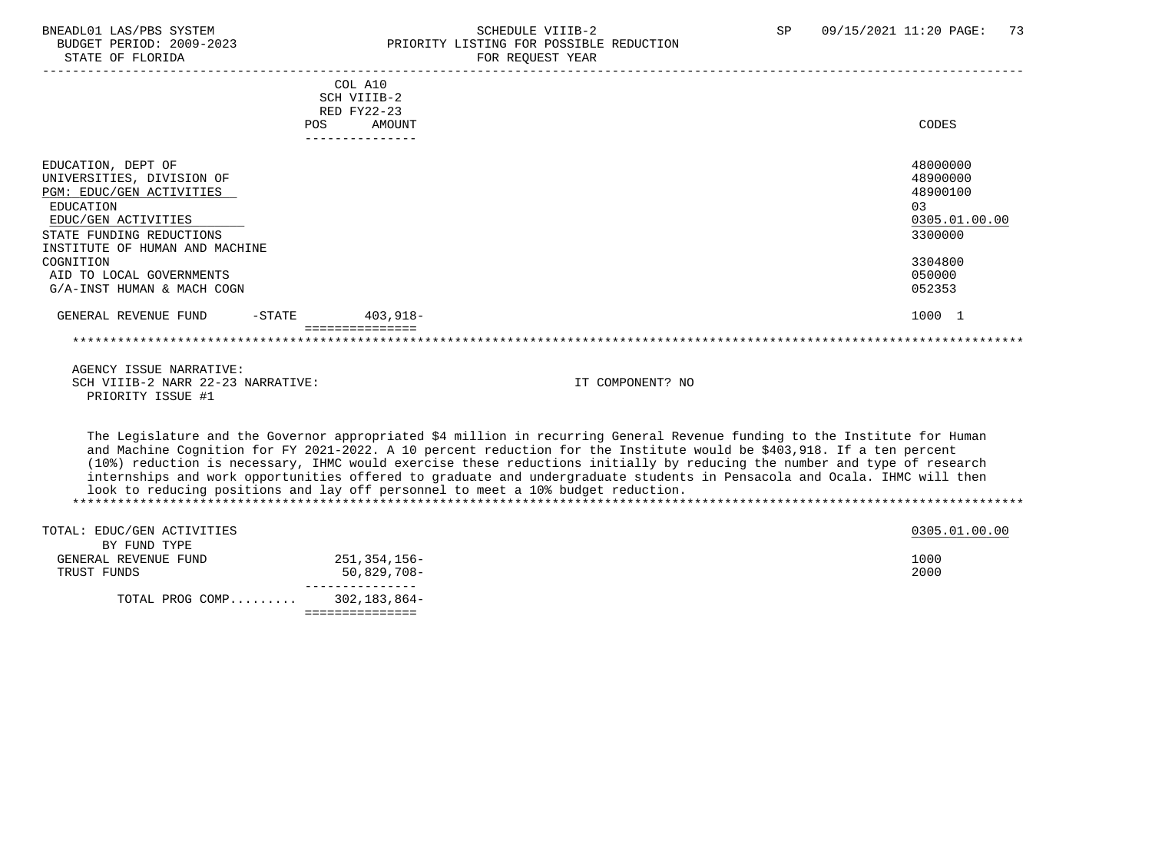# BNEADL01 LAS/PBS SYSTEM SCHEDULE VIIIB-2 SCHEDULE VIIIB-2 SP 09/15/2021 11:20 PAGE: 73<br>BUDGET PERIOD: 2009-2023 PRIORITY LISTING FOR POSSIBLE REDUCTION BUDGET PERIOD: 2009-2023<br>
STATE OF FLORIDA<br>
FOR REOUEST YEAR FOR REQUEST YEAR

|                                   |     | COL A10     |               |
|-----------------------------------|-----|-------------|---------------|
|                                   |     | SCH VIIIB-2 |               |
|                                   |     | RED FY22-23 |               |
|                                   | POS | AMOUNT      | CODES         |
|                                   |     |             |               |
| EDUCATION, DEPT OF                |     |             | 48000000      |
| UNIVERSITIES, DIVISION OF         |     |             | 48900000      |
| PGM: EDUC/GEN ACTIVITIES          |     |             | 48900100      |
| EDUCATION                         |     |             | 03            |
| EDUC/GEN ACTIVITIES               |     |             | 0305.01.00.00 |
| STATE FUNDING REDUCTIONS          |     |             | 3300000       |
| INSTITUTE OF HUMAN AND MACHINE    |     |             |               |
| COGNITION                         |     |             | 3304800       |
| AID TO LOCAL GOVERNMENTS          |     |             | 050000        |
| G/A-INST HUMAN & MACH COGN        |     |             | 052353        |
| $-$ STATE<br>GENERAL REVENUE FUND |     | 403,918-    | 1000 1        |
|                                   |     |             |               |
| AGENCY ISSUE NARRATIVE:           |     |             |               |

SCH VIIIB-2 NARR 22-23 NARRATIVE: IT COMPONENT? NO PRIORITY ISSUE #1

 The Legislature and the Governor appropriated \$4 million in recurring General Revenue funding to the Institute for Human and Machine Cognition for FY 2021-2022. A 10 percent reduction for the Institute would be \$403,918. If a ten percent (10%) reduction is necessary, IHMC would exercise these reductions initially by reducing the number and type of research internships and work opportunities offered to graduate and undergraduate students in Pensacola and Ocala. IHMC will then look to reducing positions and lay off personnel to meet a 10% budget reduction. \*\*\*\*\*\*\*\*\*\*\*\*\*\*\*\*\*\*\*\*\*\*\*\*\*\*\*\*\*\*\*\*\*\*\*\*\*\*\*\*\*\*\*\*\*\*\*\*\*\*\*\*\*\*\*\*\*\*\*\*\*\*\*\*\*\*\*\*\*\*\*\*\*\*\*\*\*\*\*\*\*\*\*\*\*\*\*\*\*\*\*\*\*\*\*\*\*\*\*\*\*\*\*\*\*\*\*\*\*\*\*\*\*\*\*\*\*\*\*\*\*\*\*\*\*\*\*

| TOTAL: EDUC/GEN ACTIVITIES |              | 0305.01.00.00 |  |
|----------------------------|--------------|---------------|--|
| BY FUND TYPE               |              |               |  |
| GENERAL REVENUE FUND       | 251,354,156– | 1000          |  |
| TRUST FUNDS                | 50,829,708-  | 2000          |  |
|                            |              |               |  |
| TOTAL PROG COMP            | 302,183,864- |               |  |
|                            |              |               |  |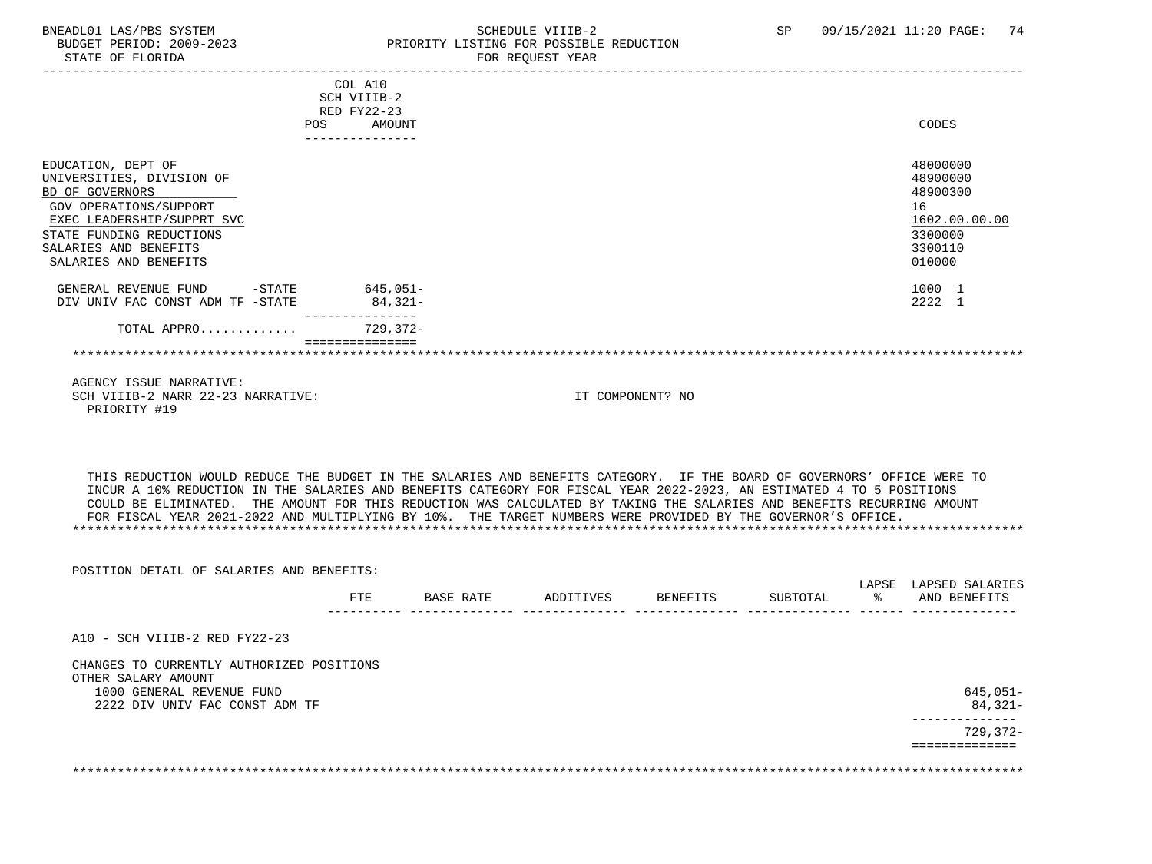# BNEADL01 LAS/PBS SYSTEM SCHEDULE VIIIB-2 SCHEDULE VIIIB-2 SP 09/15/2021 11:20 PAGE: 74<br>BUDGET PERIOD: 2009-2023 PRIORITY LISTING FOR POSSIBLE REDUCTION BUDGET PERIOD: 2009-2023 PRIORITY LISTING FOR POSSIBLE REDUCTION FOR REOUEST YEAR

|                                                                                                                                                                                                          | COL A10<br>SCH VIIIB-2<br>RED FY22-23<br>AMOUNT<br><b>POS</b><br>--------------- |                                                                                                                                                                                                                                                                                                                                                                                                                                                                                          | CODES                                                                                   |
|----------------------------------------------------------------------------------------------------------------------------------------------------------------------------------------------------------|----------------------------------------------------------------------------------|------------------------------------------------------------------------------------------------------------------------------------------------------------------------------------------------------------------------------------------------------------------------------------------------------------------------------------------------------------------------------------------------------------------------------------------------------------------------------------------|-----------------------------------------------------------------------------------------|
| EDUCATION, DEPT OF<br>UNIVERSITIES, DIVISION OF<br>BD OF GOVERNORS<br>GOV OPERATIONS/SUPPORT<br>EXEC LEADERSHIP/SUPPRT SVC<br>STATE FUNDING REDUCTIONS<br>SALARIES AND BENEFITS<br>SALARIES AND BENEFITS |                                                                                  |                                                                                                                                                                                                                                                                                                                                                                                                                                                                                          | 48000000<br>48900000<br>48900300<br>16<br>1602.00.00.00<br>3300000<br>3300110<br>010000 |
| GENERAL REVENUE FUND<br>$-\mathtt{STATE}$<br>DIV UNIV FAC CONST ADM TF -STATE                                                                                                                            | 645,051-<br>84,321-                                                              |                                                                                                                                                                                                                                                                                                                                                                                                                                                                                          | 1000 1<br>2222 1                                                                        |
| TOTAL APPRO                                                                                                                                                                                              | $729.372 -$                                                                      |                                                                                                                                                                                                                                                                                                                                                                                                                                                                                          |                                                                                         |
|                                                                                                                                                                                                          |                                                                                  |                                                                                                                                                                                                                                                                                                                                                                                                                                                                                          |                                                                                         |
| AGENCY ISSUE NARRATIVE:<br>SCH VIIIB-2 NARR 22-23 NARRATIVE:<br>PRIORITY #19                                                                                                                             |                                                                                  | IT COMPONENT? NO                                                                                                                                                                                                                                                                                                                                                                                                                                                                         |                                                                                         |
|                                                                                                                                                                                                          |                                                                                  | THIS REDUCTION WOULD REDUCE THE BUDGET IN THE SALARIES AND BENEFITS CATEGORY. IF THE BOARD OF GOVERNORS' OFFICE WERE TO<br>INCUR A 10% REDUCTION IN THE SALARIES AND BENEFITS CATEGORY FOR FISCAL YEAR 2022-2023, AN ESTIMATED 4 TO 5 POSITIONS<br>COULD BE ELIMINATED. THE AMOUNT FOR THIS REDUCTION WAS CALCULATED BY TAKING THE SALARIES AND BENEFITS RECURRING AMOUNT<br>FOR FISCAL YEAR 2021-2022 AND MULTIPLYING BY 10%. THE TARGET NUMBERS WERE PROVIDED BY THE GOVERNOR'S OFFICE |                                                                                         |

| POSITION DETAIL OF SALARIES AND BENEFITS:                        |            |           |           |          |          | LAPSE | LAPSED SALARIES |
|------------------------------------------------------------------|------------|-----------|-----------|----------|----------|-------|-----------------|
|                                                                  | <b>FTE</b> | BASE RATE | ADDITIVES | BENEFITS | SUBTOTAL | ႜႂ    | AND BENEFITS    |
| A10 - SCH VIIIB-2 RED FY22-23                                    |            |           |           |          |          |       |                 |
| CHANGES TO CURRENTLY AUTHORIZED POSITIONS<br>OTHER SALARY AMOUNT |            |           |           |          |          |       |                 |
| 1000 GENERAL REVENUE FUND                                        |            |           |           |          |          |       | $645,051-$      |
| 2222 DIV UNIV FAC CONST ADM TF                                   |            |           |           |          |          |       | 84,321-         |
|                                                                  |            |           |           |          |          |       | 729,372-        |
|                                                                  |            |           |           |          |          |       |                 |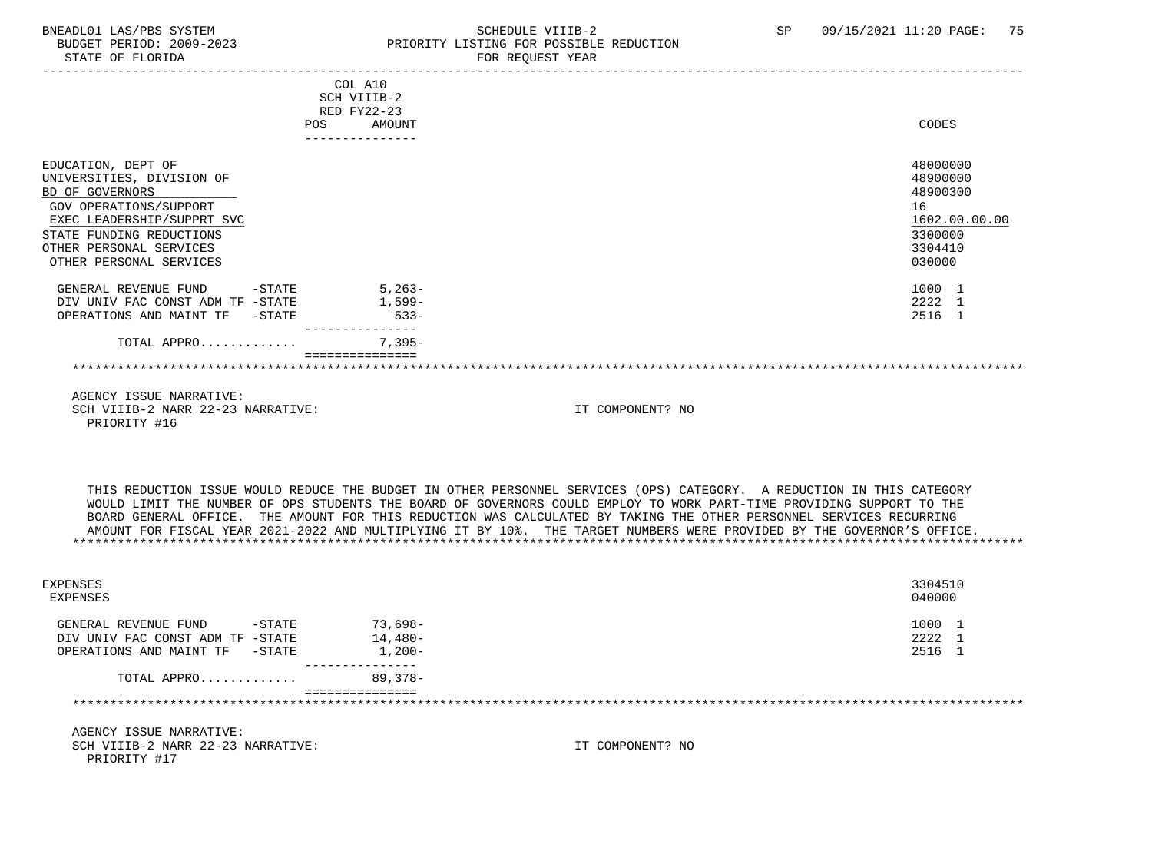# BNEADL01 LAS/PBS SYSTEM SCHEDULE VIIIB-2 SCHEDULE VIIIB-2 SP 09/15/2021 11:20 PAGE: 75<br>BUDGET PERIOD: 2009-2023 PRIORITY LISTING FOR POSSIBLE REDUCTION BUDGET PERIOD: 2009-2023 PRIORITY LISTING FOR POSSIBLE REDUCTION FOR REQUEST YEAR

|                                                                                                                                                                                                                     | COL A10<br>SCH VIIIB-2<br>RED FY22-23<br>AMOUNT<br>POS |                                                                                                                                                                                                                                                                                                                                                                                                                                                                                                 | CODES                                                                                   |
|---------------------------------------------------------------------------------------------------------------------------------------------------------------------------------------------------------------------|--------------------------------------------------------|-------------------------------------------------------------------------------------------------------------------------------------------------------------------------------------------------------------------------------------------------------------------------------------------------------------------------------------------------------------------------------------------------------------------------------------------------------------------------------------------------|-----------------------------------------------------------------------------------------|
|                                                                                                                                                                                                                     |                                                        |                                                                                                                                                                                                                                                                                                                                                                                                                                                                                                 |                                                                                         |
| EDUCATION, DEPT OF<br>UNIVERSITIES, DIVISION OF<br>BD OF GOVERNORS<br><b>GOV OPERATIONS/SUPPORT</b><br>EXEC LEADERSHIP/SUPPRT SVC<br>STATE FUNDING REDUCTIONS<br>OTHER PERSONAL SERVICES<br>OTHER PERSONAL SERVICES |                                                        |                                                                                                                                                                                                                                                                                                                                                                                                                                                                                                 | 48000000<br>48900000<br>48900300<br>16<br>1602.00.00.00<br>3300000<br>3304410<br>030000 |
| $-$ STATE<br>GENERAL REVENUE FUND<br>DIV UNIV FAC CONST ADM TF -STATE<br>OPERATIONS AND MAINT TF -STATE                                                                                                             | $5.263-$<br>1,599-<br>$533 -$<br>--------              |                                                                                                                                                                                                                                                                                                                                                                                                                                                                                                 | 1000 1<br>2222 1<br>2516 1                                                              |
| TOTAL APPRO                                                                                                                                                                                                         | $7.395-$                                               |                                                                                                                                                                                                                                                                                                                                                                                                                                                                                                 |                                                                                         |
|                                                                                                                                                                                                                     |                                                        |                                                                                                                                                                                                                                                                                                                                                                                                                                                                                                 |                                                                                         |
| AGENCY ISSUE NARRATIVE:<br>SCH VIIIB-2 NARR 22-23 NARRATIVE:<br>PRIORITY #16                                                                                                                                        |                                                        | IT COMPONENT? NO                                                                                                                                                                                                                                                                                                                                                                                                                                                                                |                                                                                         |
|                                                                                                                                                                                                                     |                                                        | THIS REDUCTION ISSUE WOULD REDUCE THE BUDGET IN OTHER PERSONNEL SERVICES (OPS) CATEGORY. A REDUCTION IN THIS CATEGORY<br>WOULD LIMIT THE NUMBER OF OPS STUDENTS THE BOARD OF GOVERNORS COULD EMPLOY TO WORK PART-TIME PROVIDING SUPPORT TO THE<br>BOARD GENERAL OFFICE. THE AMOUNT FOR THIS REDUCTION WAS CALCULATED BY TAKING THE OTHER PERSONNEL SERVICES RECURRING<br>AMOUNT FOR FISCAL YEAR 2021-2022 AND MULTIPLYING IT BY 10%. THE TARGET NUMBERS WERE PROVIDED BY THE GOVERNOR'S OFFICE. |                                                                                         |

| EXPENSES<br>EXPENSES                                                         |                 |                  | 3304510<br>040000 |
|------------------------------------------------------------------------------|-----------------|------------------|-------------------|
| GENERAL REVENUE FUND<br>-STATE                                               | 73,698-         |                  | 1000 1            |
| DIV UNIV FAC CONST ADM TF -STATE                                             | $14.480-$       |                  | 2222 1            |
| OPERATIONS AND MAINT TF<br>$-$ STATE                                         | $1,200-$        |                  | 2516 1            |
| TOTAL APPRO                                                                  | 89,378-         |                  |                   |
|                                                                              | =============== |                  |                   |
| AGENCY ISSUE NARRATIVE:<br>SCH VIIIB-2 NARR 22-23 NARRATIVE:<br>PRIORITY #17 |                 | IT COMPONENT? NO |                   |
|                                                                              |                 |                  |                   |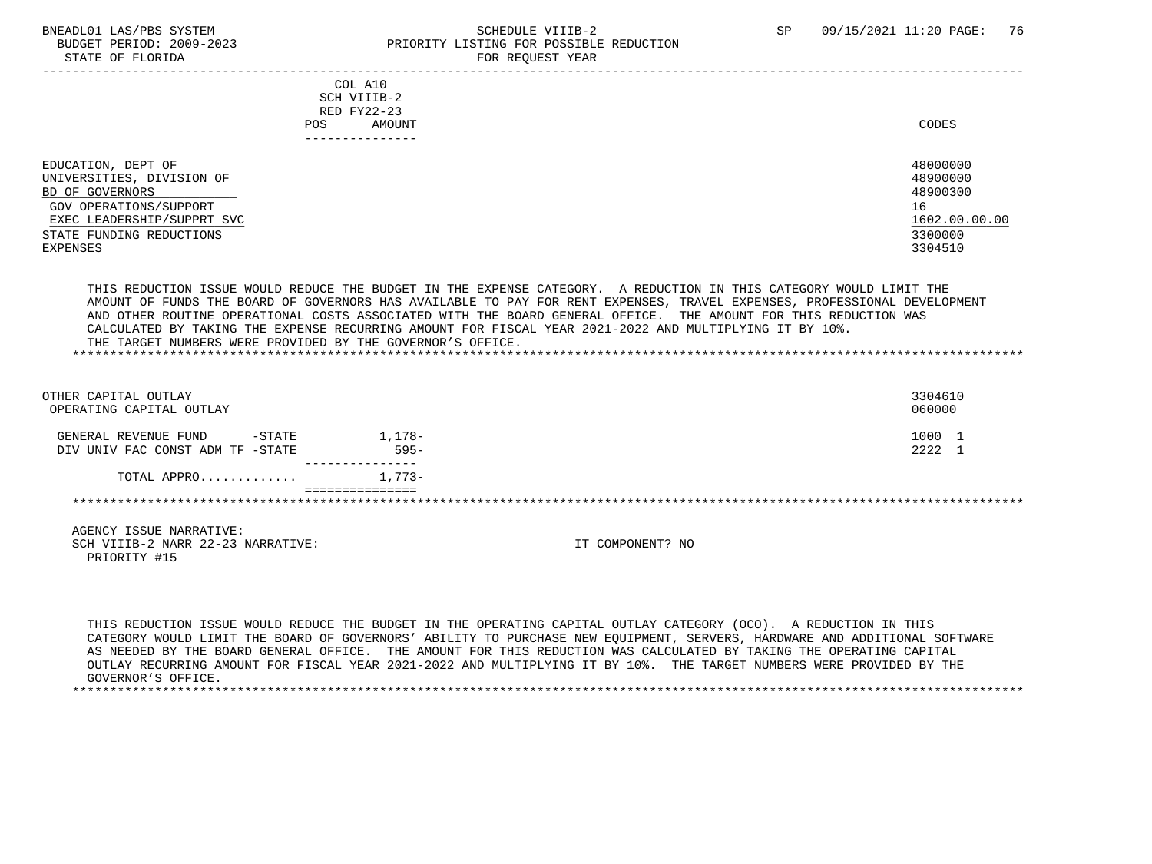# BNEADL01 LAS/PBS SYSTEM SCHEDULE VIIIB-2 SCHEDULE VIIIB-2 SP 09/15/2021 11:20 PAGE: 76 BUDGET PERIOD: 2009-2023 PRIORITY LISTING FOR POSSIBLE REDUCTION STATE OF FLORIDA FOR REQUEST YEAR FOR REQUEST YEAR

| COL A10<br>SCH VIIIB-2<br>RED FY22-23<br>AMOUNT<br>POS.<br>-------------                                                   | CODES                                                   |
|----------------------------------------------------------------------------------------------------------------------------|---------------------------------------------------------|
| EDUCATION, DEPT OF<br>UNIVERSITIES, DIVISION OF<br>BD OF GOVERNORS<br>GOV OPERATIONS/SUPPORT<br>EXEC LEADERSHIP/SUPPRT SVC | 48000000<br>48900000<br>48900300<br>16<br>1602.00.00.00 |
| STATE FUNDING REDUCTIONS<br>EXPENSES                                                                                       | 3300000<br>3304510                                      |
|                                                                                                                            |                                                         |

 THIS REDUCTION ISSUE WOULD REDUCE THE BUDGET IN THE EXPENSE CATEGORY. A REDUCTION IN THIS CATEGORY WOULD LIMIT THE AMOUNT OF FUNDS THE BOARD OF GOVERNORS HAS AVAILABLE TO PAY FOR RENT EXPENSES, TRAVEL EXPENSES, PROFESSIONAL DEVELOPMENT AND OTHER ROUTINE OPERATIONAL COSTS ASSOCIATED WITH THE BOARD GENERAL OFFICE. THE AMOUNT FOR THIS REDUCTION WAS CALCULATED BY TAKING THE EXPENSE RECURRING AMOUNT FOR FISCAL YEAR 2021-2022 AND MULTIPLYING IT BY 10%. THE TARGET NUMBERS WERE PROVIDED BY THE GOVERNOR'S OFFICE. \*\*\*\*\*\*\*\*\*\*\*\*\*\*\*\*\*\*\*\*\*\*\*\*\*\*\*\*\*\*\*\*\*\*\*\*\*\*\*\*\*\*\*\*\*\*\*\*\*\*\*\*\*\*\*\*\*\*\*\*\*\*\*\*\*\*\*\*\*\*\*\*\*\*\*\*\*\*\*\*\*\*\*\*\*\*\*\*\*\*\*\*\*\*\*\*\*\*\*\*\*\*\*\*\*\*\*\*\*\*\*\*\*\*\*\*\*\*\*\*\*\*\*\*\*\*\*

| OTHER CAPITAL OUTLAY<br>OPERATING CAPITAL OUTLAY                      |                   | 3304610<br>060000 |
|-----------------------------------------------------------------------|-------------------|-------------------|
| $-$ STATE<br>GENERAL REVENUE FUND<br>DIV UNIV FAC CONST ADM TF -STATE | 1,178-<br>$595 -$ | L O O O<br>2222   |
| TOTAL APPRO                                                           | 1,773-            |                   |
|                                                                       |                   |                   |

 AGENCY ISSUE NARRATIVE: SCH VIIIB-2 NARR 22-23 NARRATIVE: IT COMPONENT? NO PRIORITY #15

 THIS REDUCTION ISSUE WOULD REDUCE THE BUDGET IN THE OPERATING CAPITAL OUTLAY CATEGORY (OCO). A REDUCTION IN THIS CATEGORY WOULD LIMIT THE BOARD OF GOVERNORS' ABILITY TO PURCHASE NEW EQUIPMENT, SERVERS, HARDWARE AND ADDITIONAL SOFTWARE AS NEEDED BY THE BOARD GENERAL OFFICE. THE AMOUNT FOR THIS REDUCTION WAS CALCULATED BY TAKING THE OPERATING CAPITAL OUTLAY RECURRING AMOUNT FOR FISCAL YEAR 2021-2022 AND MULTIPLYING IT BY 10%. THE TARGET NUMBERS WERE PROVIDED BY THE GOVERNOR'S OFFICE. \*\*\*\*\*\*\*\*\*\*\*\*\*\*\*\*\*\*\*\*\*\*\*\*\*\*\*\*\*\*\*\*\*\*\*\*\*\*\*\*\*\*\*\*\*\*\*\*\*\*\*\*\*\*\*\*\*\*\*\*\*\*\*\*\*\*\*\*\*\*\*\*\*\*\*\*\*\*\*\*\*\*\*\*\*\*\*\*\*\*\*\*\*\*\*\*\*\*\*\*\*\*\*\*\*\*\*\*\*\*\*\*\*\*\*\*\*\*\*\*\*\*\*\*\*\*\*